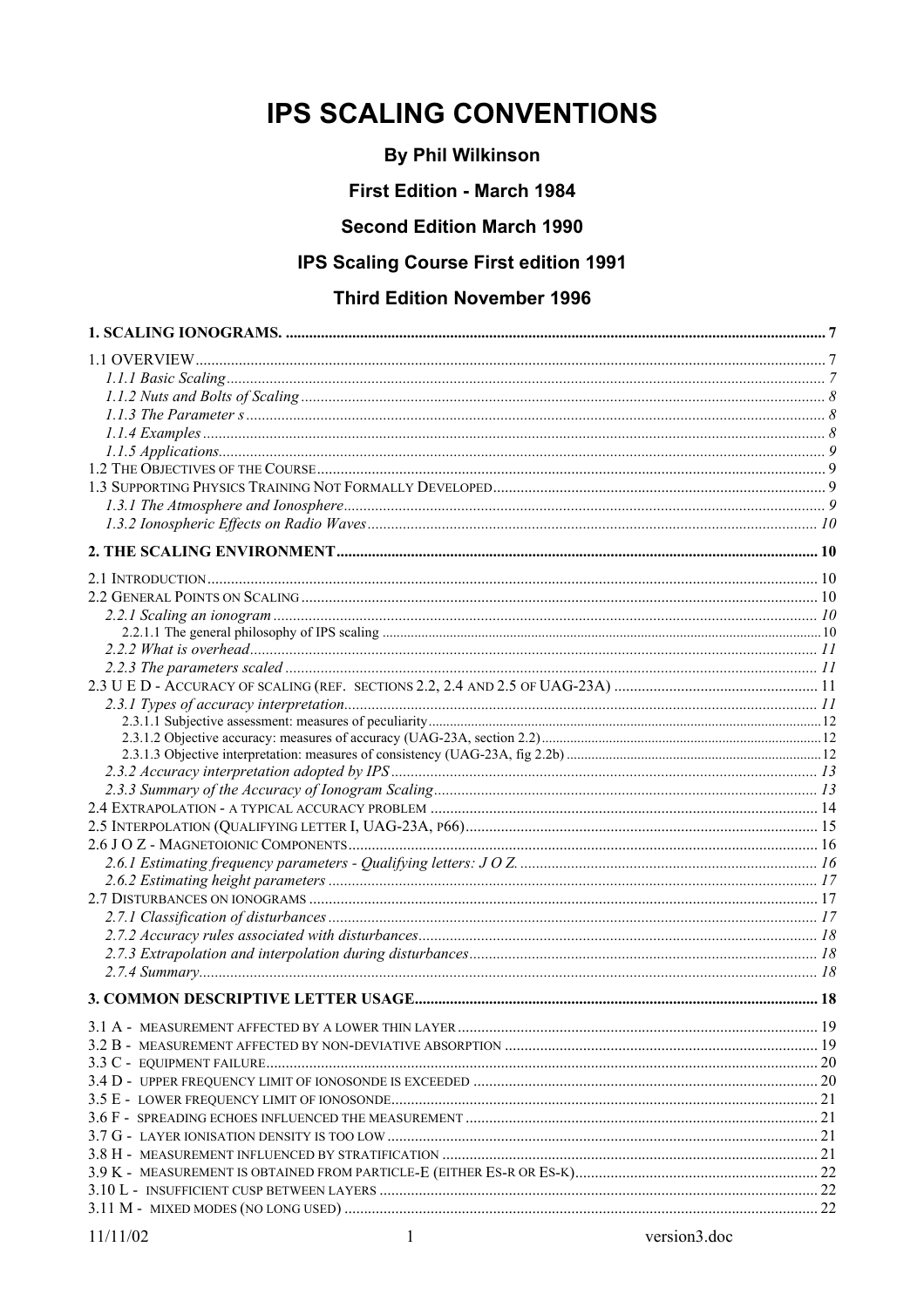# **IPS SCALING CONVENTIONS**

# **By Phil Wilkinson**

# **First Edition - March 1984**

# **Second Edition March 1990**

# **IPS Scaling Course First edition 1991**

# **Third Edition November 1996**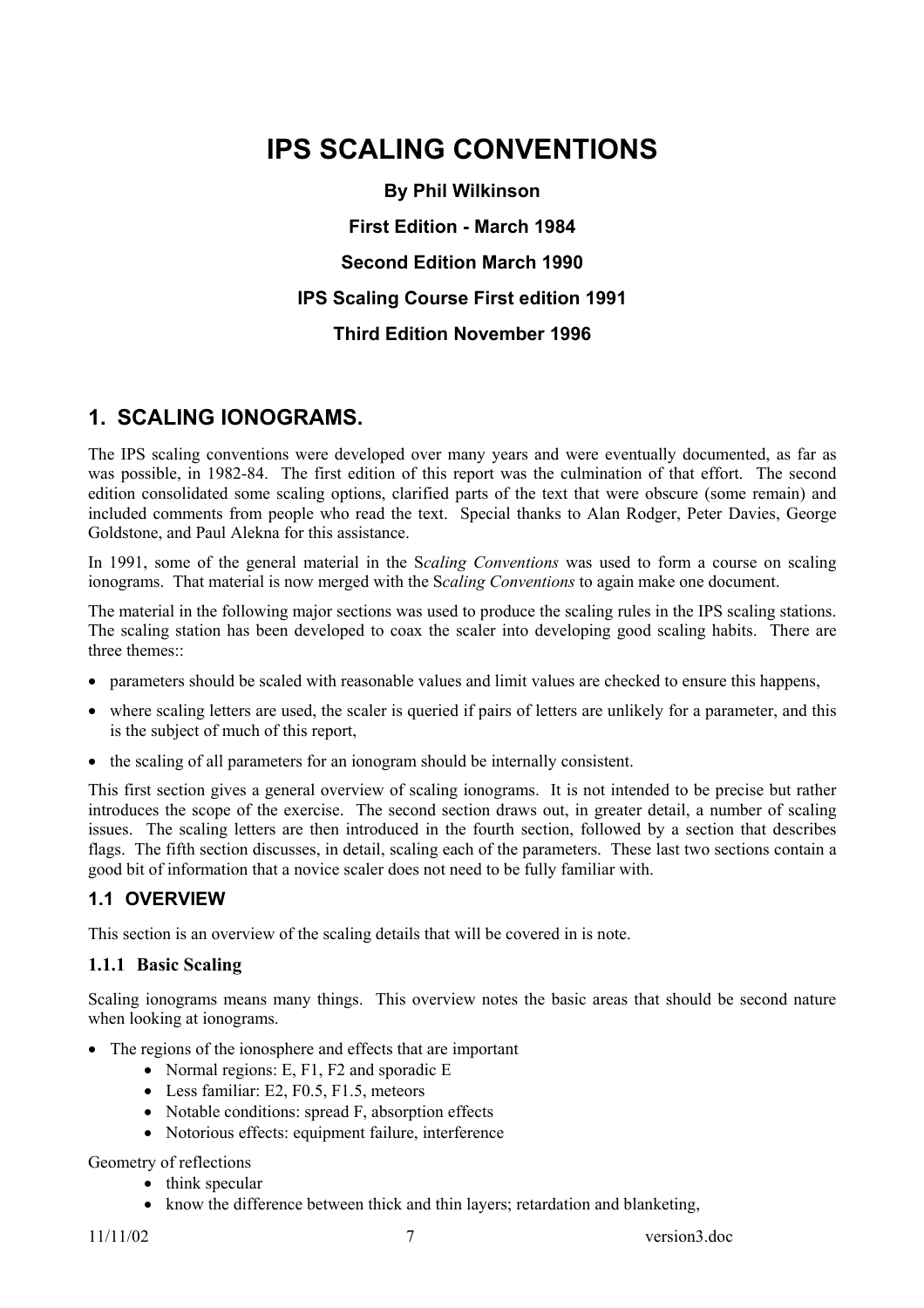# **IPS SCALING CONVENTIONS**

**By Phil Wilkinson First Edition - March 1984 Second Edition March 1990 IPS Scaling Course First edition 1991 Third Edition November 1996**

# **1. SCALING IONOGRAMS.**

The IPS scaling conventions were developed over many years and were eventually documented, as far as was possible, in 1982-84. The first edition of this report was the culmination of that effort. The second edition consolidated some scaling options, clarified parts of the text that were obscure (some remain) and included comments from people who read the text. Special thanks to Alan Rodger, Peter Davies, George Goldstone, and Paul Alekna for this assistance.

In 1991, some of the general material in the S*caling Conventions* was used to form a course on scaling ionograms. That material is now merged with the S*caling Conventions* to again make one document.

The material in the following major sections was used to produce the scaling rules in the IPS scaling stations. The scaling station has been developed to coax the scaler into developing good scaling habits. There are three themes...

- parameters should be scaled with reasonable values and limit values are checked to ensure this happens,
- where scaling letters are used, the scaler is queried if pairs of letters are unlikely for a parameter, and this is the subject of much of this report,
- the scaling of all parameters for an ionogram should be internally consistent.

This first section gives a general overview of scaling ionograms. It is not intended to be precise but rather introduces the scope of the exercise. The second section draws out, in greater detail, a number of scaling issues. The scaling letters are then introduced in the fourth section, followed by a section that describes flags. The fifth section discusses, in detail, scaling each of the parameters. These last two sections contain a good bit of information that a novice scaler does not need to be fully familiar with.

# **1.1 OVERVIEW**

This section is an overview of the scaling details that will be covered in is note.

# **1.1.1 Basic Scaling**

Scaling ionograms means many things. This overview notes the basic areas that should be second nature when looking at ionograms.

- The regions of the ionosphere and effects that are important
	- Normal regions: E, F1, F2 and sporadic E
	- Less familiar: E2, F0.5, F1.5, meteors
	- Notable conditions: spread F, absorption effects
	- Notorious effects: equipment failure, interference

#### Geometry of reflections

- think specular
- know the difference between thick and thin layers; retardation and blanketing,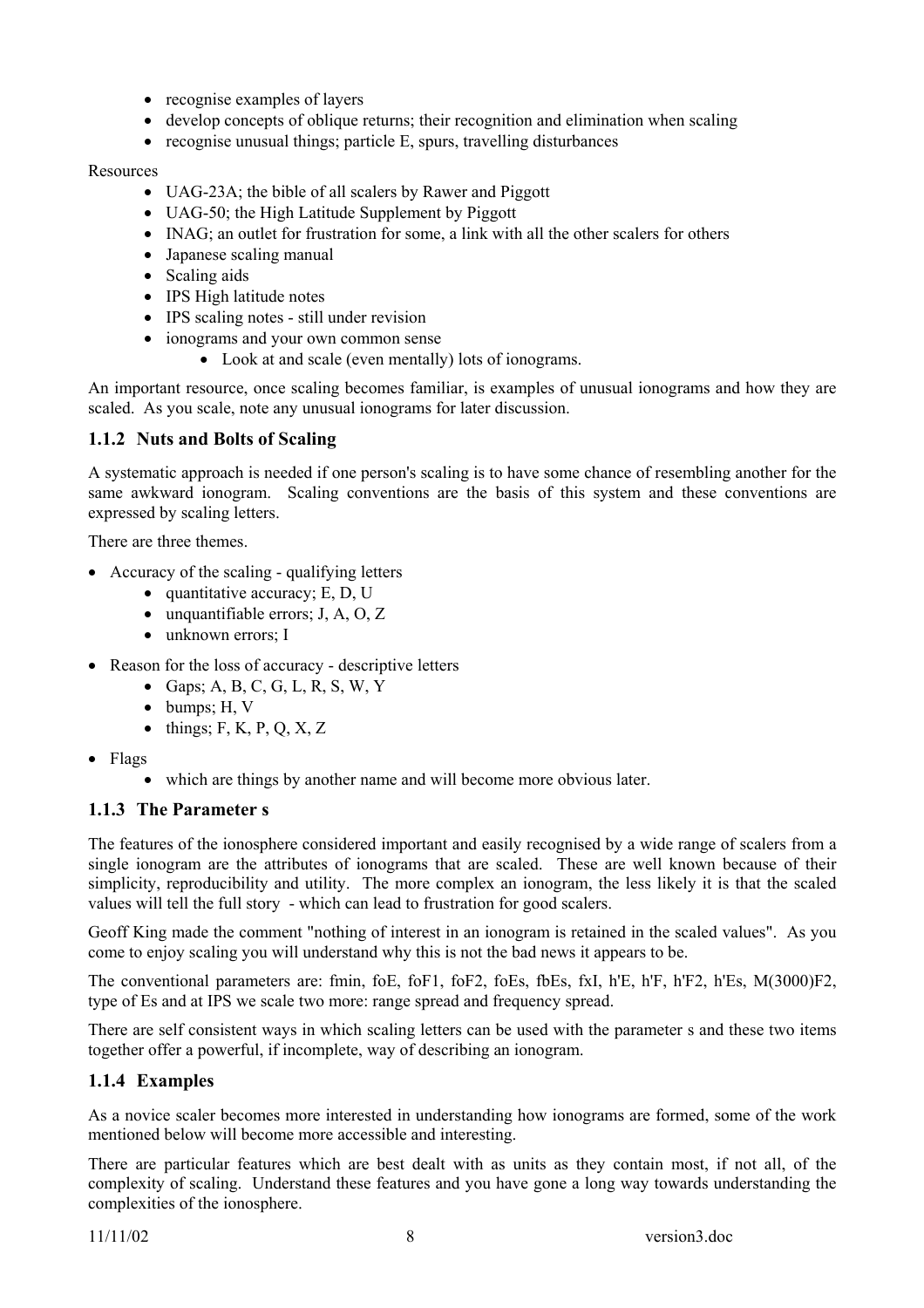- recognise examples of layers
- develop concepts of oblique returns; their recognition and elimination when scaling
- recognise unusual things; particle E, spurs, travelling disturbances

#### Resources

- UAG-23A; the bible of all scalers by Rawer and Piggott
- UAG-50; the High Latitude Supplement by Piggott
- INAG: an outlet for frustration for some, a link with all the other scalers for others
- Japanese scaling manual
- Scaling aids
- IPS High latitude notes
- IPS scaling notes still under revision
- ionograms and your own common sense
	- Look at and scale (even mentally) lots of ionograms.

An important resource, once scaling becomes familiar, is examples of unusual ionograms and how they are scaled. As you scale, note any unusual ionograms for later discussion.

# **1.1.2 Nuts and Bolts of Scaling**

A systematic approach is needed if one person's scaling is to have some chance of resembling another for the same awkward ionogram. Scaling conventions are the basis of this system and these conventions are expressed by scaling letters.

There are three themes.

- Accuracy of the scaling qualifying letters
	- quantitative accuracy; E, D, U
	- unquantifiable errors; J, A, O, Z
	- unknown errors; I
- Reason for the loss of accuracy descriptive letters
	- Gaps; A, B, C, G, L, R, S, W, Y
	- bumps; H, V
	- $\bullet$  things; F, K, P, Q, X, Z
- Flags
	- which are things by another name and will become more obvious later.

# **1.1.3 The Parameter s**

The features of the ionosphere considered important and easily recognised by a wide range of scalers from a single ionogram are the attributes of ionograms that are scaled. These are well known because of their simplicity, reproducibility and utility. The more complex an ionogram, the less likely it is that the scaled values will tell the full story - which can lead to frustration for good scalers.

Geoff King made the comment "nothing of interest in an ionogram is retained in the scaled values". As you come to enjoy scaling you will understand why this is not the bad news it appears to be.

The conventional parameters are: fmin, foE, foF1, foF2, foEs, fbEs, fxI, h'E, h'F, h'F2, h'Es, M(3000)F2, type of Es and at IPS we scale two more: range spread and frequency spread.

There are self consistent ways in which scaling letters can be used with the parameter s and these two items together offer a powerful, if incomplete, way of describing an ionogram.

# **1.1.4 Examples**

As a novice scaler becomes more interested in understanding how ionograms are formed, some of the work mentioned below will become more accessible and interesting.

There are particular features which are best dealt with as units as they contain most, if not all, of the complexity of scaling. Understand these features and you have gone a long way towards understanding the complexities of the ionosphere.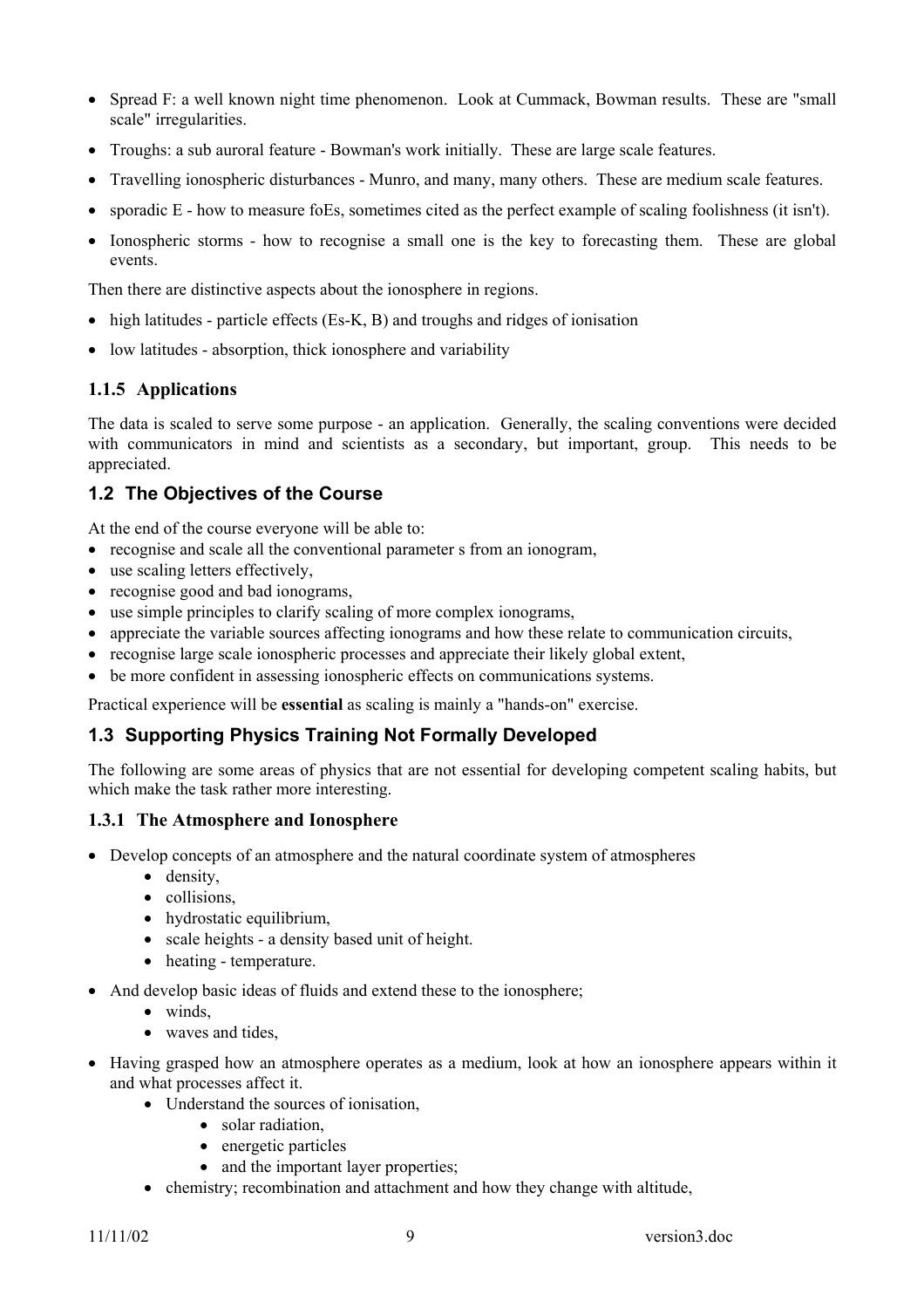- Spread F: a well known night time phenomenon. Look at Cummack, Bowman results. These are "small" scale" irregularities.
- Troughs: a sub auroral feature Bowman's work initially. These are large scale features.
- Travelling ionospheric disturbances Munro, and many, many others. These are medium scale features.
- sporadic E how to measure foEs, sometimes cited as the perfect example of scaling foolishness (it isn't).
- Ionospheric storms how to recognise a small one is the key to forecasting them. These are global events.

Then there are distinctive aspects about the ionosphere in regions.

- high latitudes particle effects (Es-K, B) and troughs and ridges of ionisation
- low latitudes absorption, thick ionosphere and variability

#### **1.1.5 Applications**

The data is scaled to serve some purpose - an application. Generally, the scaling conventions were decided with communicators in mind and scientists as a secondary, but important, group. This needs to be appreciated.

# **1.2 The Objectives of the Course**

At the end of the course everyone will be able to:

- recognise and scale all the conventional parameter s from an ionogram,
- use scaling letters effectively,
- recognise good and bad ionograms,
- use simple principles to clarify scaling of more complex ionograms,
- appreciate the variable sources affecting ionograms and how these relate to communication circuits,
- recognise large scale ionospheric processes and appreciate their likely global extent,
- be more confident in assessing ionospheric effects on communications systems.

Practical experience will be **essential** as scaling is mainly a "hands-on" exercise.

# **1.3 Supporting Physics Training Not Formally Developed**

The following are some areas of physics that are not essential for developing competent scaling habits, but which make the task rather more interesting.

#### **1.3.1 The Atmosphere and Ionosphere**

- Develop concepts of an atmosphere and the natural coordinate system of atmospheres
	- density,
	- collisions,
	- hydrostatic equilibrium,
	- scale heights a density based unit of height.
	- heating temperature.
- And develop basic ideas of fluids and extend these to the ionosphere;
	- winds,
	- waves and tides.
- Having grasped how an atmosphere operates as a medium, look at how an ionosphere appears within it and what processes affect it.
	- Understand the sources of ionisation,
		- solar radiation.
		- energetic particles
		- and the important layer properties;
	- chemistry; recombination and attachment and how they change with altitude,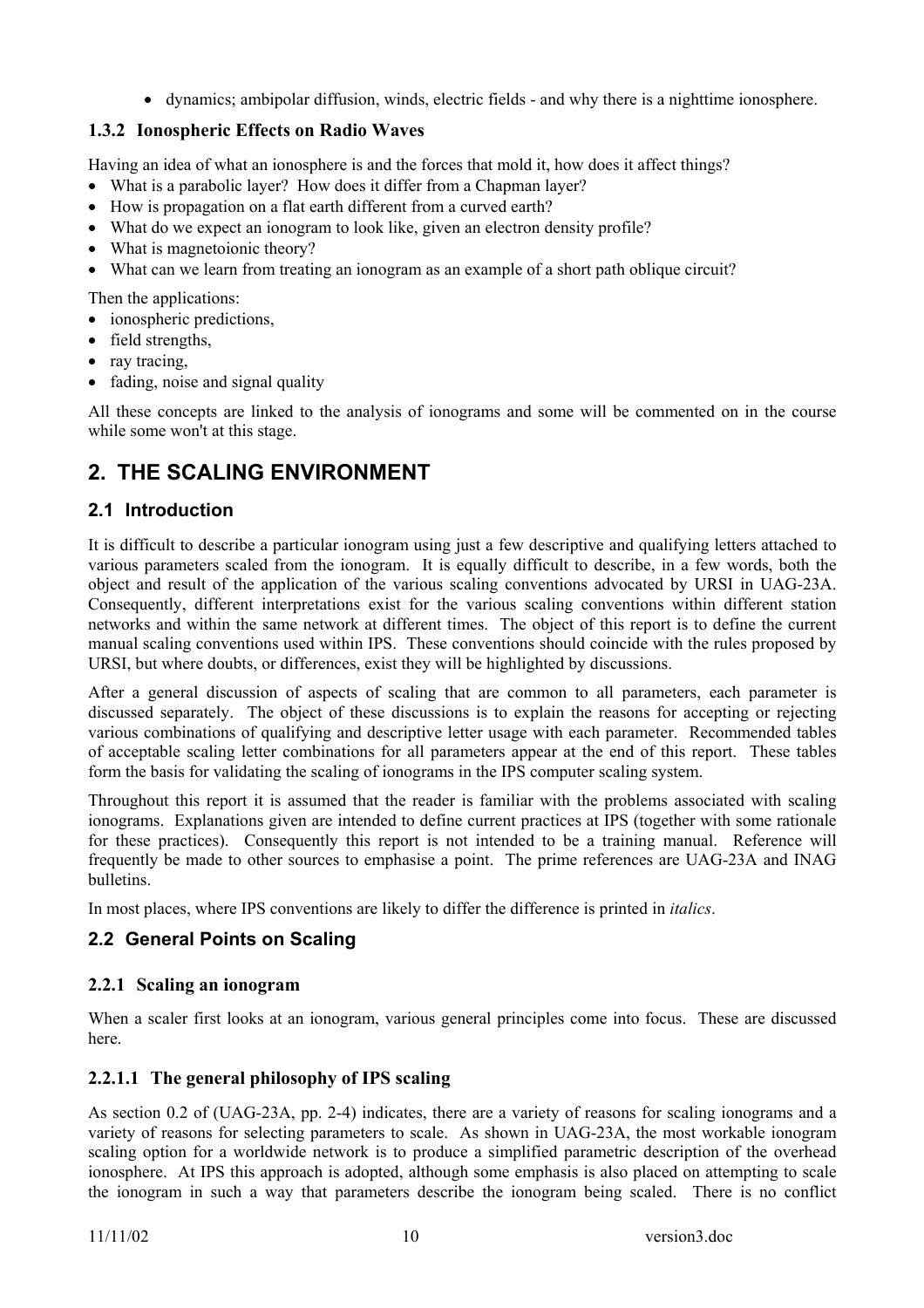• dynamics: ambipolar diffusion, winds, electric fields - and why there is a nighttime ionosphere.

# **1.3.2 Ionospheric Effects on Radio Waves**

Having an idea of what an ionosphere is and the forces that mold it, how does it affect things?

- What is a parabolic layer? How does it differ from a Chapman layer?
- How is propagation on a flat earth different from a curved earth?
- What do we expect an ionogram to look like, given an electron density profile?
- What is magnetoionic theory?
- What can we learn from treating an ionogram as an example of a short path oblique circuit?

Then the applications:

- ionospheric predictions,
- field strengths,
- ray tracing,
- fading, noise and signal quality

All these concepts are linked to the analysis of ionograms and some will be commented on in the course while some won't at this stage.

# **2. THE SCALING ENVIRONMENT**

# **2.1 Introduction**

It is difficult to describe a particular ionogram using just a few descriptive and qualifying letters attached to various parameters scaled from the ionogram. It is equally difficult to describe, in a few words, both the object and result of the application of the various scaling conventions advocated by URSI in UAG-23A. Consequently, different interpretations exist for the various scaling conventions within different station networks and within the same network at different times. The object of this report is to define the current manual scaling conventions used within IPS. These conventions should coincide with the rules proposed by URSI, but where doubts, or differences, exist they will be highlighted by discussions.

After a general discussion of aspects of scaling that are common to all parameters, each parameter is discussed separately. The object of these discussions is to explain the reasons for accepting or rejecting various combinations of qualifying and descriptive letter usage with each parameter. Recommended tables of acceptable scaling letter combinations for all parameters appear at the end of this report. These tables form the basis for validating the scaling of ionograms in the IPS computer scaling system.

Throughout this report it is assumed that the reader is familiar with the problems associated with scaling ionograms. Explanations given are intended to define current practices at IPS (together with some rationale for these practices). Consequently this report is not intended to be a training manual. Reference will frequently be made to other sources to emphasise a point. The prime references are UAG-23A and INAG bulletins.

In most places, where IPS conventions are likely to differ the difference is printed in *italics*.

# **2.2 General Points on Scaling**

# **2.2.1 Scaling an ionogram**

When a scaler first looks at an ionogram, various general principles come into focus. These are discussed here.

# **2.2.1.1 The general philosophy of IPS scaling**

As section 0.2 of (UAG-23A, pp. 2-4) indicates, there are a variety of reasons for scaling ionograms and a variety of reasons for selecting parameters to scale. As shown in UAG-23A, the most workable ionogram scaling option for a worldwide network is to produce a simplified parametric description of the overhead ionosphere. At IPS this approach is adopted, although some emphasis is also placed on attempting to scale the ionogram in such a way that parameters describe the ionogram being scaled. There is no conflict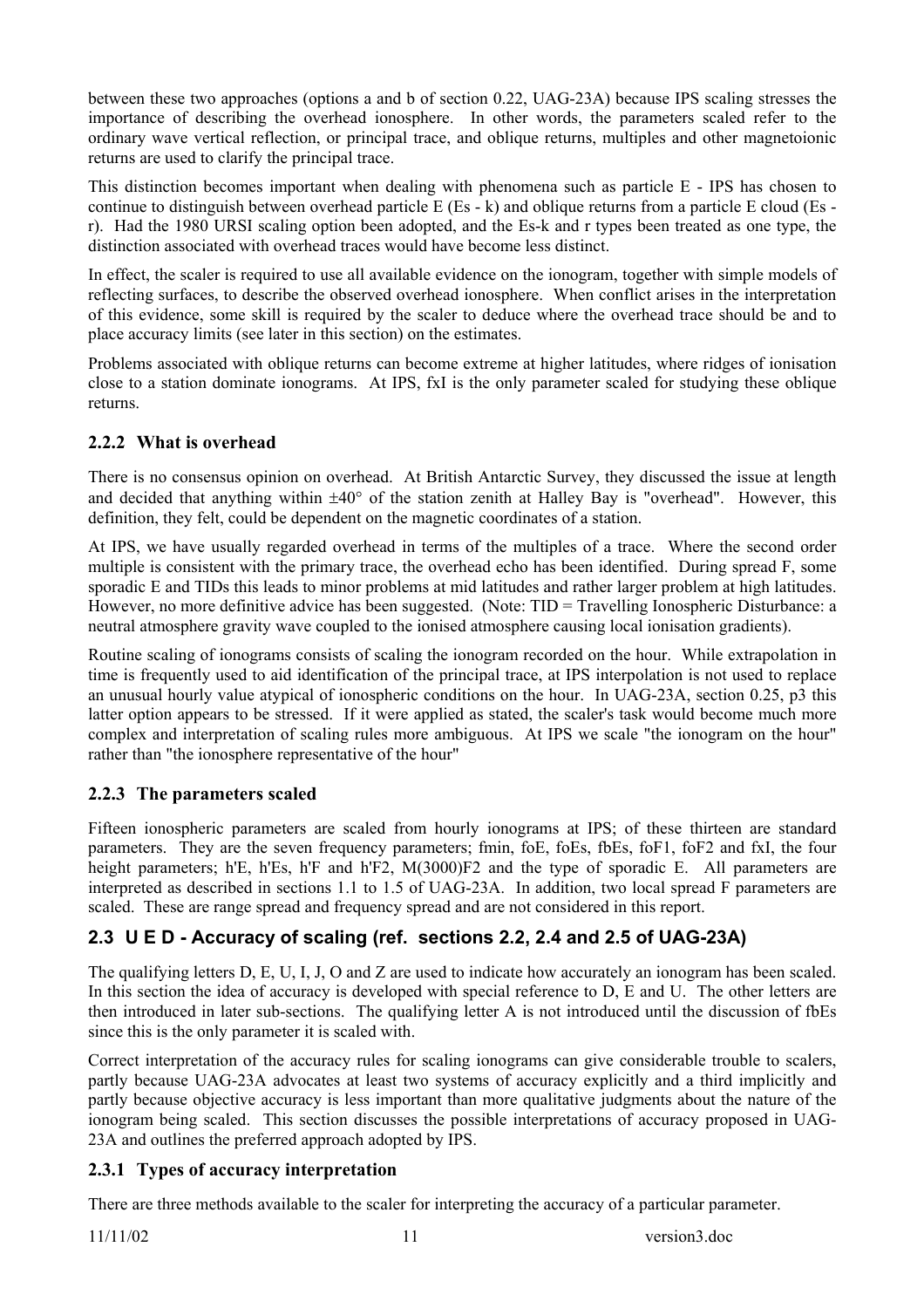between these two approaches (options a and b of section 0.22, UAG-23A) because IPS scaling stresses the importance of describing the overhead ionosphere. In other words, the parameters scaled refer to the ordinary wave vertical reflection, or principal trace, and oblique returns, multiples and other magnetoionic returns are used to clarify the principal trace.

This distinction becomes important when dealing with phenomena such as particle E - IPS has chosen to continue to distinguish between overhead particle E (Es - k) and oblique returns from a particle E cloud (Es r). Had the 1980 URSI scaling option been adopted, and the Es-k and r types been treated as one type, the distinction associated with overhead traces would have become less distinct.

In effect, the scaler is required to use all available evidence on the ionogram, together with simple models of reflecting surfaces, to describe the observed overhead ionosphere. When conflict arises in the interpretation of this evidence, some skill is required by the scaler to deduce where the overhead trace should be and to place accuracy limits (see later in this section) on the estimates.

Problems associated with oblique returns can become extreme at higher latitudes, where ridges of ionisation close to a station dominate ionograms. At IPS, fxI is the only parameter scaled for studying these oblique returns.

# **2.2.2 What is overhead**

There is no consensus opinion on overhead. At British Antarctic Survey, they discussed the issue at length and decided that anything within  $\pm 40^{\circ}$  of the station zenith at Halley Bay is "overhead". However, this definition, they felt, could be dependent on the magnetic coordinates of a station.

At IPS, we have usually regarded overhead in terms of the multiples of a trace. Where the second order multiple is consistent with the primary trace, the overhead echo has been identified. During spread F, some sporadic E and TIDs this leads to minor problems at mid latitudes and rather larger problem at high latitudes. However, no more definitive advice has been suggested. (Note: TID = Travelling Ionospheric Disturbance: a neutral atmosphere gravity wave coupled to the ionised atmosphere causing local ionisation gradients).

Routine scaling of ionograms consists of scaling the ionogram recorded on the hour. While extrapolation in time is frequently used to aid identification of the principal trace, at IPS interpolation is not used to replace an unusual hourly value atypical of ionospheric conditions on the hour. In UAG-23A, section 0.25, p3 this latter option appears to be stressed. If it were applied as stated, the scaler's task would become much more complex and interpretation of scaling rules more ambiguous. At IPS we scale "the ionogram on the hour" rather than "the ionosphere representative of the hour"

# **2.2.3 The parameters scaled**

Fifteen ionospheric parameters are scaled from hourly ionograms at IPS; of these thirteen are standard parameters. They are the seven frequency parameters; fmin, foE, foEs, fbEs, foF1, foF2 and fxI, the four height parameters; h'E, h'Es, h'F and h'F2, M(3000)F2 and the type of sporadic E. All parameters are interpreted as described in sections 1.1 to 1.5 of UAG-23A. In addition, two local spread F parameters are scaled. These are range spread and frequency spread and are not considered in this report.

# **2.3 U E D - Accuracy of scaling (ref. sections 2.2, 2.4 and 2.5 of UAG-23A)**

The qualifying letters D, E, U, I, J, O and Z are used to indicate how accurately an ionogram has been scaled. In this section the idea of accuracy is developed with special reference to D, E and U. The other letters are then introduced in later sub-sections. The qualifying letter A is not introduced until the discussion of fbEs since this is the only parameter it is scaled with.

Correct interpretation of the accuracy rules for scaling ionograms can give considerable trouble to scalers, partly because UAG-23A advocates at least two systems of accuracy explicitly and a third implicitly and partly because objective accuracy is less important than more qualitative judgments about the nature of the ionogram being scaled. This section discusses the possible interpretations of accuracy proposed in UAG-23A and outlines the preferred approach adopted by IPS.

# **2.3.1 Types of accuracy interpretation**

There are three methods available to the scaler for interpreting the accuracy of a particular parameter.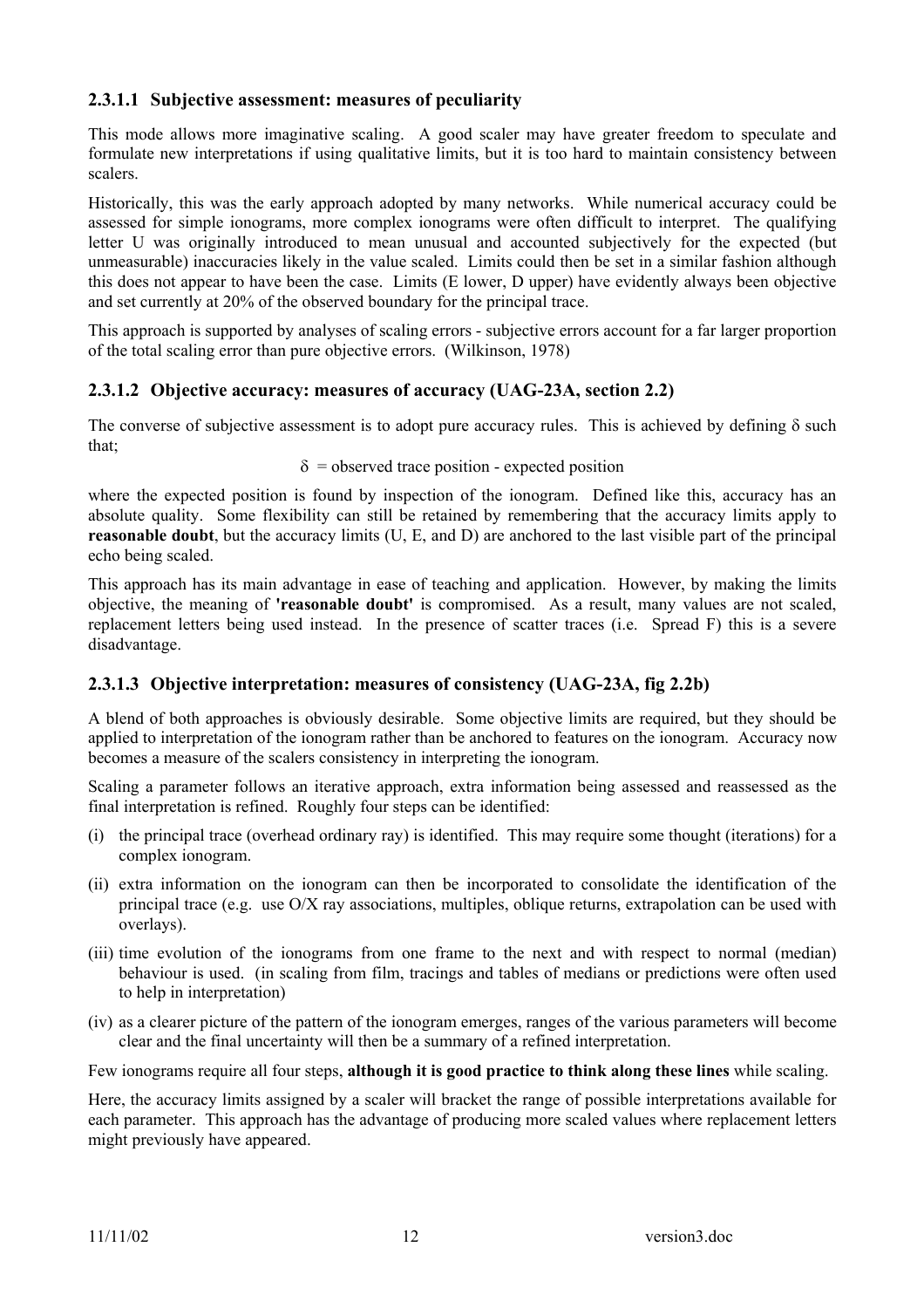### **2.3.1.1 Subjective assessment: measures of peculiarity**

This mode allows more imaginative scaling. A good scaler may have greater freedom to speculate and formulate new interpretations if using qualitative limits, but it is too hard to maintain consistency between scalers.

Historically, this was the early approach adopted by many networks. While numerical accuracy could be assessed for simple ionograms, more complex ionograms were often difficult to interpret. The qualifying letter U was originally introduced to mean unusual and accounted subjectively for the expected (but unmeasurable) inaccuracies likely in the value scaled. Limits could then be set in a similar fashion although this does not appear to have been the case. Limits (E lower, D upper) have evidently always been objective and set currently at 20% of the observed boundary for the principal trace.

This approach is supported by analyses of scaling errors - subjective errors account for a far larger proportion of the total scaling error than pure objective errors. (Wilkinson, 1978)

#### **2.3.1.2 Objective accuracy: measures of accuracy (UAG-23A, section 2.2)**

The converse of subjective assessment is to adopt pure accuracy rules. This is achieved by defining  $\delta$  such that;

#### $\delta$  = observed trace position - expected position

where the expected position is found by inspection of the ionogram. Defined like this, accuracy has an absolute quality. Some flexibility can still be retained by remembering that the accuracy limits apply to **reasonable doubt**, but the accuracy limits (U, E, and D) are anchored to the last visible part of the principal echo being scaled.

This approach has its main advantage in ease of teaching and application. However, by making the limits objective, the meaning of **'reasonable doubt'** is compromised. As a result, many values are not scaled, replacement letters being used instead. In the presence of scatter traces (i.e. Spread F) this is a severe disadvantage.

#### **2.3.1.3 Objective interpretation: measures of consistency (UAG-23A, fig 2.2b)**

A blend of both approaches is obviously desirable. Some objective limits are required, but they should be applied to interpretation of the ionogram rather than be anchored to features on the ionogram. Accuracy now becomes a measure of the scalers consistency in interpreting the ionogram.

Scaling a parameter follows an iterative approach, extra information being assessed and reassessed as the final interpretation is refined. Roughly four steps can be identified:

- (i) the principal trace (overhead ordinary ray) is identified. This may require some thought (iterations) for a complex ionogram.
- (ii) extra information on the ionogram can then be incorporated to consolidate the identification of the principal trace (e.g. use O/X ray associations, multiples, oblique returns, extrapolation can be used with overlays).
- (iii) time evolution of the ionograms from one frame to the next and with respect to normal (median) behaviour is used. (in scaling from film, tracings and tables of medians or predictions were often used to help in interpretation)
- (iv) as a clearer picture of the pattern of the ionogram emerges, ranges of the various parameters will become clear and the final uncertainty will then be a summary of a refined interpretation.

Few ionograms require all four steps, **although it is good practice to think along these lines** while scaling.

Here, the accuracy limits assigned by a scaler will bracket the range of possible interpretations available for each parameter. This approach has the advantage of producing more scaled values where replacement letters might previously have appeared.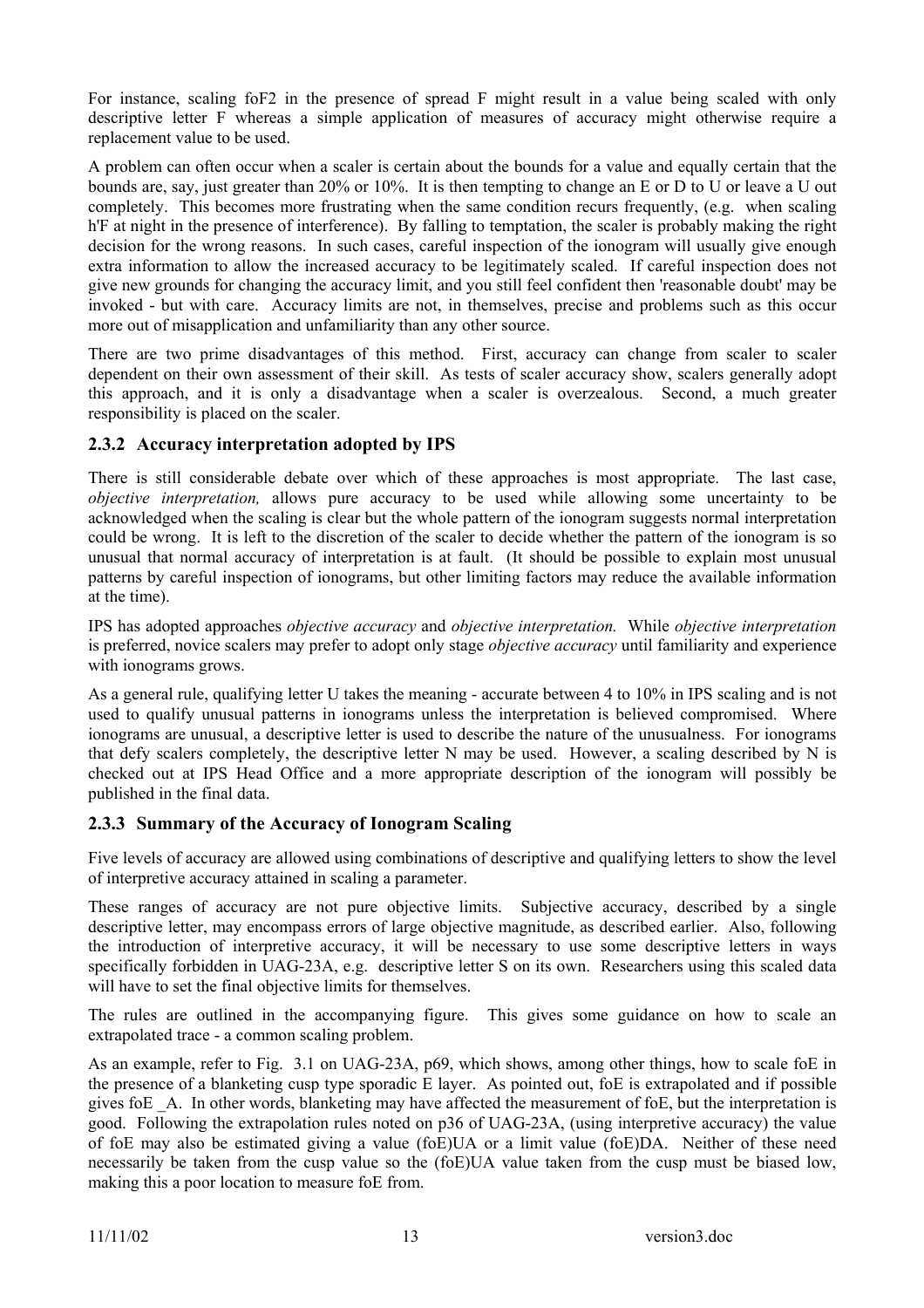For instance, scaling foF2 in the presence of spread F might result in a value being scaled with only descriptive letter F whereas a simple application of measures of accuracy might otherwise require a replacement value to be used.

A problem can often occur when a scaler is certain about the bounds for a value and equally certain that the bounds are, say, just greater than 20% or 10%. It is then tempting to change an E or D to U or leave a U out completely. This becomes more frustrating when the same condition recurs frequently, (e.g. when scaling h'F at night in the presence of interference). By falling to temptation, the scaler is probably making the right decision for the wrong reasons. In such cases, careful inspection of the ionogram will usually give enough extra information to allow the increased accuracy to be legitimately scaled. If careful inspection does not give new grounds for changing the accuracy limit, and you still feel confident then 'reasonable doubt' may be invoked - but with care. Accuracy limits are not, in themselves, precise and problems such as this occur more out of misapplication and unfamiliarity than any other source.

There are two prime disadvantages of this method. First, accuracy can change from scaler to scaler dependent on their own assessment of their skill. As tests of scaler accuracy show, scalers generally adopt this approach, and it is only a disadvantage when a scaler is overzealous. Second, a much greater responsibility is placed on the scaler.

# **2.3.2 Accuracy interpretation adopted by IPS**

There is still considerable debate over which of these approaches is most appropriate. The last case, *objective interpretation,* allows pure accuracy to be used while allowing some uncertainty to be acknowledged when the scaling is clear but the whole pattern of the ionogram suggests normal interpretation could be wrong. It is left to the discretion of the scaler to decide whether the pattern of the ionogram is so unusual that normal accuracy of interpretation is at fault. (It should be possible to explain most unusual patterns by careful inspection of ionograms, but other limiting factors may reduce the available information at the time).

IPS has adopted approaches *objective accuracy* and *objective interpretation.* While *objective interpretation* is preferred, novice scalers may prefer to adopt only stage *objective accuracy* until familiarity and experience with ionograms grows.

As a general rule, qualifying letter U takes the meaning - accurate between 4 to 10% in IPS scaling and is not used to qualify unusual patterns in ionograms unless the interpretation is believed compromised. Where ionograms are unusual, a descriptive letter is used to describe the nature of the unusualness. For ionograms that defy scalers completely, the descriptive letter N may be used. However, a scaling described by N is checked out at IPS Head Office and a more appropriate description of the ionogram will possibly be published in the final data.

# **2.3.3 Summary of the Accuracy of Ionogram Scaling**

Five levels of accuracy are allowed using combinations of descriptive and qualifying letters to show the level of interpretive accuracy attained in scaling a parameter.

These ranges of accuracy are not pure objective limits. Subjective accuracy, described by a single descriptive letter, may encompass errors of large objective magnitude, as described earlier. Also, following the introduction of interpretive accuracy, it will be necessary to use some descriptive letters in ways specifically forbidden in UAG-23A, e.g. descriptive letter S on its own. Researchers using this scaled data will have to set the final objective limits for themselves.

The rules are outlined in the accompanying figure. This gives some guidance on how to scale an extrapolated trace - a common scaling problem.

As an example, refer to Fig. 3.1 on UAG-23A, p69, which shows, among other things, how to scale foE in the presence of a blanketing cusp type sporadic E layer. As pointed out, foE is extrapolated and if possible gives foE \_A. In other words, blanketing may have affected the measurement of foE, but the interpretation is good. Following the extrapolation rules noted on p36 of UAG-23A, (using interpretive accuracy) the value of foE may also be estimated giving a value (foE)UA or a limit value (foE)DA. Neither of these need necessarily be taken from the cusp value so the (foE)UA value taken from the cusp must be biased low, making this a poor location to measure foE from.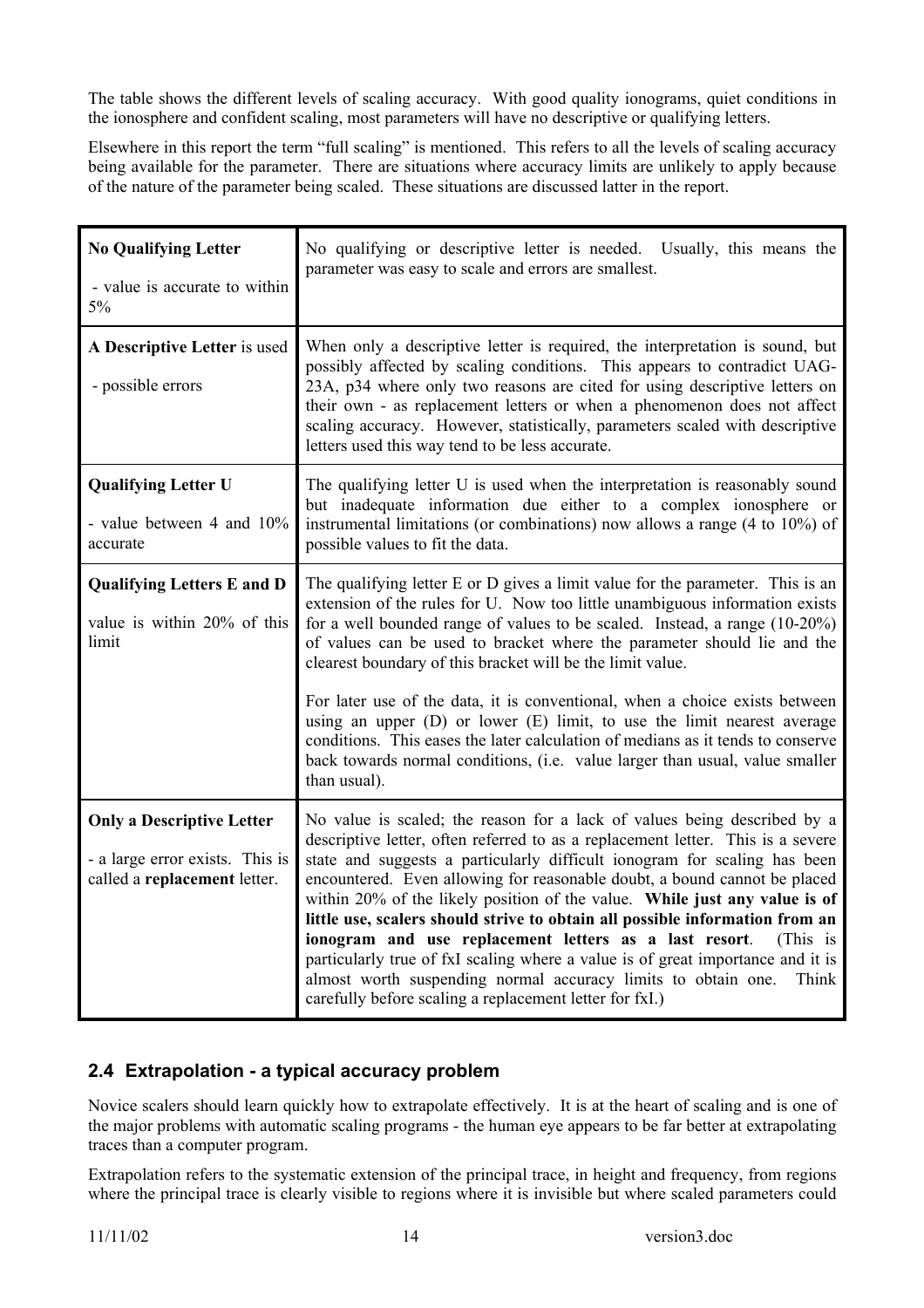The table shows the different levels of scaling accuracy. With good quality ionograms, quiet conditions in the ionosphere and confident scaling, most parameters will have no descriptive or qualifying letters.

Elsewhere in this report the term "full scaling" is mentioned. This refers to all the levels of scaling accuracy being available for the parameter. There are situations where accuracy limits are unlikely to apply because of the nature of the parameter being scaled. These situations are discussed latter in the report.

| <b>No Qualifying Letter</b><br>- value is accurate to within<br>$5\%$                               | No qualifying or descriptive letter is needed. Usually, this means the<br>parameter was easy to scale and errors are smallest.                                                                                                                                                                                                                                                                                                                                                                                                                                                                                                                                                                                                                                                    |
|-----------------------------------------------------------------------------------------------------|-----------------------------------------------------------------------------------------------------------------------------------------------------------------------------------------------------------------------------------------------------------------------------------------------------------------------------------------------------------------------------------------------------------------------------------------------------------------------------------------------------------------------------------------------------------------------------------------------------------------------------------------------------------------------------------------------------------------------------------------------------------------------------------|
| A Descriptive Letter is used<br>- possible errors                                                   | When only a descriptive letter is required, the interpretation is sound, but<br>possibly affected by scaling conditions. This appears to contradict UAG-<br>23A, p34 where only two reasons are cited for using descriptive letters on<br>their own - as replacement letters or when a phenomenon does not affect<br>scaling accuracy. However, statistically, parameters scaled with descriptive<br>letters used this way tend to be less accurate.                                                                                                                                                                                                                                                                                                                              |
| <b>Qualifying Letter U</b><br>- value between 4 and 10%<br>accurate                                 | The qualifying letter U is used when the interpretation is reasonably sound<br>but inadequate information due either to a complex ionosphere or<br>instrumental limitations (or combinations) now allows a range $(4 \text{ to } 10\%)$ of<br>possible values to fit the data.                                                                                                                                                                                                                                                                                                                                                                                                                                                                                                    |
| <b>Qualifying Letters E and D</b><br>value is within 20% of this<br>limit                           | The qualifying letter E or D gives a limit value for the parameter. This is an<br>extension of the rules for U. Now too little unambiguous information exists<br>for a well bounded range of values to be scaled. Instead, a range $(10-20\%)$<br>of values can be used to bracket where the parameter should lie and the<br>clearest boundary of this bracket will be the limit value.<br>For later use of the data, it is conventional, when a choice exists between<br>using an upper (D) or lower (E) limit, to use the limit nearest average<br>conditions. This eases the later calculation of medians as it tends to conserve<br>back towards normal conditions, (i.e. value larger than usual, value smaller                                                              |
|                                                                                                     | than usual).                                                                                                                                                                                                                                                                                                                                                                                                                                                                                                                                                                                                                                                                                                                                                                      |
| <b>Only a Descriptive Letter</b><br>- a large error exists. This is<br>called a replacement letter. | No value is scaled; the reason for a lack of values being described by a<br>descriptive letter, often referred to as a replacement letter. This is a severe<br>state and suggests a particularly difficult ionogram for scaling has been<br>encountered. Even allowing for reasonable doubt, a bound cannot be placed<br>within 20% of the likely position of the value. While just any value is of<br>little use, scalers should strive to obtain all possible information from an<br>ionogram and use replacement letters as a last resort.<br>(This is<br>particularly true of fxI scaling where a value is of great importance and it is<br>almost worth suspending normal accuracy limits to obtain one.<br>Think<br>carefully before scaling a replacement letter for fxI.) |

# **2.4 Extrapolation - a typical accuracy problem**

Novice scalers should learn quickly how to extrapolate effectively. It is at the heart of scaling and is one of the major problems with automatic scaling programs - the human eye appears to be far better at extrapolating traces than a computer program.

Extrapolation refers to the systematic extension of the principal trace, in height and frequency, from regions where the principal trace is clearly visible to regions where it is invisible but where scaled parameters could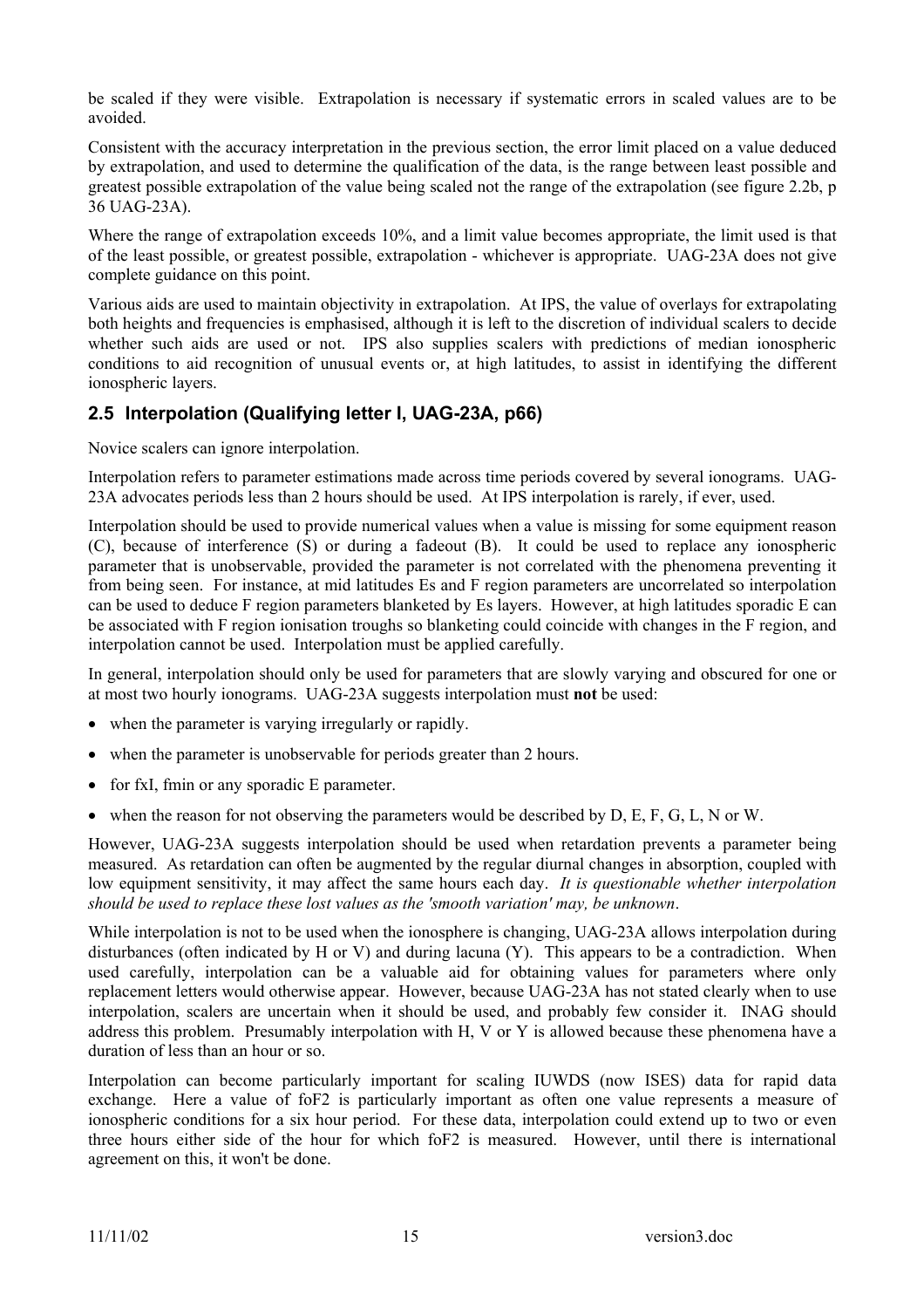be scaled if they were visible. Extrapolation is necessary if systematic errors in scaled values are to be avoided.

Consistent with the accuracy interpretation in the previous section, the error limit placed on a value deduced by extrapolation, and used to determine the qualification of the data, is the range between least possible and greatest possible extrapolation of the value being scaled not the range of the extrapolation (see figure 2.2b, p 36 UAG-23A).

Where the range of extrapolation exceeds 10%, and a limit value becomes appropriate, the limit used is that of the least possible, or greatest possible, extrapolation - whichever is appropriate. UAG-23A does not give complete guidance on this point.

Various aids are used to maintain objectivity in extrapolation. At IPS, the value of overlays for extrapolating both heights and frequencies is emphasised, although it is left to the discretion of individual scalers to decide whether such aids are used or not. IPS also supplies scalers with predictions of median ionospheric conditions to aid recognition of unusual events or, at high latitudes, to assist in identifying the different ionospheric layers.

# **2.5 Interpolation (Qualifying letter I, UAG-23A, p66)**

Novice scalers can ignore interpolation.

Interpolation refers to parameter estimations made across time periods covered by several ionograms. UAG-23A advocates periods less than 2 hours should be used. At IPS interpolation is rarely, if ever, used.

Interpolation should be used to provide numerical values when a value is missing for some equipment reason (C), because of interference (S) or during a fadeout (B). It could be used to replace any ionospheric parameter that is unobservable, provided the parameter is not correlated with the phenomena preventing it from being seen. For instance, at mid latitudes Es and F region parameters are uncorrelated so interpolation can be used to deduce F region parameters blanketed by Es layers. However, at high latitudes sporadic E can be associated with F region ionisation troughs so blanketing could coincide with changes in the F region, and interpolation cannot be used. Interpolation must be applied carefully.

In general, interpolation should only be used for parameters that are slowly varying and obscured for one or at most two hourly ionograms. UAG-23A suggests interpolation must **not** be used:

- when the parameter is varying irregularly or rapidly.
- when the parameter is unobservable for periods greater than 2 hours.
- for fxI, fmin or any sporadic E parameter.
- when the reason for not observing the parameters would be described by  $D, E, F, G, L, N$  or W.

However, UAG-23A suggests interpolation should be used when retardation prevents a parameter being measured. As retardation can often be augmented by the regular diurnal changes in absorption, coupled with low equipment sensitivity, it may affect the same hours each day. *It is questionable whether interpolation should be used to replace these lost values as the 'smooth variation' may, be unknown*.

While interpolation is not to be used when the ionosphere is changing, UAG-23A allows interpolation during disturbances (often indicated by H or V) and during lacuna (Y). This appears to be a contradiction. When used carefully, interpolation can be a valuable aid for obtaining values for parameters where only replacement letters would otherwise appear. However, because UAG-23A has not stated clearly when to use interpolation, scalers are uncertain when it should be used, and probably few consider it. INAG should address this problem. Presumably interpolation with H, V or Y is allowed because these phenomena have a duration of less than an hour or so.

Interpolation can become particularly important for scaling IUWDS (now ISES) data for rapid data exchange. Here a value of foF2 is particularly important as often one value represents a measure of ionospheric conditions for a six hour period. For these data, interpolation could extend up to two or even three hours either side of the hour for which foF2 is measured. However, until there is international agreement on this, it won't be done.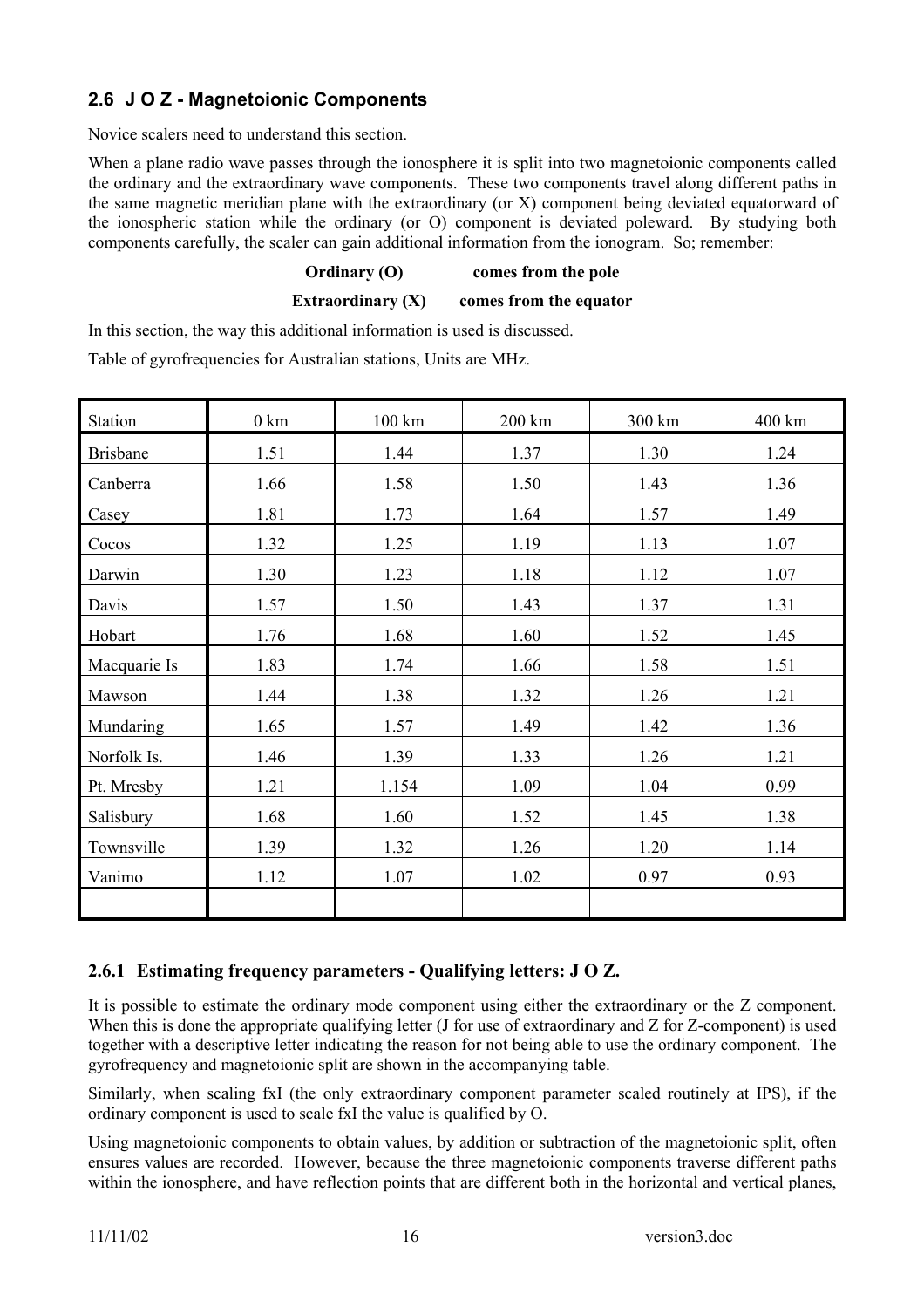# **2.6 J O Z - Magnetoionic Components**

Novice scalers need to understand this section.

When a plane radio wave passes through the ionosphere it is split into two magnetoionic components called the ordinary and the extraordinary wave components. These two components travel along different paths in the same magnetic meridian plane with the extraordinary (or X) component being deviated equatorward of the ionospheric station while the ordinary (or O) component is deviated poleward. By studying both components carefully, the scaler can gain additional information from the ionogram. So; remember:

# **Ordinary (O) comes from the pole**

**Extraordinary (X)** comes from the equator

In this section, the way this additional information is used is discussed.

Table of gyrofrequencies for Australian stations, Units are MHz.

| <b>Station</b>  | $0 \text{ km}$ | 100 km | 200 km | 300 km | 400 km |
|-----------------|----------------|--------|--------|--------|--------|
| <b>Brisbane</b> | 1.51           | 1.44   | 1.37   | 1.30   | 1.24   |
| Canberra        | 1.66           | 1.58   | 1.50   | 1.43   | 1.36   |
| Casey           | 1.81           | 1.73   | 1.64   | 1.57   | 1.49   |
| Cocos           | 1.32           | 1.25   | 1.19   | 1.13   | 1.07   |
| Darwin          | 1.30           | 1.23   | 1.18   | 1.12   | 1.07   |
| Davis           | 1.57           | 1.50   | 1.43   | 1.37   | 1.31   |
| Hobart          | 1.76           | 1.68   | 1.60   | 1.52   | 1.45   |
| Macquarie Is    | 1.83           | 1.74   | 1.66   | 1.58   | 1.51   |
| Mawson          | 1.44           | 1.38   | 1.32   | 1.26   | 1.21   |
| Mundaring       | 1.65           | 1.57   | 1.49   | 1.42   | 1.36   |
| Norfolk Is.     | 1.46           | 1.39   | 1.33   | 1.26   | 1.21   |
| Pt. Mresby      | 1.21           | 1.154  | 1.09   | 1.04   | 0.99   |
| Salisbury       | 1.68           | 1.60   | 1.52   | 1.45   | 1.38   |
| Townsville      | 1.39           | 1.32   | 1.26   | 1.20   | 1.14   |
| Vanimo          | 1.12           | 1.07   | 1.02   | 0.97   | 0.93   |
|                 |                |        |        |        |        |

# **2.6.1 Estimating frequency parameters - Qualifying letters: J O Z.**

It is possible to estimate the ordinary mode component using either the extraordinary or the Z component. When this is done the appropriate qualifying letter (J for use of extraordinary and Z for Z-component) is used together with a descriptive letter indicating the reason for not being able to use the ordinary component. The gyrofrequency and magnetoionic split are shown in the accompanying table.

Similarly, when scaling fxI (the only extraordinary component parameter scaled routinely at IPS), if the ordinary component is used to scale fxI the value is qualified by O.

Using magnetoionic components to obtain values, by addition or subtraction of the magnetoionic split, often ensures values are recorded. However, because the three magnetoionic components traverse different paths within the ionosphere, and have reflection points that are different both in the horizontal and vertical planes,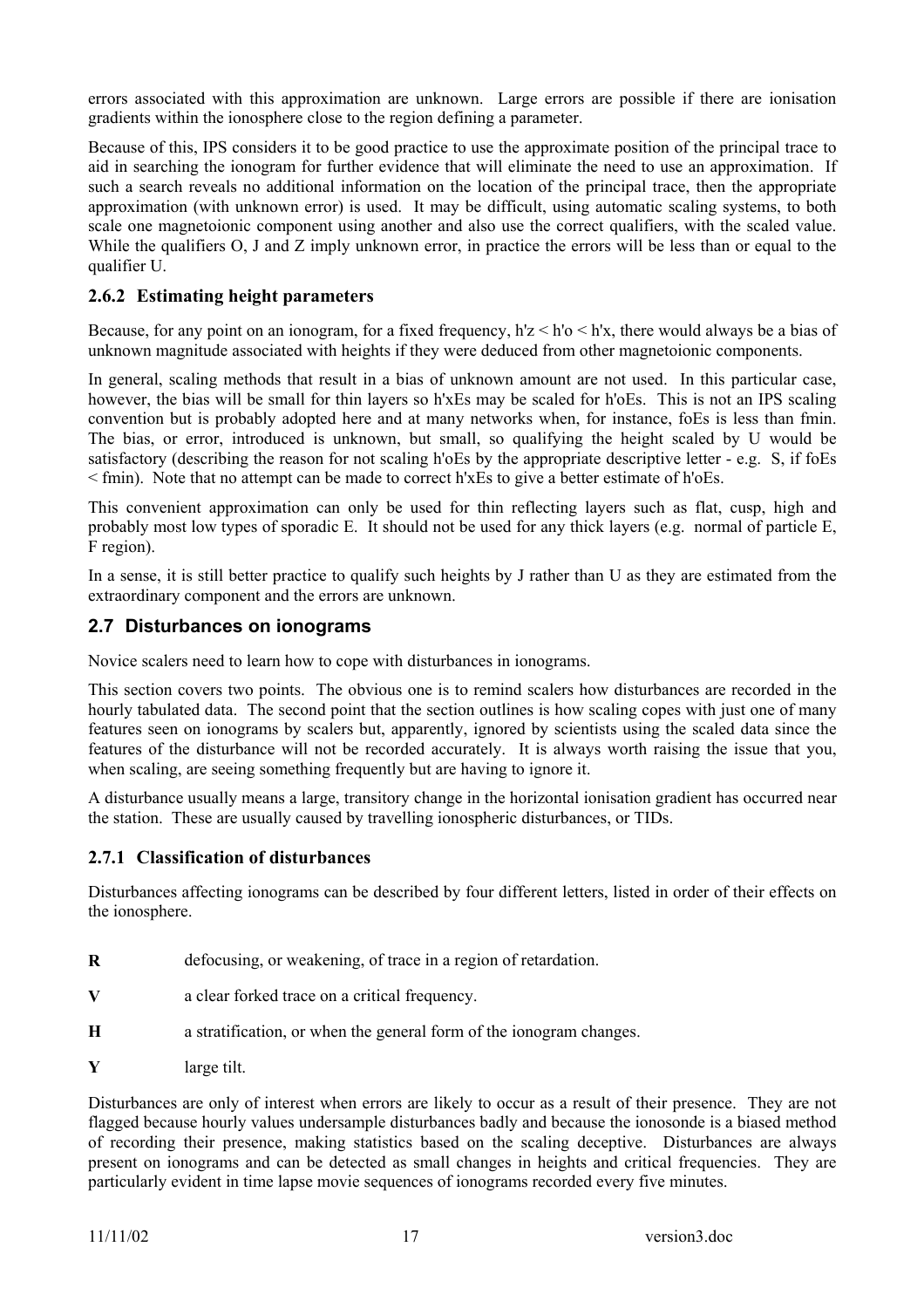errors associated with this approximation are unknown. Large errors are possible if there are ionisation gradients within the ionosphere close to the region defining a parameter.

Because of this, IPS considers it to be good practice to use the approximate position of the principal trace to aid in searching the ionogram for further evidence that will eliminate the need to use an approximation. If such a search reveals no additional information on the location of the principal trace, then the appropriate approximation (with unknown error) is used. It may be difficult, using automatic scaling systems, to both scale one magnetoionic component using another and also use the correct qualifiers, with the scaled value. While the qualifiers O, J and Z imply unknown error, in practice the errors will be less than or equal to the qualifier U.

# **2.6.2 Estimating height parameters**

Because, for any point on an ionogram, for a fixed frequency, h'z < h'o < h'x, there would always be a bias of unknown magnitude associated with heights if they were deduced from other magnetoionic components.

In general, scaling methods that result in a bias of unknown amount are not used. In this particular case, however, the bias will be small for thin layers so h'xEs may be scaled for h'oEs. This is not an IPS scaling convention but is probably adopted here and at many networks when, for instance, foEs is less than fmin. The bias, or error, introduced is unknown, but small, so qualifying the height scaled by U would be satisfactory (describing the reason for not scaling h'oEs by the appropriate descriptive letter - e.g. S, if foEs < fmin). Note that no attempt can be made to correct h'xEs to give a better estimate of h'oEs.

This convenient approximation can only be used for thin reflecting layers such as flat, cusp, high and probably most low types of sporadic E. It should not be used for any thick layers (e.g. normal of particle E, F region).

In a sense, it is still better practice to qualify such heights by J rather than U as they are estimated from the extraordinary component and the errors are unknown.

# **2.7 Disturbances on ionograms**

Novice scalers need to learn how to cope with disturbances in ionograms.

This section covers two points. The obvious one is to remind scalers how disturbances are recorded in the hourly tabulated data. The second point that the section outlines is how scaling copes with just one of many features seen on ionograms by scalers but, apparently, ignored by scientists using the scaled data since the features of the disturbance will not be recorded accurately. It is always worth raising the issue that you, when scaling, are seeing something frequently but are having to ignore it.

A disturbance usually means a large, transitory change in the horizontal ionisation gradient has occurred near the station. These are usually caused by travelling ionospheric disturbances, or TIDs.

# **2.7.1 Classification of disturbances**

Disturbances affecting ionograms can be described by four different letters, listed in order of their effects on the ionosphere.

- **R** defocusing, or weakening, of trace in a region of retardation.
- **V** a clear forked trace on a critical frequency.
- **H** a stratification, or when the general form of the ionogram changes.
- **Y** large tilt.

Disturbances are only of interest when errors are likely to occur as a result of their presence. They are not flagged because hourly values undersample disturbances badly and because the ionosonde is a biased method of recording their presence, making statistics based on the scaling deceptive. Disturbances are always present on ionograms and can be detected as small changes in heights and critical frequencies. They are particularly evident in time lapse movie sequences of ionograms recorded every five minutes.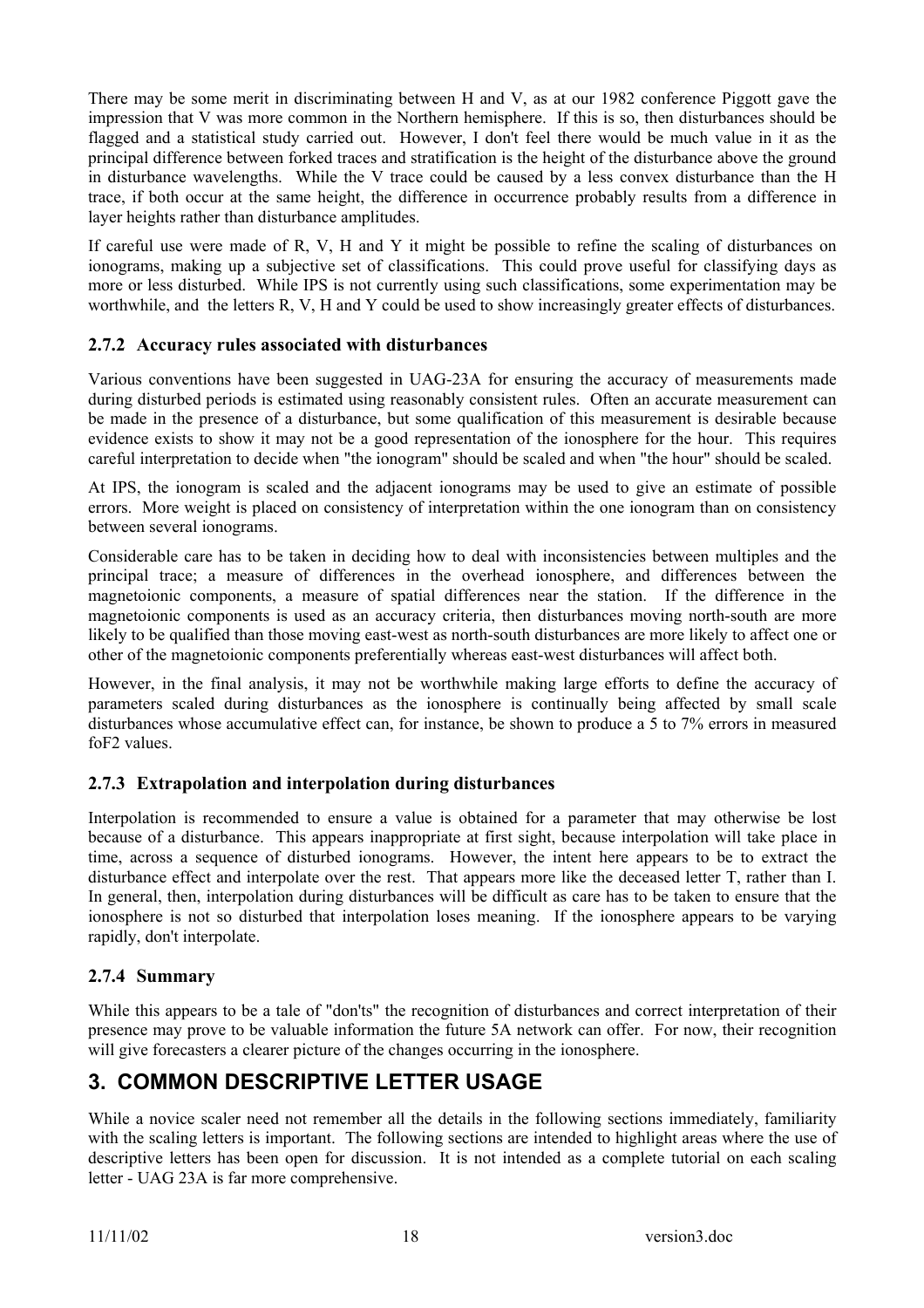There may be some merit in discriminating between H and V, as at our 1982 conference Piggott gave the impression that V was more common in the Northern hemisphere. If this is so, then disturbances should be flagged and a statistical study carried out. However, I don't feel there would be much value in it as the principal difference between forked traces and stratification is the height of the disturbance above the ground in disturbance wavelengths. While the V trace could be caused by a less convex disturbance than the H trace, if both occur at the same height, the difference in occurrence probably results from a difference in layer heights rather than disturbance amplitudes.

If careful use were made of R, V, H and Y it might be possible to refine the scaling of disturbances on ionograms, making up a subjective set of classifications. This could prove useful for classifying days as more or less disturbed. While IPS is not currently using such classifications, some experimentation may be worthwhile, and the letters R, V, H and Y could be used to show increasingly greater effects of disturbances.

# **2.7.2 Accuracy rules associated with disturbances**

Various conventions have been suggested in UAG-23A for ensuring the accuracy of measurements made during disturbed periods is estimated using reasonably consistent rules. Often an accurate measurement can be made in the presence of a disturbance, but some qualification of this measurement is desirable because evidence exists to show it may not be a good representation of the ionosphere for the hour. This requires careful interpretation to decide when "the ionogram" should be scaled and when "the hour" should be scaled.

At IPS, the ionogram is scaled and the adjacent ionograms may be used to give an estimate of possible errors. More weight is placed on consistency of interpretation within the one ionogram than on consistency between several ionograms.

Considerable care has to be taken in deciding how to deal with inconsistencies between multiples and the principal trace; a measure of differences in the overhead ionosphere, and differences between the magnetoionic components, a measure of spatial differences near the station. If the difference in the magnetoionic components is used as an accuracy criteria, then disturbances moving north-south are more likely to be qualified than those moving east-west as north-south disturbances are more likely to affect one or other of the magnetoionic components preferentially whereas east-west disturbances will affect both.

However, in the final analysis, it may not be worthwhile making large efforts to define the accuracy of parameters scaled during disturbances as the ionosphere is continually being affected by small scale disturbances whose accumulative effect can, for instance, be shown to produce a 5 to 7% errors in measured foF2 values.

# **2.7.3 Extrapolation and interpolation during disturbances**

Interpolation is recommended to ensure a value is obtained for a parameter that may otherwise be lost because of a disturbance. This appears inappropriate at first sight, because interpolation will take place in time, across a sequence of disturbed ionograms. However, the intent here appears to be to extract the disturbance effect and interpolate over the rest. That appears more like the deceased letter T, rather than I. In general, then, interpolation during disturbances will be difficult as care has to be taken to ensure that the ionosphere is not so disturbed that interpolation loses meaning. If the ionosphere appears to be varying rapidly, don't interpolate.

# **2.7.4 Summary**

While this appears to be a tale of "don'ts" the recognition of disturbances and correct interpretation of their presence may prove to be valuable information the future 5A network can offer. For now, their recognition will give forecasters a clearer picture of the changes occurring in the ionosphere.

# **3. COMMON DESCRIPTIVE LETTER USAGE**

While a novice scaler need not remember all the details in the following sections immediately, familiarity with the scaling letters is important. The following sections are intended to highlight areas where the use of descriptive letters has been open for discussion. It is not intended as a complete tutorial on each scaling letter - UAG 23A is far more comprehensive.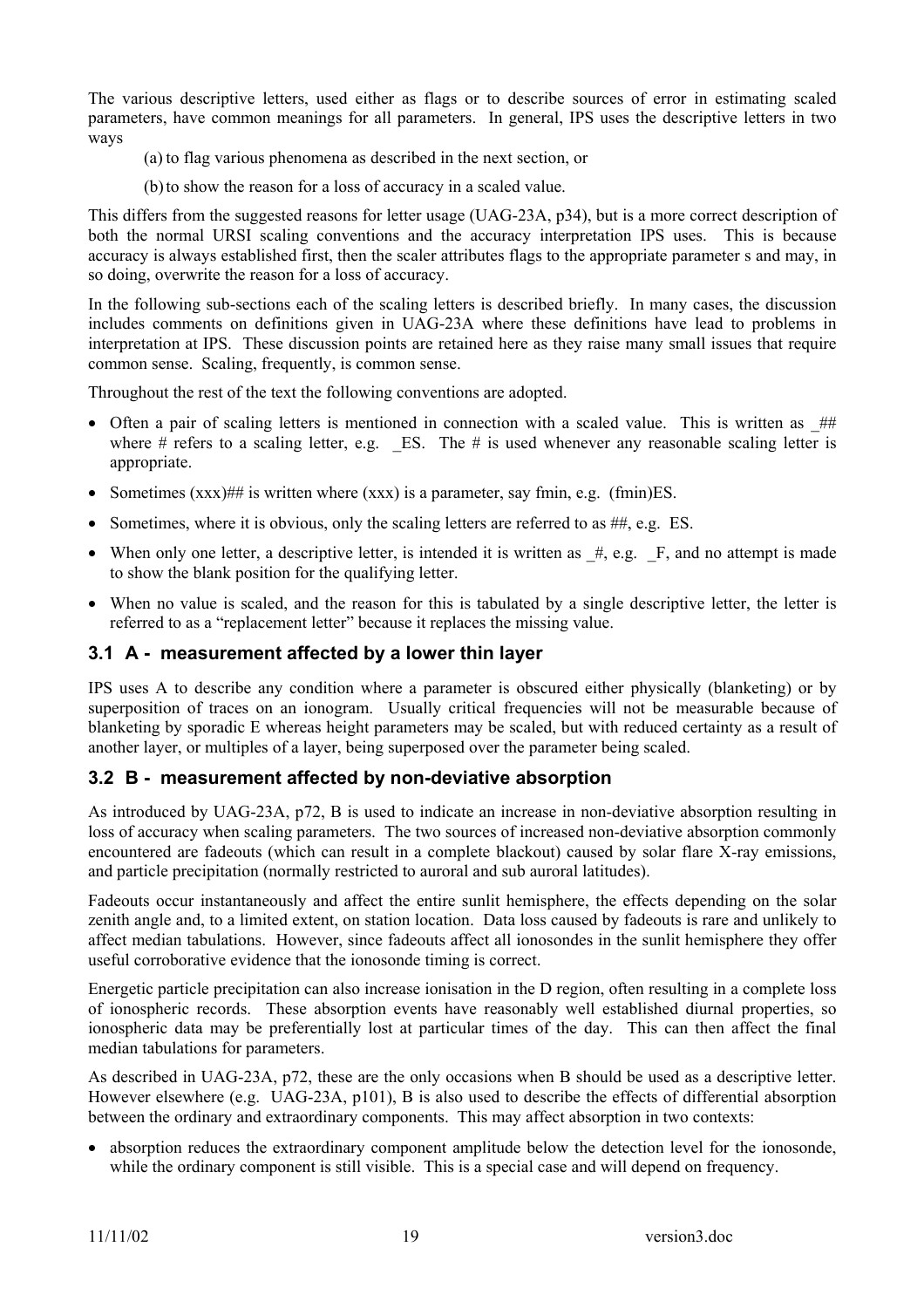The various descriptive letters, used either as flags or to describe sources of error in estimating scaled parameters, have common meanings for all parameters. In general, IPS uses the descriptive letters in two ways

(a) to flag various phenomena as described in the next section, or

(b)to show the reason for a loss of accuracy in a scaled value.

This differs from the suggested reasons for letter usage (UAG-23A, p34), but is a more correct description of both the normal URSI scaling conventions and the accuracy interpretation IPS uses. This is because accuracy is always established first, then the scaler attributes flags to the appropriate parameter s and may, in so doing, overwrite the reason for a loss of accuracy.

In the following sub-sections each of the scaling letters is described briefly. In many cases, the discussion includes comments on definitions given in UAG-23A where these definitions have lead to problems in interpretation at IPS. These discussion points are retained here as they raise many small issues that require common sense. Scaling, frequently, is common sense.

Throughout the rest of the text the following conventions are adopted.

- Often a pair of scaling letters is mentioned in connection with a scaled value. This is written as ## where # refers to a scaling letter, e.g. ES. The # is used whenever any reasonable scaling letter is appropriate.
- Sometimes  $(xxx)$ ## is written where  $(xxx)$  is a parameter, say fmin, e.g. (fmin)ES.
- Sometimes, where it is obvious, only the scaling letters are referred to as  $\#$ , e.g. ES.
- When only one letter, a descriptive letter, is intended it is written as  $\#$ , e.g.  $\mathbb{F}$ , and no attempt is made to show the blank position for the qualifying letter.
- When no value is scaled, and the reason for this is tabulated by a single descriptive letter, the letter is referred to as a "replacement letter" because it replaces the missing value.

#### **3.1 A - measurement affected by a lower thin layer**

IPS uses A to describe any condition where a parameter is obscured either physically (blanketing) or by superposition of traces on an ionogram. Usually critical frequencies will not be measurable because of blanketing by sporadic E whereas height parameters may be scaled, but with reduced certainty as a result of another layer, or multiples of a layer, being superposed over the parameter being scaled.

# **3.2 B - measurement affected by non-deviative absorption**

As introduced by UAG-23A, p72, B is used to indicate an increase in non-deviative absorption resulting in loss of accuracy when scaling parameters. The two sources of increased non-deviative absorption commonly encountered are fadeouts (which can result in a complete blackout) caused by solar flare X-ray emissions, and particle precipitation (normally restricted to auroral and sub auroral latitudes).

Fadeouts occur instantaneously and affect the entire sunlit hemisphere, the effects depending on the solar zenith angle and, to a limited extent, on station location. Data loss caused by fadeouts is rare and unlikely to affect median tabulations. However, since fadeouts affect all ionosondes in the sunlit hemisphere they offer useful corroborative evidence that the ionosonde timing is correct.

Energetic particle precipitation can also increase ionisation in the D region, often resulting in a complete loss of ionospheric records. These absorption events have reasonably well established diurnal properties, so ionospheric data may be preferentially lost at particular times of the day. This can then affect the final median tabulations for parameters.

As described in UAG-23A, p72, these are the only occasions when B should be used as a descriptive letter. However elsewhere (e.g. UAG-23A, p101), B is also used to describe the effects of differential absorption between the ordinary and extraordinary components. This may affect absorption in two contexts:

• absorption reduces the extraordinary component amplitude below the detection level for the ionosonde, while the ordinary component is still visible. This is a special case and will depend on frequency.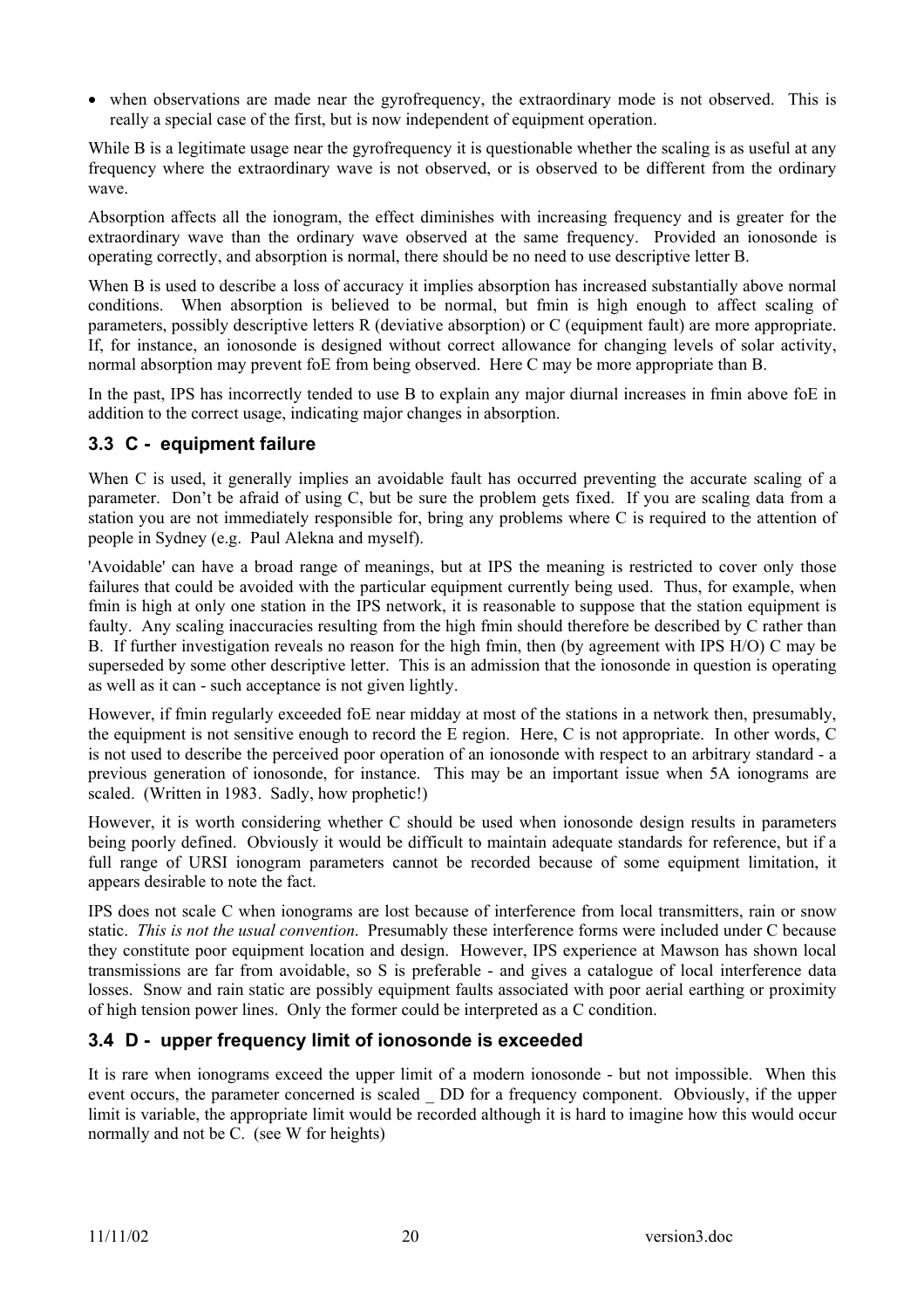• when observations are made near the gyrofrequency, the extraordinary mode is not observed. This is really a special case of the first, but is now independent of equipment operation.

While B is a legitimate usage near the gyrofrequency it is questionable whether the scaling is as useful at any frequency where the extraordinary wave is not observed, or is observed to be different from the ordinary wave.

Absorption affects all the ionogram, the effect diminishes with increasing frequency and is greater for the extraordinary wave than the ordinary wave observed at the same frequency. Provided an ionosonde is operating correctly, and absorption is normal, there should be no need to use descriptive letter B.

When B is used to describe a loss of accuracy it implies absorption has increased substantially above normal conditions. When absorption is believed to be normal, but fmin is high enough to affect scaling of parameters, possibly descriptive letters R (deviative absorption) or C (equipment fault) are more appropriate. If, for instance, an ionosonde is designed without correct allowance for changing levels of solar activity, normal absorption may prevent foE from being observed. Here C may be more appropriate than B.

In the past, IPS has incorrectly tended to use B to explain any major diurnal increases in fmin above foE in addition to the correct usage, indicating major changes in absorption.

# **3.3 C - equipment failure**

When C is used, it generally implies an avoidable fault has occurred preventing the accurate scaling of a parameter. Don't be afraid of using C, but be sure the problem gets fixed. If you are scaling data from a station you are not immediately responsible for, bring any problems where C is required to the attention of people in Sydney (e.g. Paul Alekna and myself).

'Avoidable' can have a broad range of meanings, but at IPS the meaning is restricted to cover only those failures that could be avoided with the particular equipment currently being used. Thus, for example, when fmin is high at only one station in the IPS network, it is reasonable to suppose that the station equipment is faulty. Any scaling inaccuracies resulting from the high fmin should therefore be described by C rather than B. If further investigation reveals no reason for the high fmin, then (by agreement with IPS H/O) C may be superseded by some other descriptive letter. This is an admission that the ionosonde in question is operating as well as it can - such acceptance is not given lightly.

However, if fmin regularly exceeded foE near midday at most of the stations in a network then, presumably, the equipment is not sensitive enough to record the E region. Here, C is not appropriate. In other words, C is not used to describe the perceived poor operation of an ionosonde with respect to an arbitrary standard - a previous generation of ionosonde, for instance. This may be an important issue when 5A ionograms are scaled. (Written in 1983. Sadly, how prophetic!)

However, it is worth considering whether C should be used when ionosonde design results in parameters being poorly defined. Obviously it would be difficult to maintain adequate standards for reference, but if a full range of URSI ionogram parameters cannot be recorded because of some equipment limitation, it appears desirable to note the fact.

IPS does not scale C when ionograms are lost because of interference from local transmitters, rain or snow static. *This is not the usual convention*. Presumably these interference forms were included under C because they constitute poor equipment location and design. However, IPS experience at Mawson has shown local transmissions are far from avoidable, so S is preferable - and gives a catalogue of local interference data losses. Snow and rain static are possibly equipment faults associated with poor aerial earthing or proximity of high tension power lines. Only the former could be interpreted as a C condition.

# **3.4 D - upper frequency limit of ionosonde is exceeded**

It is rare when ionograms exceed the upper limit of a modern ionosonde - but not impossible. When this event occurs, the parameter concerned is scaled DD for a frequency component. Obviously, if the upper limit is variable, the appropriate limit would be recorded although it is hard to imagine how this would occur normally and not be C. (see W for heights)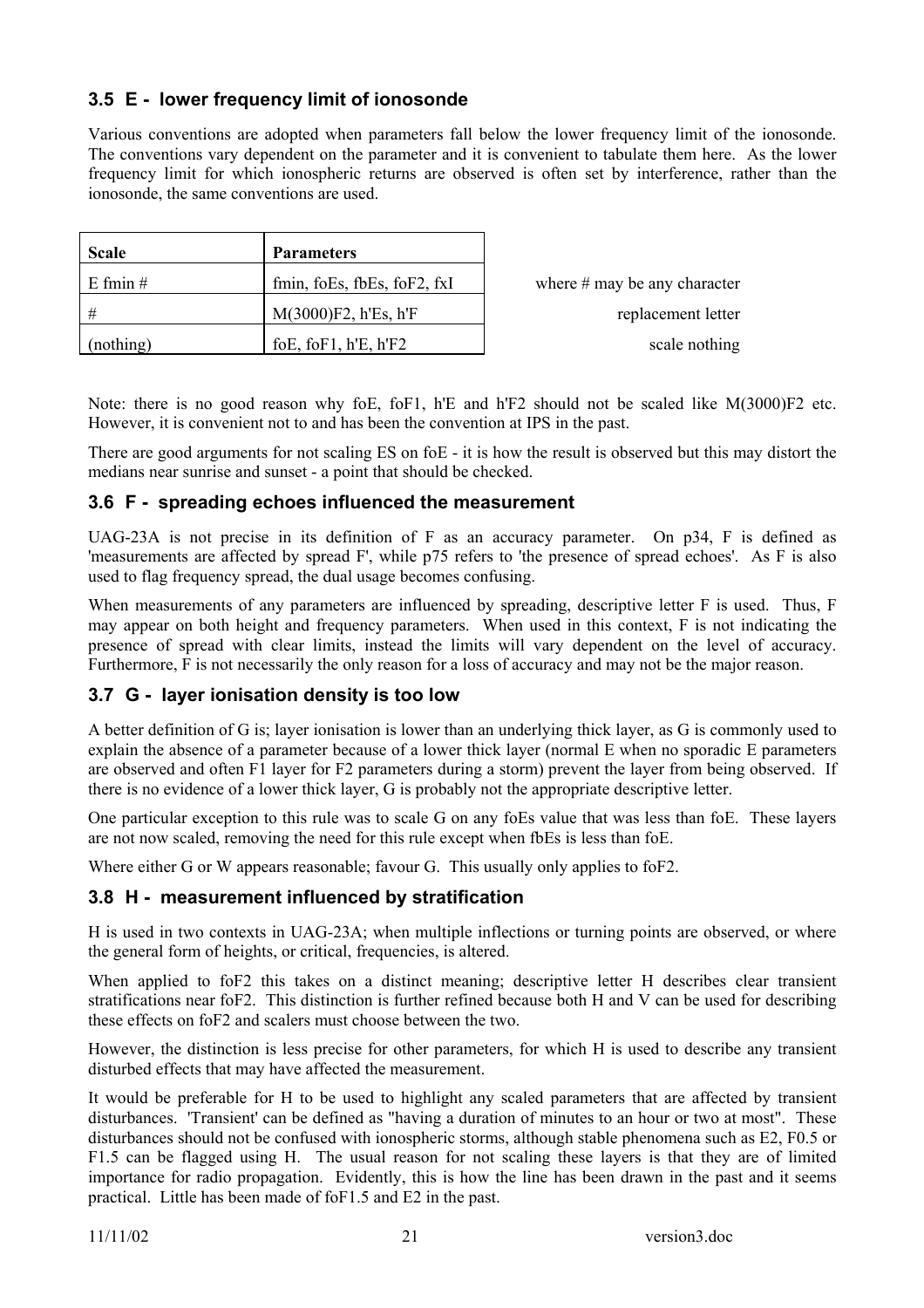# **3.5 E - lower frequency limit of ionosonde**

Various conventions are adopted when parameters fall below the lower frequency limit of the ionosonde. The conventions vary dependent on the parameter and it is convenient to tabulate them here. As the lower frequency limit for which ionospheric returns are observed is often set by interference, rather than the ionosonde, the same conventions are used.

| <b>Scale</b> | <b>Parameters</b>           |                                |
|--------------|-----------------------------|--------------------------------|
| $E$ fmin $#$ | fmin, foEs, fbEs, foF2, fxI | where $#$ may be any character |
| #            | $M(3000)F2$ , h'Es, h'F     | replacement letter             |
| (nothing)    | foE, foF1, $h'E$ , $h'F2$   | scale nothing                  |

Note: there is no good reason why foE, foF1, h'E and h'F2 should not be scaled like M(3000)F2 etc. However, it is convenient not to and has been the convention at IPS in the past.

There are good arguments for not scaling ES on foE - it is how the result is observed but this may distort the medians near sunrise and sunset - a point that should be checked.

# **3.6 F - spreading echoes influenced the measurement**

UAG-23A is not precise in its definition of F as an accuracy parameter. On p34, F is defined as 'measurements are affected by spread F', while p75 refers to 'the presence of spread echoes'. As F is also used to flag frequency spread, the dual usage becomes confusing.

When measurements of any parameters are influenced by spreading, descriptive letter F is used. Thus, F may appear on both height and frequency parameters. When used in this context, F is not indicating the presence of spread with clear limits, instead the limits will vary dependent on the level of accuracy. Furthermore, F is not necessarily the only reason for a loss of accuracy and may not be the major reason.

# **3.7 G - layer ionisation density is too low**

A better definition of G is; layer ionisation is lower than an underlying thick layer, as G is commonly used to explain the absence of a parameter because of a lower thick layer (normal E when no sporadic E parameters are observed and often F1 layer for F2 parameters during a storm) prevent the layer from being observed. If there is no evidence of a lower thick layer, G is probably not the appropriate descriptive letter.

One particular exception to this rule was to scale G on any foEs value that was less than foE. These layers are not now scaled, removing the need for this rule except when fbEs is less than foE.

Where either G or W appears reasonable; favour G. This usually only applies to foF2.

# **3.8 H - measurement influenced by stratification**

H is used in two contexts in UAG-23A; when multiple inflections or turning points are observed, or where the general form of heights, or critical, frequencies, is altered.

When applied to foF2 this takes on a distinct meaning; descriptive letter H describes clear transient stratifications near foF2. This distinction is further refined because both H and V can be used for describing these effects on foF2 and scalers must choose between the two.

However, the distinction is less precise for other parameters, for which H is used to describe any transient disturbed effects that may have affected the measurement.

It would be preferable for H to be used to highlight any scaled parameters that are affected by transient disturbances. 'Transient' can be defined as "having a duration of minutes to an hour or two at most". These disturbances should not be confused with ionospheric storms, although stable phenomena such as E2, F0.5 or F1.5 can be flagged using H. The usual reason for not scaling these layers is that they are of limited importance for radio propagation. Evidently, this is how the line has been drawn in the past and it seems practical. Little has been made of foF1.5 and E2 in the past.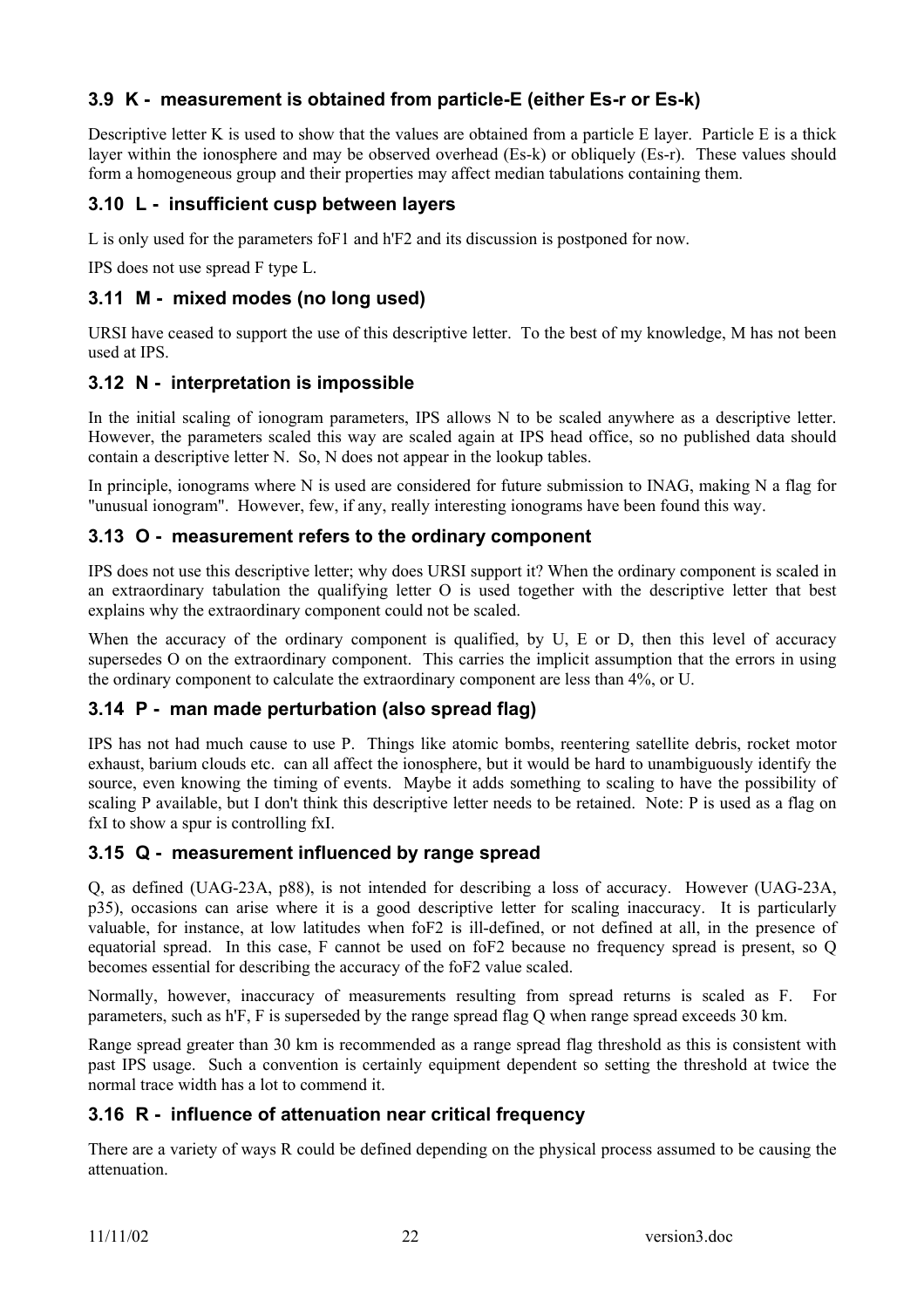# **3.9 K - measurement is obtained from particle-E (either Es-r or Es-k)**

Descriptive letter K is used to show that the values are obtained from a particle E layer. Particle E is a thick layer within the ionosphere and may be observed overhead (Es-k) or obliquely (Es-r). These values should form a homogeneous group and their properties may affect median tabulations containing them.

# **3.10 L - insufficient cusp between layers**

L is only used for the parameters foF1 and h'F2 and its discussion is postponed for now.

IPS does not use spread F type L.

### **3.11 M - mixed modes (no long used)**

URSI have ceased to support the use of this descriptive letter. To the best of my knowledge, M has not been used at IPS.

#### **3.12 N - interpretation is impossible**

In the initial scaling of ionogram parameters, IPS allows N to be scaled anywhere as a descriptive letter. However, the parameters scaled this way are scaled again at IPS head office, so no published data should contain a descriptive letter N. So, N does not appear in the lookup tables.

In principle, ionograms where N is used are considered for future submission to INAG, making N a flag for "unusual ionogram". However, few, if any, really interesting ionograms have been found this way.

#### **3.13 O - measurement refers to the ordinary component**

IPS does not use this descriptive letter; why does URSI support it? When the ordinary component is scaled in an extraordinary tabulation the qualifying letter O is used together with the descriptive letter that best explains why the extraordinary component could not be scaled.

When the accuracy of the ordinary component is qualified, by U, E or D, then this level of accuracy supersedes O on the extraordinary component. This carries the implicit assumption that the errors in using the ordinary component to calculate the extraordinary component are less than 4%, or U.

# **3.14 P - man made perturbation (also spread flag)**

IPS has not had much cause to use P. Things like atomic bombs, reentering satellite debris, rocket motor exhaust, barium clouds etc. can all affect the ionosphere, but it would be hard to unambiguously identify the source, even knowing the timing of events. Maybe it adds something to scaling to have the possibility of scaling P available, but I don't think this descriptive letter needs to be retained. Note: P is used as a flag on fxI to show a spur is controlling fxI.

#### **3.15 Q - measurement influenced by range spread**

Q, as defined (UAG-23A, p88), is not intended for describing a loss of accuracy. However (UAG-23A, p35), occasions can arise where it is a good descriptive letter for scaling inaccuracy. It is particularly valuable, for instance, at low latitudes when foF2 is ill-defined, or not defined at all, in the presence of equatorial spread. In this case, F cannot be used on foF2 because no frequency spread is present, so Q becomes essential for describing the accuracy of the foF2 value scaled.

Normally, however, inaccuracy of measurements resulting from spread returns is scaled as F. For parameters, such as h'F, F is superseded by the range spread flag Q when range spread exceeds 30 km.

Range spread greater than 30 km is recommended as a range spread flag threshold as this is consistent with past IPS usage. Such a convention is certainly equipment dependent so setting the threshold at twice the normal trace width has a lot to commend it.

# **3.16 R - influence of attenuation near critical frequency**

There are a variety of ways R could be defined depending on the physical process assumed to be causing the attenuation.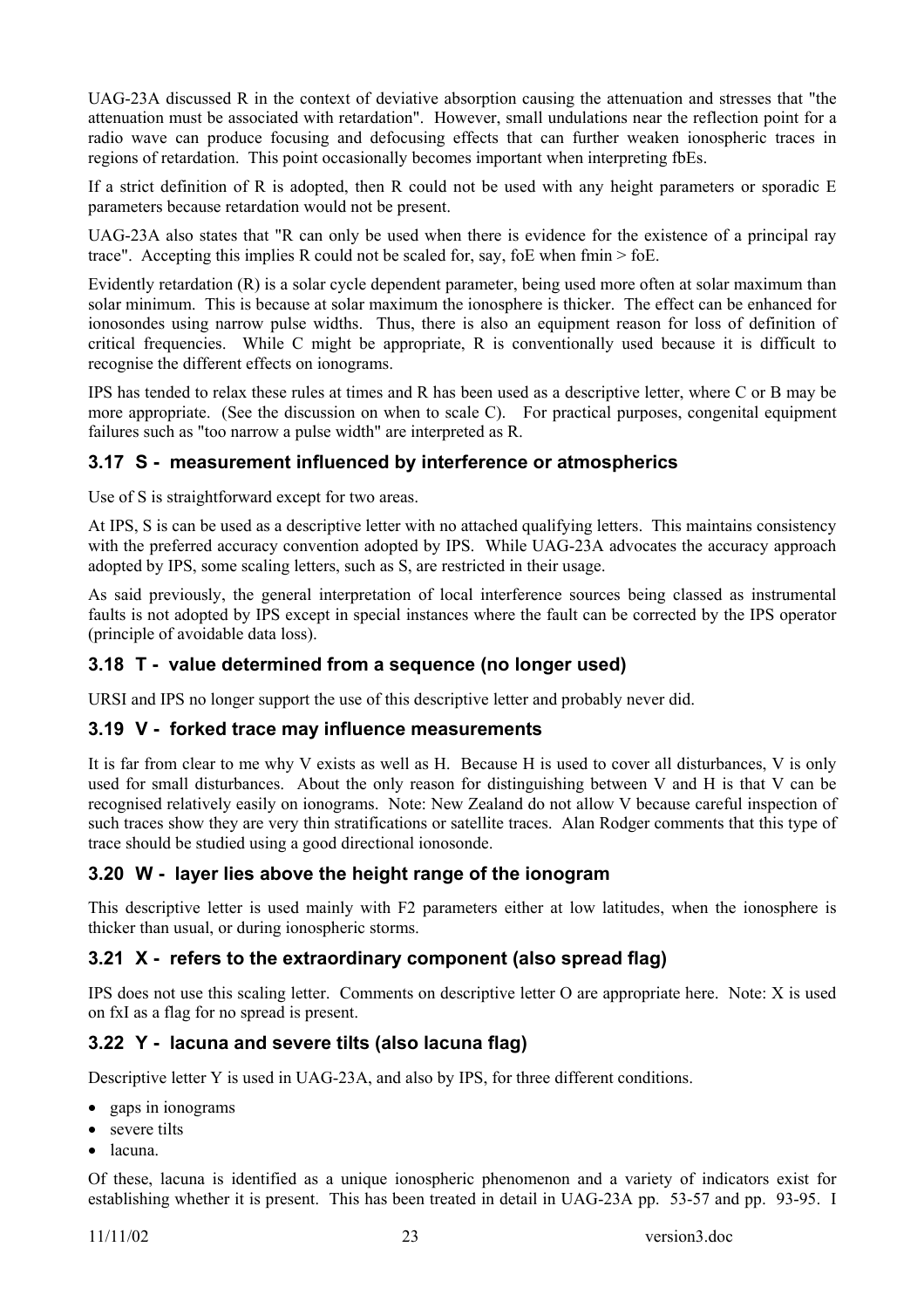UAG-23A discussed R in the context of deviative absorption causing the attenuation and stresses that "the attenuation must be associated with retardation". However, small undulations near the reflection point for a radio wave can produce focusing and defocusing effects that can further weaken ionospheric traces in regions of retardation. This point occasionally becomes important when interpreting fbEs.

If a strict definition of R is adopted, then R could not be used with any height parameters or sporadic E parameters because retardation would not be present.

UAG-23A also states that "R can only be used when there is evidence for the existence of a principal ray trace". Accepting this implies R could not be scaled for, say, foe when  $f_{\text{min}} > f_{\text{0}}E$ .

Evidently retardation (R) is a solar cycle dependent parameter, being used more often at solar maximum than solar minimum. This is because at solar maximum the ionosphere is thicker. The effect can be enhanced for ionosondes using narrow pulse widths. Thus, there is also an equipment reason for loss of definition of critical frequencies. While C might be appropriate, R is conventionally used because it is difficult to recognise the different effects on ionograms.

IPS has tended to relax these rules at times and R has been used as a descriptive letter, where C or B may be more appropriate. (See the discussion on when to scale C). For practical purposes, congenital equipment failures such as "too narrow a pulse width" are interpreted as R.

# **3.17 S - measurement influenced by interference or atmospherics**

Use of S is straightforward except for two areas.

At IPS, S is can be used as a descriptive letter with no attached qualifying letters. This maintains consistency with the preferred accuracy convention adopted by IPS. While UAG-23A advocates the accuracy approach adopted by IPS, some scaling letters, such as S, are restricted in their usage.

As said previously, the general interpretation of local interference sources being classed as instrumental faults is not adopted by IPS except in special instances where the fault can be corrected by the IPS operator (principle of avoidable data loss).

# **3.18 T - value determined from a sequence (no longer used)**

URSI and IPS no longer support the use of this descriptive letter and probably never did.

#### **3.19 V - forked trace may influence measurements**

It is far from clear to me why V exists as well as H. Because H is used to cover all disturbances, V is only used for small disturbances. About the only reason for distinguishing between V and H is that V can be recognised relatively easily on ionograms. Note: New Zealand do not allow V because careful inspection of such traces show they are very thin stratifications or satellite traces. Alan Rodger comments that this type of trace should be studied using a good directional ionosonde.

# **3.20 W - layer lies above the height range of the ionogram**

This descriptive letter is used mainly with F2 parameters either at low latitudes, when the ionosphere is thicker than usual, or during ionospheric storms.

# **3.21 X - refers to the extraordinary component (also spread flag)**

IPS does not use this scaling letter. Comments on descriptive letter O are appropriate here. Note: X is used on fxI as a flag for no spread is present.

# **3.22 Y - lacuna and severe tilts (also lacuna flag)**

Descriptive letter Y is used in UAG-23A, and also by IPS, for three different conditions.

- gaps in ionograms
- severe tilts
- lacuna.

Of these, lacuna is identified as a unique ionospheric phenomenon and a variety of indicators exist for establishing whether it is present. This has been treated in detail in UAG-23A pp. 53-57 and pp. 93-95. I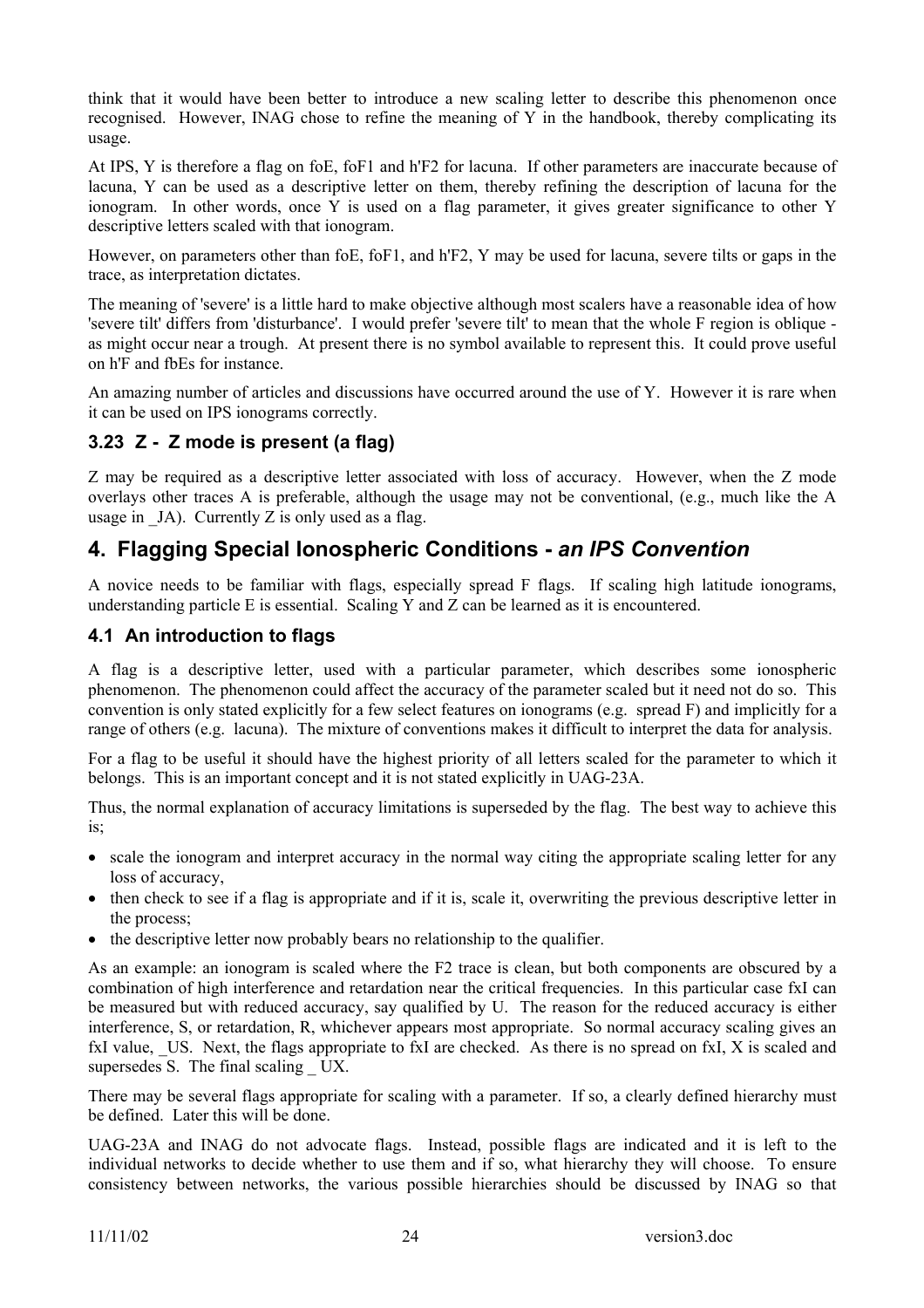think that it would have been better to introduce a new scaling letter to describe this phenomenon once recognised. However, INAG chose to refine the meaning of Y in the handbook, thereby complicating its usage.

At IPS, Y is therefore a flag on foE, foF1 and h'F2 for lacuna. If other parameters are inaccurate because of lacuna, Y can be used as a descriptive letter on them, thereby refining the description of lacuna for the ionogram. In other words, once Y is used on a flag parameter, it gives greater significance to other Y descriptive letters scaled with that ionogram.

However, on parameters other than foE, foF1, and h'F2, Y may be used for lacuna, severe tilts or gaps in the trace, as interpretation dictates.

The meaning of 'severe' is a little hard to make objective although most scalers have a reasonable idea of how 'severe tilt' differs from 'disturbance'. I would prefer 'severe tilt' to mean that the whole F region is oblique as might occur near a trough. At present there is no symbol available to represent this. It could prove useful on h'F and fbEs for instance.

An amazing number of articles and discussions have occurred around the use of Y. However it is rare when it can be used on IPS ionograms correctly.

# **3.23 Z - Z mode is present (a flag)**

Z may be required as a descriptive letter associated with loss of accuracy. However, when the Z mode overlays other traces A is preferable, although the usage may not be conventional, (e.g., much like the A usage in  $JA$ ). Currently Z is only used as a flag.

# **4. Flagging Special Ionospheric Conditions -** *an IPS Convention*

A novice needs to be familiar with flags, especially spread F flags. If scaling high latitude ionograms, understanding particle E is essential. Scaling  $\hat{Y}$  and  $\hat{Z}$  can be learned as it is encountered.

# **4.1 An introduction to flags**

A flag is a descriptive letter, used with a particular parameter, which describes some ionospheric phenomenon. The phenomenon could affect the accuracy of the parameter scaled but it need not do so. This convention is only stated explicitly for a few select features on ionograms (e.g. spread F) and implicitly for a range of others (e.g. lacuna). The mixture of conventions makes it difficult to interpret the data for analysis.

For a flag to be useful it should have the highest priority of all letters scaled for the parameter to which it belongs. This is an important concept and it is not stated explicitly in UAG-23A.

Thus, the normal explanation of accuracy limitations is superseded by the flag. The best way to achieve this is;

- scale the ionogram and interpret accuracy in the normal way citing the appropriate scaling letter for any loss of accuracy,
- then check to see if a flag is appropriate and if it is, scale it, overwriting the previous descriptive letter in the process;
- the descriptive letter now probably bears no relationship to the qualifier.

As an example: an ionogram is scaled where the F2 trace is clean, but both components are obscured by a combination of high interference and retardation near the critical frequencies. In this particular case fxI can be measured but with reduced accuracy, say qualified by U. The reason for the reduced accuracy is either interference, S, or retardation, R, whichever appears most appropriate. So normal accuracy scaling gives an fxI value, US. Next, the flags appropriate to fxI are checked. As there is no spread on fxI, X is scaled and supersedes S. The final scaling UX.

There may be several flags appropriate for scaling with a parameter. If so, a clearly defined hierarchy must be defined. Later this will be done.

UAG-23A and INAG do not advocate flags. Instead, possible flags are indicated and it is left to the individual networks to decide whether to use them and if so, what hierarchy they will choose. To ensure consistency between networks, the various possible hierarchies should be discussed by INAG so that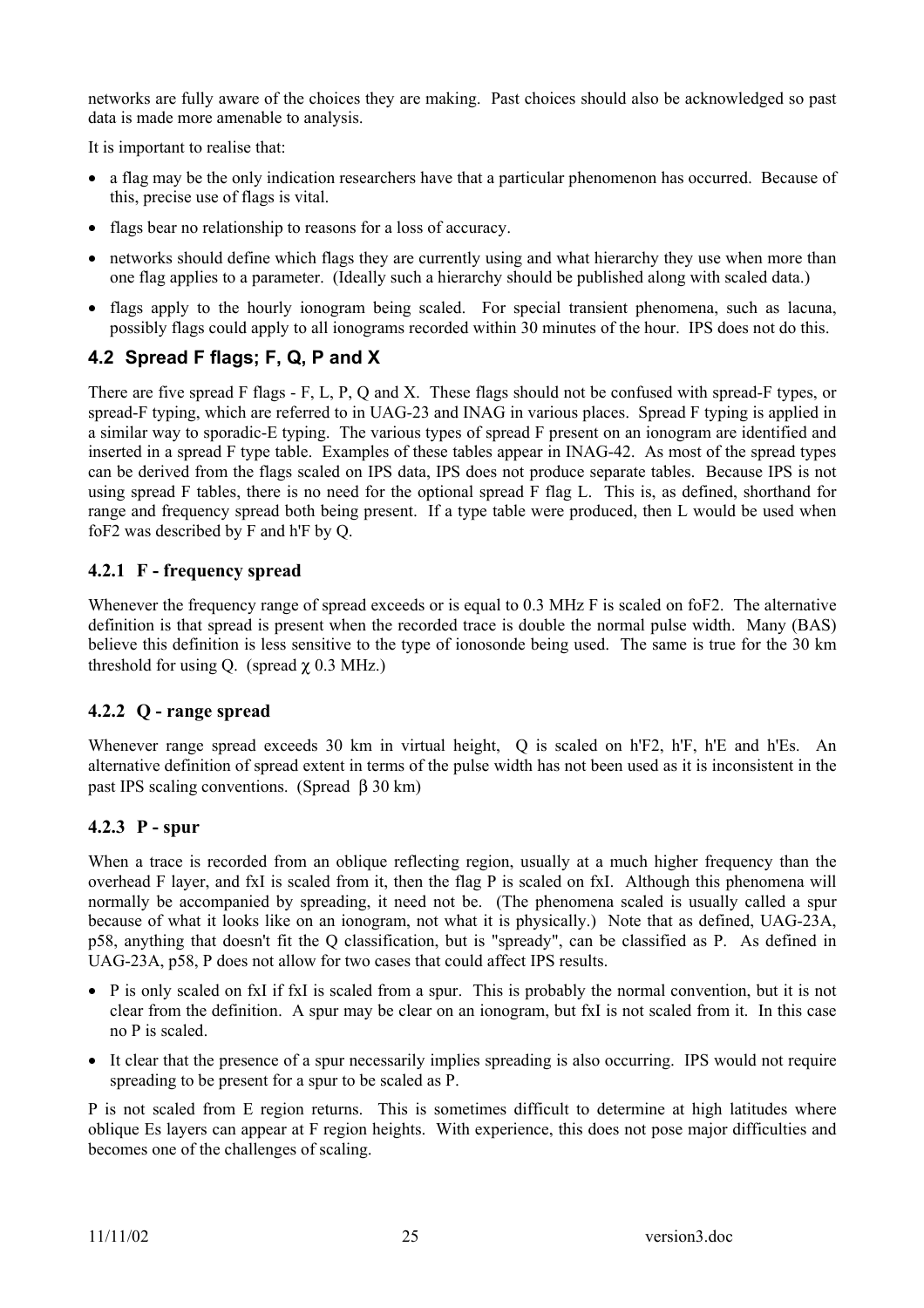networks are fully aware of the choices they are making. Past choices should also be acknowledged so past data is made more amenable to analysis.

It is important to realise that:

- a flag may be the only indication researchers have that a particular phenomenon has occurred. Because of this, precise use of flags is vital.
- flags bear no relationship to reasons for a loss of accuracy.
- networks should define which flags they are currently using and what hierarchy they use when more than one flag applies to a parameter. (Ideally such a hierarchy should be published along with scaled data.)
- flags apply to the hourly ionogram being scaled. For special transient phenomena, such as lacuna, possibly flags could apply to all ionograms recorded within 30 minutes of the hour. IPS does not do this.

# **4.2 Spread F flags; F, Q, P and X**

There are five spread F flags - F, L, P, Q and X. These flags should not be confused with spread-F types, or spread-F typing, which are referred to in UAG-23 and INAG in various places. Spread F typing is applied in a similar way to sporadic-E typing. The various types of spread F present on an ionogram are identified and inserted in a spread F type table. Examples of these tables appear in INAG-42. As most of the spread types can be derived from the flags scaled on IPS data, IPS does not produce separate tables. Because IPS is not using spread F tables, there is no need for the optional spread F flag L. This is, as defined, shorthand for range and frequency spread both being present. If a type table were produced, then L would be used when foF2 was described by F and h'F by Q.

# **4.2.1 F - frequency spread**

Whenever the frequency range of spread exceeds or is equal to 0.3 MHz F is scaled on foF2. The alternative definition is that spread is present when the recorded trace is double the normal pulse width. Many (BAS) believe this definition is less sensitive to the type of ionosonde being used. The same is true for the 30 km threshold for using Q. (spread  $\chi$  0.3 MHz.)

# **4.2.2 Q - range spread**

Whenever range spread exceeds 30 km in virtual height, Q is scaled on h'F2, h'F, h'E and h'Es. An alternative definition of spread extent in terms of the pulse width has not been used as it is inconsistent in the past IPS scaling conventions. (Spread β 30 km)

# **4.2.3 P - spur**

When a trace is recorded from an oblique reflecting region, usually at a much higher frequency than the overhead F layer, and fxI is scaled from it, then the flag P is scaled on fxI. Although this phenomena will normally be accompanied by spreading, it need not be. (The phenomena scaled is usually called a spur because of what it looks like on an ionogram, not what it is physically.) Note that as defined, UAG-23A, p58, anything that doesn't fit the Q classification, but is "spready", can be classified as P. As defined in UAG-23A, p58, P does not allow for two cases that could affect IPS results.

- P is only scaled on fxI if fxI is scaled from a spur. This is probably the normal convention, but it is not clear from the definition. A spur may be clear on an ionogram, but fxI is not scaled from it. In this case no P is scaled.
- It clear that the presence of a spur necessarily implies spreading is also occurring. IPS would not require spreading to be present for a spur to be scaled as P.

P is not scaled from E region returns. This is sometimes difficult to determine at high latitudes where oblique Es layers can appear at F region heights. With experience, this does not pose major difficulties and becomes one of the challenges of scaling.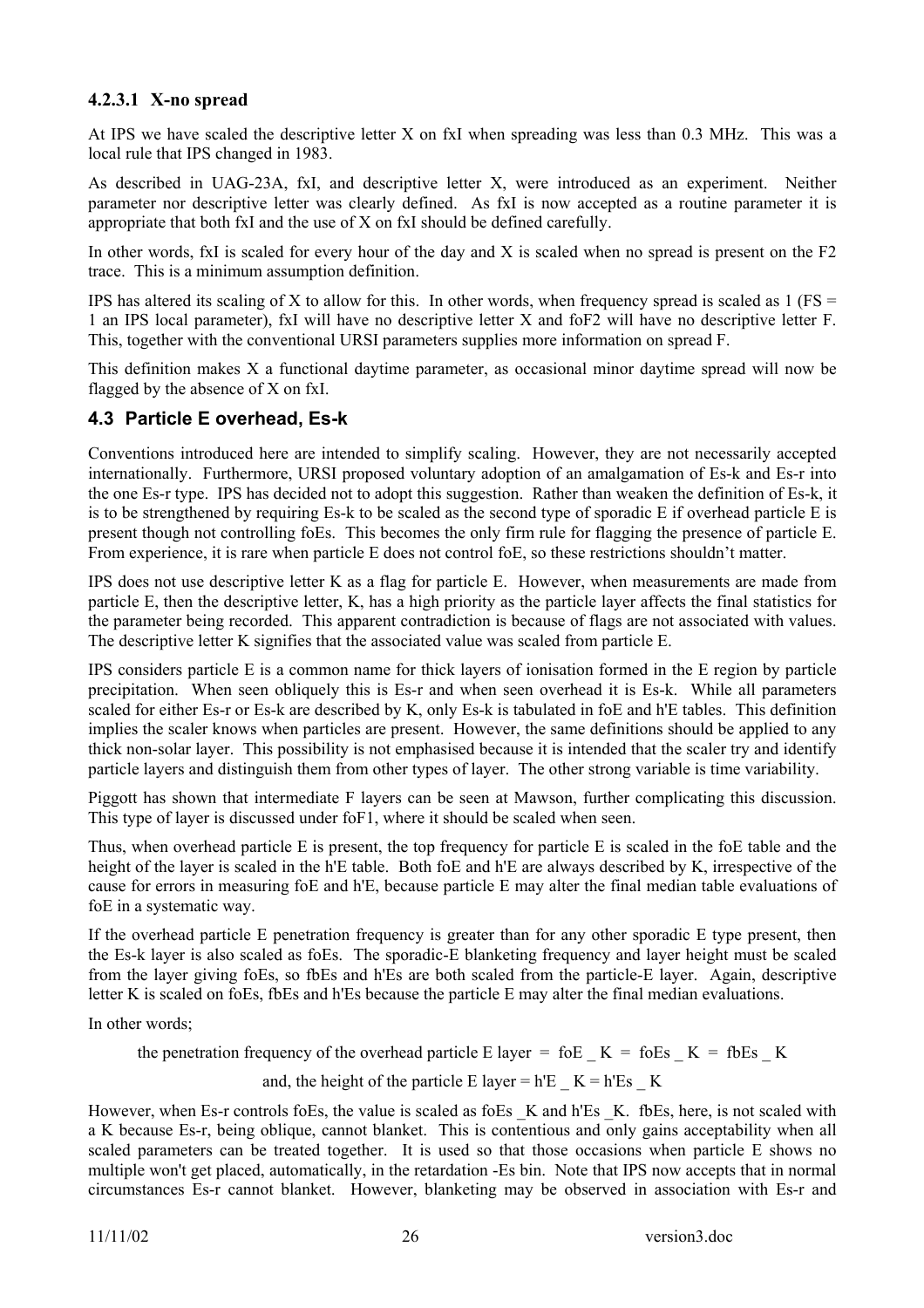### **4.2.3.1 X-no spread**

At IPS we have scaled the descriptive letter X on fxI when spreading was less than 0.3 MHz. This was a local rule that IPS changed in 1983.

As described in UAG-23A, fxI, and descriptive letter X, were introduced as an experiment. Neither parameter nor descriptive letter was clearly defined. As fxI is now accepted as a routine parameter it is appropriate that both fxI and the use of X on fxI should be defined carefully.

In other words, fxI is scaled for every hour of the day and X is scaled when no spread is present on the F2 trace. This is a minimum assumption definition.

IPS has altered its scaling of X to allow for this. In other words, when frequency spread is scaled as  $1$  (FS = 1 an IPS local parameter), fxI will have no descriptive letter X and foF2 will have no descriptive letter F. This, together with the conventional URSI parameters supplies more information on spread F.

This definition makes X a functional daytime parameter, as occasional minor daytime spread will now be flagged by the absence of X on fxI.

# **4.3 Particle E overhead, Es-k**

Conventions introduced here are intended to simplify scaling. However, they are not necessarily accepted internationally. Furthermore, URSI proposed voluntary adoption of an amalgamation of Es-k and Es-r into the one Es-r type. IPS has decided not to adopt this suggestion. Rather than weaken the definition of Es-k, it is to be strengthened by requiring Es-k to be scaled as the second type of sporadic E if overhead particle E is present though not controlling foEs. This becomes the only firm rule for flagging the presence of particle E. From experience, it is rare when particle E does not control foE, so these restrictions shouldn't matter.

IPS does not use descriptive letter K as a flag for particle E. However, when measurements are made from particle E, then the descriptive letter, K, has a high priority as the particle layer affects the final statistics for the parameter being recorded. This apparent contradiction is because of flags are not associated with values. The descriptive letter K signifies that the associated value was scaled from particle E.

IPS considers particle E is a common name for thick layers of ionisation formed in the E region by particle precipitation. When seen obliquely this is Es-r and when seen overhead it is Es-k. While all parameters scaled for either Es-r or Es-k are described by K, only Es-k is tabulated in foE and h'E tables. This definition implies the scaler knows when particles are present. However, the same definitions should be applied to any thick non-solar layer. This possibility is not emphasised because it is intended that the scaler try and identify particle layers and distinguish them from other types of layer. The other strong variable is time variability.

Piggott has shown that intermediate F layers can be seen at Mawson, further complicating this discussion. This type of layer is discussed under foF1, where it should be scaled when seen.

Thus, when overhead particle E is present, the top frequency for particle E is scaled in the foE table and the height of the layer is scaled in the h'E table. Both foE and h'E are always described by K, irrespective of the cause for errors in measuring foE and h'E, because particle E may alter the final median table evaluations of foE in a systematic way.

If the overhead particle E penetration frequency is greater than for any other sporadic E type present, then the Es-k layer is also scaled as foEs. The sporadic-E blanketing frequency and layer height must be scaled from the layer giving foEs, so fbEs and h'Es are both scaled from the particle-E layer. Again, descriptive letter K is scaled on foEs, fbEs and h'Es because the particle E may alter the final median evaluations.

In other words;

the penetration frequency of the overhead particle E layer = foE  $K = f_0E_5$   $K = f_0E_5$   $K = g_0E_5$ 

and, the height of the particle E layer = h'E  $K = h'Es$  K

However, when Es-r controls foEs, the value is scaled as foEs K and h'Es K. fbEs, here, is not scaled with a K because Es-r, being oblique, cannot blanket. This is contentious and only gains acceptability when all scaled parameters can be treated together. It is used so that those occasions when particle E shows no multiple won't get placed, automatically, in the retardation -Es bin. Note that IPS now accepts that in normal circumstances Es-r cannot blanket. However, blanketing may be observed in association with Es-r and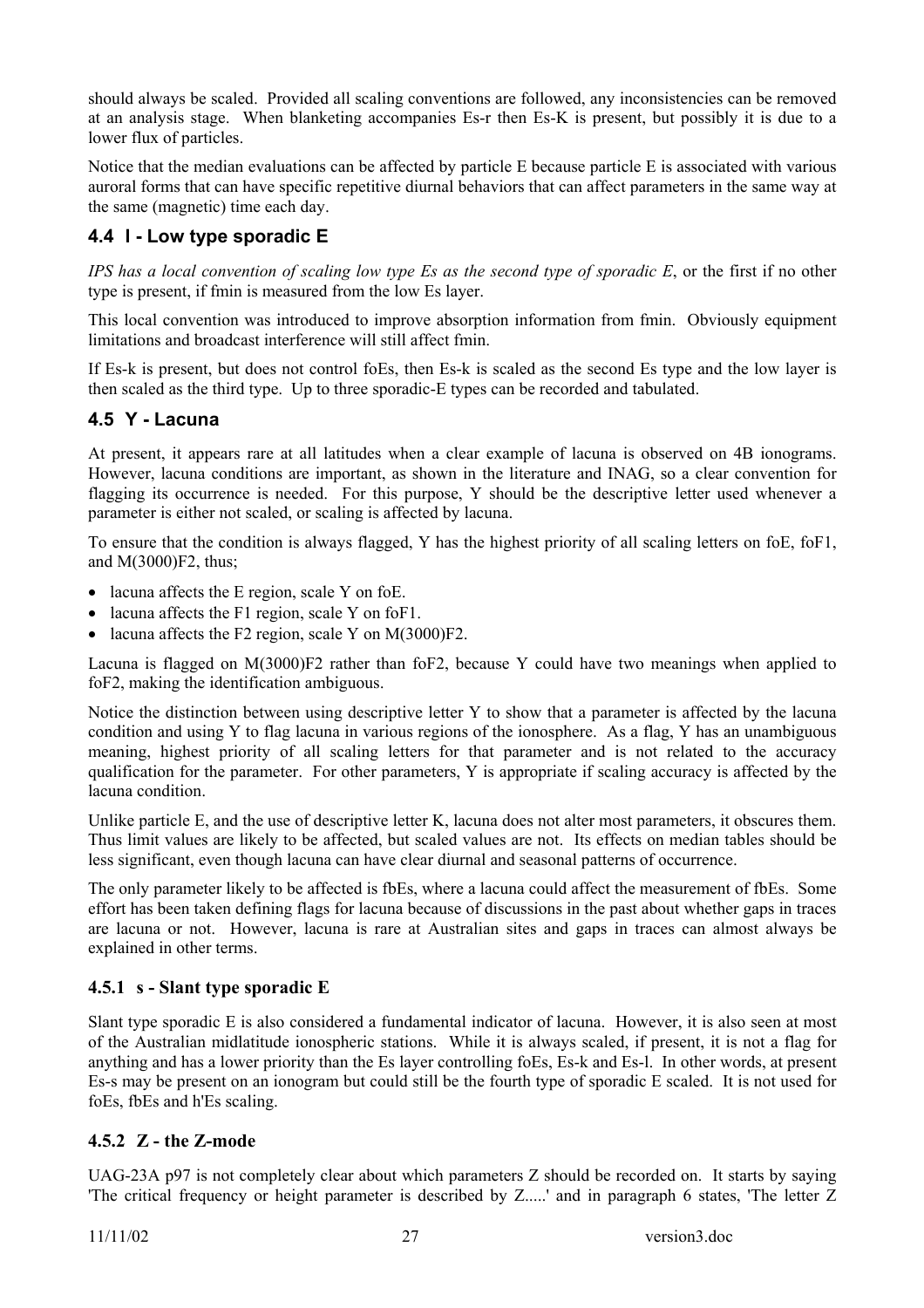should always be scaled. Provided all scaling conventions are followed, any inconsistencies can be removed at an analysis stage. When blanketing accompanies Es-r then Es-K is present, but possibly it is due to a lower flux of particles.

Notice that the median evaluations can be affected by particle E because particle E is associated with various auroral forms that can have specific repetitive diurnal behaviors that can affect parameters in the same way at the same (magnetic) time each day.

# **4.4 l - Low type sporadic E**

*IPS has a local convention of scaling low type Es as the second type of sporadic E*, or the first if no other type is present, if fmin is measured from the low Es layer.

This local convention was introduced to improve absorption information from fmin. Obviously equipment limitations and broadcast interference will still affect fmin.

If Es-k is present, but does not control foEs, then Es-k is scaled as the second Es type and the low layer is then scaled as the third type. Up to three sporadic-E types can be recorded and tabulated.

# **4.5 Y - Lacuna**

At present, it appears rare at all latitudes when a clear example of lacuna is observed on 4B ionograms. However, lacuna conditions are important, as shown in the literature and INAG, so a clear convention for flagging its occurrence is needed. For this purpose, Y should be the descriptive letter used whenever a parameter is either not scaled, or scaling is affected by lacuna.

To ensure that the condition is always flagged, Y has the highest priority of all scaling letters on foE, foF1, and M(3000)F2, thus;

- lacuna affects the E region, scale Y on foE.
- lacuna affects the F1 region, scale Y on foF1.
- lacuna affects the F2 region, scale Y on M(3000)F2.

Lacuna is flagged on M(3000)F2 rather than foF2, because Y could have two meanings when applied to foF2, making the identification ambiguous.

Notice the distinction between using descriptive letter Y to show that a parameter is affected by the lacuna condition and using Y to flag lacuna in various regions of the ionosphere. As a flag, Y has an unambiguous meaning, highest priority of all scaling letters for that parameter and is not related to the accuracy qualification for the parameter. For other parameters, Y is appropriate if scaling accuracy is affected by the lacuna condition.

Unlike particle E, and the use of descriptive letter K, lacuna does not alter most parameters, it obscures them. Thus limit values are likely to be affected, but scaled values are not. Its effects on median tables should be less significant, even though lacuna can have clear diurnal and seasonal patterns of occurrence.

The only parameter likely to be affected is fbEs, where a lacuna could affect the measurement of fbEs. Some effort has been taken defining flags for lacuna because of discussions in the past about whether gaps in traces are lacuna or not. However, lacuna is rare at Australian sites and gaps in traces can almost always be explained in other terms.

# **4.5.1 s - Slant type sporadic E**

Slant type sporadic E is also considered a fundamental indicator of lacuna. However, it is also seen at most of the Australian midlatitude ionospheric stations. While it is always scaled, if present, it is not a flag for anything and has a lower priority than the Es layer controlling foEs, Es-k and Es-l. In other words, at present Es-s may be present on an ionogram but could still be the fourth type of sporadic E scaled. It is not used for foEs, fbEs and h'Es scaling.

# **4.5.2 Z - the Z-mode**

UAG-23A p97 is not completely clear about which parameters Z should be recorded on. It starts by saying 'The critical frequency or height parameter is described by Z.....' and in paragraph 6 states, 'The letter Z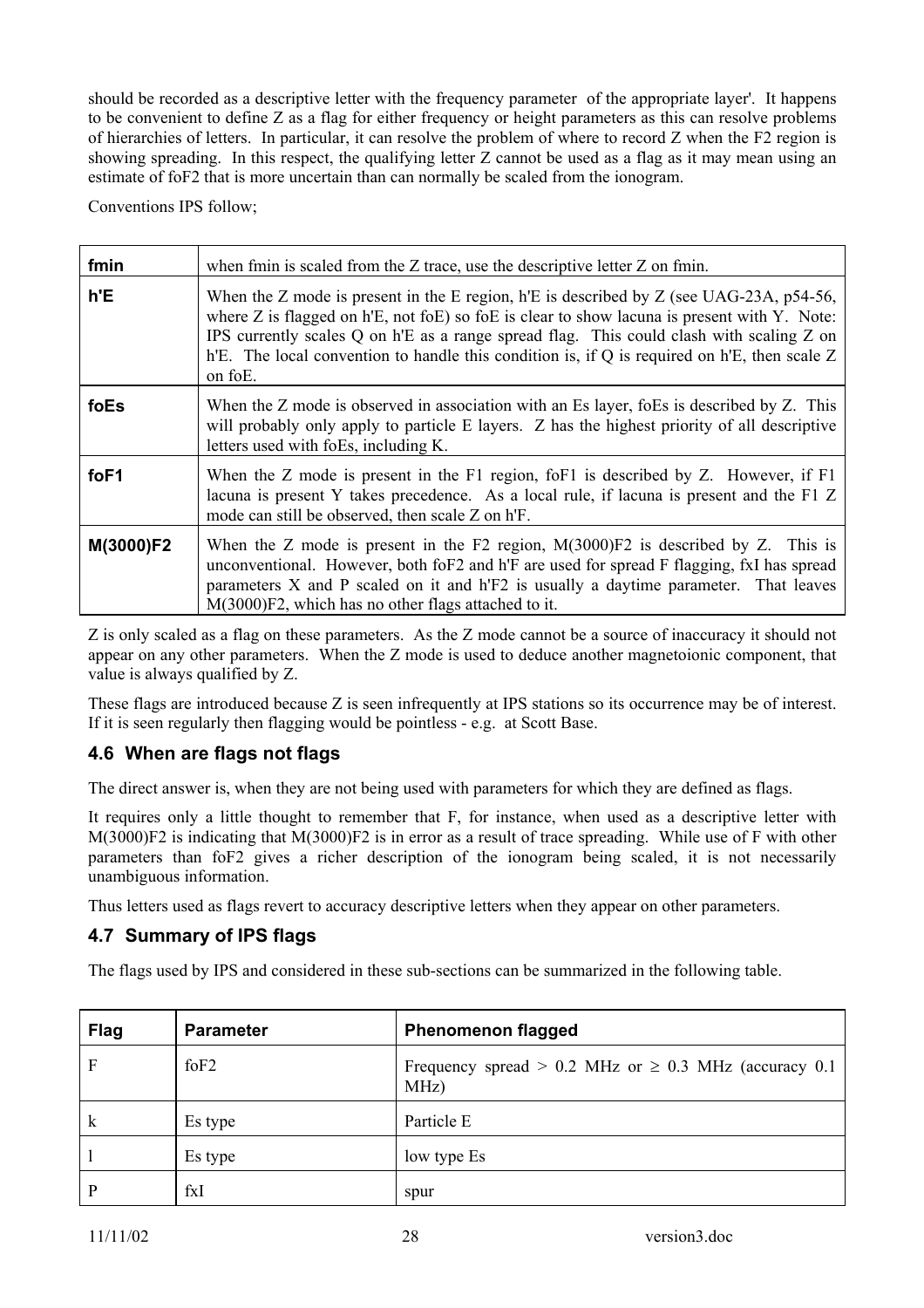should be recorded as a descriptive letter with the frequency parameter of the appropriate layer'. It happens to be convenient to define Z as a flag for either frequency or height parameters as this can resolve problems of hierarchies of letters. In particular, it can resolve the problem of where to record Z when the F2 region is showing spreading. In this respect, the qualifying letter Z cannot be used as a flag as it may mean using an estimate of foF2 that is more uncertain than can normally be scaled from the ionogram.

Conventions IPS follow;

| fmin      | when fmin is scaled from the $Z$ trace, use the descriptive letter $Z$ on fmin.                                                                                                                                                                                                                                                                                                                                |  |
|-----------|----------------------------------------------------------------------------------------------------------------------------------------------------------------------------------------------------------------------------------------------------------------------------------------------------------------------------------------------------------------------------------------------------------------|--|
| h'E       | When the Z mode is present in the E region, h'E is described by Z (see UAG-23A, p54-56,<br>where $Z$ is flagged on $h'E$ , not fo $E$ ) so fo $E$ is clear to show lacuna is present with $Y$ . Note:<br>IPS currently scales Q on h'E as a range spread flag. This could clash with scaling Z on<br>h'E. The local convention to handle this condition is, if Q is required on h'E, then scale $Z$<br>on foE. |  |
| foEs      | When the Z mode is observed in association with an Es layer, foEs is described by Z. This<br>will probably only apply to particle E layers. Z has the highest priority of all descriptive<br>letters used with foEs, including K.                                                                                                                                                                              |  |
| foF1      | When the Z mode is present in the F1 region, foF1 is described by Z. However, if F1<br>lacuna is present Y takes precedence. As a local rule, if lacuna is present and the F1 Z<br>mode can still be observed, then scale Z on h'F.                                                                                                                                                                            |  |
| M(3000)F2 | When the Z mode is present in the F2 region, $M(3000)F2$ is described by Z. This is<br>unconventional. However, both foF2 and h'F are used for spread F flagging, fxI has spread<br>parameters X and P scaled on it and h'F2 is usually a daytime parameter. That leaves<br>M(3000)F2, which has no other flags attached to it.                                                                                |  |

Z is only scaled as a flag on these parameters. As the Z mode cannot be a source of inaccuracy it should not appear on any other parameters. When the Z mode is used to deduce another magnetoionic component, that value is always qualified by Z.

These flags are introduced because Z is seen infrequently at IPS stations so its occurrence may be of interest. If it is seen regularly then flagging would be pointless - e.g. at Scott Base.

# **4.6 When are flags not flags**

The direct answer is, when they are not being used with parameters for which they are defined as flags.

It requires only a little thought to remember that F, for instance, when used as a descriptive letter with M(3000)F2 is indicating that M(3000)F2 is in error as a result of trace spreading. While use of F with other parameters than foF2 gives a richer description of the ionogram being scaled, it is not necessarily unambiguous information.

Thus letters used as flags revert to accuracy descriptive letters when they appear on other parameters.

# **4.7 Summary of IPS flags**

The flags used by IPS and considered in these sub-sections can be summarized in the following table.

| <b>Flag</b>  | <b>Parameter</b> | <b>Phenomenon flagged</b>                                             |
|--------------|------------------|-----------------------------------------------------------------------|
| F            | $f$ oF2          | Frequency spread > 0.2 MHz or $\geq$ 0.3 MHz (accuracy 0.1<br>$MHz$ ) |
| $\mathbf{k}$ | Es type          | Particle E                                                            |
|              | Es type          | low type Es                                                           |
| D            | fxI              | spur                                                                  |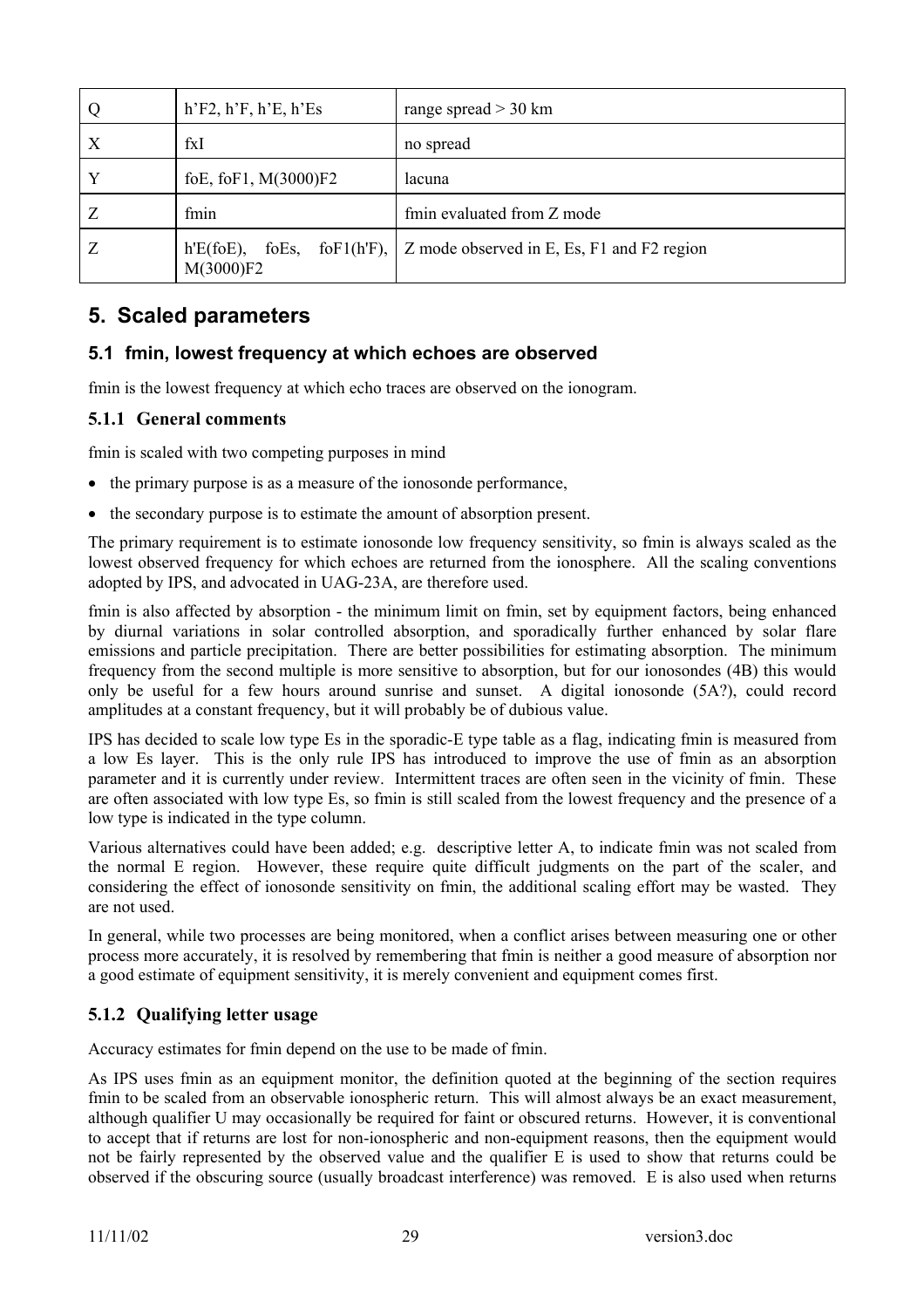| Q                | $h'F2$ , $h'F$ , $h'E$ , $h'E$ | range spread $>$ 30 km                                             |
|------------------|--------------------------------|--------------------------------------------------------------------|
| $\boldsymbol{X}$ | fxI                            | no spread                                                          |
| Y                | foE, foF1, M(3000)F2           | lacuna                                                             |
|                  | fmin                           | fmin evaluated from Z mode                                         |
| Ζ                | $h'E(foE)$ ,<br>M(3000)F2      | foEs, foF1(hF), $\vert$ Z mode observed in E, Es, F1 and F2 region |

# **5. Scaled parameters**

# **5.1 fmin, lowest frequency at which echoes are observed**

fmin is the lowest frequency at which echo traces are observed on the ionogram.

#### **5.1.1 General comments**

fmin is scaled with two competing purposes in mind

- the primary purpose is as a measure of the ionosonde performance,
- the secondary purpose is to estimate the amount of absorption present.

The primary requirement is to estimate ionosonde low frequency sensitivity, so fmin is always scaled as the lowest observed frequency for which echoes are returned from the ionosphere. All the scaling conventions adopted by IPS, and advocated in UAG-23A, are therefore used.

fmin is also affected by absorption - the minimum limit on fmin, set by equipment factors, being enhanced by diurnal variations in solar controlled absorption, and sporadically further enhanced by solar flare emissions and particle precipitation. There are better possibilities for estimating absorption. The minimum frequency from the second multiple is more sensitive to absorption, but for our ionosondes (4B) this would only be useful for a few hours around sunrise and sunset. A digital ionosonde (5A?), could record amplitudes at a constant frequency, but it will probably be of dubious value.

IPS has decided to scale low type Es in the sporadic-E type table as a flag, indicating fmin is measured from a low Es layer. This is the only rule IPS has introduced to improve the use of fmin as an absorption parameter and it is currently under review. Intermittent traces are often seen in the vicinity of fmin. These are often associated with low type Es, so fmin is still scaled from the lowest frequency and the presence of a low type is indicated in the type column.

Various alternatives could have been added; e.g. descriptive letter A, to indicate fmin was not scaled from the normal E region. However, these require quite difficult judgments on the part of the scaler, and considering the effect of ionosonde sensitivity on fmin, the additional scaling effort may be wasted. They are not used.

In general, while two processes are being monitored, when a conflict arises between measuring one or other process more accurately, it is resolved by remembering that fmin is neither a good measure of absorption nor a good estimate of equipment sensitivity, it is merely convenient and equipment comes first.

# **5.1.2 Qualifying letter usage**

Accuracy estimates for fmin depend on the use to be made of fmin.

As IPS uses fmin as an equipment monitor, the definition quoted at the beginning of the section requires fmin to be scaled from an observable ionospheric return. This will almost always be an exact measurement, although qualifier U may occasionally be required for faint or obscured returns. However, it is conventional to accept that if returns are lost for non-ionospheric and non-equipment reasons, then the equipment would not be fairly represented by the observed value and the qualifier E is used to show that returns could be observed if the obscuring source (usually broadcast interference) was removed. E is also used when returns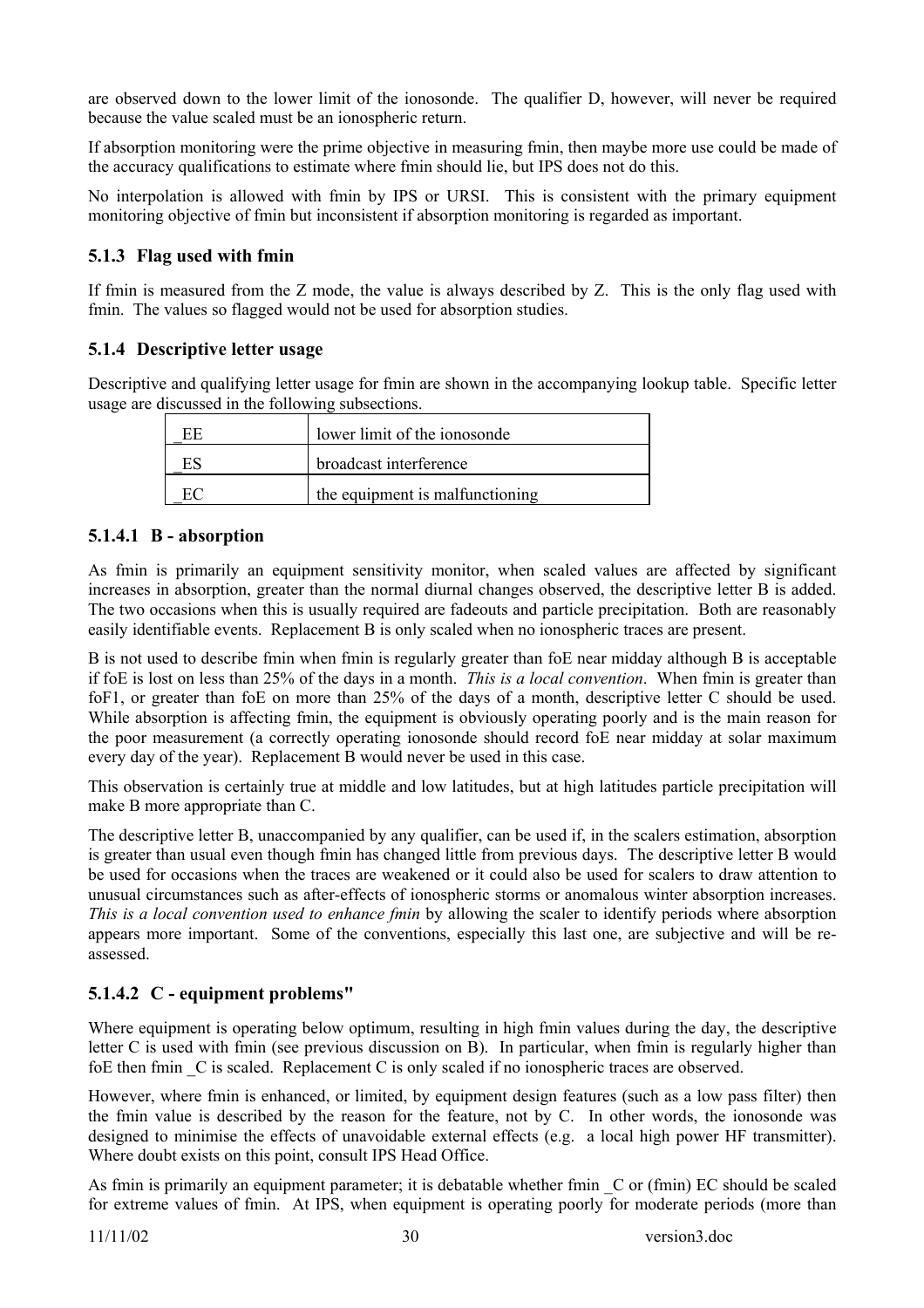are observed down to the lower limit of the ionosonde. The qualifier D, however, will never be required because the value scaled must be an ionospheric return.

If absorption monitoring were the prime objective in measuring fmin, then maybe more use could be made of the accuracy qualifications to estimate where fmin should lie, but IPS does not do this.

No interpolation is allowed with fmin by IPS or URSI. This is consistent with the primary equipment monitoring objective of fmin but inconsistent if absorption monitoring is regarded as important.

# **5.1.3 Flag used with fmin**

If fmin is measured from the Z mode, the value is always described by Z. This is the only flag used with fmin. The values so flagged would not be used for absorption studies.

# **5.1.4 Descriptive letter usage**

Descriptive and qualifying letter usage for fmin are shown in the accompanying lookup table. Specific letter usage are discussed in the following subsections.

| lower limit of the ionosonde    |
|---------------------------------|
| broadcast interference          |
| the equipment is malfunctioning |

#### **5.1.4.1 B - absorption**

As fmin is primarily an equipment sensitivity monitor, when scaled values are affected by significant increases in absorption, greater than the normal diurnal changes observed, the descriptive letter B is added. The two occasions when this is usually required are fadeouts and particle precipitation. Both are reasonably easily identifiable events. Replacement B is only scaled when no ionospheric traces are present.

B is not used to describe fmin when fmin is regularly greater than foE near midday although B is acceptable if foE is lost on less than 25% of the days in a month. *This is a local convention*. When fmin is greater than foF1, or greater than foE on more than 25% of the days of a month, descriptive letter C should be used. While absorption is affecting fmin, the equipment is obviously operating poorly and is the main reason for the poor measurement (a correctly operating ionosonde should record foE near midday at solar maximum every day of the year). Replacement B would never be used in this case.

This observation is certainly true at middle and low latitudes, but at high latitudes particle precipitation will make B more appropriate than C.

The descriptive letter B, unaccompanied by any qualifier, can be used if, in the scalers estimation, absorption is greater than usual even though fmin has changed little from previous days. The descriptive letter B would be used for occasions when the traces are weakened or it could also be used for scalers to draw attention to unusual circumstances such as after-effects of ionospheric storms or anomalous winter absorption increases. *This is a local convention used to enhance fmin* by allowing the scaler to identify periods where absorption appears more important. Some of the conventions, especially this last one, are subjective and will be reassessed.

# **5.1.4.2 C - equipment problems"**

Where equipment is operating below optimum, resulting in high fmin values during the day, the descriptive letter C is used with fmin (see previous discussion on B). In particular, when fmin is regularly higher than foE then fmin C is scaled. Replacement C is only scaled if no ionospheric traces are observed.

However, where fmin is enhanced, or limited, by equipment design features (such as a low pass filter) then the fmin value is described by the reason for the feature, not by C. In other words, the ionosonde was designed to minimise the effects of unavoidable external effects (e.g. a local high power HF transmitter). Where doubt exists on this point, consult IPS Head Office.

As fmin is primarily an equipment parameter; it is debatable whether fmin  $\,C\,$  or (fmin) EC should be scaled for extreme values of fmin. At IPS, when equipment is operating poorly for moderate periods (more than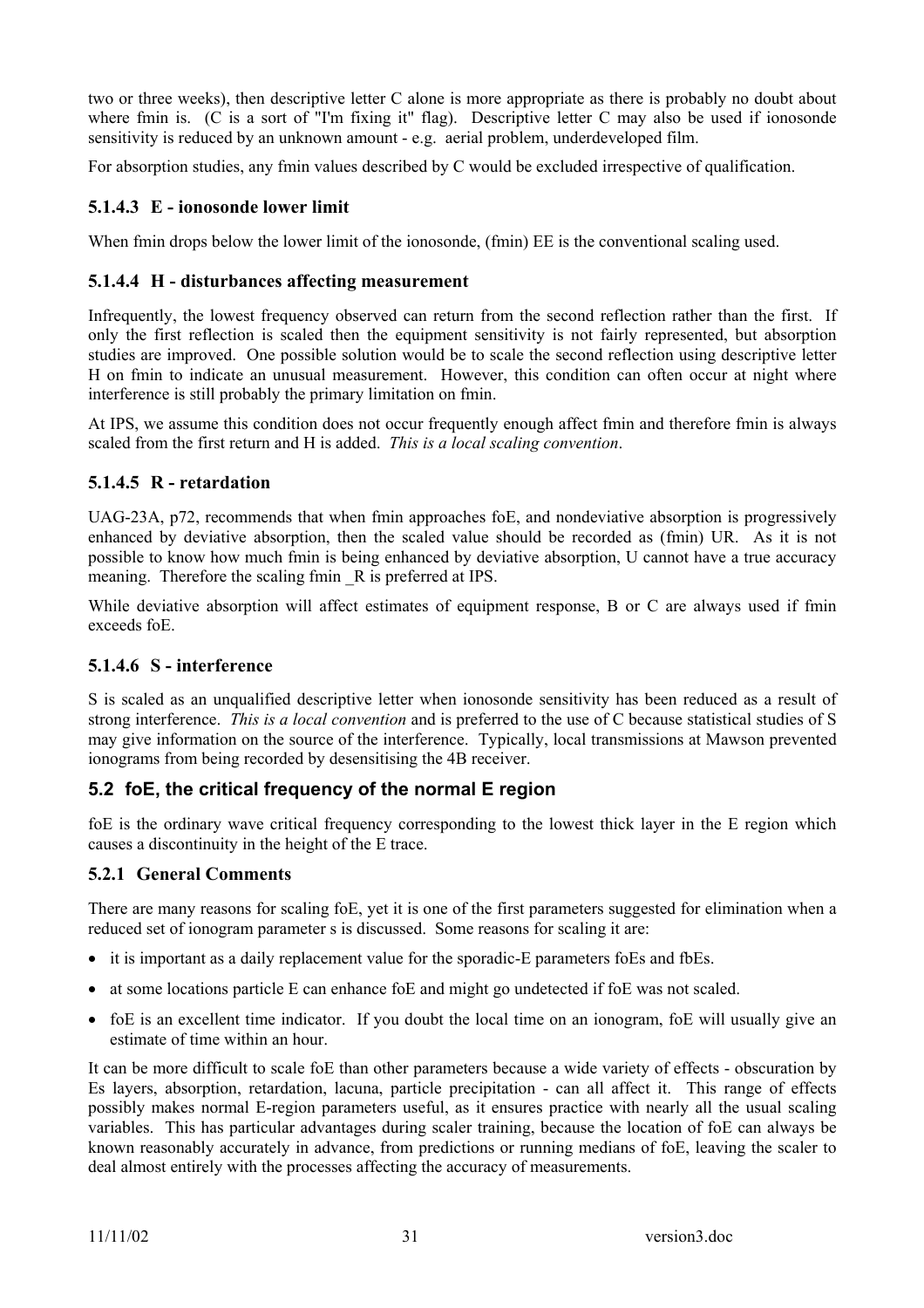two or three weeks), then descriptive letter C alone is more appropriate as there is probably no doubt about where fmin is. (C is a sort of "I'm fixing it" flag). Descriptive letter C may also be used if ionosonde sensitivity is reduced by an unknown amount - e.g. aerial problem, underdeveloped film.

For absorption studies, any fmin values described by C would be excluded irrespective of qualification.

# **5.1.4.3 E - ionosonde lower limit**

When fmin drops below the lower limit of the ionosonde, (fmin) EE is the conventional scaling used.

#### **5.1.4.4 H - disturbances affecting measurement**

Infrequently, the lowest frequency observed can return from the second reflection rather than the first. If only the first reflection is scaled then the equipment sensitivity is not fairly represented, but absorption studies are improved. One possible solution would be to scale the second reflection using descriptive letter H on fmin to indicate an unusual measurement. However, this condition can often occur at night where interference is still probably the primary limitation on fmin.

At IPS, we assume this condition does not occur frequently enough affect fmin and therefore fmin is always scaled from the first return and H is added. *This is a local scaling convention*.

#### **5.1.4.5 R - retardation**

UAG-23A, p72, recommends that when fmin approaches foE, and nondeviative absorption is progressively enhanced by deviative absorption, then the scaled value should be recorded as (fmin) UR. As it is not possible to know how much fmin is being enhanced by deviative absorption, U cannot have a true accuracy meaning. Therefore the scaling fmin R is preferred at IPS.

While deviative absorption will affect estimates of equipment response, B or C are always used if fmin exceeds foE.

# **5.1.4.6 S - interference**

S is scaled as an unqualified descriptive letter when ionosonde sensitivity has been reduced as a result of strong interference. *This is a local convention* and is preferred to the use of C because statistical studies of S may give information on the source of the interference. Typically, local transmissions at Mawson prevented ionograms from being recorded by desensitising the 4B receiver.

# **5.2 foE, the critical frequency of the normal E region**

foE is the ordinary wave critical frequency corresponding to the lowest thick layer in the E region which causes a discontinuity in the height of the E trace.

# **5.2.1 General Comments**

There are many reasons for scaling foE, yet it is one of the first parameters suggested for elimination when a reduced set of ionogram parameter s is discussed. Some reasons for scaling it are:

- it is important as a daily replacement value for the sporadic-E parameters foEs and fbEs.
- at some locations particle E can enhance foE and might go undetected if foE was not scaled.
- foE is an excellent time indicator. If you doubt the local time on an ionogram, foE will usually give an estimate of time within an hour.

It can be more difficult to scale foE than other parameters because a wide variety of effects - obscuration by Es layers, absorption, retardation, lacuna, particle precipitation - can all affect it. This range of effects possibly makes normal E-region parameters useful, as it ensures practice with nearly all the usual scaling variables. This has particular advantages during scaler training, because the location of foE can always be known reasonably accurately in advance, from predictions or running medians of foE, leaving the scaler to deal almost entirely with the processes affecting the accuracy of measurements.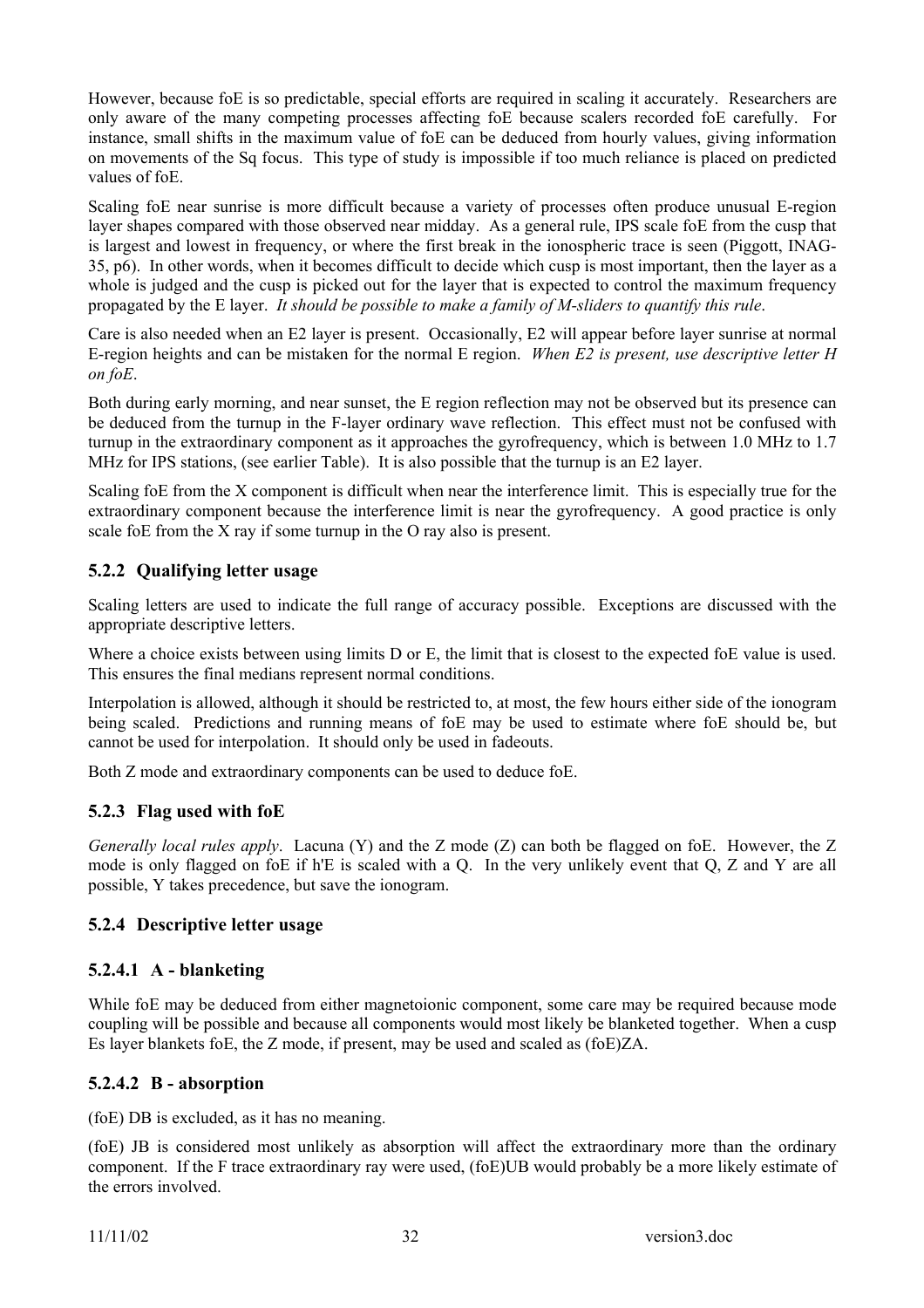However, because foE is so predictable, special efforts are required in scaling it accurately. Researchers are only aware of the many competing processes affecting foE because scalers recorded foE carefully. For instance, small shifts in the maximum value of foE can be deduced from hourly values, giving information on movements of the Sq focus. This type of study is impossible if too much reliance is placed on predicted values of foE.

Scaling foE near sunrise is more difficult because a variety of processes often produce unusual E-region layer shapes compared with those observed near midday. As a general rule, IPS scale foE from the cusp that is largest and lowest in frequency, or where the first break in the ionospheric trace is seen (Piggott, INAG-35, p6). In other words, when it becomes difficult to decide which cusp is most important, then the layer as a whole is judged and the cusp is picked out for the layer that is expected to control the maximum frequency propagated by the E layer. *It should be possible to make a family of M-sliders to quantify this rule*.

Care is also needed when an E2 layer is present. Occasionally, E2 will appear before layer sunrise at normal E-region heights and can be mistaken for the normal E region. *When E2 is present, use descriptive letter H on foE*.

Both during early morning, and near sunset, the E region reflection may not be observed but its presence can be deduced from the turnup in the F-layer ordinary wave reflection. This effect must not be confused with turnup in the extraordinary component as it approaches the gyrofrequency, which is between 1.0 MHz to 1.7 MHz for IPS stations, (see earlier Table). It is also possible that the turnup is an E2 layer.

Scaling foE from the X component is difficult when near the interference limit. This is especially true for the extraordinary component because the interference limit is near the gyrofrequency. A good practice is only scale foE from the X ray if some turnup in the O ray also is present.

# **5.2.2 Qualifying letter usage**

Scaling letters are used to indicate the full range of accuracy possible. Exceptions are discussed with the appropriate descriptive letters.

Where a choice exists between using limits D or E, the limit that is closest to the expected foE value is used. This ensures the final medians represent normal conditions.

Interpolation is allowed, although it should be restricted to, at most, the few hours either side of the ionogram being scaled. Predictions and running means of foE may be used to estimate where foE should be, but cannot be used for interpolation. It should only be used in fadeouts.

Both Z mode and extraordinary components can be used to deduce foE.

# **5.2.3 Flag used with foE**

*Generally local rules apply*. Lacuna (Y) and the Z mode (Z) can both be flagged on foE. However, the Z mode is only flagged on foE if h'E is scaled with a Q. In the very unlikely event that Q, Z and Y are all possible, Y takes precedence, but save the ionogram.

#### **5.2.4 Descriptive letter usage**

# **5.2.4.1 A - blanketing**

While foE may be deduced from either magnetoionic component, some care may be required because mode coupling will be possible and because all components would most likely be blanketed together. When a cusp Es layer blankets foE, the Z mode, if present, may be used and scaled as (foE)ZA.

#### **5.2.4.2 B - absorption**

(foE) DB is excluded, as it has no meaning.

(foE) JB is considered most unlikely as absorption will affect the extraordinary more than the ordinary component. If the F trace extraordinary ray were used, (foE)UB would probably be a more likely estimate of the errors involved.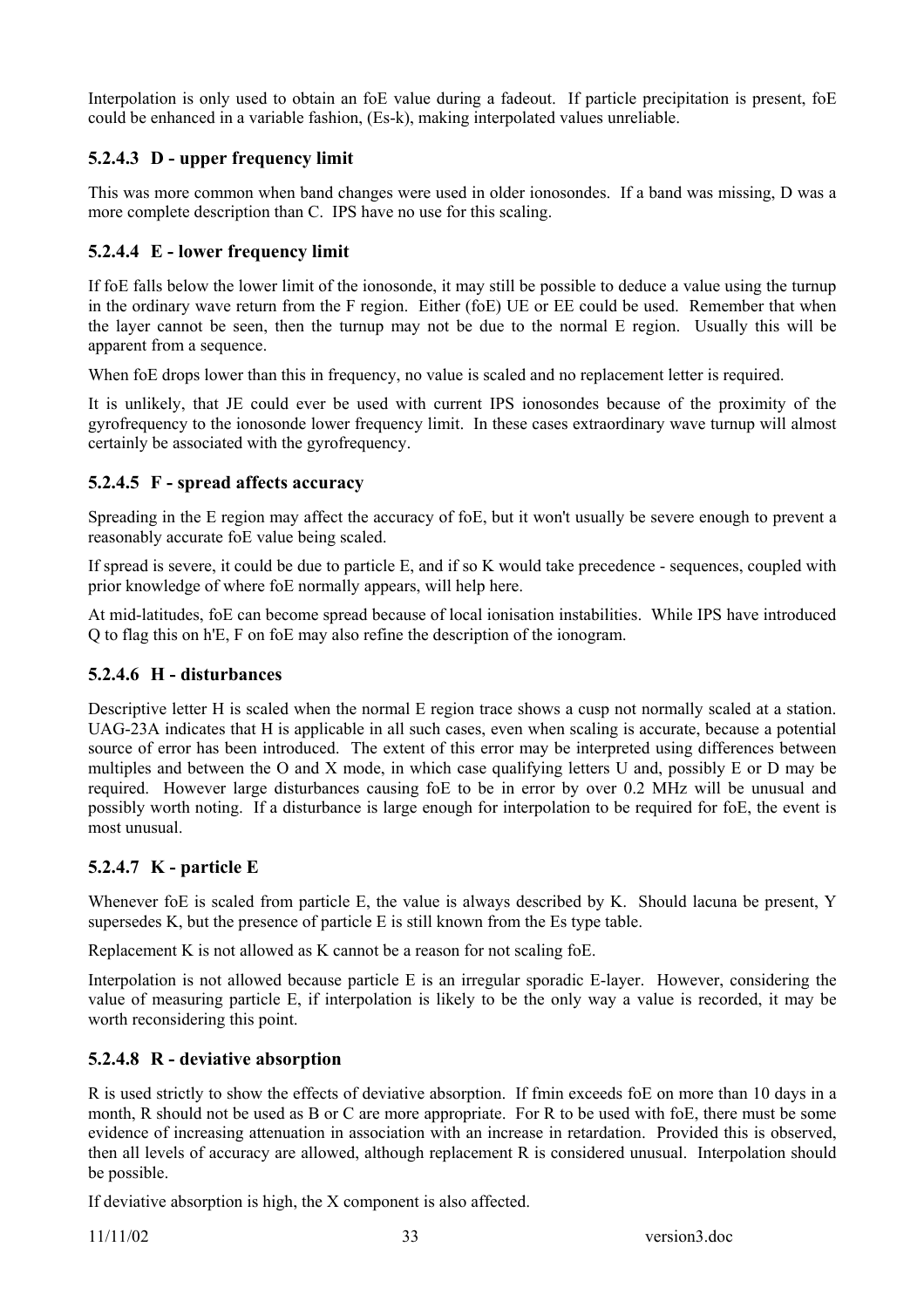Interpolation is only used to obtain an foE value during a fadeout. If particle precipitation is present, foE could be enhanced in a variable fashion, (Es-k), making interpolated values unreliable.

# **5.2.4.3 D - upper frequency limit**

This was more common when band changes were used in older ionosondes. If a band was missing, D was a more complete description than C. IPS have no use for this scaling.

# **5.2.4.4 E - lower frequency limit**

If foE falls below the lower limit of the ionosonde, it may still be possible to deduce a value using the turnup in the ordinary wave return from the F region. Either (foE) UE or EE could be used. Remember that when the layer cannot be seen, then the turnup may not be due to the normal E region. Usually this will be apparent from a sequence.

When foE drops lower than this in frequency, no value is scaled and no replacement letter is required.

It is unlikely, that JE could ever be used with current IPS ionosondes because of the proximity of the gyrofrequency to the ionosonde lower frequency limit. In these cases extraordinary wave turnup will almost certainly be associated with the gyrofrequency.

#### **5.2.4.5 F - spread affects accuracy**

Spreading in the E region may affect the accuracy of foE, but it won't usually be severe enough to prevent a reasonably accurate foE value being scaled.

If spread is severe, it could be due to particle E, and if so K would take precedence - sequences, coupled with prior knowledge of where foE normally appears, will help here.

At mid-latitudes, foE can become spread because of local ionisation instabilities. While IPS have introduced Q to flag this on h'E, F on foE may also refine the description of the ionogram.

#### **5.2.4.6 H - disturbances**

Descriptive letter H is scaled when the normal E region trace shows a cusp not normally scaled at a station. UAG-23A indicates that H is applicable in all such cases, even when scaling is accurate, because a potential source of error has been introduced. The extent of this error may be interpreted using differences between multiples and between the O and X mode, in which case qualifying letters U and, possibly E or D may be required. However large disturbances causing foE to be in error by over 0.2 MHz will be unusual and possibly worth noting. If a disturbance is large enough for interpolation to be required for foE, the event is most unusual.

# **5.2.4.7 K - particle E**

Whenever foE is scaled from particle E, the value is always described by K. Should lacuna be present, Y supersedes K, but the presence of particle E is still known from the Es type table.

Replacement K is not allowed as K cannot be a reason for not scaling foE.

Interpolation is not allowed because particle E is an irregular sporadic E-layer. However, considering the value of measuring particle E, if interpolation is likely to be the only way a value is recorded, it may be worth reconsidering this point.

# **5.2.4.8 R - deviative absorption**

R is used strictly to show the effects of deviative absorption. If fmin exceeds foE on more than 10 days in a month, R should not be used as B or C are more appropriate. For R to be used with foE, there must be some evidence of increasing attenuation in association with an increase in retardation. Provided this is observed, then all levels of accuracy are allowed, although replacement R is considered unusual. Interpolation should be possible.

If deviative absorption is high, the X component is also affected.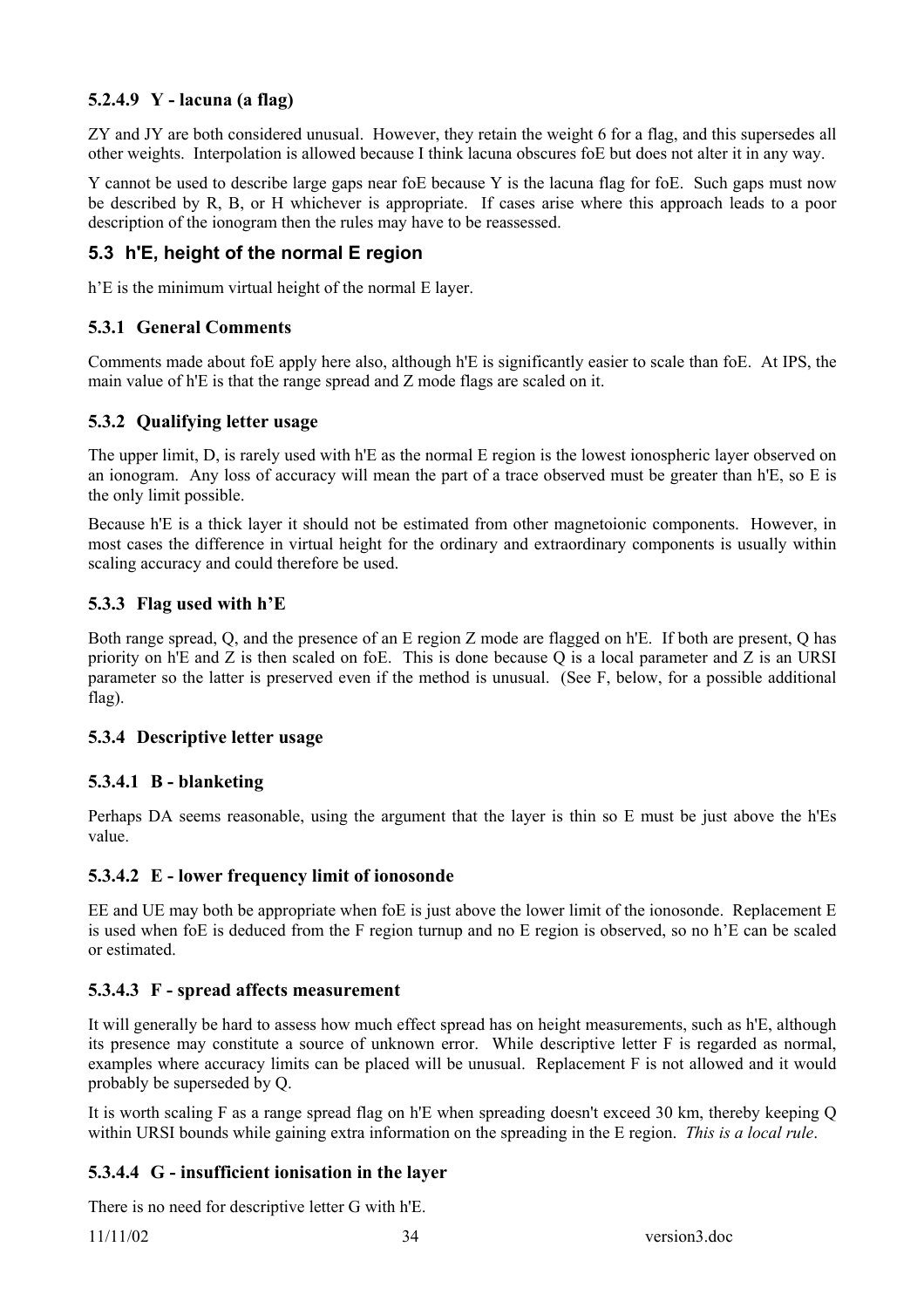# **5.2.4.9 Y - lacuna (a flag)**

ZY and JY are both considered unusual. However, they retain the weight 6 for a flag, and this supersedes all other weights. Interpolation is allowed because I think lacuna obscures foE but does not alter it in any way.

Y cannot be used to describe large gaps near foE because Y is the lacuna flag for foE. Such gaps must now be described by R, B, or H whichever is appropriate. If cases arise where this approach leads to a poor description of the ionogram then the rules may have to be reassessed.

# **5.3 h'E, height of the normal E region**

h'E is the minimum virtual height of the normal E layer.

#### **5.3.1 General Comments**

Comments made about foE apply here also, although h'E is significantly easier to scale than foE. At IPS, the main value of h'E is that the range spread and Z mode flags are scaled on it.

#### **5.3.2 Qualifying letter usage**

The upper limit, D, is rarely used with h'E as the normal E region is the lowest ionospheric layer observed on an ionogram. Any loss of accuracy will mean the part of a trace observed must be greater than h'E, so E is the only limit possible.

Because h'E is a thick layer it should not be estimated from other magnetoionic components. However, in most cases the difference in virtual height for the ordinary and extraordinary components is usually within scaling accuracy and could therefore be used.

#### **5.3.3 Flag used with h'E**

Both range spread, Q, and the presence of an E region Z mode are flagged on h'E. If both are present, Q has priority on h'E and Z is then scaled on foE. This is done because Q is a local parameter and Z is an URSI parameter so the latter is preserved even if the method is unusual. (See F, below, for a possible additional flag).

#### **5.3.4 Descriptive letter usage**

#### **5.3.4.1 B - blanketing**

Perhaps DA seems reasonable, using the argument that the layer is thin so E must be just above the h'Es value.

#### **5.3.4.2 E - lower frequency limit of ionosonde**

EE and UE may both be appropriate when foE is just above the lower limit of the ionosonde. Replacement E is used when foE is deduced from the F region turnup and no E region is observed, so no h'E can be scaled or estimated.

#### **5.3.4.3 F - spread affects measurement**

It will generally be hard to assess how much effect spread has on height measurements, such as h'E, although its presence may constitute a source of unknown error. While descriptive letter F is regarded as normal, examples where accuracy limits can be placed will be unusual. Replacement F is not allowed and it would probably be superseded by Q.

It is worth scaling F as a range spread flag on h'E when spreading doesn't exceed 30 km, thereby keeping Q within URSI bounds while gaining extra information on the spreading in the E region. *This is a local rule*.

# **5.3.4.4 G - insufficient ionisation in the layer**

There is no need for descriptive letter G with h'E.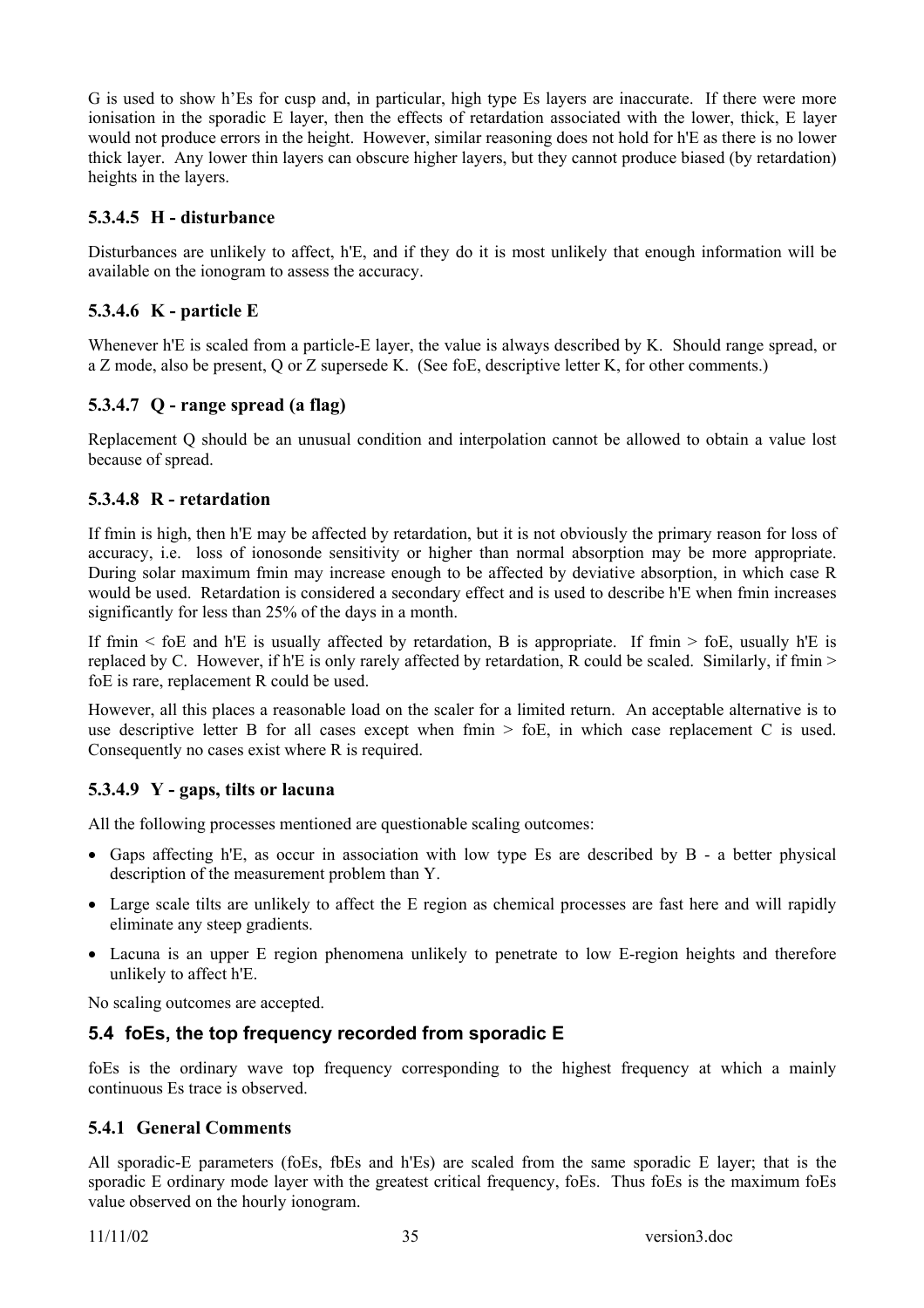G is used to show h'Es for cusp and, in particular, high type Es layers are inaccurate. If there were more ionisation in the sporadic E layer, then the effects of retardation associated with the lower, thick, E layer would not produce errors in the height. However, similar reasoning does not hold for h'E as there is no lower thick layer. Any lower thin layers can obscure higher layers, but they cannot produce biased (by retardation) heights in the layers.

# **5.3.4.5 H - disturbance**

Disturbances are unlikely to affect, h'E, and if they do it is most unlikely that enough information will be available on the ionogram to assess the accuracy.

# **5.3.4.6 K - particle E**

Whenever h'E is scaled from a particle-E layer, the value is always described by K. Should range spread, or a Z mode, also be present, Q or Z supersede K. (See foE, descriptive letter K, for other comments.)

# **5.3.4.7 Q - range spread (a flag)**

Replacement Q should be an unusual condition and interpolation cannot be allowed to obtain a value lost because of spread.

#### **5.3.4.8 R - retardation**

If fmin is high, then h'E may be affected by retardation, but it is not obviously the primary reason for loss of accuracy, i.e. loss of ionosonde sensitivity or higher than normal absorption may be more appropriate. During solar maximum fmin may increase enough to be affected by deviative absorption, in which case R would be used. Retardation is considered a secondary effect and is used to describe h'E when fmin increases significantly for less than 25% of the days in a month.

If fmin  $\le$  foE and h'E is usually affected by retardation, B is appropriate. If fmin  $\ge$  foE, usually h'E is replaced by C. However, if h'E is only rarely affected by retardation, R could be scaled. Similarly, if fmin > foE is rare, replacement R could be used.

However, all this places a reasonable load on the scaler for a limited return. An acceptable alternative is to use descriptive letter B for all cases except when  $f_{\text{min}} > f_{\text{0}}E$ , in which case replacement C is used. Consequently no cases exist where R is required.

#### **5.3.4.9 Y - gaps, tilts or lacuna**

All the following processes mentioned are questionable scaling outcomes:

- Gaps affecting h'E, as occur in association with low type Es are described by B a better physical description of the measurement problem than Y.
- Large scale tilts are unlikely to affect the E region as chemical processes are fast here and will rapidly eliminate any steep gradients.
- Lacuna is an upper E region phenomena unlikely to penetrate to low E-region heights and therefore unlikely to affect h'E.

No scaling outcomes are accepted.

# **5.4 foEs, the top frequency recorded from sporadic E**

foEs is the ordinary wave top frequency corresponding to the highest frequency at which a mainly continuous Es trace is observed.

#### **5.4.1 General Comments**

All sporadic-E parameters (foEs, fbEs and h'Es) are scaled from the same sporadic E layer; that is the sporadic E ordinary mode layer with the greatest critical frequency, foes. Thus foes is the maximum foes value observed on the hourly ionogram.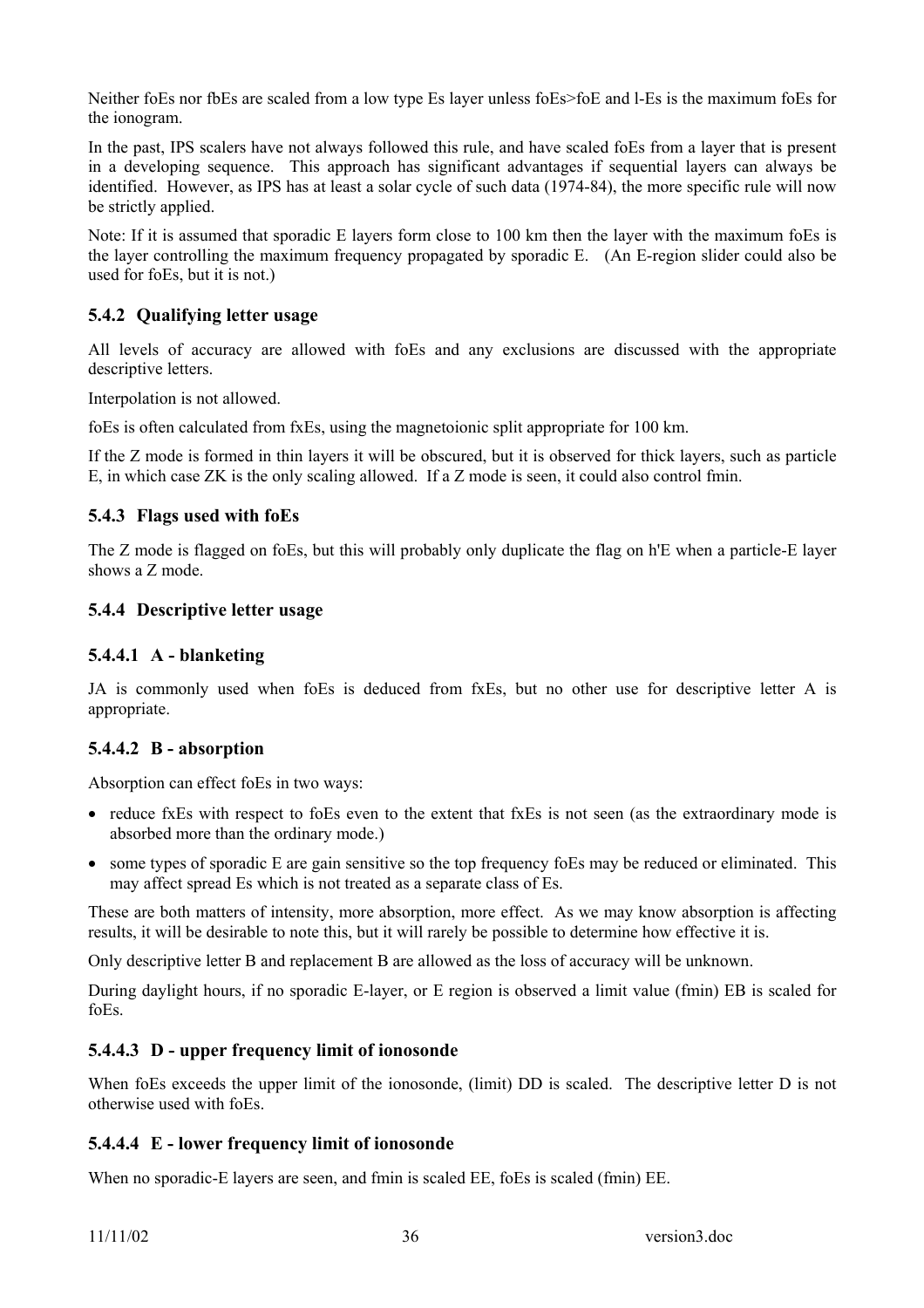Neither foEs nor fbEs are scaled from a low type Es layer unless foEs>foE and l-Es is the maximum foEs for the ionogram.

In the past, IPS scalers have not always followed this rule, and have scaled foEs from a layer that is present in a developing sequence. This approach has significant advantages if sequential layers can always be identified. However, as IPS has at least a solar cycle of such data (1974-84), the more specific rule will now be strictly applied.

Note: If it is assumed that sporadic E layers form close to 100 km then the layer with the maximum foEs is the layer controlling the maximum frequency propagated by sporadic E. (An E-region slider could also be used for foEs, but it is not.)

# **5.4.2 Qualifying letter usage**

All levels of accuracy are allowed with foEs and any exclusions are discussed with the appropriate descriptive letters.

Interpolation is not allowed.

foEs is often calculated from fxEs, using the magnetoionic split appropriate for 100 km.

If the Z mode is formed in thin layers it will be obscured, but it is observed for thick layers, such as particle E, in which case ZK is the only scaling allowed. If a Z mode is seen, it could also control fmin.

#### **5.4.3 Flags used with foEs**

The Z mode is flagged on foEs, but this will probably only duplicate the flag on h'E when a particle-E layer shows a Z mode.

#### **5.4.4 Descriptive letter usage**

### **5.4.4.1 A - blanketing**

JA is commonly used when foEs is deduced from fxEs, but no other use for descriptive letter A is appropriate.

# **5.4.4.2 B - absorption**

Absorption can effect foEs in two ways:

- reduce fxEs with respect to foEs even to the extent that fxEs is not seen (as the extraordinary mode is absorbed more than the ordinary mode.)
- some types of sporadic E are gain sensitive so the top frequency foEs may be reduced or eliminated. This may affect spread Es which is not treated as a separate class of Es.

These are both matters of intensity, more absorption, more effect. As we may know absorption is affecting results, it will be desirable to note this, but it will rarely be possible to determine how effective it is.

Only descriptive letter B and replacement B are allowed as the loss of accuracy will be unknown.

During daylight hours, if no sporadic E-layer, or E region is observed a limit value (fmin) EB is scaled for foEs.

#### **5.4.4.3 D - upper frequency limit of ionosonde**

When foEs exceeds the upper limit of the ionosonde, (limit) DD is scaled. The descriptive letter D is not otherwise used with foEs.

#### **5.4.4.4 E - lower frequency limit of ionosonde**

When no sporadic-E layers are seen, and fmin is scaled EE, foEs is scaled (fmin) EE.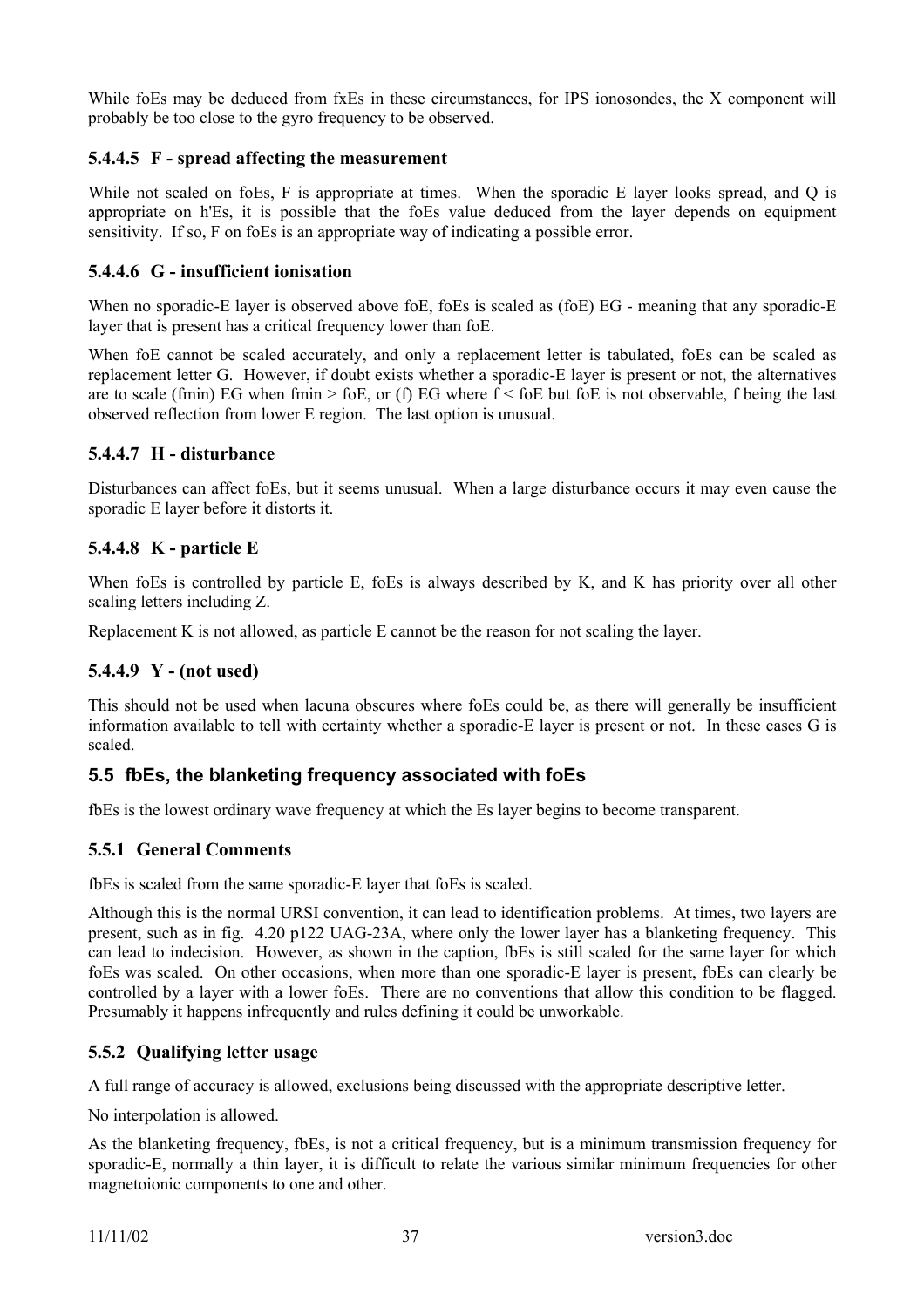While foEs may be deduced from fxEs in these circumstances, for IPS ionosondes, the X component will probably be too close to the gyro frequency to be observed.

### **5.4.4.5 F - spread affecting the measurement**

While not scaled on foEs, F is appropriate at times. When the sporadic E layer looks spread, and Q is appropriate on h'Es, it is possible that the foEs value deduced from the layer depends on equipment sensitivity. If so, F on foEs is an appropriate way of indicating a possible error.

### **5.4.4.6 G - insufficient ionisation**

When no sporadic-E layer is observed above foe, foes is scaled as (foe) EG - meaning that any sporadic-E layer that is present has a critical frequency lower than foE.

When foE cannot be scaled accurately, and only a replacement letter is tabulated, foEs can be scaled as replacement letter G. However, if doubt exists whether a sporadic-E layer is present or not, the alternatives are to scale (fmin) EG when fmin > foE, or (f) EG where  $f <$  foE but foE is not observable, f being the last observed reflection from lower E region. The last option is unusual.

### **5.4.4.7 H - disturbance**

Disturbances can affect foEs, but it seems unusual. When a large disturbance occurs it may even cause the sporadic E layer before it distorts it.

### **5.4.4.8 K - particle E**

When foEs is controlled by particle E, foEs is always described by K, and K has priority over all other scaling letters including Z.

Replacement K is not allowed, as particle E cannot be the reason for not scaling the layer.

#### **5.4.4.9 Y - (not used)**

This should not be used when lacuna obscures where foEs could be, as there will generally be insufficient information available to tell with certainty whether a sporadic-E layer is present or not. In these cases G is scaled.

### **5.5 fbEs, the blanketing frequency associated with foEs**

fbEs is the lowest ordinary wave frequency at which the Es layer begins to become transparent.

### **5.5.1 General Comments**

fbEs is scaled from the same sporadic-E layer that foEs is scaled.

Although this is the normal URSI convention, it can lead to identification problems. At times, two layers are present, such as in fig. 4.20 p122 UAG-23A, where only the lower layer has a blanketing frequency. This can lead to indecision. However, as shown in the caption, fbEs is still scaled for the same layer for which foEs was scaled. On other occasions, when more than one sporadic-E layer is present, fbEs can clearly be controlled by a layer with a lower foEs. There are no conventions that allow this condition to be flagged. Presumably it happens infrequently and rules defining it could be unworkable.

### **5.5.2 Qualifying letter usage**

A full range of accuracy is allowed, exclusions being discussed with the appropriate descriptive letter.

No interpolation is allowed.

As the blanketing frequency, fbEs, is not a critical frequency, but is a minimum transmission frequency for sporadic-E, normally a thin layer, it is difficult to relate the various similar minimum frequencies for other magnetoionic components to one and other.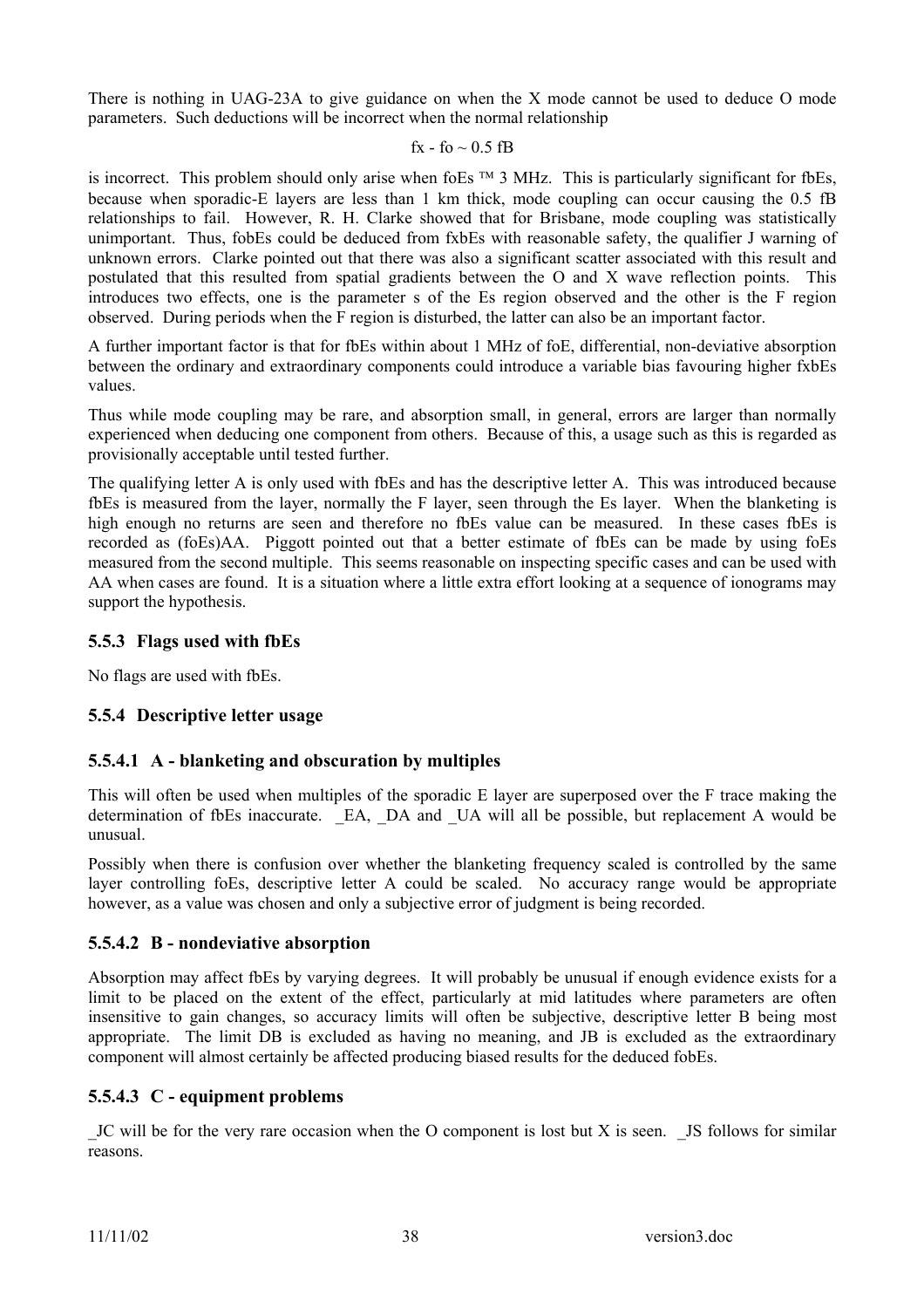There is nothing in UAG-23A to give guidance on when the X mode cannot be used to deduce O mode parameters. Such deductions will be incorrect when the normal relationship

#### fx - fo  $\sim$  0.5 fB

is incorrect. This problem should only arise when foEs  $TM$  3 MHz. This is particularly significant for fbEs, because when sporadic-E layers are less than 1 km thick, mode coupling can occur causing the 0.5 fB relationships to fail. However, R. H. Clarke showed that for Brisbane, mode coupling was statistically unimportant. Thus, fobEs could be deduced from fxbEs with reasonable safety, the qualifier J warning of unknown errors. Clarke pointed out that there was also a significant scatter associated with this result and postulated that this resulted from spatial gradients between the O and X wave reflection points. This introduces two effects, one is the parameter s of the Es region observed and the other is the F region observed. During periods when the F region is disturbed, the latter can also be an important factor.

A further important factor is that for fbEs within about 1 MHz of foE, differential, non-deviative absorption between the ordinary and extraordinary components could introduce a variable bias favouring higher fxbEs values.

Thus while mode coupling may be rare, and absorption small, in general, errors are larger than normally experienced when deducing one component from others. Because of this, a usage such as this is regarded as provisionally acceptable until tested further.

The qualifying letter A is only used with fbEs and has the descriptive letter A. This was introduced because fbEs is measured from the layer, normally the F layer, seen through the Es layer. When the blanketing is high enough no returns are seen and therefore no fbEs value can be measured. In these cases fbEs is recorded as (foEs)AA. Piggott pointed out that a better estimate of fbEs can be made by using foEs measured from the second multiple. This seems reasonable on inspecting specific cases and can be used with AA when cases are found. It is a situation where a little extra effort looking at a sequence of ionograms may support the hypothesis.

### **5.5.3 Flags used with fbEs**

No flags are used with fbEs.

### **5.5.4 Descriptive letter usage**

#### **5.5.4.1 A - blanketing and obscuration by multiples**

This will often be used when multiples of the sporadic E layer are superposed over the F trace making the determination of fbEs inaccurate. EA, DA and UA will all be possible, but replacement A would be unusual.

Possibly when there is confusion over whether the blanketing frequency scaled is controlled by the same layer controlling foEs, descriptive letter A could be scaled. No accuracy range would be appropriate however, as a value was chosen and only a subjective error of judgment is being recorded.

#### **5.5.4.2 B - nondeviative absorption**

Absorption may affect fbEs by varying degrees. It will probably be unusual if enough evidence exists for a limit to be placed on the extent of the effect, particularly at mid latitudes where parameters are often insensitive to gain changes, so accuracy limits will often be subjective, descriptive letter B being most appropriate. The limit DB is excluded as having no meaning, and JB is excluded as the extraordinary component will almost certainly be affected producing biased results for the deduced fobEs.

#### **5.5.4.3 C - equipment problems**

\_JC will be for the very rare occasion when the O component is lost but X is seen. \_JS follows for similar reasons.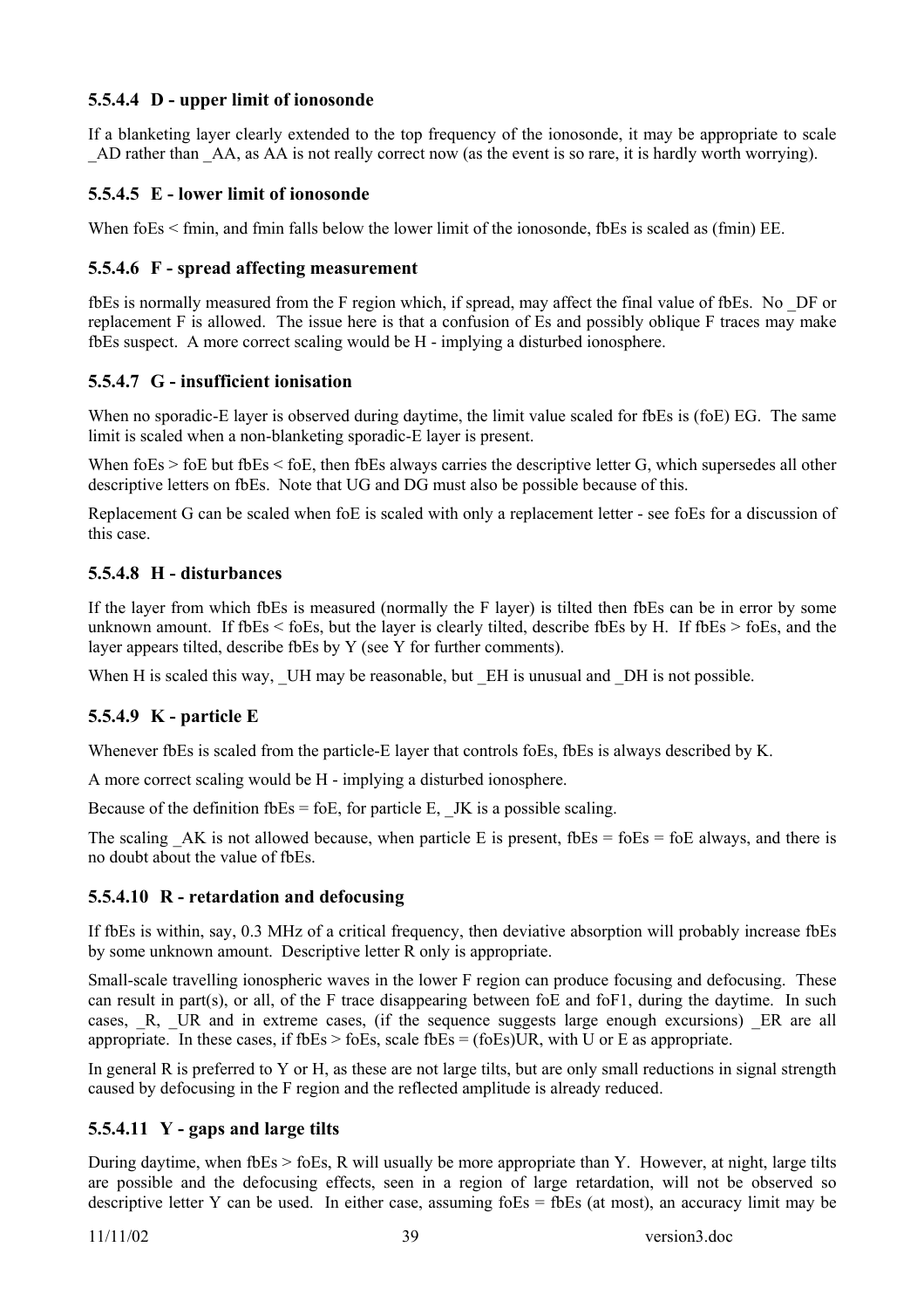### **5.5.4.4 D - upper limit of ionosonde**

If a blanketing layer clearly extended to the top frequency of the ionosonde, it may be appropriate to scale AD rather than AA, as AA is not really correct now (as the event is so rare, it is hardly worth worrying).

### **5.5.4.5 E - lower limit of ionosonde**

When foEs < fmin, and fmin falls below the lower limit of the ionosonde, fbEs is scaled as (fmin) EE.

#### **5.5.4.6 F - spread affecting measurement**

fbEs is normally measured from the F region which, if spread, may affect the final value of fbEs. No \_DF or replacement F is allowed. The issue here is that a confusion of Es and possibly oblique F traces may make fbEs suspect. A more correct scaling would be H - implying a disturbed ionosphere.

#### **5.5.4.7 G - insufficient ionisation**

When no sporadic-E layer is observed during daytime, the limit value scaled for fbEs is (foE) EG. The same limit is scaled when a non-blanketing sporadic-E layer is present.

When foEs > foE but fbEs < foE, then fbEs always carries the descriptive letter G, which supersedes all other descriptive letters on fbEs. Note that UG and DG must also be possible because of this.

Replacement G can be scaled when foE is scaled with only a replacement letter - see foEs for a discussion of this case.

### **5.5.4.8 H - disturbances**

If the layer from which fbEs is measured (normally the F layer) is tilted then fbEs can be in error by some unknown amount. If fbEs < foEs, but the layer is clearly tilted, describe fbEs by H. If fbEs > foEs, and the layer appears tilted, describe fbEs by Y (see Y for further comments).

When H is scaled this way. UH may be reasonable, but  $EH$  is unusual and DH is not possible.

### **5.5.4.9 K - particle E**

Whenever fbEs is scaled from the particle-E layer that controls foEs, fbEs is always described by K.

A more correct scaling would be H - implying a disturbed ionosphere.

Because of the definition fbEs = foE, for particle E. JK is a possible scaling.

The scaling  $AK$  is not allowed because, when particle E is present, fbEs = foEs = foE always, and there is no doubt about the value of fbEs.

#### **5.5.4.10 R - retardation and defocusing**

If fbEs is within, say, 0.3 MHz of a critical frequency, then deviative absorption will probably increase fbEs by some unknown amount. Descriptive letter R only is appropriate.

Small-scale travelling ionospheric waves in the lower F region can produce focusing and defocusing. These can result in part(s), or all, of the F trace disappearing between foE and foF1, during the daytime. In such cases, R, UR and in extreme cases, (if the sequence suggests large enough excursions) ER are all appropriate. In these cases, if  $f$ bEs  $>$  foEs, scale fbEs = (foEs)UR, with U or E as appropriate.

In general R is preferred to Y or H, as these are not large tilts, but are only small reductions in signal strength caused by defocusing in the F region and the reflected amplitude is already reduced.

#### **5.5.4.11 Y - gaps and large tilts**

During daytime, when fbEs > foEs, R will usually be more appropriate than Y. However, at night, large tilts are possible and the defocusing effects, seen in a region of large retardation, will not be observed so descriptive letter Y can be used. In either case, assuming  $f$  to Es =  $f$  b Es (at most), an accuracy limit may be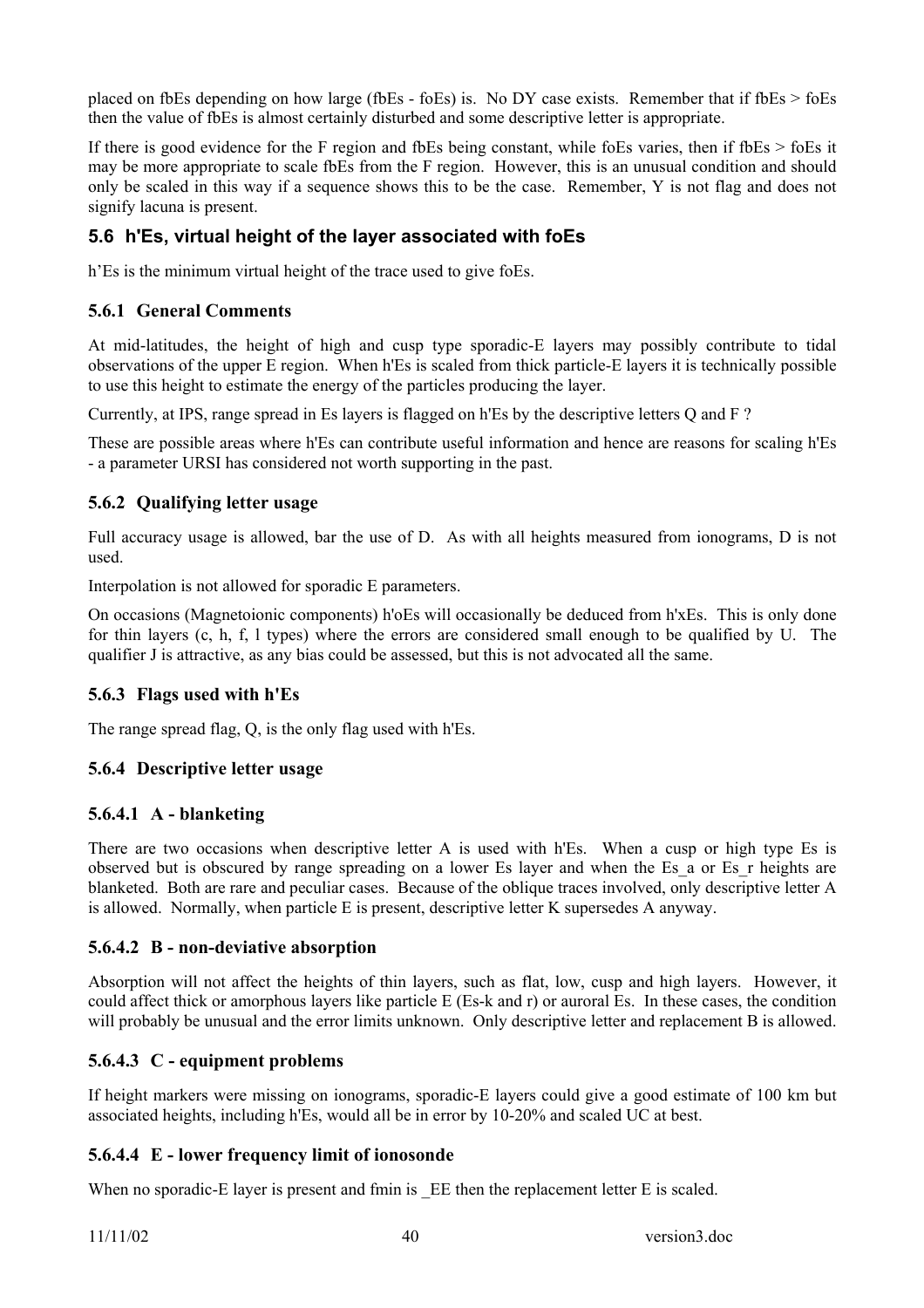placed on fbEs depending on how large (fbEs - foEs) is. No DY case exists. Remember that if fbEs  $>$  foEs then the value of fbEs is almost certainly disturbed and some descriptive letter is appropriate.

If there is good evidence for the F region and fbEs being constant, while foEs varies, then if fbEs > foEs it may be more appropriate to scale fbEs from the F region. However, this is an unusual condition and should only be scaled in this way if a sequence shows this to be the case. Remember, Y is not flag and does not signify lacuna is present.

## **5.6 h'Es, virtual height of the layer associated with foEs**

h'Es is the minimum virtual height of the trace used to give foEs.

## **5.6.1 General Comments**

At mid-latitudes, the height of high and cusp type sporadic-E layers may possibly contribute to tidal observations of the upper E region. When h'Es is scaled from thick particle-E layers it is technically possible to use this height to estimate the energy of the particles producing the layer.

Currently, at IPS, range spread in Es layers is flagged on h'Es by the descriptive letters Q and F ?

These are possible areas where h'Es can contribute useful information and hence are reasons for scaling h'Es - a parameter URSI has considered not worth supporting in the past.

### **5.6.2 Qualifying letter usage**

Full accuracy usage is allowed, bar the use of D. As with all heights measured from ionograms, D is not used.

Interpolation is not allowed for sporadic E parameters.

On occasions (Magnetoionic components) h'oEs will occasionally be deduced from h'xEs. This is only done for thin layers (c, h, f, l types) where the errors are considered small enough to be qualified by U. The qualifier J is attractive, as any bias could be assessed, but this is not advocated all the same.

## **5.6.3 Flags used with h'Es**

The range spread flag, Q, is the only flag used with h'Es.

### **5.6.4 Descriptive letter usage**

### **5.6.4.1 A - blanketing**

There are two occasions when descriptive letter A is used with h'Es. When a cusp or high type Es is observed but is obscured by range spreading on a lower Es layer and when the Es\_a or Es\_r heights are blanketed. Both are rare and peculiar cases. Because of the oblique traces involved, only descriptive letter A is allowed. Normally, when particle E is present, descriptive letter K supersedes A anyway.

### **5.6.4.2 B - non-deviative absorption**

Absorption will not affect the heights of thin layers, such as flat, low, cusp and high layers. However, it could affect thick or amorphous layers like particle E (Es-k and r) or auroral Es. In these cases, the condition will probably be unusual and the error limits unknown. Only descriptive letter and replacement B is allowed.

### **5.6.4.3 C - equipment problems**

If height markers were missing on ionograms, sporadic-E layers could give a good estimate of 100 km but associated heights, including h'Es, would all be in error by 10-20% and scaled UC at best.

### **5.6.4.4 E - lower frequency limit of ionosonde**

When no sporadic-E layer is present and fmin is EE then the replacement letter E is scaled.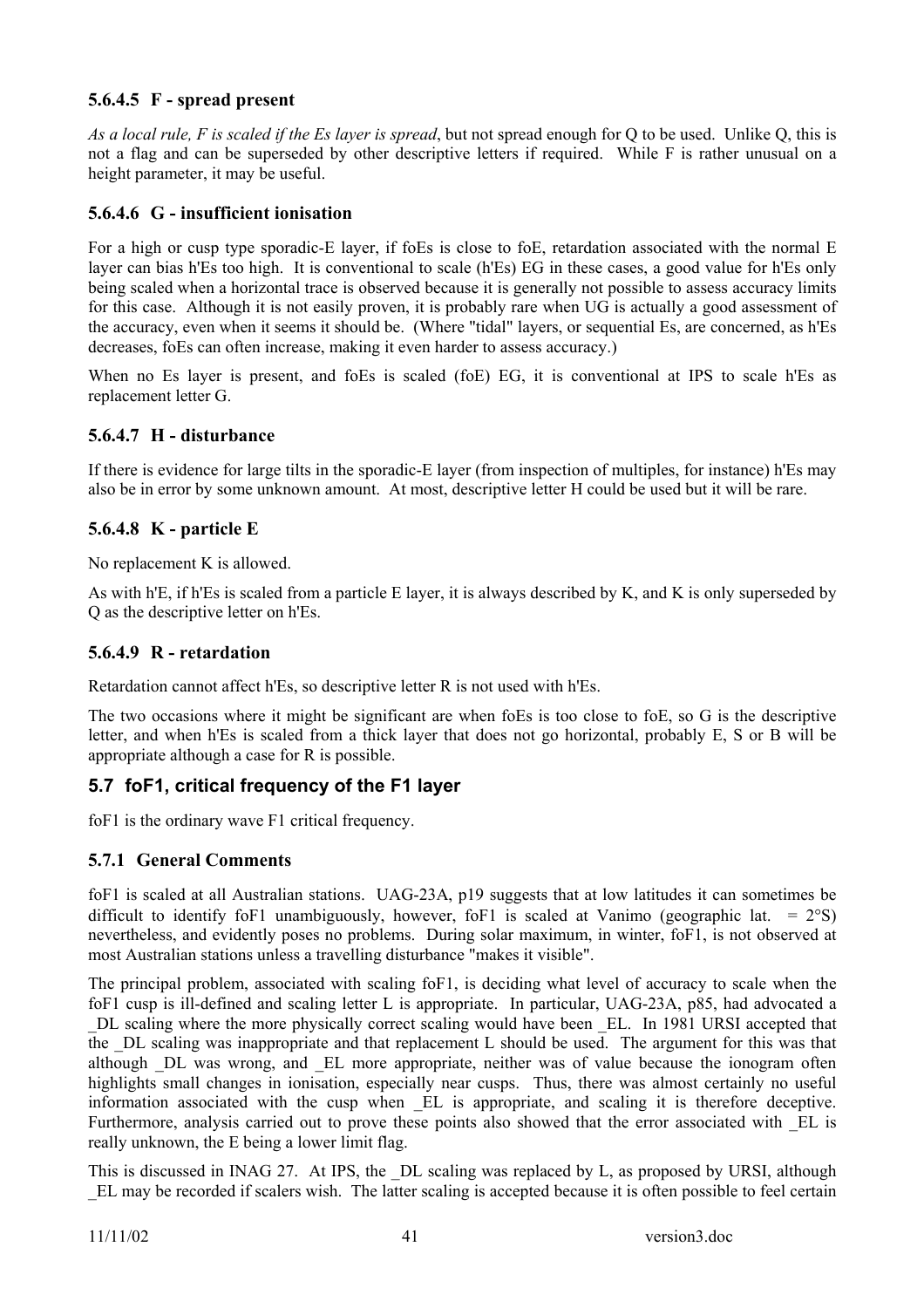### **5.6.4.5 F - spread present**

*As a local rule, F is scaled if the Es layer is spread*, but not spread enough for Q to be used. Unlike Q, this is not a flag and can be superseded by other descriptive letters if required. While F is rather unusual on a height parameter, it may be useful.

#### **5.6.4.6 G - insufficient ionisation**

For a high or cusp type sporadic-E layer, if foEs is close to foE, retardation associated with the normal E layer can bias h'Es too high. It is conventional to scale (h'Es) EG in these cases, a good value for h'Es only being scaled when a horizontal trace is observed because it is generally not possible to assess accuracy limits for this case. Although it is not easily proven, it is probably rare when UG is actually a good assessment of the accuracy, even when it seems it should be. (Where "tidal" layers, or sequential Es, are concerned, as h'Es decreases, foEs can often increase, making it even harder to assess accuracy.)

When no Es layer is present, and foEs is scaled (foE) EG, it is conventional at IPS to scale h'Es as replacement letter G.

#### **5.6.4.7 H - disturbance**

If there is evidence for large tilts in the sporadic-E layer (from inspection of multiples, for instance) h'Es may also be in error by some unknown amount. At most, descriptive letter H could be used but it will be rare.

### **5.6.4.8 K - particle E**

No replacement K is allowed.

As with h'E, if h'Es is scaled from a particle E layer, it is always described by K, and K is only superseded by Q as the descriptive letter on h'Es.

#### **5.6.4.9 R - retardation**

Retardation cannot affect h'Es, so descriptive letter R is not used with h'Es.

The two occasions where it might be significant are when foEs is too close to foE, so G is the descriptive letter, and when h'Es is scaled from a thick layer that does not go horizontal, probably E, S or B will be appropriate although a case for R is possible.

### **5.7 foF1, critical frequency of the F1 layer**

foF1 is the ordinary wave F1 critical frequency.

### **5.7.1 General Comments**

foF1 is scaled at all Australian stations. UAG-23A, p19 suggests that at low latitudes it can sometimes be difficult to identify foF1 unambiguously, however, foF1 is scaled at Vanimo (geographic lat. =  $2°S$ ) nevertheless, and evidently poses no problems. During solar maximum, in winter, foF1, is not observed at most Australian stations unless a travelling disturbance "makes it visible".

The principal problem, associated with scaling foF1, is deciding what level of accuracy to scale when the foF1 cusp is ill-defined and scaling letter L is appropriate. In particular, UAG-23A, p85, had advocated a \_DL scaling where the more physically correct scaling would have been \_EL. In 1981 URSI accepted that the DL scaling was inappropriate and that replacement L should be used. The argument for this was that although DL was wrong, and EL more appropriate, neither was of value because the ionogram often highlights small changes in ionisation, especially near cusps. Thus, there was almost certainly no useful information associated with the cusp when \_EL is appropriate, and scaling it is therefore deceptive. Furthermore, analysis carried out to prove these points also showed that the error associated with EL is really unknown, the E being a lower limit flag.

This is discussed in INAG 27. At IPS, the DL scaling was replaced by L, as proposed by URSI, although EL may be recorded if scalers wish. The latter scaling is accepted because it is often possible to feel certain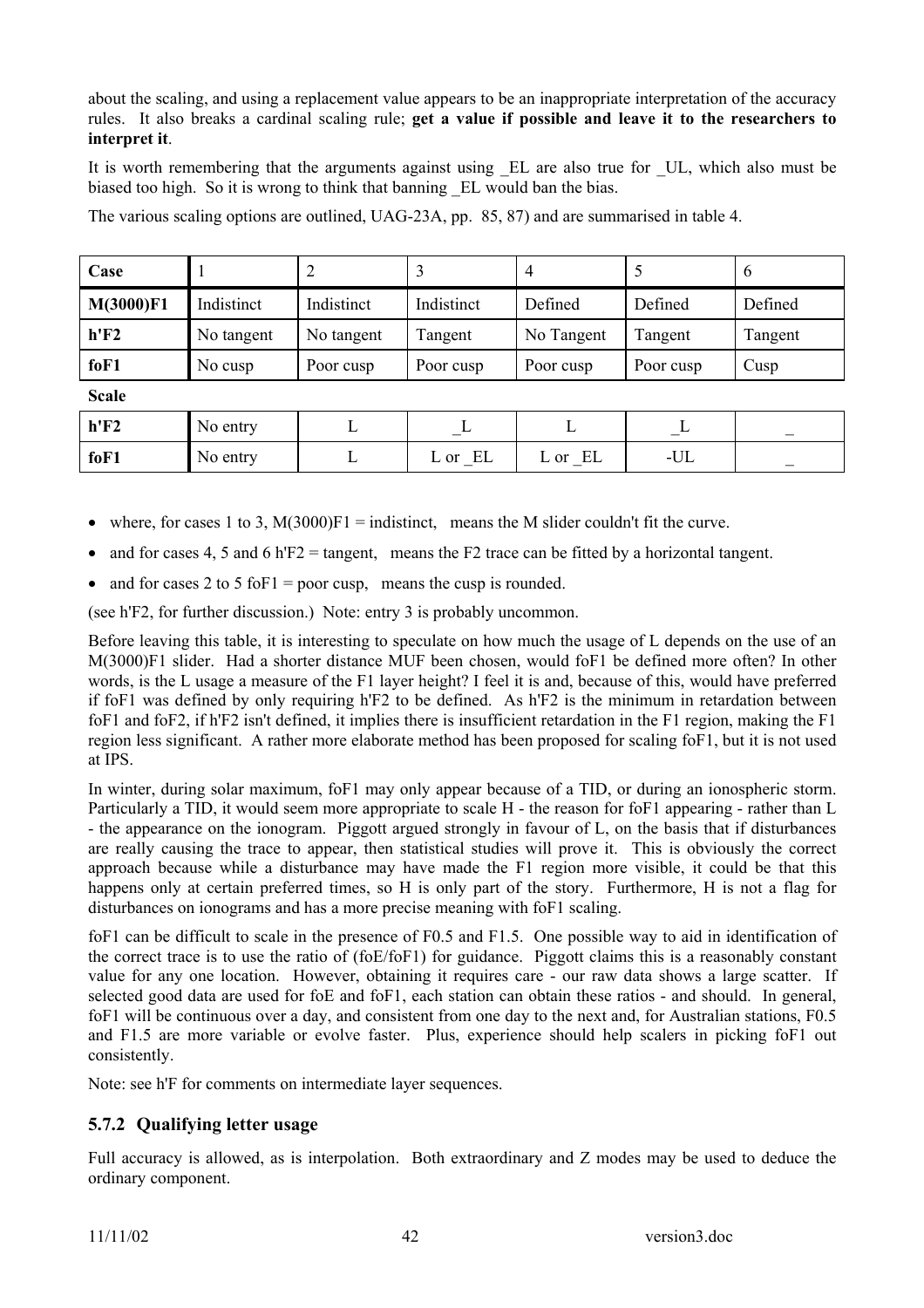about the scaling, and using a replacement value appears to be an inappropriate interpretation of the accuracy rules. It also breaks a cardinal scaling rule; **get a value if possible and leave it to the researchers to interpret it**.

It is worth remembering that the arguments against using EL are also true for UL, which also must be biased too high. So it is wrong to think that banning \_EL would ban the bias.

The various scaling options are outlined, UAG-23A, pp. 85, 87) and are summarised in table 4.

| Case         |            | 2          |            | 4          | $\mathfrak{Z}$ | 6       |
|--------------|------------|------------|------------|------------|----------------|---------|
| M(3000)F1    | Indistinct | Indistinct | Indistinct | Defined    | Defined        | Defined |
| h'F2         | No tangent | No tangent | Tangent    | No Tangent | Tangent        | Tangent |
| foF1         | No cusp    | Poor cusp  | Poor cusp  | Poor cusp  | Poor cusp      | Cusp    |
| <b>Scale</b> |            |            |            |            |                |         |
| h'F2         | No entry   | L          | L          | L          | $\perp$        |         |
| foF1         | No entry   | L          | EL<br>L or | L or EL    | $-UL$          |         |

- where, for cases 1 to 3,  $M(3000)F1 = \text{indistinct}$ , means the M slider couldn't fit the curve.
- and for cases 4, 5 and 6 h $F2$  = tangent, means the F2 trace can be fitted by a horizontal tangent.
- and for cases 2 to 5 for  $I = poor cusp$ , means the cusp is rounded.

(see h'F2, for further discussion.) Note: entry 3 is probably uncommon.

Before leaving this table, it is interesting to speculate on how much the usage of L depends on the use of an M(3000)F1 slider. Had a shorter distance MUF been chosen, would foF1 be defined more often? In other words, is the L usage a measure of the F1 layer height? I feel it is and, because of this, would have preferred if foF1 was defined by only requiring h'F2 to be defined. As h'F2 is the minimum in retardation between foF1 and foF2, if h'F2 isn't defined, it implies there is insufficient retardation in the F1 region, making the F1 region less significant. A rather more elaborate method has been proposed for scaling foF1, but it is not used at IPS.

In winter, during solar maximum, foF1 may only appear because of a TID, or during an ionospheric storm. Particularly a TID, it would seem more appropriate to scale H - the reason for foF1 appearing - rather than L - the appearance on the ionogram. Piggott argued strongly in favour of L, on the basis that if disturbances are really causing the trace to appear, then statistical studies will prove it. This is obviously the correct approach because while a disturbance may have made the F1 region more visible, it could be that this happens only at certain preferred times, so H is only part of the story. Furthermore, H is not a flag for disturbances on ionograms and has a more precise meaning with foF1 scaling.

foF1 can be difficult to scale in the presence of F0.5 and F1.5. One possible way to aid in identification of the correct trace is to use the ratio of (foE/foF1) for guidance. Piggott claims this is a reasonably constant value for any one location. However, obtaining it requires care - our raw data shows a large scatter. If selected good data are used for foE and foF1, each station can obtain these ratios - and should. In general, foF1 will be continuous over a day, and consistent from one day to the next and, for Australian stations, F0.5 and F1.5 are more variable or evolve faster. Plus, experience should help scalers in picking foF1 out consistently.

Note: see h'F for comments on intermediate layer sequences.

### **5.7.2 Qualifying letter usage**

Full accuracy is allowed, as is interpolation. Both extraordinary and Z modes may be used to deduce the ordinary component.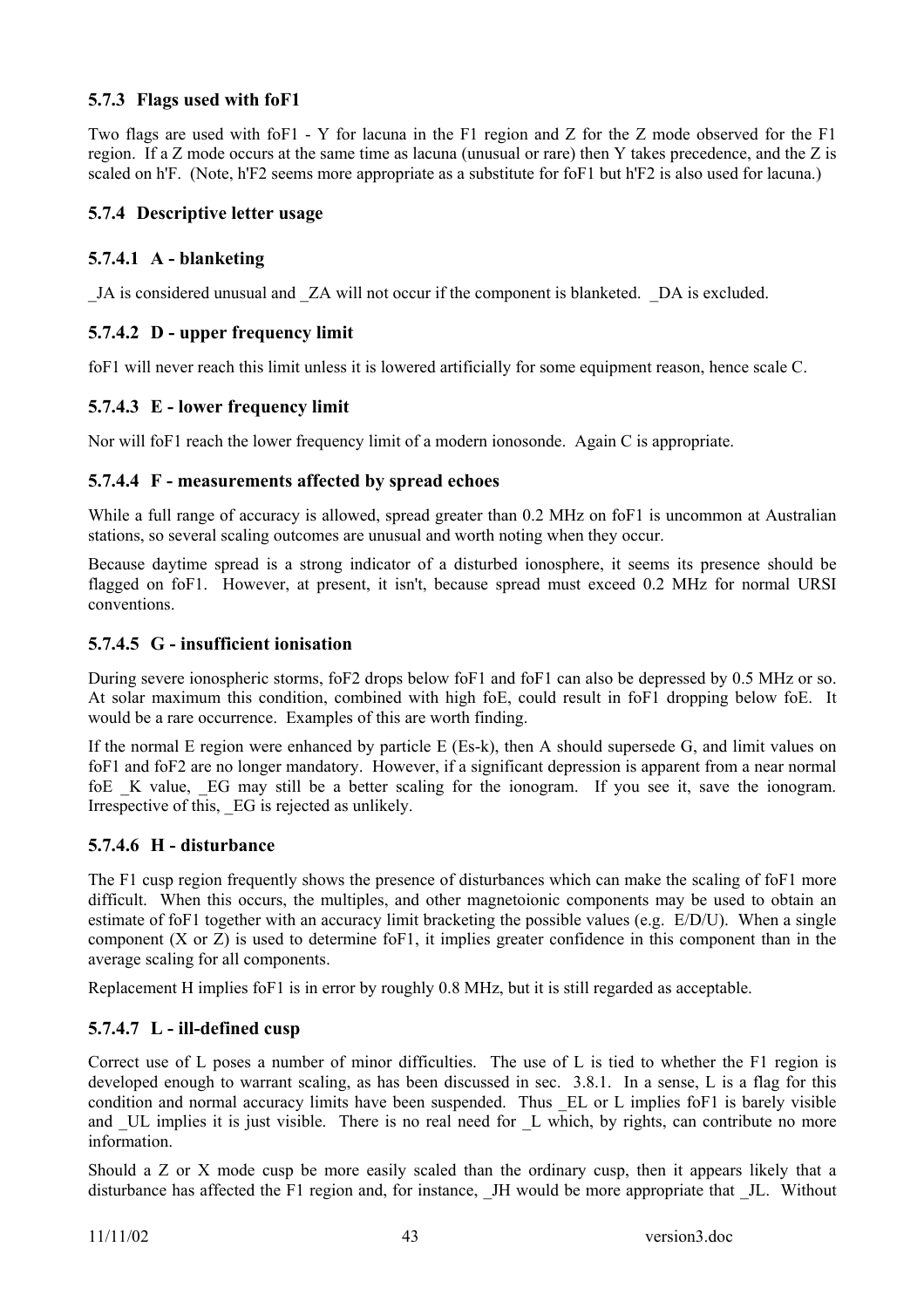### **5.7.3 Flags used with foF1**

Two flags are used with foF1 - Y for lacuna in the F1 region and Z for the Z mode observed for the F1 region. If a Z mode occurs at the same time as lacuna (unusual or rare) then Y takes precedence, and the Z is scaled on h'F. (Note, h'F2 seems more appropriate as a substitute for foF1 but h'F2 is also used for lacuna.)

### **5.7.4 Descriptive letter usage**

### **5.7.4.1 A - blanketing**

\_JA is considered unusual and \_ZA will not occur if the component is blanketed. \_DA is excluded.

### **5.7.4.2 D - upper frequency limit**

foF1 will never reach this limit unless it is lowered artificially for some equipment reason, hence scale C.

### **5.7.4.3 E - lower frequency limit**

Nor will foF1 reach the lower frequency limit of a modern ionosonde. Again C is appropriate.

#### **5.7.4.4 F - measurements affected by spread echoes**

While a full range of accuracy is allowed, spread greater than 0.2 MHz on foF1 is uncommon at Australian stations, so several scaling outcomes are unusual and worth noting when they occur.

Because daytime spread is a strong indicator of a disturbed ionosphere, it seems its presence should be flagged on foF1. However, at present, it isn't, because spread must exceed 0.2 MHz for normal URSI conventions.

### **5.7.4.5 G - insufficient ionisation**

During severe ionospheric storms, foF2 drops below foF1 and foF1 can also be depressed by 0.5 MHz or so. At solar maximum this condition, combined with high foE, could result in foF1 dropping below foE. It would be a rare occurrence. Examples of this are worth finding.

If the normal E region were enhanced by particle E (Es-k), then A should supersede G, and limit values on foF1 and foF2 are no longer mandatory. However, if a significant depression is apparent from a near normal foE K value, EG may still be a better scaling for the ionogram. If you see it, save the ionogram. Irrespective of this, EG is rejected as unlikely.

#### **5.7.4.6 H - disturbance**

The F1 cusp region frequently shows the presence of disturbances which can make the scaling of foF1 more difficult. When this occurs, the multiples, and other magnetoionic components may be used to obtain an estimate of foF1 together with an accuracy limit bracketing the possible values (e.g. E/D/U). When a single component (X or Z) is used to determine foF1, it implies greater confidence in this component than in the average scaling for all components.

Replacement H implies foF1 is in error by roughly 0.8 MHz, but it is still regarded as acceptable.

#### **5.7.4.7 L - ill-defined cusp**

Correct use of L poses a number of minor difficulties. The use of L is tied to whether the F1 region is developed enough to warrant scaling, as has been discussed in sec. 3.8.1. In a sense, L is a flag for this condition and normal accuracy limits have been suspended. Thus EL or L implies foF1 is barely visible and UL implies it is just visible. There is no real need for L which, by rights, can contribute no more information.

Should a Z or X mode cusp be more easily scaled than the ordinary cusp, then it appears likely that a disturbance has affected the F1 region and, for instance. JH would be more appropriate that JL. Without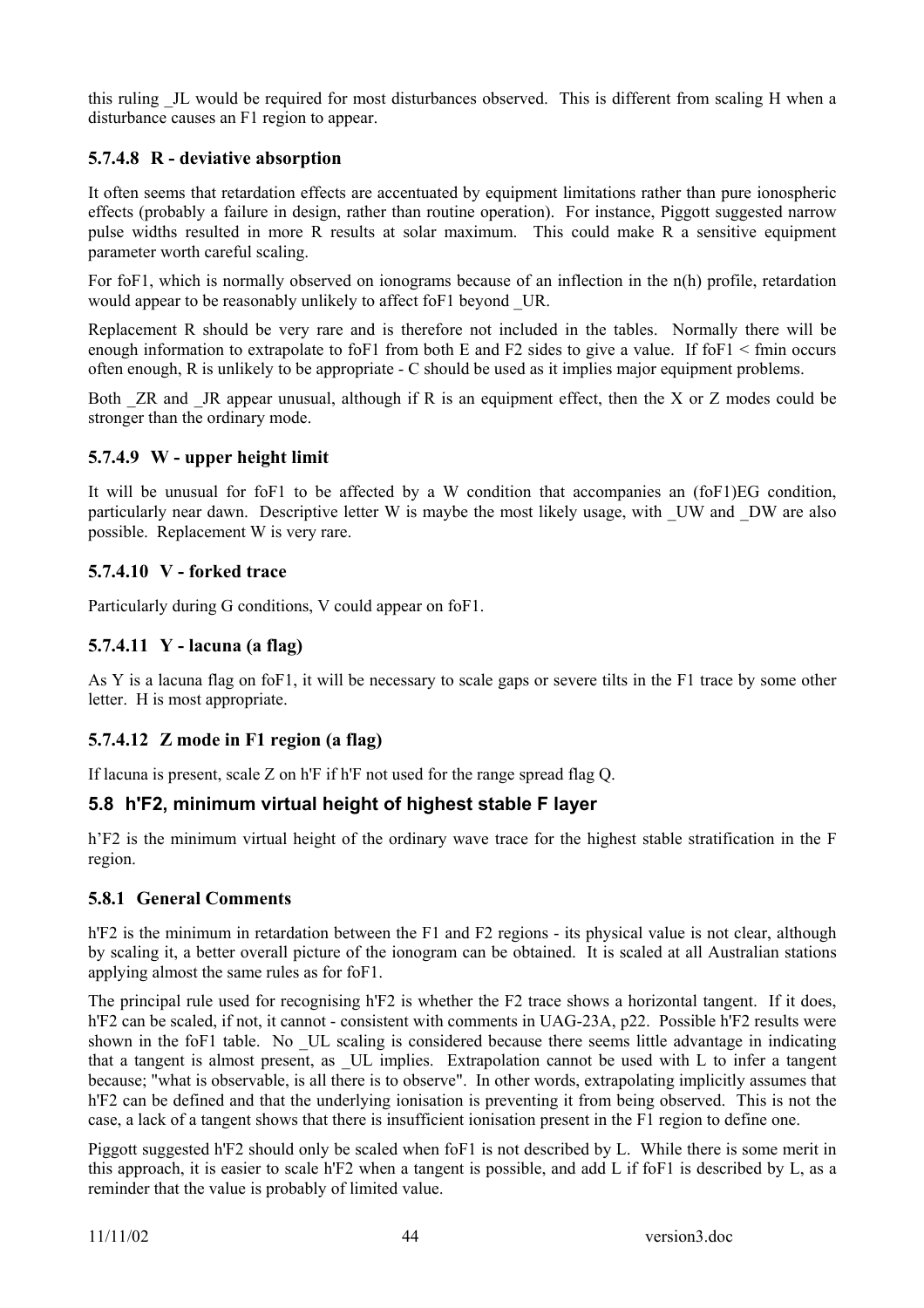this ruling \_JL would be required for most disturbances observed. This is different from scaling H when a disturbance causes an F1 region to appear.

### **5.7.4.8 R - deviative absorption**

It often seems that retardation effects are accentuated by equipment limitations rather than pure ionospheric effects (probably a failure in design, rather than routine operation). For instance, Piggott suggested narrow pulse widths resulted in more R results at solar maximum. This could make R a sensitive equipment parameter worth careful scaling.

For foF1, which is normally observed on ionograms because of an inflection in the n(h) profile, retardation would appear to be reasonably unlikely to affect foF1 beyond UR.

Replacement R should be very rare and is therefore not included in the tables. Normally there will be enough information to extrapolate to foF1 from both E and F2 sides to give a value. If foF1  $\le$  fmin occurs often enough, R is unlikely to be appropriate - C should be used as it implies major equipment problems.

Both  $ZR$  and  $JR$  appear unusual, although if R is an equipment effect, then the X or  $Z$  modes could be stronger than the ordinary mode.

#### **5.7.4.9 W - upper height limit**

It will be unusual for foF1 to be affected by a W condition that accompanies an (foF1)EG condition, particularly near dawn. Descriptive letter W is maybe the most likely usage, with UW and DW are also possible. Replacement W is very rare.

### **5.7.4.10 V - forked trace**

Particularly during G conditions, V could appear on foF1.

### **5.7.4.11 Y - lacuna (a flag)**

As Y is a lacuna flag on foF1, it will be necessary to scale gaps or severe tilts in the F1 trace by some other letter. H is most appropriate.

### **5.7.4.12 Z mode in F1 region (a flag)**

If lacuna is present, scale Z on h'F if h'F not used for the range spread flag Q.

### **5.8 h'F2, minimum virtual height of highest stable F layer**

h'F2 is the minimum virtual height of the ordinary wave trace for the highest stable stratification in the F region.

#### **5.8.1 General Comments**

h'F2 is the minimum in retardation between the F1 and F2 regions - its physical value is not clear, although by scaling it, a better overall picture of the ionogram can be obtained. It is scaled at all Australian stations applying almost the same rules as for foF1.

The principal rule used for recognising h'F2 is whether the F2 trace shows a horizontal tangent. If it does, h'F2 can be scaled, if not, it cannot - consistent with comments in UAG-23A, p22. Possible h'F2 results were shown in the foF1 table. No \_UL scaling is considered because there seems little advantage in indicating that a tangent is almost present, as \_UL implies. Extrapolation cannot be used with L to infer a tangent because; "what is observable, is all there is to observe". In other words, extrapolating implicitly assumes that h'F2 can be defined and that the underlying ionisation is preventing it from being observed. This is not the case, a lack of a tangent shows that there is insufficient ionisation present in the F1 region to define one.

Piggott suggested h'F2 should only be scaled when foF1 is not described by L. While there is some merit in this approach, it is easier to scale h'F2 when a tangent is possible, and add L if foF1 is described by L, as a reminder that the value is probably of limited value.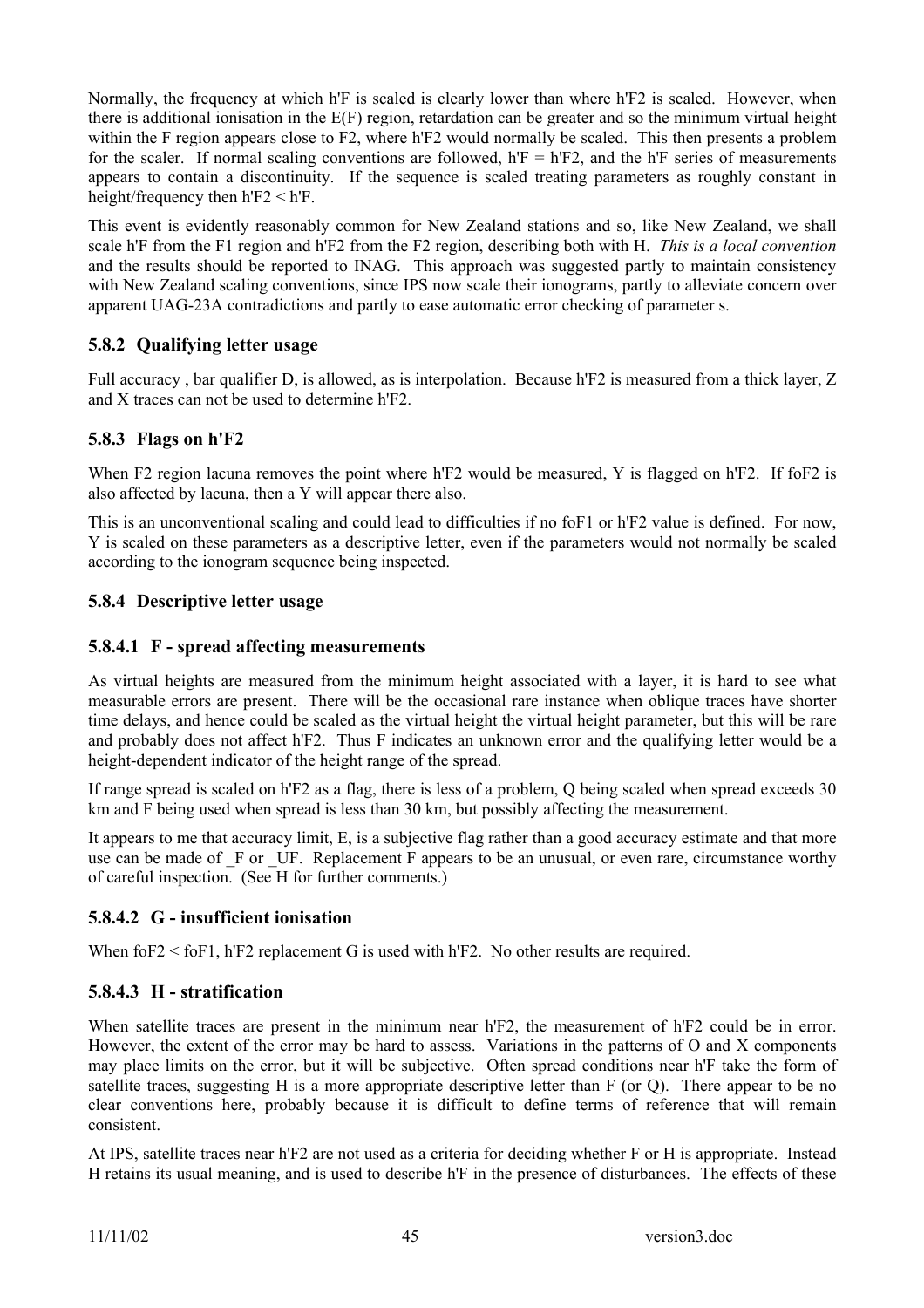Normally, the frequency at which h'F is scaled is clearly lower than where h'F2 is scaled. However, when there is additional ionisation in the E(F) region, retardation can be greater and so the minimum virtual height within the F region appears close to F2, where h'F2 would normally be scaled. This then presents a problem for the scaler. If normal scaling conventions are followed,  $h'F = h'F2$ , and the h'F series of measurements appears to contain a discontinuity. If the sequence is scaled treating parameters as roughly constant in height/frequency then h'F2 < h'F.

This event is evidently reasonably common for New Zealand stations and so, like New Zealand, we shall scale h'F from the F1 region and h'F2 from the F2 region, describing both with H. *This is a local convention* and the results should be reported to INAG. This approach was suggested partly to maintain consistency with New Zealand scaling conventions, since IPS now scale their ionograms, partly to alleviate concern over apparent UAG-23A contradictions and partly to ease automatic error checking of parameter s.

## **5.8.2 Qualifying letter usage**

Full accuracy , bar qualifier D, is allowed, as is interpolation. Because h'F2 is measured from a thick layer, Z and X traces can not be used to determine h'F2.

### **5.8.3 Flags on h'F2**

When F2 region lacuna removes the point where h'F2 would be measured, Y is flagged on h'F2. If foF2 is also affected by lacuna, then a Y will appear there also.

This is an unconventional scaling and could lead to difficulties if no foF1 or h'F2 value is defined. For now, Y is scaled on these parameters as a descriptive letter, even if the parameters would not normally be scaled according to the ionogram sequence being inspected.

### **5.8.4 Descriptive letter usage**

### **5.8.4.1 F - spread affecting measurements**

As virtual heights are measured from the minimum height associated with a layer, it is hard to see what measurable errors are present. There will be the occasional rare instance when oblique traces have shorter time delays, and hence could be scaled as the virtual height the virtual height parameter, but this will be rare and probably does not affect h'F2. Thus F indicates an unknown error and the qualifying letter would be a height-dependent indicator of the height range of the spread.

If range spread is scaled on h'F2 as a flag, there is less of a problem, Q being scaled when spread exceeds 30 km and F being used when spread is less than 30 km, but possibly affecting the measurement.

It appears to me that accuracy limit, E, is a subjective flag rather than a good accuracy estimate and that more use can be made of F or UF. Replacement F appears to be an unusual, or even rare, circumstance worthy of careful inspection. (See H for further comments.)

### **5.8.4.2 G - insufficient ionisation**

When foF2 < foF1, h'F2 replacement G is used with h'F2. No other results are required.

### **5.8.4.3 H - stratification**

When satellite traces are present in the minimum near h<sup>'F2</sup>, the measurement of h<sup>'F2</sup> could be in error. However, the extent of the error may be hard to assess. Variations in the patterns of O and X components may place limits on the error, but it will be subjective. Often spread conditions near h'F take the form of satellite traces, suggesting H is a more appropriate descriptive letter than F (or Q). There appear to be no clear conventions here, probably because it is difficult to define terms of reference that will remain consistent.

At IPS, satellite traces near h'F2 are not used as a criteria for deciding whether F or H is appropriate. Instead H retains its usual meaning, and is used to describe h'F in the presence of disturbances. The effects of these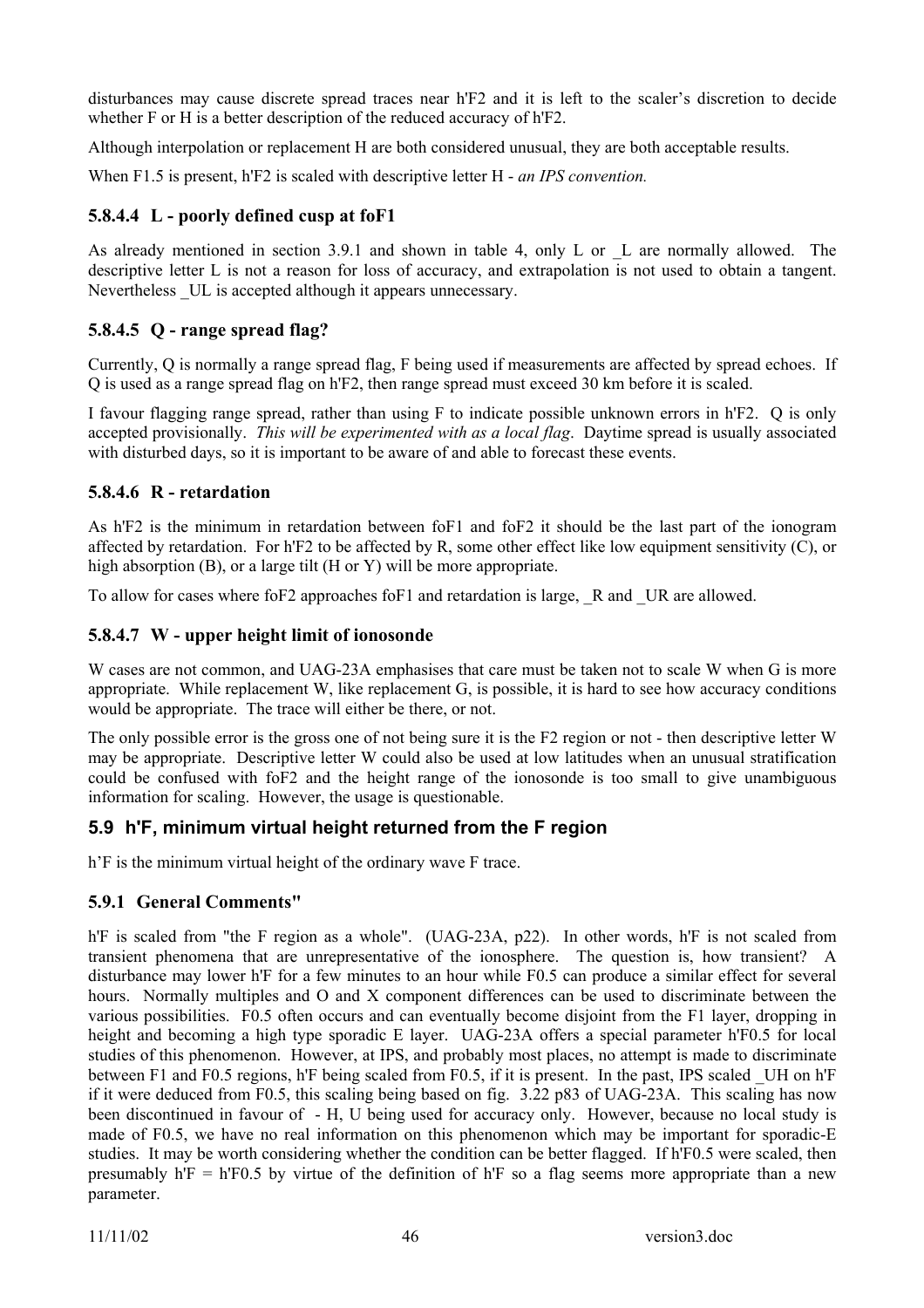disturbances may cause discrete spread traces near h'F2 and it is left to the scaler's discretion to decide whether F or H is a better description of the reduced accuracy of h'F2.

Although interpolation or replacement H are both considered unusual, they are both acceptable results.

When F1.5 is present, h'F2 is scaled with descriptive letter H - *an IPS convention.*

### **5.8.4.4 L - poorly defined cusp at foF1**

As already mentioned in section 3.9.1 and shown in table 4, only L or L are normally allowed. The descriptive letter L is not a reason for loss of accuracy, and extrapolation is not used to obtain a tangent. Nevertheless UL is accepted although it appears unnecessary.

### **5.8.4.5 Q - range spread flag?**

Currently, Q is normally a range spread flag, F being used if measurements are affected by spread echoes. If Q is used as a range spread flag on h'F2, then range spread must exceed 30 km before it is scaled.

I favour flagging range spread, rather than using F to indicate possible unknown errors in h'F2. Q is only accepted provisionally. *This will be experimented with as a local flag*. Daytime spread is usually associated with disturbed days, so it is important to be aware of and able to forecast these events.

### **5.8.4.6 R - retardation**

As h'F2 is the minimum in retardation between foF1 and foF2 it should be the last part of the ionogram affected by retardation. For h'F2 to be affected by R, some other effect like low equipment sensitivity (C), or high absorption (B), or a large tilt (H or Y) will be more appropriate.

To allow for cases where foF2 approaches foF1 and retardation is large,  $\,R$  and  $\,UR$  are allowed.

### **5.8.4.7 W - upper height limit of ionosonde**

W cases are not common, and UAG-23A emphasises that care must be taken not to scale W when G is more appropriate. While replacement W, like replacement G, is possible, it is hard to see how accuracy conditions would be appropriate. The trace will either be there, or not.

The only possible error is the gross one of not being sure it is the F2 region or not - then descriptive letter W may be appropriate. Descriptive letter W could also be used at low latitudes when an unusual stratification could be confused with foF2 and the height range of the ionosonde is too small to give unambiguous information for scaling. However, the usage is questionable.

## **5.9 h'F, minimum virtual height returned from the F region**

h'F is the minimum virtual height of the ordinary wave F trace.

## **5.9.1 General Comments"**

h'F is scaled from "the F region as a whole". (UAG-23A, p22). In other words, h'F is not scaled from transient phenomena that are unrepresentative of the ionosphere. The question is, how transient? A disturbance may lower h'F for a few minutes to an hour while F0.5 can produce a similar effect for several hours. Normally multiples and O and X component differences can be used to discriminate between the various possibilities. F0.5 often occurs and can eventually become disjoint from the F1 layer, dropping in height and becoming a high type sporadic E layer. UAG-23A offers a special parameter h'F0.5 for local studies of this phenomenon. However, at IPS, and probably most places, no attempt is made to discriminate between F1 and F0.5 regions, h'F being scaled from F0.5, if it is present. In the past, IPS scaled \_UH on h'F if it were deduced from F0.5, this scaling being based on fig. 3.22 p83 of UAG-23A. This scaling has now been discontinued in favour of - H, U being used for accuracy only. However, because no local study is made of F0.5, we have no real information on this phenomenon which may be important for sporadic-E studies. It may be worth considering whether the condition can be better flagged. If h'F0.5 were scaled, then presumably  $h'F = h'F0.5$  by virtue of the definition of  $h'F$  so a flag seems more appropriate than a new parameter.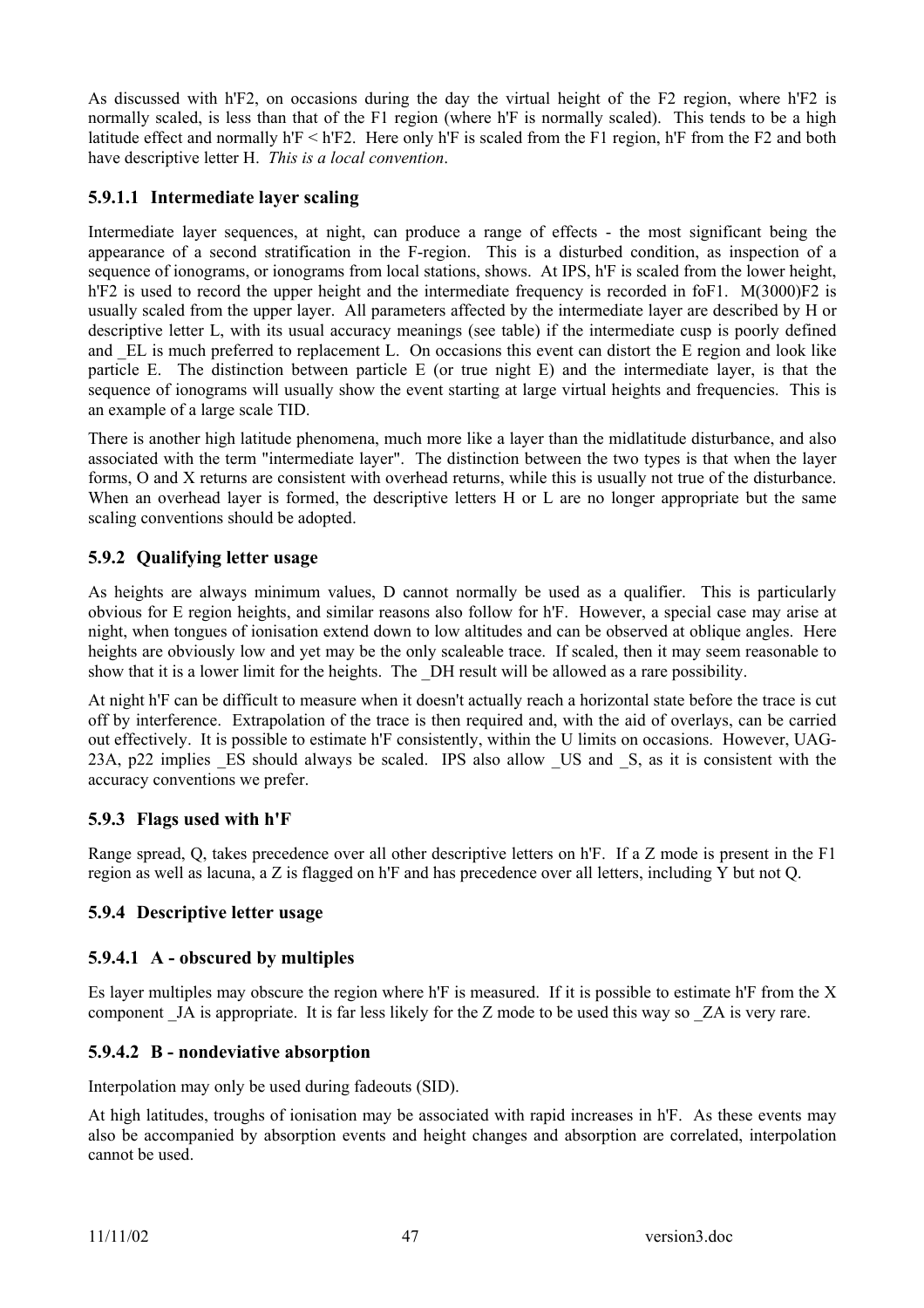As discussed with h'F2, on occasions during the day the virtual height of the F2 region, where h'F2 is normally scaled, is less than that of the F1 region (where h'F is normally scaled). This tends to be a high latitude effect and normally h'F < h'F2. Here only h'F is scaled from the F1 region, h'F from the F2 and both have descriptive letter H. *This is a local convention*.

## **5.9.1.1 Intermediate layer scaling**

Intermediate layer sequences, at night, can produce a range of effects - the most significant being the appearance of a second stratification in the F-region. This is a disturbed condition, as inspection of a sequence of ionograms, or ionograms from local stations, shows. At IPS, h'F is scaled from the lower height, h'F2 is used to record the upper height and the intermediate frequency is recorded in foF1. M(3000)F2 is usually scaled from the upper layer. All parameters affected by the intermediate layer are described by H or descriptive letter L, with its usual accuracy meanings (see table) if the intermediate cusp is poorly defined and EL is much preferred to replacement L. On occasions this event can distort the E region and look like particle E. The distinction between particle E (or true night E) and the intermediate layer, is that the sequence of ionograms will usually show the event starting at large virtual heights and frequencies. This is an example of a large scale TID.

There is another high latitude phenomena, much more like a layer than the midlatitude disturbance, and also associated with the term "intermediate layer". The distinction between the two types is that when the layer forms, O and X returns are consistent with overhead returns, while this is usually not true of the disturbance. When an overhead layer is formed, the descriptive letters H or L are no longer appropriate but the same scaling conventions should be adopted.

### **5.9.2 Qualifying letter usage**

As heights are always minimum values, D cannot normally be used as a qualifier. This is particularly obvious for E region heights, and similar reasons also follow for h'F. However, a special case may arise at night, when tongues of ionisation extend down to low altitudes and can be observed at oblique angles. Here heights are obviously low and yet may be the only scaleable trace. If scaled, then it may seem reasonable to show that it is a lower limit for the heights. The DH result will be allowed as a rare possibility.

At night h'F can be difficult to measure when it doesn't actually reach a horizontal state before the trace is cut off by interference. Extrapolation of the trace is then required and, with the aid of overlays, can be carried out effectively. It is possible to estimate h'F consistently, within the U limits on occasions. However, UAG-23A, p22 implies ES should always be scaled. IPS also allow US and S, as it is consistent with the accuracy conventions we prefer.

### **5.9.3 Flags used with h'F**

Range spread, Q, takes precedence over all other descriptive letters on h'F. If a Z mode is present in the F1 region as well as lacuna, a Z is flagged on h'F and has precedence over all letters, including Y but not Q.

### **5.9.4 Descriptive letter usage**

### **5.9.4.1 A - obscured by multiples**

Es layer multiples may obscure the region where h'F is measured. If it is possible to estimate h'F from the X component \_JA is appropriate. It is far less likely for the Z mode to be used this way so \_ZA is very rare.

### **5.9.4.2 B - nondeviative absorption**

Interpolation may only be used during fadeouts (SID).

At high latitudes, troughs of ionisation may be associated with rapid increases in h'F. As these events may also be accompanied by absorption events and height changes and absorption are correlated, interpolation cannot be used.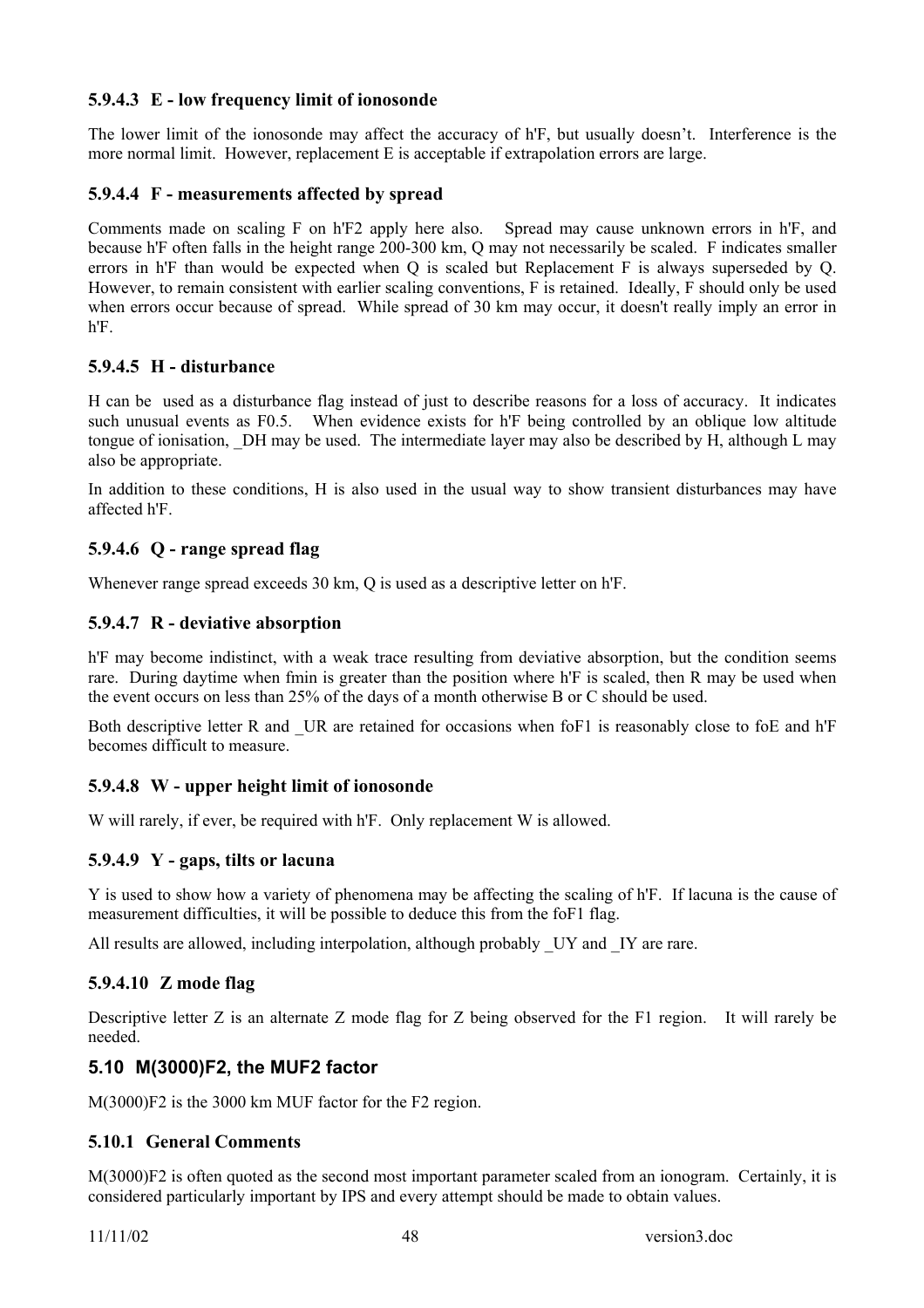### **5.9.4.3 E - low frequency limit of ionosonde**

The lower limit of the ionosonde may affect the accuracy of h'F, but usually doesn't. Interference is the more normal limit. However, replacement E is acceptable if extrapolation errors are large.

#### **5.9.4.4 F - measurements affected by spread**

Comments made on scaling F on h'F2 apply here also. Spread may cause unknown errors in h'F, and because h'F often falls in the height range 200-300 km, Q may not necessarily be scaled. F indicates smaller errors in h'F than would be expected when Q is scaled but Replacement F is always superseded by Q. However, to remain consistent with earlier scaling conventions, F is retained. Ideally, F should only be used when errors occur because of spread. While spread of 30 km may occur, it doesn't really imply an error in h'F.

#### **5.9.4.5 H - disturbance**

H can be used as a disturbance flag instead of just to describe reasons for a loss of accuracy. It indicates such unusual events as F0.5. When evidence exists for h'F being controlled by an oblique low altitude tongue of ionisation, \_DH may be used. The intermediate layer may also be described by H, although L may also be appropriate.

In addition to these conditions, H is also used in the usual way to show transient disturbances may have affected h'F.

#### **5.9.4.6 Q - range spread flag**

Whenever range spread exceeds 30 km, Q is used as a descriptive letter on h'F.

#### **5.9.4.7 R - deviative absorption**

h'F may become indistinct, with a weak trace resulting from deviative absorption, but the condition seems rare. During daytime when fmin is greater than the position where h'F is scaled, then R may be used when the event occurs on less than 25% of the days of a month otherwise B or C should be used.

Both descriptive letter R and UR are retained for occasions when foF1 is reasonably close to foE and h'F becomes difficult to measure.

#### **5.9.4.8 W - upper height limit of ionosonde**

W will rarely, if ever, be required with h'F. Only replacement W is allowed.

#### **5.9.4.9 Y - gaps, tilts or lacuna**

Y is used to show how a variety of phenomena may be affecting the scaling of h'F. If lacuna is the cause of measurement difficulties, it will be possible to deduce this from the foF1 flag.

All results are allowed, including interpolation, although probably UY and IY are rare.

#### **5.9.4.10 Z mode flag**

Descriptive letter Z is an alternate Z mode flag for Z being observed for the F1 region. It will rarely be needed.

#### **5.10 M(3000)F2, the MUF2 factor**

M(3000)F2 is the 3000 km MUF factor for the F2 region.

#### **5.10.1 General Comments**

M(3000)F2 is often quoted as the second most important parameter scaled from an ionogram. Certainly, it is considered particularly important by IPS and every attempt should be made to obtain values.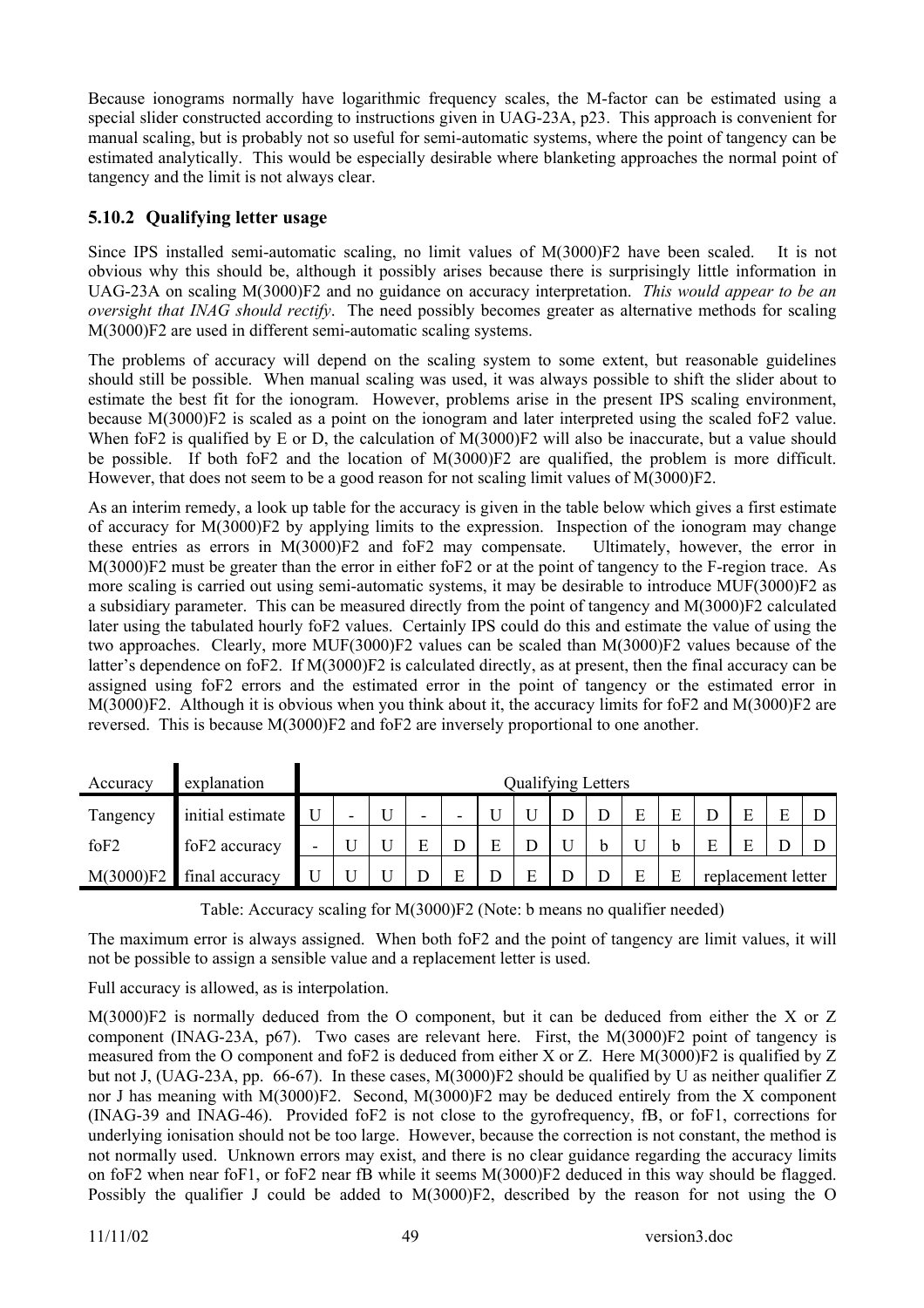Because ionograms normally have logarithmic frequency scales, the M-factor can be estimated using a special slider constructed according to instructions given in UAG-23A, p23. This approach is convenient for manual scaling, but is probably not so useful for semi-automatic systems, where the point of tangency can be estimated analytically. This would be especially desirable where blanketing approaches the normal point of tangency and the limit is not always clear.

### **5.10.2 Qualifying letter usage**

Since IPS installed semi-automatic scaling, no limit values of M(3000)F2 have been scaled. It is not obvious why this should be, although it possibly arises because there is surprisingly little information in UAG-23A on scaling M(3000)F2 and no guidance on accuracy interpretation. *This would appear to be an oversight that INAG should rectify*. The need possibly becomes greater as alternative methods for scaling M(3000)F2 are used in different semi-automatic scaling systems.

The problems of accuracy will depend on the scaling system to some extent, but reasonable guidelines should still be possible. When manual scaling was used, it was always possible to shift the slider about to estimate the best fit for the ionogram. However, problems arise in the present IPS scaling environment, because M(3000)F2 is scaled as a point on the ionogram and later interpreted using the scaled foF2 value. When foF2 is qualified by E or D, the calculation of M(3000)F2 will also be inaccurate, but a value should be possible. If both foF2 and the location of M(3000)F2 are qualified, the problem is more difficult. However, that does not seem to be a good reason for not scaling limit values of M(3000)F2.

As an interim remedy, a look up table for the accuracy is given in the table below which gives a first estimate of accuracy for M(3000)F2 by applying limits to the expression. Inspection of the ionogram may change these entries as errors in M(3000)F2 and foF2 may compensate. Ultimately, however, the error in M(3000)F2 must be greater than the error in either foF2 or at the point of tangency to the F-region trace. As more scaling is carried out using semi-automatic systems, it may be desirable to introduce MUF(3000)F2 as a subsidiary parameter. This can be measured directly from the point of tangency and M(3000)F2 calculated later using the tabulated hourly foF2 values. Certainly IPS could do this and estimate the value of using the two approaches. Clearly, more MUF(3000)F2 values can be scaled than M(3000)F2 values because of the latter's dependence on foF2. If M(3000)F2 is calculated directly, as at present, then the final accuracy can be assigned using foF2 errors and the estimated error in the point of tangency or the estimated error in M(3000)F2. Although it is obvious when you think about it, the accuracy limits for foF2 and M(3000)F2 are reversed. This is because M(3000)F2 and foF2 are inversely proportional to one another.

| Accuracy         | explanation      |                          |   |   |  |   | <b>Qualifying Letters</b> |   |   |                    |  |
|------------------|------------------|--------------------------|---|---|--|---|---------------------------|---|---|--------------------|--|
| Tangency         | initial estimate | $\overline{\phantom{0}}$ | U | - |  |   |                           |   |   |                    |  |
| foF <sub>2</sub> | foF2 accuracy    |                          |   |   |  |   |                           |   | E |                    |  |
| M(3000)F2        | final accuracy   |                          |   |   |  | E |                           | F |   | replacement letter |  |

Table: Accuracy scaling for M(3000)F2 (Note: b means no qualifier needed)

The maximum error is always assigned. When both foF2 and the point of tangency are limit values, it will not be possible to assign a sensible value and a replacement letter is used.

Full accuracy is allowed, as is interpolation.

M(3000)F2 is normally deduced from the O component, but it can be deduced from either the X or Z component (INAG-23A, p67). Two cases are relevant here. First, the M(3000)F2 point of tangency is measured from the O component and foF2 is deduced from either X or Z. Here M(3000)F2 is qualified by Z but not J, (UAG-23A, pp. 66-67). In these cases,  $M(3000)F2$  should be qualified by U as neither qualifier Z nor J has meaning with M(3000)F2. Second, M(3000)F2 may be deduced entirely from the X component (INAG-39 and INAG-46). Provided foF2 is not close to the gyrofrequency, fB, or foF1, corrections for underlying ionisation should not be too large. However, because the correction is not constant, the method is not normally used. Unknown errors may exist, and there is no clear guidance regarding the accuracy limits on foF2 when near foF1, or foF2 near fB while it seems M(3000)F2 deduced in this way should be flagged. Possibly the qualifier J could be added to M(3000)F2, described by the reason for not using the O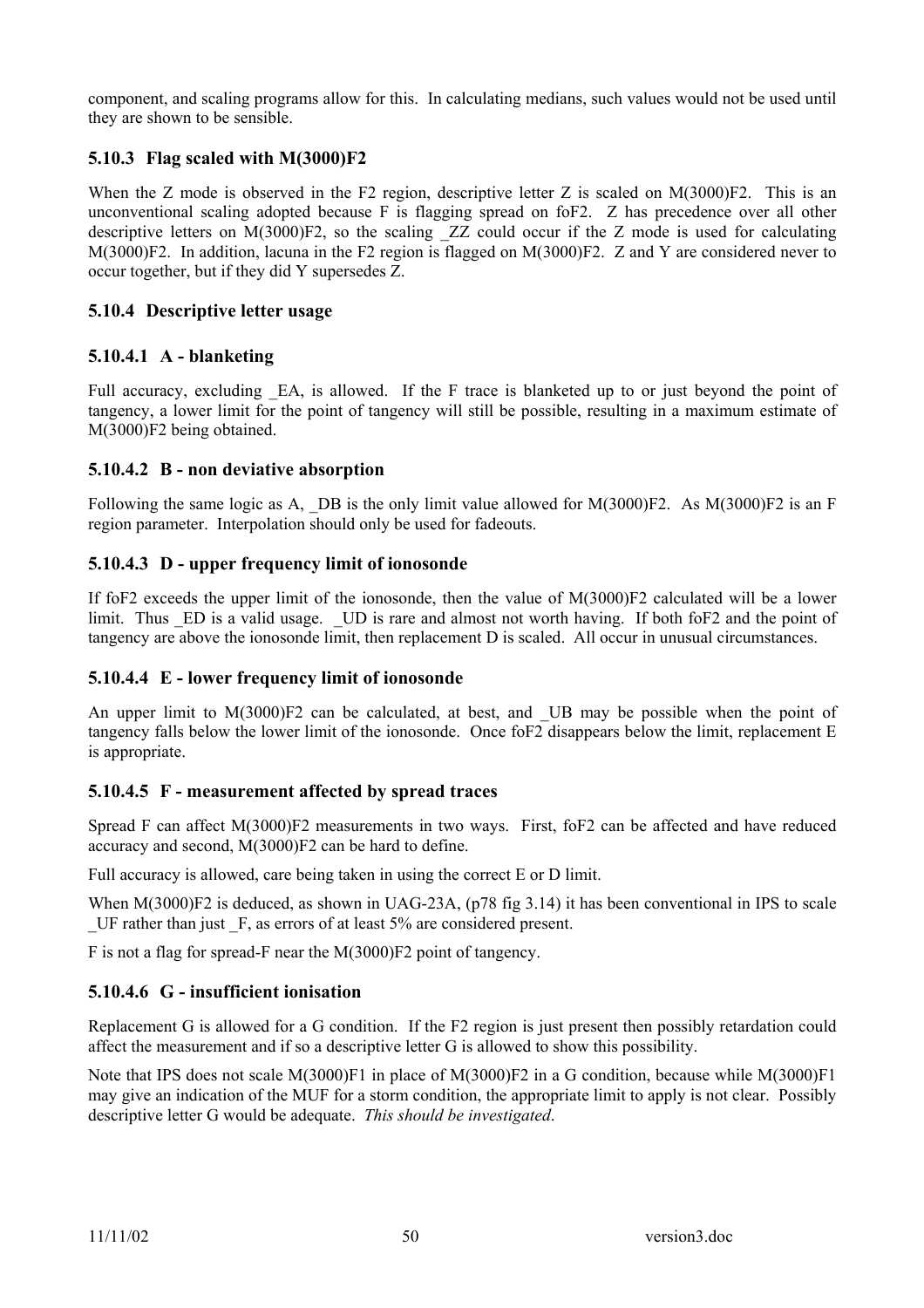component, and scaling programs allow for this. In calculating medians, such values would not be used until they are shown to be sensible.

### **5.10.3 Flag scaled with M(3000)F2**

When the Z mode is observed in the F2 region, descriptive letter Z is scaled on M(3000)F2. This is an unconventional scaling adopted because F is flagging spread on foF2. Z has precedence over all other descriptive letters on M(3000)F2, so the scaling ZZ could occur if the Z mode is used for calculating M(3000)F2. In addition, lacuna in the F2 region is flagged on M(3000)F2. Z and Y are considered never to occur together, but if they did Y supersedes Z.

### **5.10.4 Descriptive letter usage**

### **5.10.4.1 A - blanketing**

Full accuracy, excluding EA, is allowed. If the F trace is blanketed up to or just beyond the point of tangency, a lower limit for the point of tangency will still be possible, resulting in a maximum estimate of M(3000)F2 being obtained.

#### **5.10.4.2 B - non deviative absorption**

Following the same logic as A, DB is the only limit value allowed for M(3000)F2. As M(3000)F2 is an F region parameter. Interpolation should only be used for fadeouts.

### **5.10.4.3 D - upper frequency limit of ionosonde**

If foF2 exceeds the upper limit of the ionosonde, then the value of M(3000)F2 calculated will be a lower limit. Thus ED is a valid usage. UD is rare and almost not worth having. If both foF2 and the point of tangency are above the ionosonde limit, then replacement D is scaled. All occur in unusual circumstances.

#### **5.10.4.4 E - lower frequency limit of ionosonde**

An upper limit to M(3000)F2 can be calculated, at best, and UB may be possible when the point of tangency falls below the lower limit of the ionosonde. Once foF2 disappears below the limit, replacement E is appropriate.

#### **5.10.4.5 F - measurement affected by spread traces**

Spread F can affect M(3000)F2 measurements in two ways. First, foF2 can be affected and have reduced accuracy and second, M(3000)F2 can be hard to define.

Full accuracy is allowed, care being taken in using the correct E or D limit.

When M(3000)F2 is deduced, as shown in UAG-23A, (p78 fig 3.14) it has been conventional in IPS to scale \_UF rather than just \_F, as errors of at least 5% are considered present.

F is not a flag for spread-F near the M(3000)F2 point of tangency.

#### **5.10.4.6 G - insufficient ionisation**

Replacement G is allowed for a G condition. If the F2 region is just present then possibly retardation could affect the measurement and if so a descriptive letter G is allowed to show this possibility.

Note that IPS does not scale M(3000)F1 in place of M(3000)F2 in a G condition, because while M(3000)F1 may give an indication of the MUF for a storm condition, the appropriate limit to apply is not clear. Possibly descriptive letter G would be adequate. *This should be investigated*.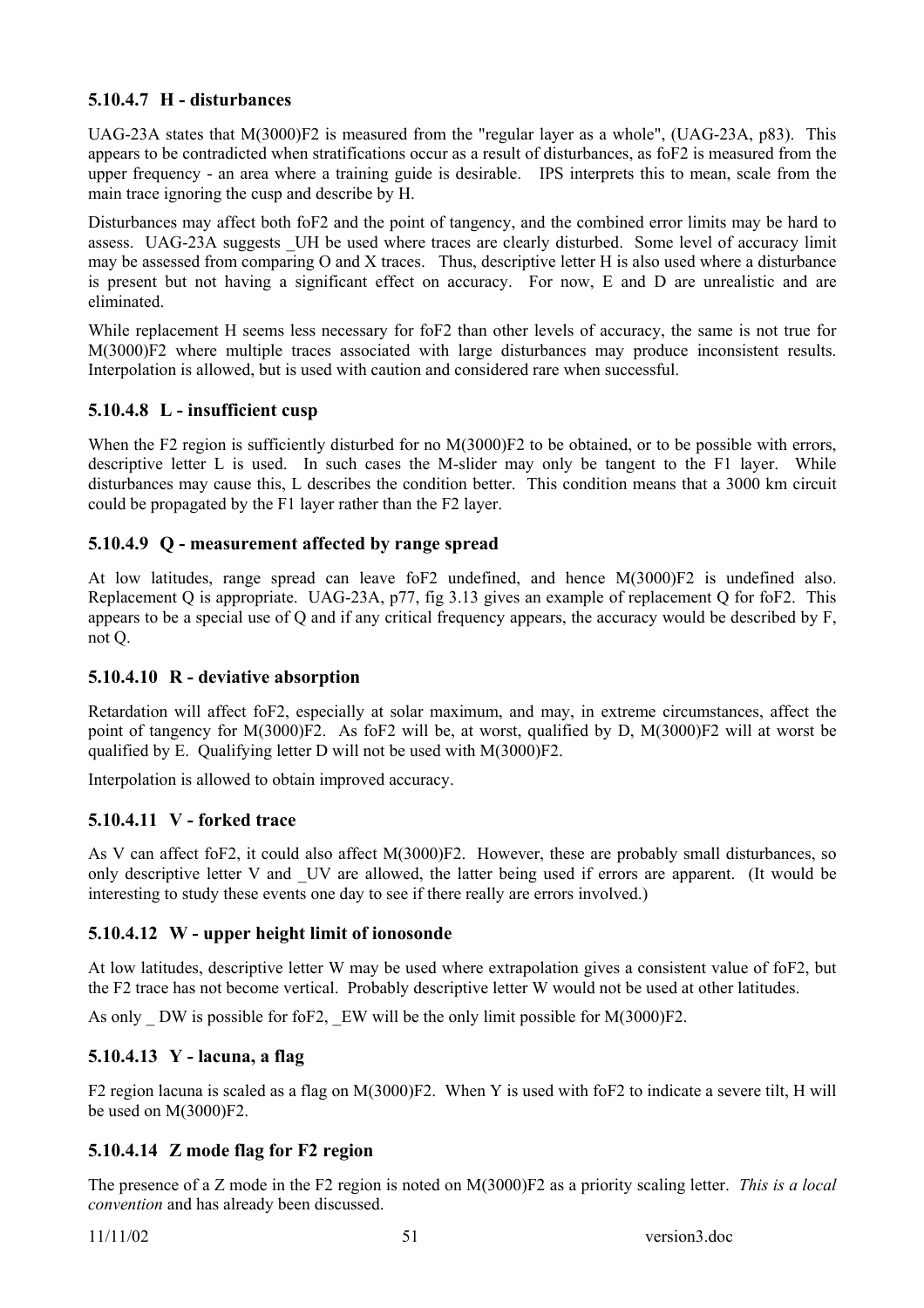### **5.10.4.7 H - disturbances**

UAG-23A states that M(3000)F2 is measured from the "regular layer as a whole", (UAG-23A, p83). This appears to be contradicted when stratifications occur as a result of disturbances, as foF2 is measured from the upper frequency - an area where a training guide is desirable. IPS interprets this to mean, scale from the main trace ignoring the cusp and describe by H.

Disturbances may affect both foF2 and the point of tangency, and the combined error limits may be hard to assess. UAG-23A suggests UH be used where traces are clearly disturbed. Some level of accuracy limit may be assessed from comparing O and X traces. Thus, descriptive letter H is also used where a disturbance is present but not having a significant effect on accuracy. For now, E and D are unrealistic and are eliminated.

While replacement H seems less necessary for foF2 than other levels of accuracy, the same is not true for M(3000)F2 where multiple traces associated with large disturbances may produce inconsistent results. Interpolation is allowed, but is used with caution and considered rare when successful.

#### **5.10.4.8 L - insufficient cusp**

When the F2 region is sufficiently disturbed for no M(3000)F2 to be obtained, or to be possible with errors, descriptive letter L is used. In such cases the M-slider may only be tangent to the F1 layer. While disturbances may cause this, L describes the condition better. This condition means that a 3000 km circuit could be propagated by the F1 layer rather than the F2 layer.

### **5.10.4.9 Q - measurement affected by range spread**

At low latitudes, range spread can leave foF2 undefined, and hence M(3000)F2 is undefined also. Replacement Q is appropriate. UAG-23A, p77, fig 3.13 gives an example of replacement Q for foF2. This appears to be a special use of Q and if any critical frequency appears, the accuracy would be described by F, not Q.

#### **5.10.4.10 R - deviative absorption**

Retardation will affect foF2, especially at solar maximum, and may, in extreme circumstances, affect the point of tangency for M(3000)F2. As foF2 will be, at worst, qualified by D, M(3000)F2 will at worst be qualified by E. Qualifying letter D will not be used with M(3000)F2.

Interpolation is allowed to obtain improved accuracy.

#### **5.10.4.11 V - forked trace**

As V can affect foF2, it could also affect M(3000)F2. However, these are probably small disturbances, so only descriptive letter V and UV are allowed, the latter being used if errors are apparent. (It would be interesting to study these events one day to see if there really are errors involved.)

#### **5.10.4.12 W - upper height limit of ionosonde**

At low latitudes, descriptive letter W may be used where extrapolation gives a consistent value of foF2, but the F2 trace has not become vertical. Probably descriptive letter W would not be used at other latitudes.

As only DW is possible for foF2, EW will be the only limit possible for  $M(3000)F2$ .

#### **5.10.4.13 Y - lacuna, a flag**

F2 region lacuna is scaled as a flag on M(3000)F2. When Y is used with foF2 to indicate a severe tilt, H will be used on M(3000)F2.

### **5.10.4.14 Z mode flag for F2 region**

The presence of a Z mode in the F2 region is noted on M(3000)F2 as a priority scaling letter. *This is a local convention* and has already been discussed.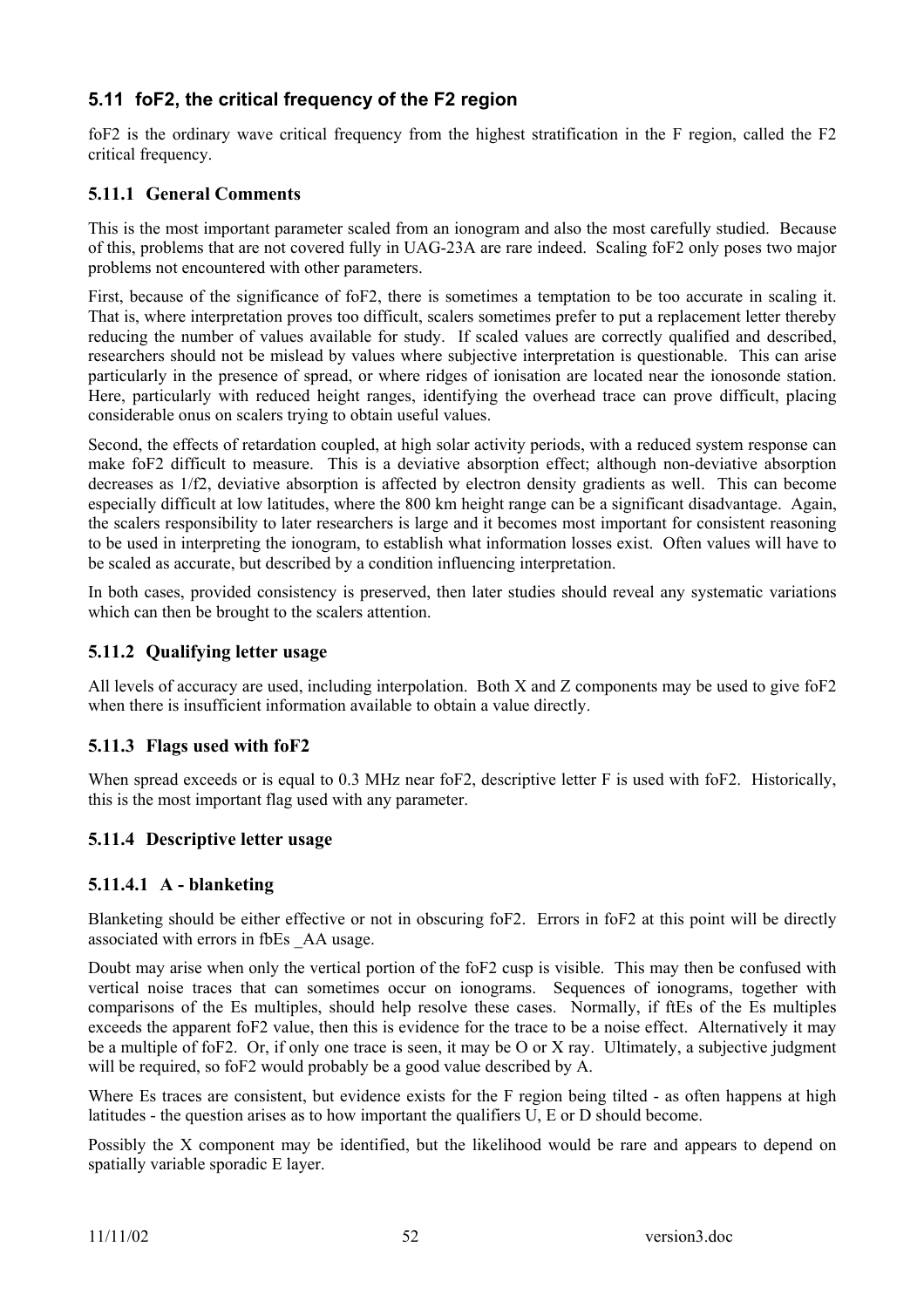## **5.11 foF2, the critical frequency of the F2 region**

foF2 is the ordinary wave critical frequency from the highest stratification in the F region, called the F2 critical frequency.

### **5.11.1 General Comments**

This is the most important parameter scaled from an ionogram and also the most carefully studied. Because of this, problems that are not covered fully in UAG-23A are rare indeed. Scaling foF2 only poses two major problems not encountered with other parameters.

First, because of the significance of foF2, there is sometimes a temptation to be too accurate in scaling it. That is, where interpretation proves too difficult, scalers sometimes prefer to put a replacement letter thereby reducing the number of values available for study. If scaled values are correctly qualified and described, researchers should not be mislead by values where subjective interpretation is questionable. This can arise particularly in the presence of spread, or where ridges of ionisation are located near the ionosonde station. Here, particularly with reduced height ranges, identifying the overhead trace can prove difficult, placing considerable onus on scalers trying to obtain useful values.

Second, the effects of retardation coupled, at high solar activity periods, with a reduced system response can make foF2 difficult to measure. This is a deviative absorption effect; although non-deviative absorption decreases as 1/f2, deviative absorption is affected by electron density gradients as well. This can become especially difficult at low latitudes, where the 800 km height range can be a significant disadvantage. Again, the scalers responsibility to later researchers is large and it becomes most important for consistent reasoning to be used in interpreting the ionogram, to establish what information losses exist. Often values will have to be scaled as accurate, but described by a condition influencing interpretation.

In both cases, provided consistency is preserved, then later studies should reveal any systematic variations which can then be brought to the scalers attention.

#### **5.11.2 Qualifying letter usage**

All levels of accuracy are used, including interpolation. Both X and Z components may be used to give foF2 when there is insufficient information available to obtain a value directly.

#### **5.11.3 Flags used with foF2**

When spread exceeds or is equal to 0.3 MHz near foF2, descriptive letter F is used with foF2. Historically, this is the most important flag used with any parameter.

#### **5.11.4 Descriptive letter usage**

#### **5.11.4.1 A - blanketing**

Blanketing should be either effective or not in obscuring foF2. Errors in foF2 at this point will be directly associated with errors in fbEs \_AA usage.

Doubt may arise when only the vertical portion of the foF2 cusp is visible. This may then be confused with vertical noise traces that can sometimes occur on ionograms. Sequences of ionograms, together with comparisons of the Es multiples, should help resolve these cases. Normally, if ftEs of the Es multiples exceeds the apparent foF2 value, then this is evidence for the trace to be a noise effect. Alternatively it may be a multiple of foF2. Or, if only one trace is seen, it may be O or X ray. Ultimately, a subjective judgment will be required, so foF2 would probably be a good value described by A.

Where Es traces are consistent, but evidence exists for the F region being tilted - as often happens at high latitudes - the question arises as to how important the qualifiers U, E or D should become.

Possibly the X component may be identified, but the likelihood would be rare and appears to depend on spatially variable sporadic E layer.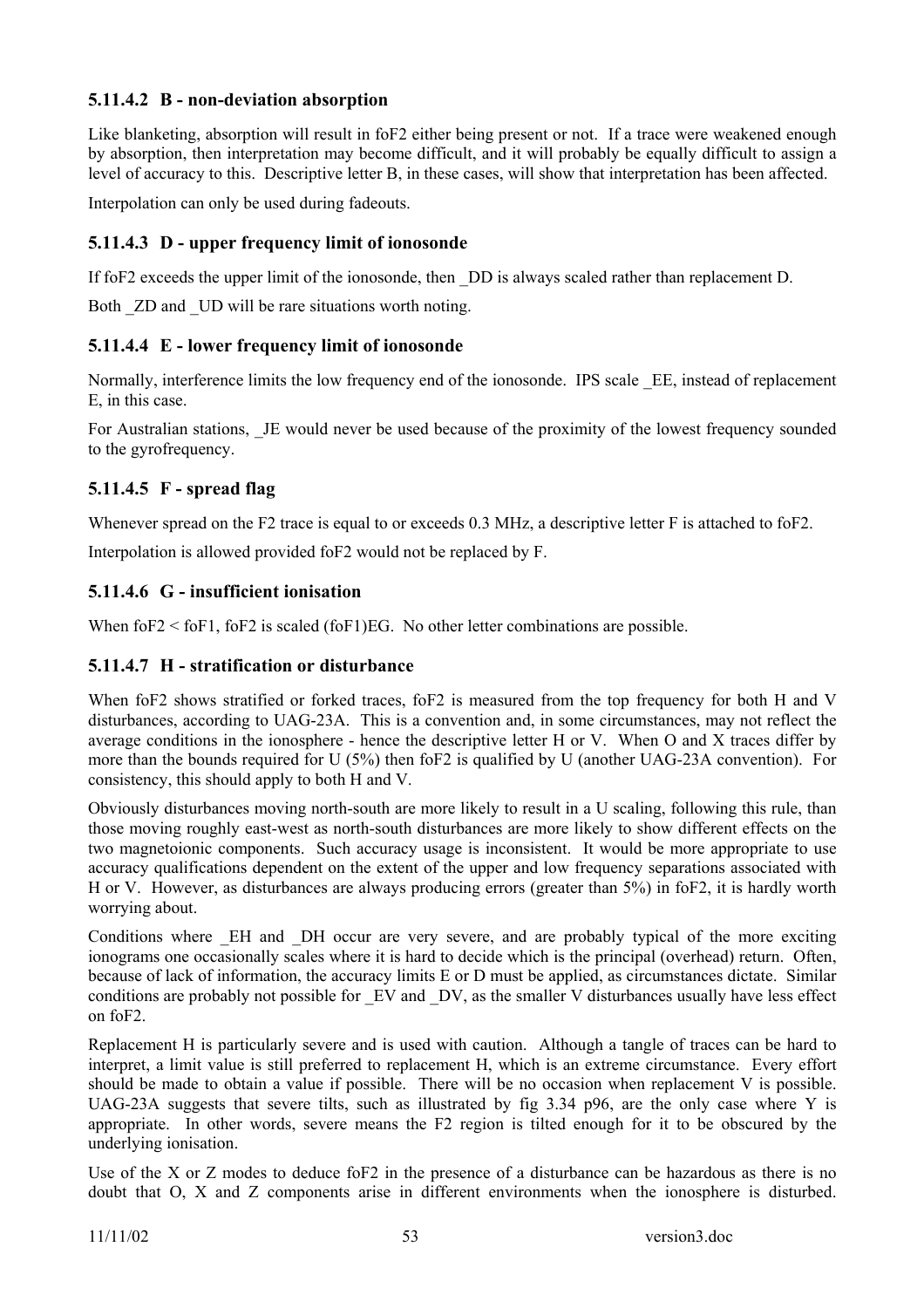### **5.11.4.2 B - non-deviation absorption**

Like blanketing, absorption will result in foF2 either being present or not. If a trace were weakened enough by absorption, then interpretation may become difficult, and it will probably be equally difficult to assign a level of accuracy to this. Descriptive letter B, in these cases, will show that interpretation has been affected.

Interpolation can only be used during fadeouts.

### **5.11.4.3 D - upper frequency limit of ionosonde**

If foF2 exceeds the upper limit of the ionosonde, then \_DD is always scaled rather than replacement D.

Both  $ZD$  and  $UD$  will be rare situations worth noting.

### **5.11.4.4 E - lower frequency limit of ionosonde**

Normally, interference limits the low frequency end of the ionosonde. IPS scale \_EE, instead of replacement E, in this case.

For Australian stations, JE would never be used because of the proximity of the lowest frequency sounded to the gyrofrequency.

### **5.11.4.5 F - spread flag**

Whenever spread on the F2 trace is equal to or exceeds 0.3 MHz, a descriptive letter F is attached to foF2.

Interpolation is allowed provided foF2 would not be replaced by F.

### **5.11.4.6 G - insufficient ionisation**

When foF2  $\le$  foF1, foF2 is scaled (foF1)EG. No other letter combinations are possible.

### **5.11.4.7 H - stratification or disturbance**

When foF2 shows stratified or forked traces, foF2 is measured from the top frequency for both H and V disturbances, according to UAG-23A. This is a convention and, in some circumstances, may not reflect the average conditions in the ionosphere - hence the descriptive letter H or V. When O and X traces differ by more than the bounds required for U (5%) then foF2 is qualified by U (another UAG-23A convention). For consistency, this should apply to both H and V.

Obviously disturbances moving north-south are more likely to result in a U scaling, following this rule, than those moving roughly east-west as north-south disturbances are more likely to show different effects on the two magnetoionic components. Such accuracy usage is inconsistent. It would be more appropriate to use accuracy qualifications dependent on the extent of the upper and low frequency separations associated with H or V. However, as disturbances are always producing errors (greater than 5%) in foF2, it is hardly worth worrying about.

Conditions where \_EH and \_DH occur are very severe, and are probably typical of the more exciting ionograms one occasionally scales where it is hard to decide which is the principal (overhead) return. Often, because of lack of information, the accuracy limits E or D must be applied, as circumstances dictate. Similar conditions are probably not possible for \_EV and \_DV, as the smaller V disturbances usually have less effect on foF2.

Replacement H is particularly severe and is used with caution. Although a tangle of traces can be hard to interpret, a limit value is still preferred to replacement H, which is an extreme circumstance. Every effort should be made to obtain a value if possible. There will be no occasion when replacement V is possible. UAG-23A suggests that severe tilts, such as illustrated by fig 3.34 p96, are the only case where Y is appropriate. In other words, severe means the F2 region is tilted enough for it to be obscured by the underlying ionisation.

Use of the X or Z modes to deduce foF2 in the presence of a disturbance can be hazardous as there is no doubt that O, X and Z components arise in different environments when the ionosphere is disturbed.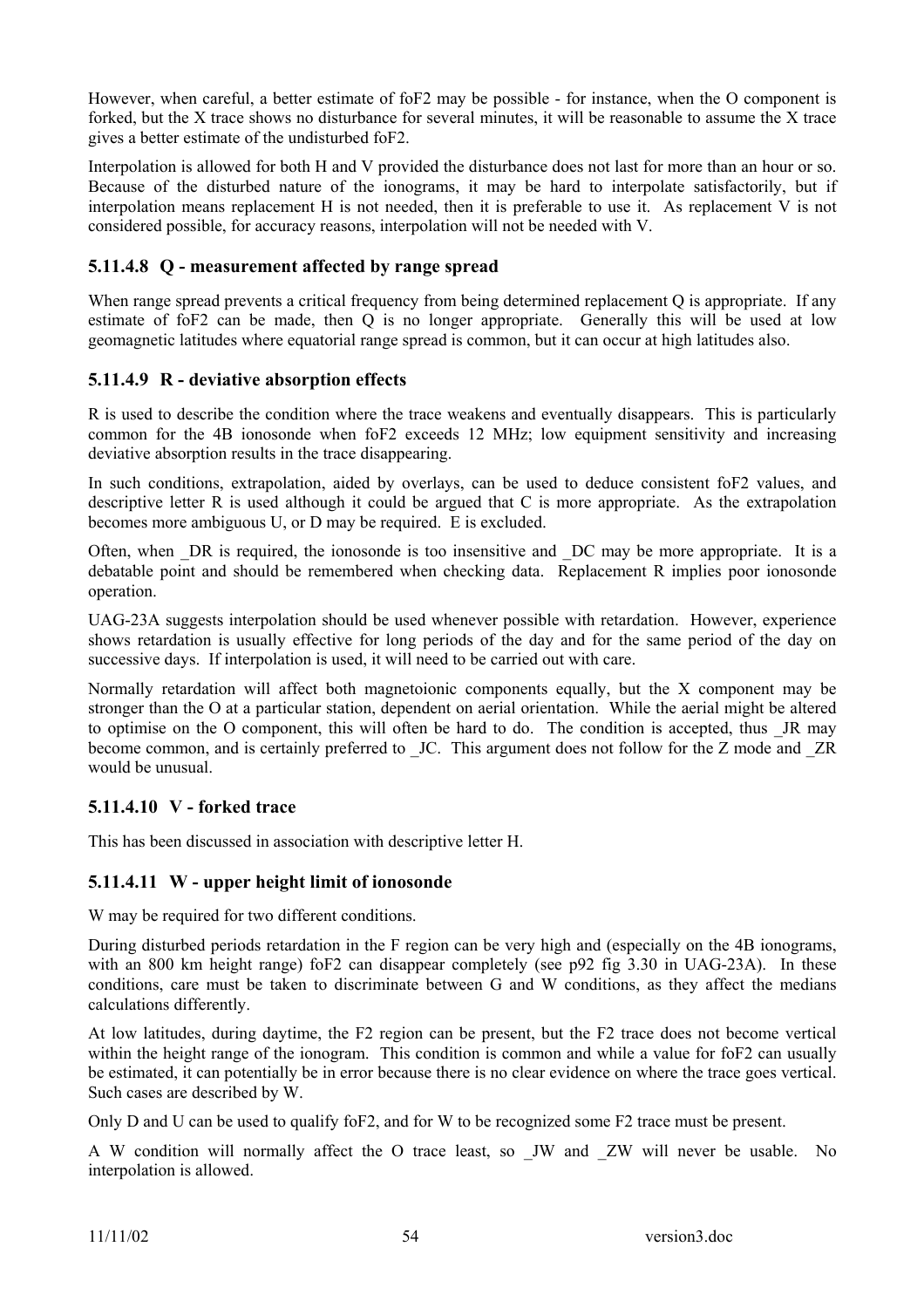However, when careful, a better estimate of foF2 may be possible - for instance, when the O component is forked, but the X trace shows no disturbance for several minutes, it will be reasonable to assume the X trace gives a better estimate of the undisturbed foF2.

Interpolation is allowed for both H and V provided the disturbance does not last for more than an hour or so. Because of the disturbed nature of the ionograms, it may be hard to interpolate satisfactorily, but if interpolation means replacement H is not needed, then it is preferable to use it. As replacement V is not considered possible, for accuracy reasons, interpolation will not be needed with V.

### **5.11.4.8 Q - measurement affected by range spread**

When range spread prevents a critical frequency from being determined replacement Q is appropriate. If any estimate of foF2 can be made, then Q is no longer appropriate. Generally this will be used at low geomagnetic latitudes where equatorial range spread is common, but it can occur at high latitudes also.

### **5.11.4.9 R - deviative absorption effects**

R is used to describe the condition where the trace weakens and eventually disappears. This is particularly common for the 4B ionosonde when foF2 exceeds 12 MHz; low equipment sensitivity and increasing deviative absorption results in the trace disappearing.

In such conditions, extrapolation, aided by overlays, can be used to deduce consistent foF2 values, and descriptive letter R is used although it could be argued that C is more appropriate. As the extrapolation becomes more ambiguous U, or D may be required. E is excluded.

Often, when DR is required, the ionosonde is too insensitive and DC may be more appropriate. It is a debatable point and should be remembered when checking data. Replacement R implies poor ionosonde operation.

UAG-23A suggests interpolation should be used whenever possible with retardation. However, experience shows retardation is usually effective for long periods of the day and for the same period of the day on successive days. If interpolation is used, it will need to be carried out with care.

Normally retardation will affect both magnetoionic components equally, but the X component may be stronger than the O at a particular station, dependent on aerial orientation. While the aerial might be altered to optimise on the O component, this will often be hard to do. The condition is accepted, thus \_JR may become common, and is certainly preferred to JC. This argument does not follow for the Z mode and ZR would be unusual.

### **5.11.4.10 V - forked trace**

This has been discussed in association with descriptive letter H.

### **5.11.4.11 W - upper height limit of ionosonde**

W may be required for two different conditions.

During disturbed periods retardation in the F region can be very high and (especially on the 4B ionograms, with an 800 km height range) foF2 can disappear completely (see p92 fig 3.30 in UAG-23A). In these conditions, care must be taken to discriminate between G and W conditions, as they affect the medians calculations differently.

At low latitudes, during daytime, the F2 region can be present, but the F2 trace does not become vertical within the height range of the ionogram. This condition is common and while a value for foF2 can usually be estimated, it can potentially be in error because there is no clear evidence on where the trace goes vertical. Such cases are described by W.

Only D and U can be used to qualify foF2, and for W to be recognized some F2 trace must be present.

A W condition will normally affect the O trace least, so \_JW and \_ZW will never be usable. No interpolation is allowed.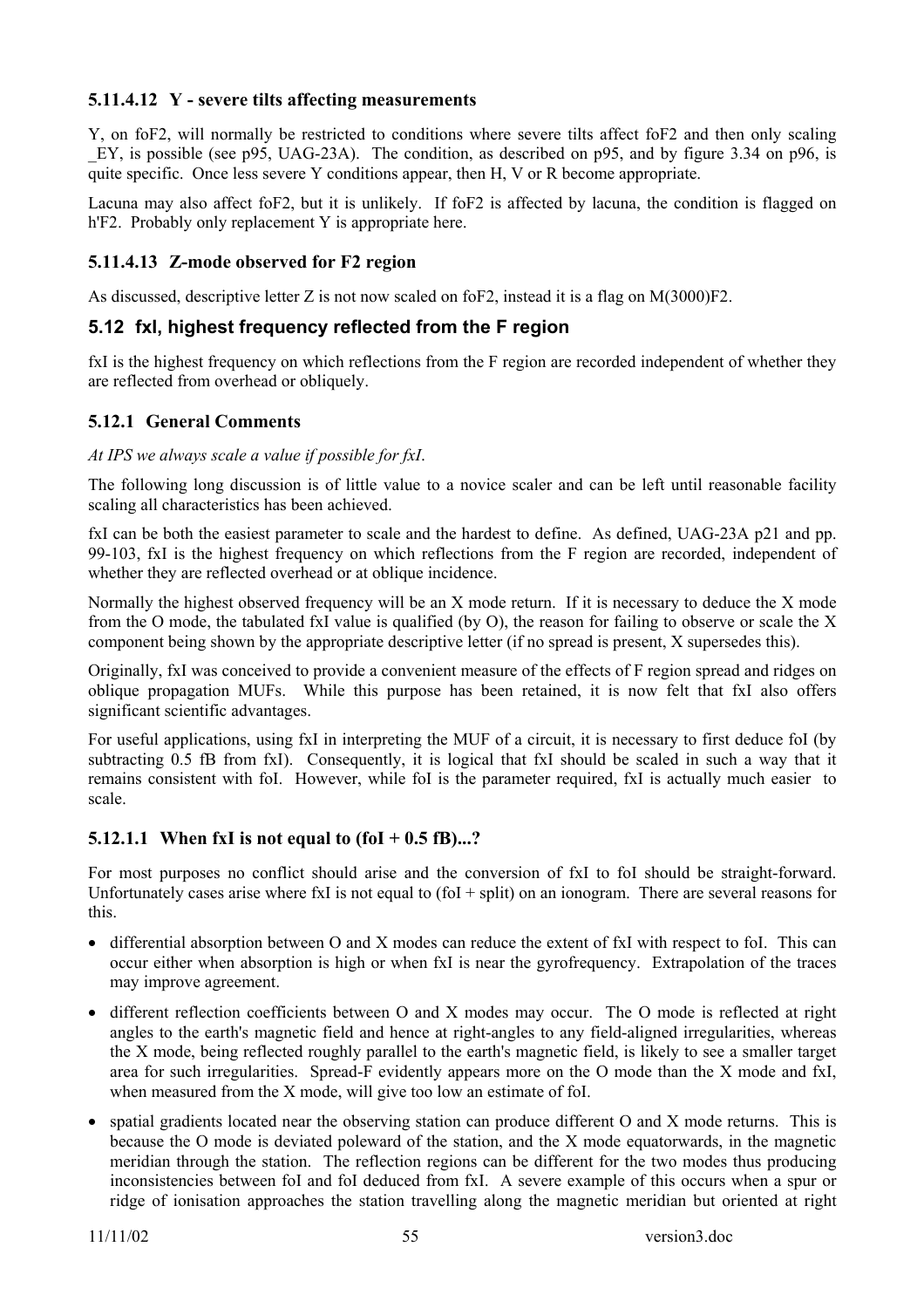### **5.11.4.12 Y - severe tilts affecting measurements**

Y, on foF2, will normally be restricted to conditions where severe tilts affect foF2 and then only scaling EY, is possible (see p95, UAG-23A). The condition, as described on p95, and by figure 3.34 on p96, is quite specific. Once less severe Y conditions appear, then H, V or R become appropriate.

Lacuna may also affect foF2, but it is unlikely. If foF2 is affected by lacuna, the condition is flagged on h'F2. Probably only replacement Y is appropriate here.

### **5.11.4.13 Z-mode observed for F2 region**

As discussed, descriptive letter Z is not now scaled on foF2, instead it is a flag on M(3000)F2.

### **5.12 fxI, highest frequency reflected from the F region**

fxI is the highest frequency on which reflections from the F region are recorded independent of whether they are reflected from overhead or obliquely.

### **5.12.1 General Comments**

#### *At IPS we always scale a value if possible for fxI*.

The following long discussion is of little value to a novice scaler and can be left until reasonable facility scaling all characteristics has been achieved.

fxI can be both the easiest parameter to scale and the hardest to define. As defined, UAG-23A p21 and pp. 99-103, fxI is the highest frequency on which reflections from the F region are recorded, independent of whether they are reflected overhead or at oblique incidence.

Normally the highest observed frequency will be an X mode return. If it is necessary to deduce the X mode from the O mode, the tabulated fxI value is qualified (by O), the reason for failing to observe or scale the X component being shown by the appropriate descriptive letter (if no spread is present, X supersedes this).

Originally, fxI was conceived to provide a convenient measure of the effects of F region spread and ridges on oblique propagation MUFs. While this purpose has been retained, it is now felt that fxI also offers significant scientific advantages.

For useful applications, using fxI in interpreting the MUF of a circuit, it is necessary to first deduce foI (by subtracting 0.5 fB from fxI). Consequently, it is logical that fxI should be scaled in such a way that it remains consistent with foI. However, while foI is the parameter required, fxI is actually much easier to scale.

#### **5.12.1.1 When fxI is not equal to (foI + 0.5 fB)...?**

For most purposes no conflict should arise and the conversion of fxI to foI should be straight-forward. Unfortunately cases arise where fxI is not equal to  $(fol + split)$  on an ionogram. There are several reasons for this.

- differential absorption between O and X modes can reduce the extent of fxI with respect to foI. This can occur either when absorption is high or when fxI is near the gyrofrequency. Extrapolation of the traces may improve agreement.
- different reflection coefficients between O and X modes may occur. The O mode is reflected at right angles to the earth's magnetic field and hence at right-angles to any field-aligned irregularities, whereas the X mode, being reflected roughly parallel to the earth's magnetic field, is likely to see a smaller target area for such irregularities. Spread-F evidently appears more on the O mode than the X mode and fxI, when measured from the X mode, will give too low an estimate of foI.
- spatial gradients located near the observing station can produce different O and X mode returns. This is because the O mode is deviated poleward of the station, and the X mode equatorwards, in the magnetic meridian through the station. The reflection regions can be different for the two modes thus producing inconsistencies between foI and foI deduced from fxI. A severe example of this occurs when a spur or ridge of ionisation approaches the station travelling along the magnetic meridian but oriented at right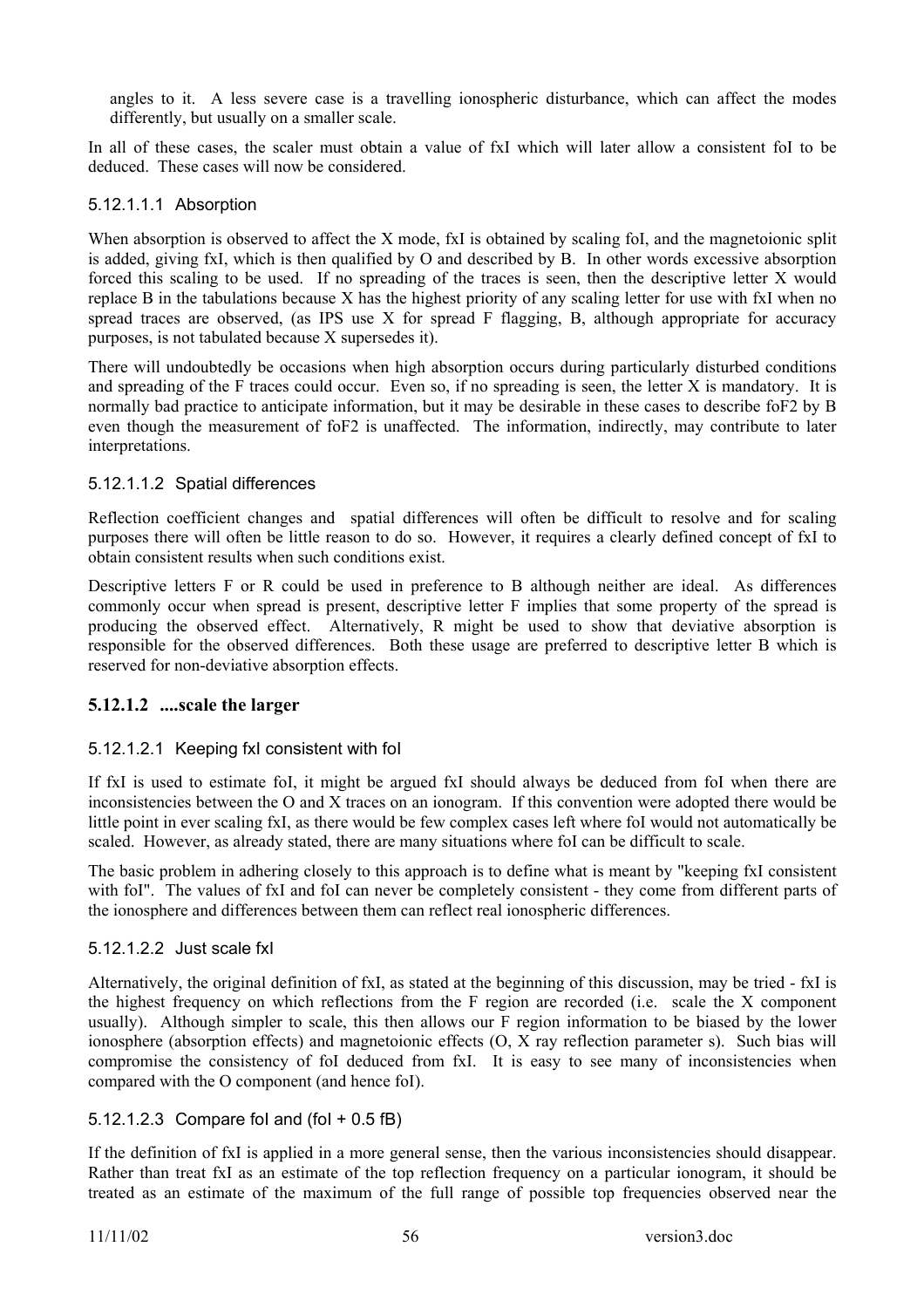angles to it. A less severe case is a travelling ionospheric disturbance, which can affect the modes differently, but usually on a smaller scale.

In all of these cases, the scaler must obtain a value of fxI which will later allow a consistent foI to be deduced. These cases will now be considered.

#### 5.12.1.1.1 Absorption

When absorption is observed to affect the X mode, fxI is obtained by scaling foI, and the magnetoionic split is added, giving fxI, which is then qualified by O and described by B. In other words excessive absorption forced this scaling to be used. If no spreading of the traces is seen, then the descriptive letter X would replace B in the tabulations because X has the highest priority of any scaling letter for use with fxI when no spread traces are observed, (as IPS use X for spread F flagging, B, although appropriate for accuracy purposes, is not tabulated because X supersedes it).

There will undoubtedly be occasions when high absorption occurs during particularly disturbed conditions and spreading of the F traces could occur. Even so, if no spreading is seen, the letter X is mandatory. It is normally bad practice to anticipate information, but it may be desirable in these cases to describe foF2 by B even though the measurement of foF2 is unaffected. The information, indirectly, may contribute to later interpretations.

### 5.12.1.1.2 Spatial differences

Reflection coefficient changes and spatial differences will often be difficult to resolve and for scaling purposes there will often be little reason to do so. However, it requires a clearly defined concept of fxI to obtain consistent results when such conditions exist.

Descriptive letters F or R could be used in preference to B although neither are ideal. As differences commonly occur when spread is present, descriptive letter F implies that some property of the spread is producing the observed effect. Alternatively, R might be used to show that deviative absorption is responsible for the observed differences. Both these usage are preferred to descriptive letter B which is reserved for non-deviative absorption effects.

#### **5.12.1.2 ....scale the larger**

#### 5.12.1.2.1 Keeping fxI consistent with foI

If fxI is used to estimate foI, it might be argued fxI should always be deduced from foI when there are inconsistencies between the O and X traces on an ionogram. If this convention were adopted there would be little point in ever scaling fxI, as there would be few complex cases left where foI would not automatically be scaled. However, as already stated, there are many situations where foI can be difficult to scale.

The basic problem in adhering closely to this approach is to define what is meant by "keeping fxI consistent with foI". The values of fxI and foI can never be completely consistent - they come from different parts of the ionosphere and differences between them can reflect real ionospheric differences.

#### 5.12.1.2.2 Just scale fxI

Alternatively, the original definition of fxI, as stated at the beginning of this discussion, may be tried - fxI is the highest frequency on which reflections from the F region are recorded (i.e. scale the X component usually). Although simpler to scale, this then allows our F region information to be biased by the lower ionosphere (absorption effects) and magnetoionic effects (O, X ray reflection parameter s). Such bias will compromise the consistency of foI deduced from fxI. It is easy to see many of inconsistencies when compared with the O component (and hence foI).

#### 5.12.1.2.3 Compare foI and (foI + 0.5 fB)

If the definition of fxI is applied in a more general sense, then the various inconsistencies should disappear. Rather than treat fxI as an estimate of the top reflection frequency on a particular ionogram, it should be treated as an estimate of the maximum of the full range of possible top frequencies observed near the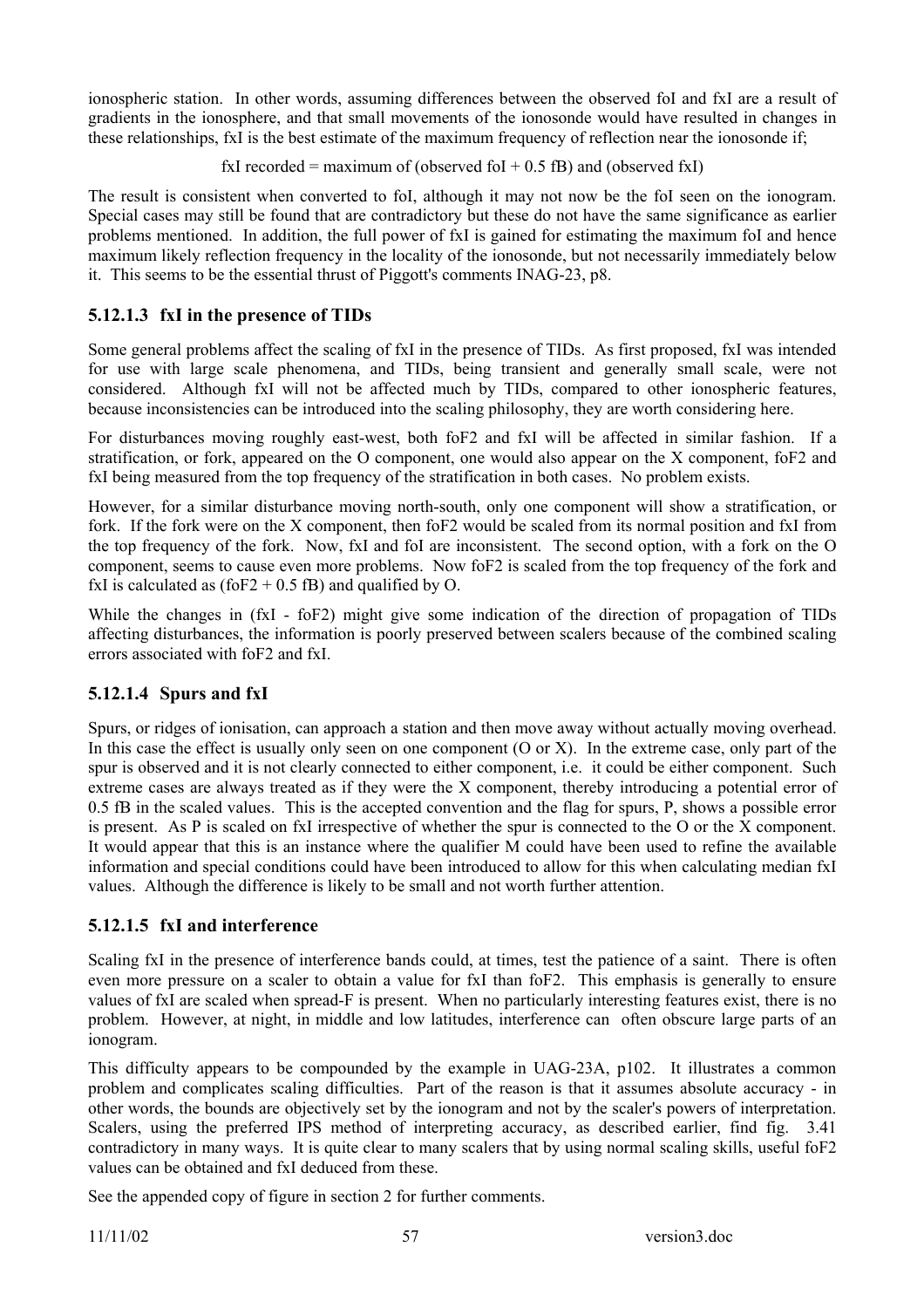ionospheric station. In other words, assuming differences between the observed foI and fxI are a result of gradients in the ionosphere, and that small movements of the ionosonde would have resulted in changes in these relationships, fxI is the best estimate of the maximum frequency of reflection near the ionosonde if;

fxI recorded = maximum of (observed foI + 0.5 fB) and (observed fxI)

The result is consistent when converted to foI, although it may not now be the foI seen on the ionogram. Special cases may still be found that are contradictory but these do not have the same significance as earlier problems mentioned. In addition, the full power of fxI is gained for estimating the maximum foI and hence maximum likely reflection frequency in the locality of the ionosonde, but not necessarily immediately below it. This seems to be the essential thrust of Piggott's comments INAG-23, p8.

## **5.12.1.3 fxI in the presence of TIDs**

Some general problems affect the scaling of fxI in the presence of TIDs. As first proposed, fxI was intended for use with large scale phenomena, and TIDs, being transient and generally small scale, were not considered. Although fxI will not be affected much by TIDs, compared to other ionospheric features, because inconsistencies can be introduced into the scaling philosophy, they are worth considering here.

For disturbances moving roughly east-west, both foF2 and fxI will be affected in similar fashion. If a stratification, or fork, appeared on the O component, one would also appear on the X component, foF2 and fxI being measured from the top frequency of the stratification in both cases. No problem exists.

However, for a similar disturbance moving north-south, only one component will show a stratification, or fork. If the fork were on the X component, then foF2 would be scaled from its normal position and fxI from the top frequency of the fork. Now, fxI and foI are inconsistent. The second option, with a fork on the O component, seems to cause even more problems. Now foF2 is scaled from the top frequency of the fork and fxI is calculated as (foF2 + 0.5 fB) and qualified by O.

While the changes in (fxI - foF2) might give some indication of the direction of propagation of TIDs affecting disturbances, the information is poorly preserved between scalers because of the combined scaling errors associated with foF2 and fxI.

### **5.12.1.4 Spurs and fxI**

Spurs, or ridges of ionisation, can approach a station and then move away without actually moving overhead. In this case the effect is usually only seen on one component (O or X). In the extreme case, only part of the spur is observed and it is not clearly connected to either component, i.e. it could be either component. Such extreme cases are always treated as if they were the X component, thereby introducing a potential error of 0.5 fB in the scaled values. This is the accepted convention and the flag for spurs, P, shows a possible error is present. As P is scaled on fxI irrespective of whether the spur is connected to the O or the X component. It would appear that this is an instance where the qualifier M could have been used to refine the available information and special conditions could have been introduced to allow for this when calculating median fxI values. Although the difference is likely to be small and not worth further attention.

### **5.12.1.5 fxI and interference**

Scaling fxI in the presence of interference bands could, at times, test the patience of a saint. There is often even more pressure on a scaler to obtain a value for fxI than foF2. This emphasis is generally to ensure values of fxI are scaled when spread-F is present. When no particularly interesting features exist, there is no problem. However, at night, in middle and low latitudes, interference can often obscure large parts of an ionogram.

This difficulty appears to be compounded by the example in UAG-23A, p102. It illustrates a common problem and complicates scaling difficulties. Part of the reason is that it assumes absolute accuracy - in other words, the bounds are objectively set by the ionogram and not by the scaler's powers of interpretation. Scalers, using the preferred IPS method of interpreting accuracy, as described earlier, find fig. 3.41 contradictory in many ways. It is quite clear to many scalers that by using normal scaling skills, useful foF2 values can be obtained and fxI deduced from these.

See the appended copy of figure in section 2 for further comments.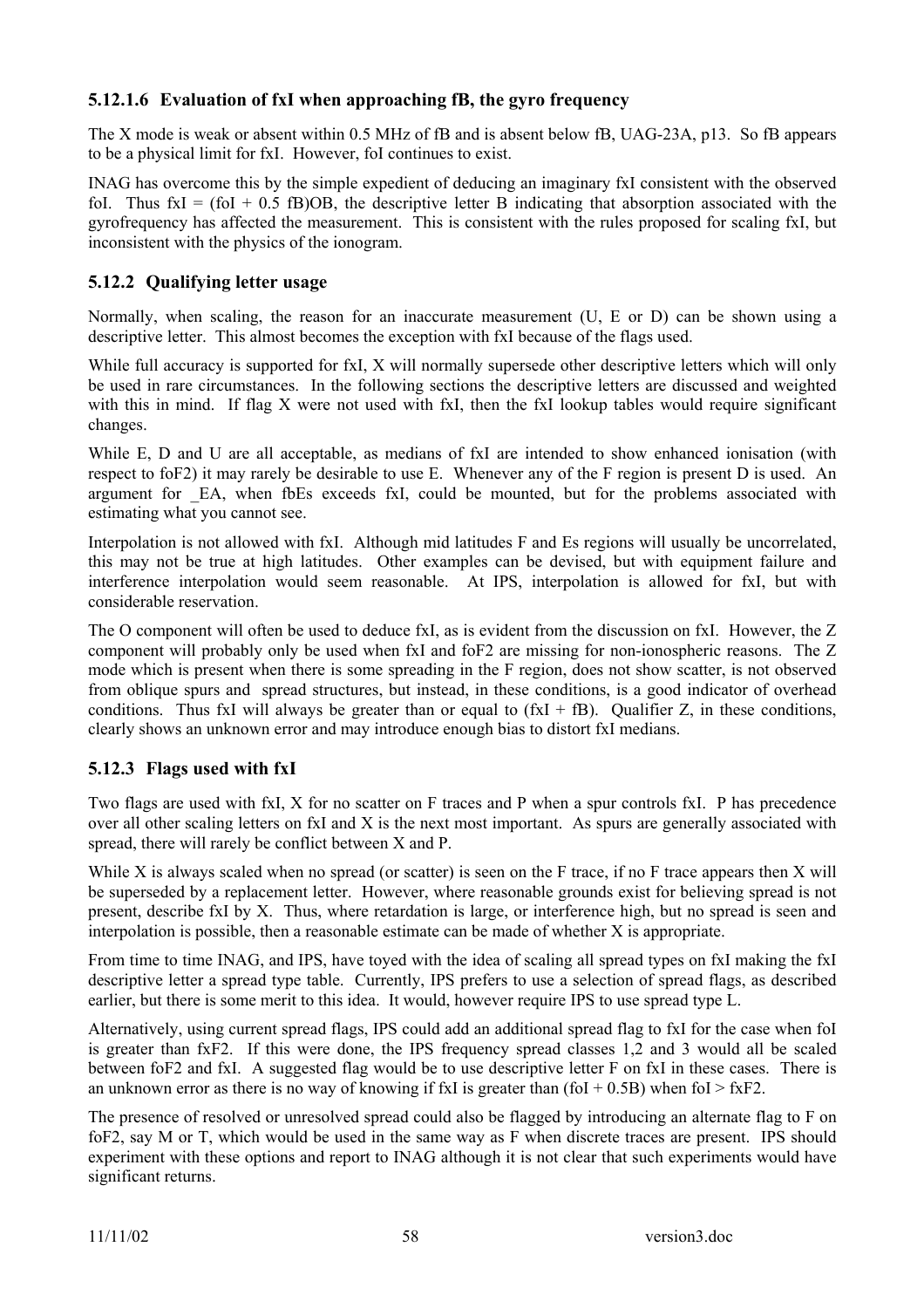### **5.12.1.6 Evaluation of fxI when approaching fB, the gyro frequency**

The X mode is weak or absent within 0.5 MHz of fB and is absent below fB, UAG-23A, p13. So fB appears to be a physical limit for fxI. However, foI continues to exist.

INAG has overcome this by the simple expedient of deducing an imaginary fxI consistent with the observed foI. Thus  $fxiI = (f0I + 0.5 fB)OB$ , the descriptive letter B indicating that absorption associated with the gyrofrequency has affected the measurement. This is consistent with the rules proposed for scaling fxI, but inconsistent with the physics of the ionogram.

### **5.12.2 Qualifying letter usage**

Normally, when scaling, the reason for an inaccurate measurement (U, E or D) can be shown using a descriptive letter. This almost becomes the exception with fxI because of the flags used.

While full accuracy is supported for fxI, X will normally supersede other descriptive letters which will only be used in rare circumstances. In the following sections the descriptive letters are discussed and weighted with this in mind. If flag X were not used with fxI, then the fxI lookup tables would require significant changes.

While E, D and U are all acceptable, as medians of fxI are intended to show enhanced ionisation (with respect to foF2) it may rarely be desirable to use E. Whenever any of the F region is present D is used. An argument for EA, when fbEs exceeds fxI, could be mounted, but for the problems associated with estimating what you cannot see.

Interpolation is not allowed with fxI. Although mid latitudes F and Es regions will usually be uncorrelated, this may not be true at high latitudes. Other examples can be devised, but with equipment failure and interference interpolation would seem reasonable. At IPS, interpolation is allowed for fxI, but with considerable reservation.

The O component will often be used to deduce fxI, as is evident from the discussion on fxI. However, the Z component will probably only be used when fxI and foF2 are missing for non-ionospheric reasons. The Z mode which is present when there is some spreading in the F region, does not show scatter, is not observed from oblique spurs and spread structures, but instead, in these conditions, is a good indicator of overhead conditions. Thus fxI will always be greater than or equal to  $(fxI + fB)$ . Qualifier Z, in these conditions, clearly shows an unknown error and may introduce enough bias to distort fxI medians.

### **5.12.3 Flags used with fxI**

Two flags are used with fxI, X for no scatter on F traces and P when a spur controls fxI. P has precedence over all other scaling letters on fxI and X is the next most important. As spurs are generally associated with spread, there will rarely be conflict between X and P.

While X is always scaled when no spread (or scatter) is seen on the F trace, if no F trace appears then X will be superseded by a replacement letter. However, where reasonable grounds exist for believing spread is not present, describe fxI by X. Thus, where retardation is large, or interference high, but no spread is seen and interpolation is possible, then a reasonable estimate can be made of whether X is appropriate.

From time to time INAG, and IPS, have toyed with the idea of scaling all spread types on fxI making the fxI descriptive letter a spread type table. Currently, IPS prefers to use a selection of spread flags, as described earlier, but there is some merit to this idea. It would, however require IPS to use spread type L.

Alternatively, using current spread flags, IPS could add an additional spread flag to fxI for the case when foI is greater than fxF2. If this were done, the IPS frequency spread classes 1,2 and 3 would all be scaled between foF2 and fxI. A suggested flag would be to use descriptive letter F on fxI in these cases. There is an unknown error as there is no way of knowing if fxI is greater than (foI + 0.5B) when foI > fxF2.

The presence of resolved or unresolved spread could also be flagged by introducing an alternate flag to F on foF2, say M or T, which would be used in the same way as F when discrete traces are present. IPS should experiment with these options and report to INAG although it is not clear that such experiments would have significant returns.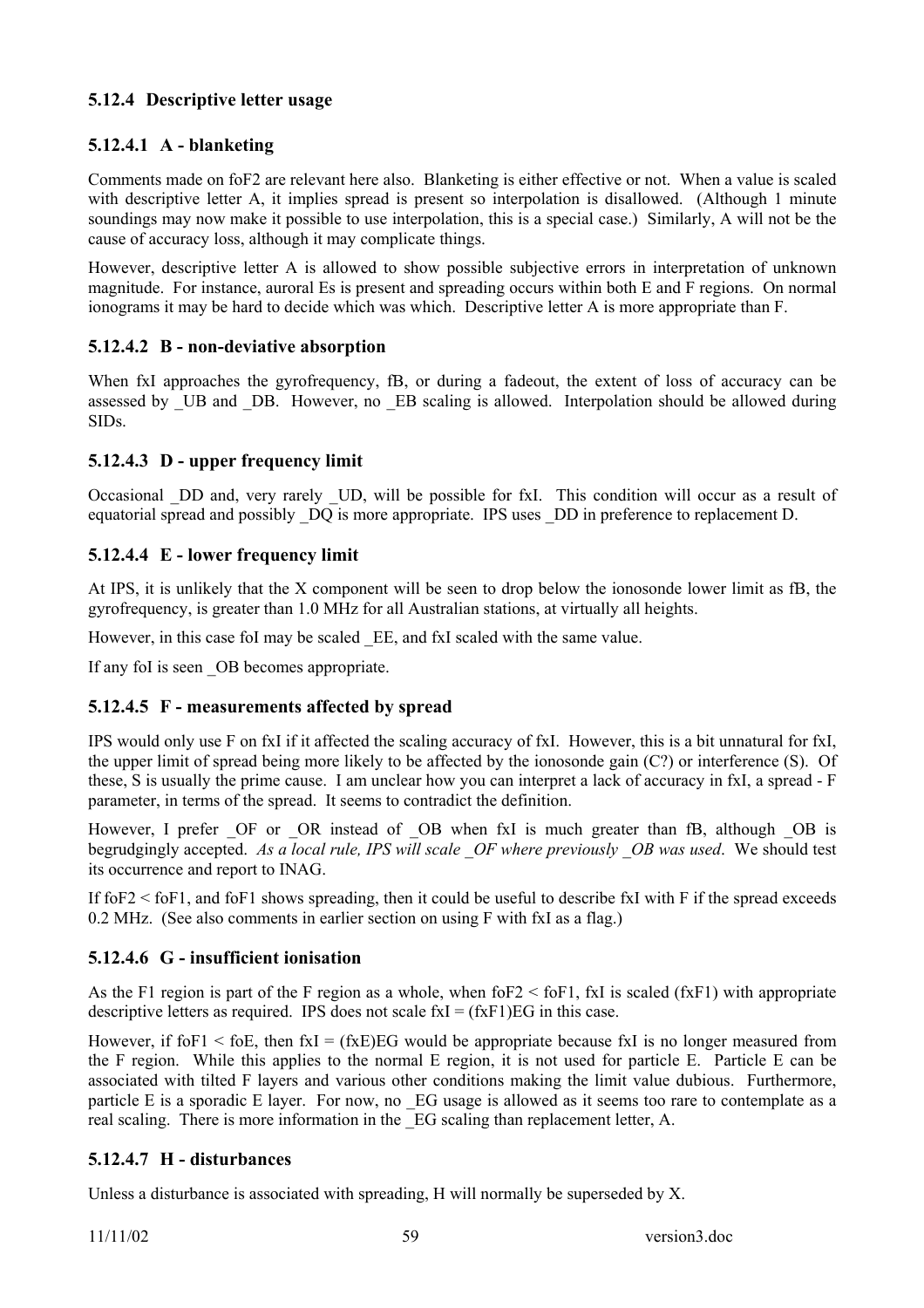### **5.12.4 Descriptive letter usage**

### **5.12.4.1 A - blanketing**

Comments made on foF2 are relevant here also. Blanketing is either effective or not. When a value is scaled with descriptive letter A, it implies spread is present so interpolation is disallowed. (Although 1 minute soundings may now make it possible to use interpolation, this is a special case.) Similarly, A will not be the cause of accuracy loss, although it may complicate things.

However, descriptive letter A is allowed to show possible subjective errors in interpretation of unknown magnitude. For instance, auroral Es is present and spreading occurs within both E and F regions. On normal ionograms it may be hard to decide which was which. Descriptive letter A is more appropriate than F.

### **5.12.4.2 B - non-deviative absorption**

When fxI approaches the gyrofrequency, fB, or during a fadeout, the extent of loss of accuracy can be assessed by UB and DB. However, no EB scaling is allowed. Interpolation should be allowed during SIDs.

### **5.12.4.3 D - upper frequency limit**

Occasional \_DD and, very rarely \_UD, will be possible for fxI. This condition will occur as a result of equatorial spread and possibly DQ is more appropriate. IPS uses DD in preference to replacement D.

### **5.12.4.4 E - lower frequency limit**

At IPS, it is unlikely that the X component will be seen to drop below the ionosonde lower limit as fB, the gyrofrequency, is greater than 1.0 MHz for all Australian stations, at virtually all heights.

However, in this case foI may be scaled EE, and fxI scaled with the same value.

If any fol is seen OB becomes appropriate.

#### **5.12.4.5 F - measurements affected by spread**

IPS would only use F on fxI if it affected the scaling accuracy of fxI. However, this is a bit unnatural for fxI, the upper limit of spread being more likely to be affected by the ionosonde gain (C?) or interference (S). Of these, S is usually the prime cause. I am unclear how you can interpret a lack of accuracy in fxI, a spread - F parameter, in terms of the spread. It seems to contradict the definition.

However, I prefer OF or OR instead of OB when fxI is much greater than fB, although OB is begrudgingly accepted. *As a local rule, IPS will scale \_OF where previously \_OB was used*. We should test its occurrence and report to INAG.

If  $f$ o $F$ 2  $\le$   $f$ o $F$ 1, and  $f$ o $F$ 1 shows spreading, then it could be useful to describe fxI with F if the spread exceeds 0.2 MHz. (See also comments in earlier section on using F with fxI as a flag.)

#### **5.12.4.6 G - insufficient ionisation**

As the F1 region is part of the F region as a whole, when foF2 < foF1, fxI is scaled (fxF1) with appropriate descriptive letters as required. IPS does not scale  $f x I = (f x F 1) EG$  in this case.

However, if fo $F1 <$  foE, then fxI = (fxE)EG would be appropriate because fxI is no longer measured from the F region. While this applies to the normal E region, it is not used for particle E. Particle E can be associated with tilted F layers and various other conditions making the limit value dubious. Furthermore, particle E is a sporadic E layer. For now, no EG usage is allowed as it seems too rare to contemplate as a real scaling. There is more information in the \_EG scaling than replacement letter, A.

### **5.12.4.7 H - disturbances**

Unless a disturbance is associated with spreading, H will normally be superseded by X.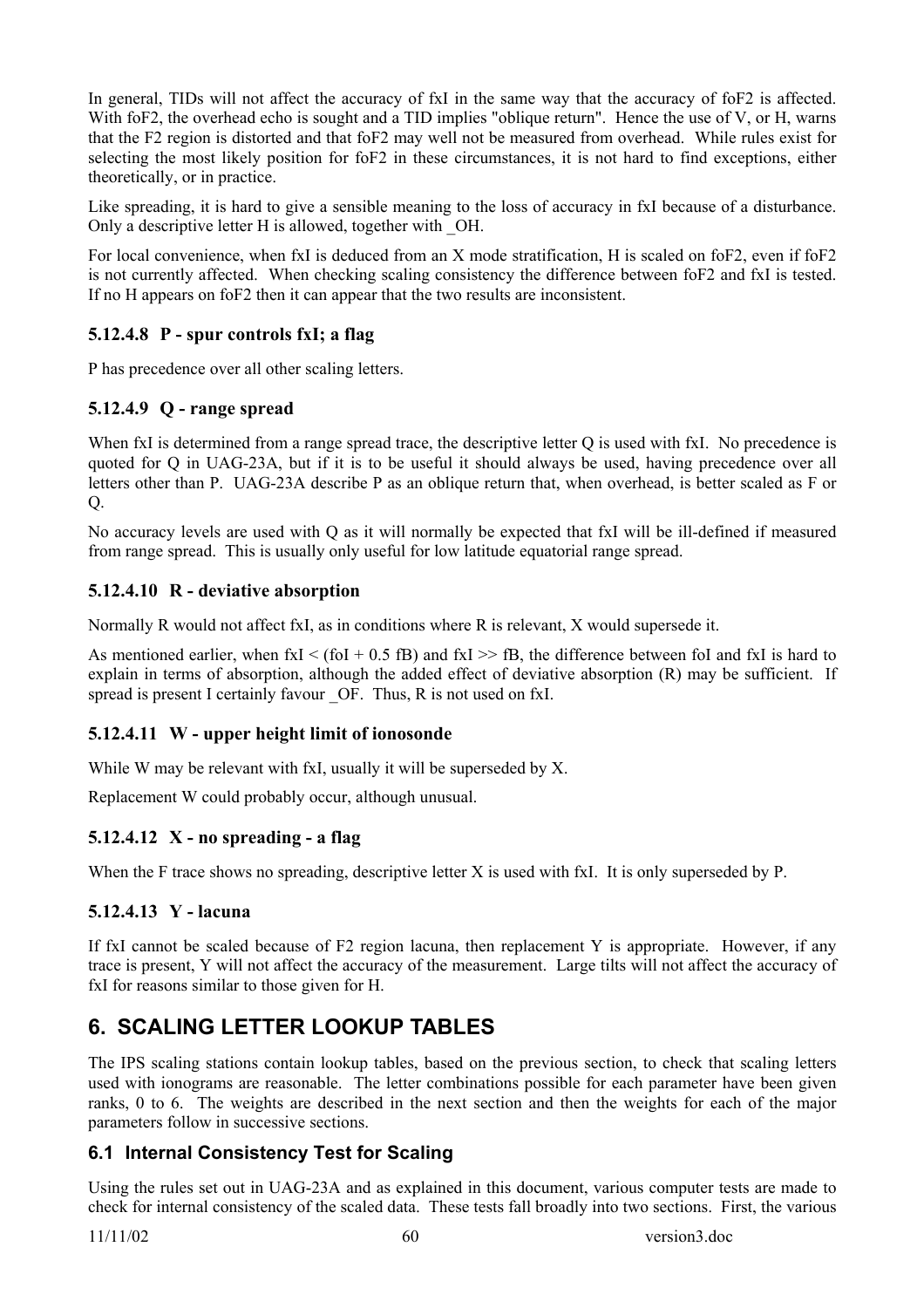In general, TIDs will not affect the accuracy of fxI in the same way that the accuracy of foF2 is affected. With foF2, the overhead echo is sought and a TID implies "oblique return". Hence the use of V, or H, warns that the F2 region is distorted and that foF2 may well not be measured from overhead. While rules exist for selecting the most likely position for foF2 in these circumstances, it is not hard to find exceptions, either theoretically, or in practice.

Like spreading, it is hard to give a sensible meaning to the loss of accuracy in fxI because of a disturbance. Only a descriptive letter H is allowed, together with \_OH.

For local convenience, when fxI is deduced from an X mode stratification, H is scaled on foF2, even if foF2 is not currently affected. When checking scaling consistency the difference between foF2 and fxI is tested. If no H appears on foF2 then it can appear that the two results are inconsistent.

### **5.12.4.8 P - spur controls fxI; a flag**

P has precedence over all other scaling letters.

### **5.12.4.9 Q - range spread**

When fxI is determined from a range spread trace, the descriptive letter Q is used with fxI. No precedence is quoted for Q in UAG-23A, but if it is to be useful it should always be used, having precedence over all letters other than P. UAG-23A describe P as an oblique return that, when overhead, is better scaled as F or  $\overline{O}$ .

No accuracy levels are used with Q as it will normally be expected that fxI will be ill-defined if measured from range spread. This is usually only useful for low latitude equatorial range spread.

### **5.12.4.10 R - deviative absorption**

Normally R would not affect fxI, as in conditions where R is relevant, X would supersede it.

As mentioned earlier, when  $f(x) < (f_0 + 0.5 fB)$  and  $f(x) > fB$ , the difference between fol and  $f(x)$  is hard to explain in terms of absorption, although the added effect of deviative absorption (R) may be sufficient. If spread is present I certainly favour OF. Thus, R is not used on fxI.

### **5.12.4.11 W - upper height limit of ionosonde**

While W may be relevant with fxI, usually it will be superseded by X.

Replacement W could probably occur, although unusual.

## **5.12.4.12 X - no spreading - a flag**

When the F trace shows no spreading, descriptive letter X is used with fxI. It is only superseded by P.

### **5.12.4.13 Y - lacuna**

If fxI cannot be scaled because of F2 region lacuna, then replacement Y is appropriate. However, if any trace is present, Y will not affect the accuracy of the measurement. Large tilts will not affect the accuracy of fxI for reasons similar to those given for H.

# **6. SCALING LETTER LOOKUP TABLES**

The IPS scaling stations contain lookup tables, based on the previous section, to check that scaling letters used with ionograms are reasonable. The letter combinations possible for each parameter have been given ranks, 0 to 6. The weights are described in the next section and then the weights for each of the major parameters follow in successive sections.

## **6.1 Internal Consistency Test for Scaling**

Using the rules set out in UAG-23A and as explained in this document, various computer tests are made to check for internal consistency of the scaled data. These tests fall broadly into two sections. First, the various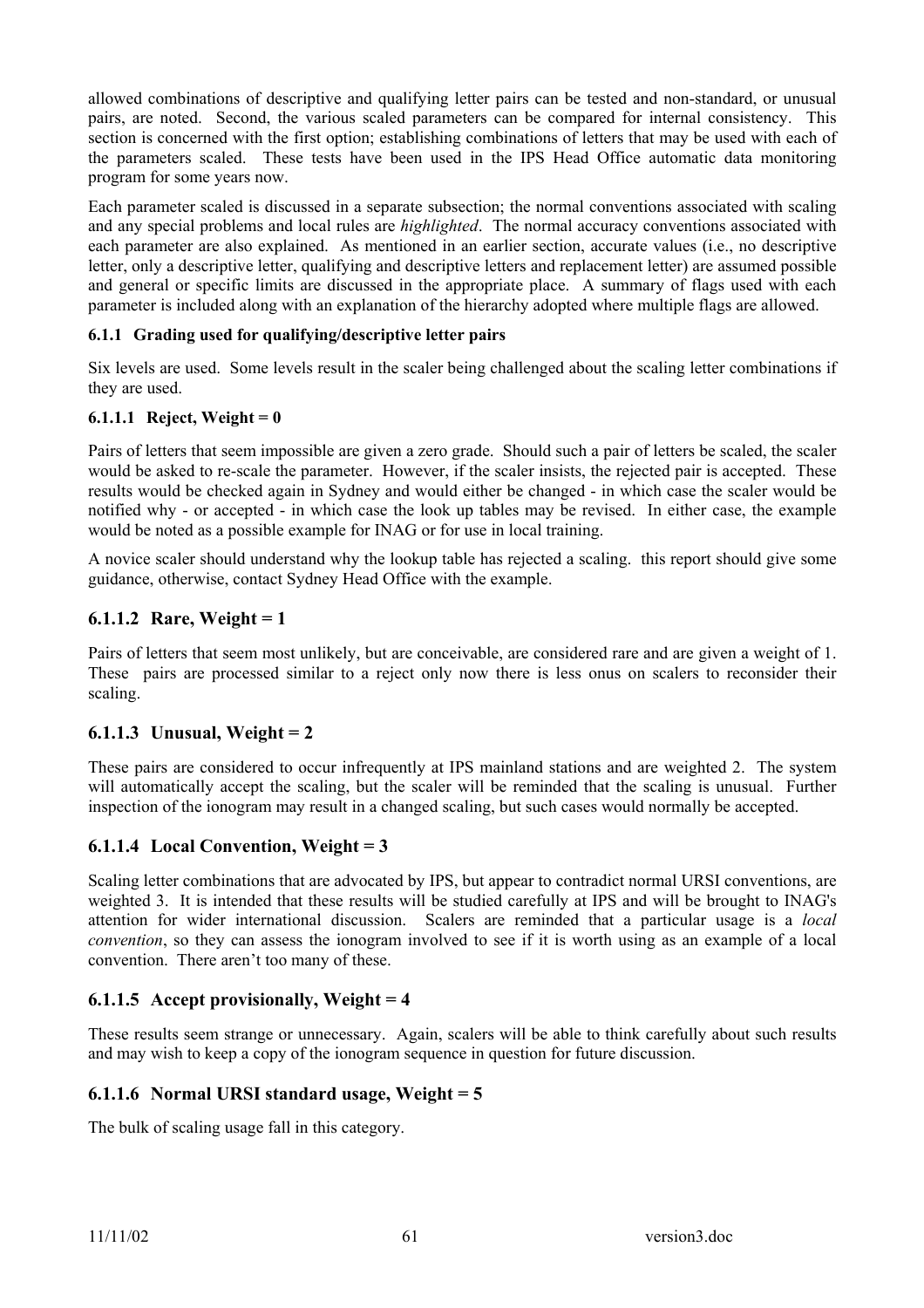allowed combinations of descriptive and qualifying letter pairs can be tested and non-standard, or unusual pairs, are noted. Second, the various scaled parameters can be compared for internal consistency. This section is concerned with the first option; establishing combinations of letters that may be used with each of the parameters scaled. These tests have been used in the IPS Head Office automatic data monitoring program for some years now.

Each parameter scaled is discussed in a separate subsection; the normal conventions associated with scaling and any special problems and local rules are *highlighted*. The normal accuracy conventions associated with each parameter are also explained. As mentioned in an earlier section, accurate values (i.e., no descriptive letter, only a descriptive letter, qualifying and descriptive letters and replacement letter) are assumed possible and general or specific limits are discussed in the appropriate place. A summary of flags used with each parameter is included along with an explanation of the hierarchy adopted where multiple flags are allowed.

### **6.1.1 Grading used for qualifying/descriptive letter pairs**

Six levels are used. Some levels result in the scaler being challenged about the scaling letter combinations if they are used.

### **6.1.1.1 Reject, Weight = 0**

Pairs of letters that seem impossible are given a zero grade. Should such a pair of letters be scaled, the scaler would be asked to re-scale the parameter. However, if the scaler insists, the rejected pair is accepted. These results would be checked again in Sydney and would either be changed - in which case the scaler would be notified why - or accepted - in which case the look up tables may be revised. In either case, the example would be noted as a possible example for INAG or for use in local training.

A novice scaler should understand why the lookup table has rejected a scaling. this report should give some guidance, otherwise, contact Sydney Head Office with the example.

### **6.1.1.2 Rare, Weight = 1**

Pairs of letters that seem most unlikely, but are conceivable, are considered rare and are given a weight of 1. These pairs are processed similar to a reject only now there is less onus on scalers to reconsider their scaling.

### **6.1.1.3 Unusual, Weight = 2**

These pairs are considered to occur infrequently at IPS mainland stations and are weighted 2. The system will automatically accept the scaling, but the scaler will be reminded that the scaling is unusual. Further inspection of the ionogram may result in a changed scaling, but such cases would normally be accepted.

### **6.1.1.4 Local Convention, Weight = 3**

Scaling letter combinations that are advocated by IPS, but appear to contradict normal URSI conventions, are weighted 3. It is intended that these results will be studied carefully at IPS and will be brought to INAG's attention for wider international discussion. Scalers are reminded that a particular usage is a *local convention*, so they can assess the ionogram involved to see if it is worth using as an example of a local convention. There aren't too many of these.

### **6.1.1.5 Accept provisionally, Weight = 4**

These results seem strange or unnecessary. Again, scalers will be able to think carefully about such results and may wish to keep a copy of the ionogram sequence in question for future discussion.

#### **6.1.1.6 Normal URSI standard usage, Weight = 5**

The bulk of scaling usage fall in this category.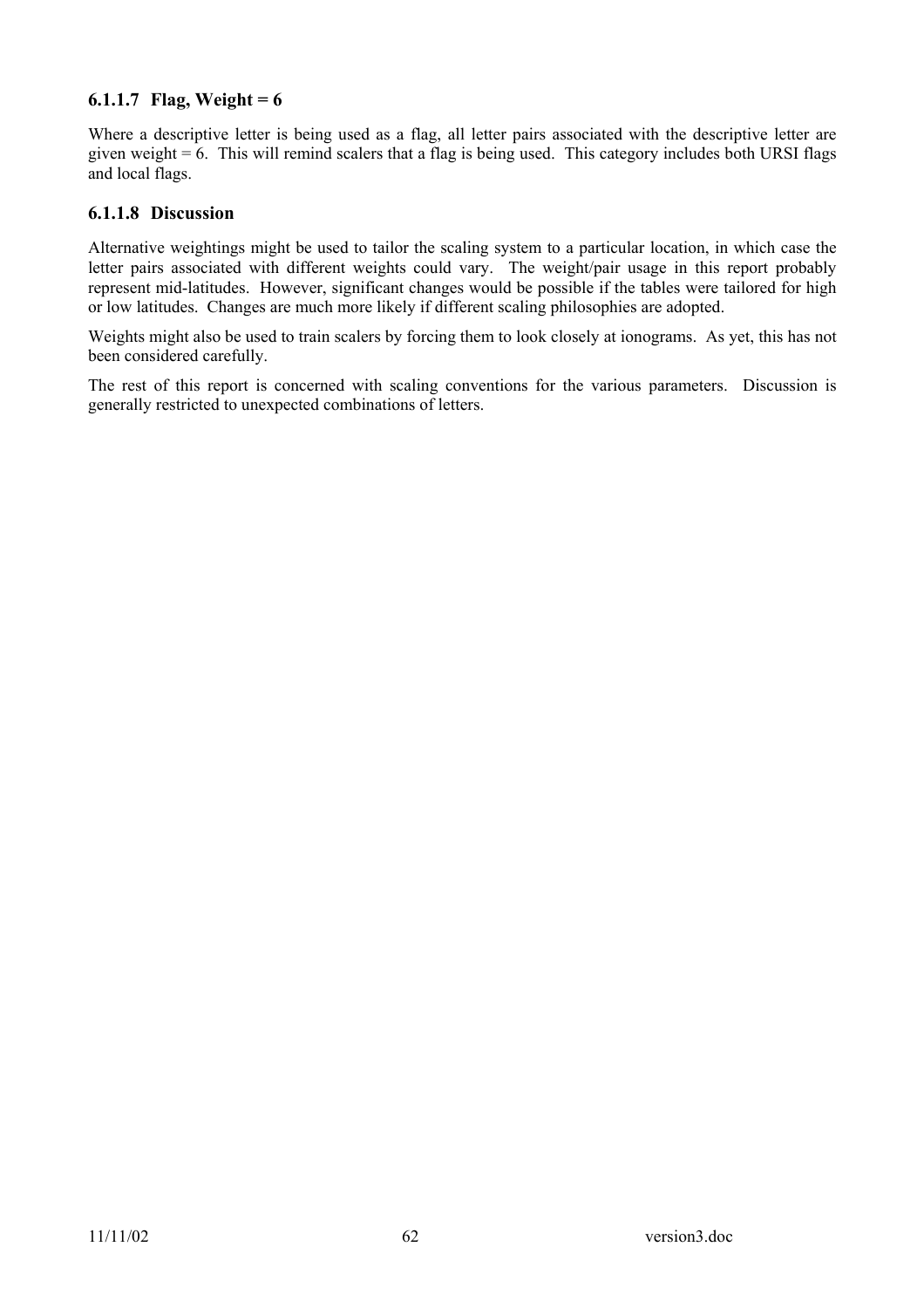### **6.1.1.7 Flag, Weight = 6**

Where a descriptive letter is being used as a flag, all letter pairs associated with the descriptive letter are given weight  $= 6$ . This will remind scalers that a flag is being used. This category includes both URSI flags and local flags.

#### **6.1.1.8 Discussion**

Alternative weightings might be used to tailor the scaling system to a particular location, in which case the letter pairs associated with different weights could vary. The weight/pair usage in this report probably represent mid-latitudes. However, significant changes would be possible if the tables were tailored for high or low latitudes. Changes are much more likely if different scaling philosophies are adopted.

Weights might also be used to train scalers by forcing them to look closely at ionograms. As yet, this has not been considered carefully.

The rest of this report is concerned with scaling conventions for the various parameters. Discussion is generally restricted to unexpected combinations of letters.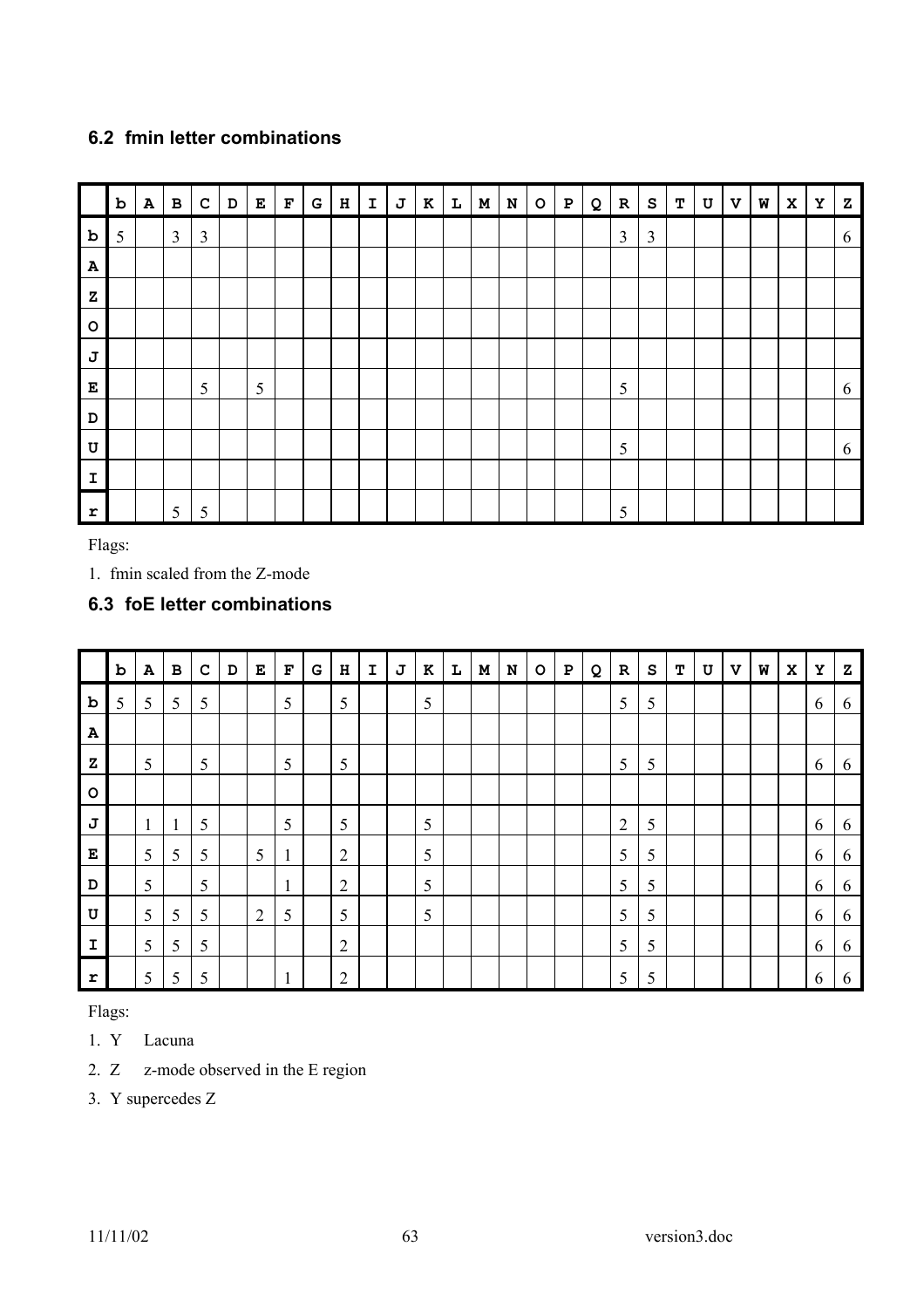## **6.2 fmin letter combinations**

|              | $\mathbf b$ | ${\bf A}$ | $\, {\bf B}$   | $\mathbf c$    | $\mathbf D$ | $\mathbf E$ | $\mathbf F$ | G | $\, {\bf H}$ | $\mathbf I$ | J | $\, {\bf K}$ | $\mathbf{L}$ | $\mathbf M$ | ${\bf N}$ | $\circ$ | ${\bf P}$ | Q | ${\bf R}$      | S              | т | $\mathtt U$ | $\mathbf{v}$ | W | $\mathbf x$ | Υ | ${\bf z}$ |
|--------------|-------------|-----------|----------------|----------------|-------------|-------------|-------------|---|--------------|-------------|---|--------------|--------------|-------------|-----------|---------|-----------|---|----------------|----------------|---|-------------|--------------|---|-------------|---|-----------|
| $\mathbf b$  | 5           |           | $\mathfrak{Z}$ | $\mathfrak{Z}$ |             |             |             |   |              |             |   |              |              |             |           |         |           |   | $\overline{3}$ | $\mathfrak{Z}$ |   |             |              |   |             |   | 6         |
| $\mathbf{A}$ |             |           |                |                |             |             |             |   |              |             |   |              |              |             |           |         |           |   |                |                |   |             |              |   |             |   |           |
| ${\bf z}$    |             |           |                |                |             |             |             |   |              |             |   |              |              |             |           |         |           |   |                |                |   |             |              |   |             |   |           |
| $\circ$      |             |           |                |                |             |             |             |   |              |             |   |              |              |             |           |         |           |   |                |                |   |             |              |   |             |   |           |
| J            |             |           |                |                |             |             |             |   |              |             |   |              |              |             |           |         |           |   |                |                |   |             |              |   |             |   |           |
| $\bf E$      |             |           |                | 5              |             | 5           |             |   |              |             |   |              |              |             |           |         |           |   | 5              |                |   |             |              |   |             |   | 6         |
| D            |             |           |                |                |             |             |             |   |              |             |   |              |              |             |           |         |           |   |                |                |   |             |              |   |             |   |           |
| U            |             |           |                |                |             |             |             |   |              |             |   |              |              |             |           |         |           |   | 5              |                |   |             |              |   |             |   | 6         |
| $\mathbf I$  |             |           |                |                |             |             |             |   |              |             |   |              |              |             |           |         |           |   |                |                |   |             |              |   |             |   |           |
| $\mathbf r$  |             |           | 5              | 5              |             |             |             |   |              |             |   |              |              |             |           |         |           |   | 5              |                |   |             |              |   |             |   |           |

Flags:

1. fmin scaled from the Z-mode

# **6.3 foE letter combinations**

|              | b | ${\bf A}$    | в            | $\mathbf C$ | D | $\mathbf E$    | $\mathbf F$  | G | $\, {\bf H}$   | $\mathbf I$ | J | K | L | M | N | $\circ$ | ${\bf P}$ | Q | $\mathbf R$    | $\mathbf{s}$ | т | U | $\mathbf v$ | W | $\mathbf x$ | Y | z |
|--------------|---|--------------|--------------|-------------|---|----------------|--------------|---|----------------|-------------|---|---|---|---|---|---------|-----------|---|----------------|--------------|---|---|-------------|---|-------------|---|---|
| b            | 5 | 5            | 5            | 5           |   |                | 5            |   | 5              |             |   | 5 |   |   |   |         |           |   | 5              | 5            |   |   |             |   |             | 6 | 6 |
| A            |   |              |              |             |   |                |              |   |                |             |   |   |   |   |   |         |           |   |                |              |   |   |             |   |             |   |   |
| $\mathbf{z}$ |   | 5            |              | 5           |   |                | 5            |   | 5              |             |   |   |   |   |   |         |           |   | 5              | 5            |   |   |             |   |             | 6 | 6 |
| $\circ$      |   |              |              |             |   |                |              |   |                |             |   |   |   |   |   |         |           |   |                |              |   |   |             |   |             |   |   |
| J            |   | $\mathbf{1}$ | $\mathbf{1}$ | 5           |   |                | 5            |   | 5              |             |   | 5 |   |   |   |         |           |   | $\overline{2}$ | 5            |   |   |             |   |             | 6 | 6 |
| E            |   | 5            | 5            | 5           |   | 5              | $\mathbf{1}$ |   | $\overline{2}$ |             |   | 5 |   |   |   |         |           |   | 5              | 5            |   |   |             |   |             | 6 | 6 |
| D            |   | 5            |              | 5           |   |                | $\mathbf{1}$ |   | $\overline{2}$ |             |   | 5 |   |   |   |         |           |   | 5              | 5            |   |   |             |   |             | 6 | 6 |
| U            |   | 5            | 5            | 5           |   | $\overline{2}$ | 5            |   | 5              |             |   | 5 |   |   |   |         |           |   | 5              | 5            |   |   |             |   |             | 6 | 6 |
| $\mathbf I$  |   | 5            | 5            | 5           |   |                |              |   | $\overline{2}$ |             |   |   |   |   |   |         |           |   | 5              | 5            |   |   |             |   |             | 6 | 6 |
| r            |   | 5            | 5            | 5           |   |                | 1            |   | $\overline{2}$ |             |   |   |   |   |   |         |           |   | 5              | 5            |   |   |             |   |             | 6 | 6 |

Flags:

- 1. Y Lacuna
- 2. Z z-mode observed in the E region
- 3. Y supercedes Z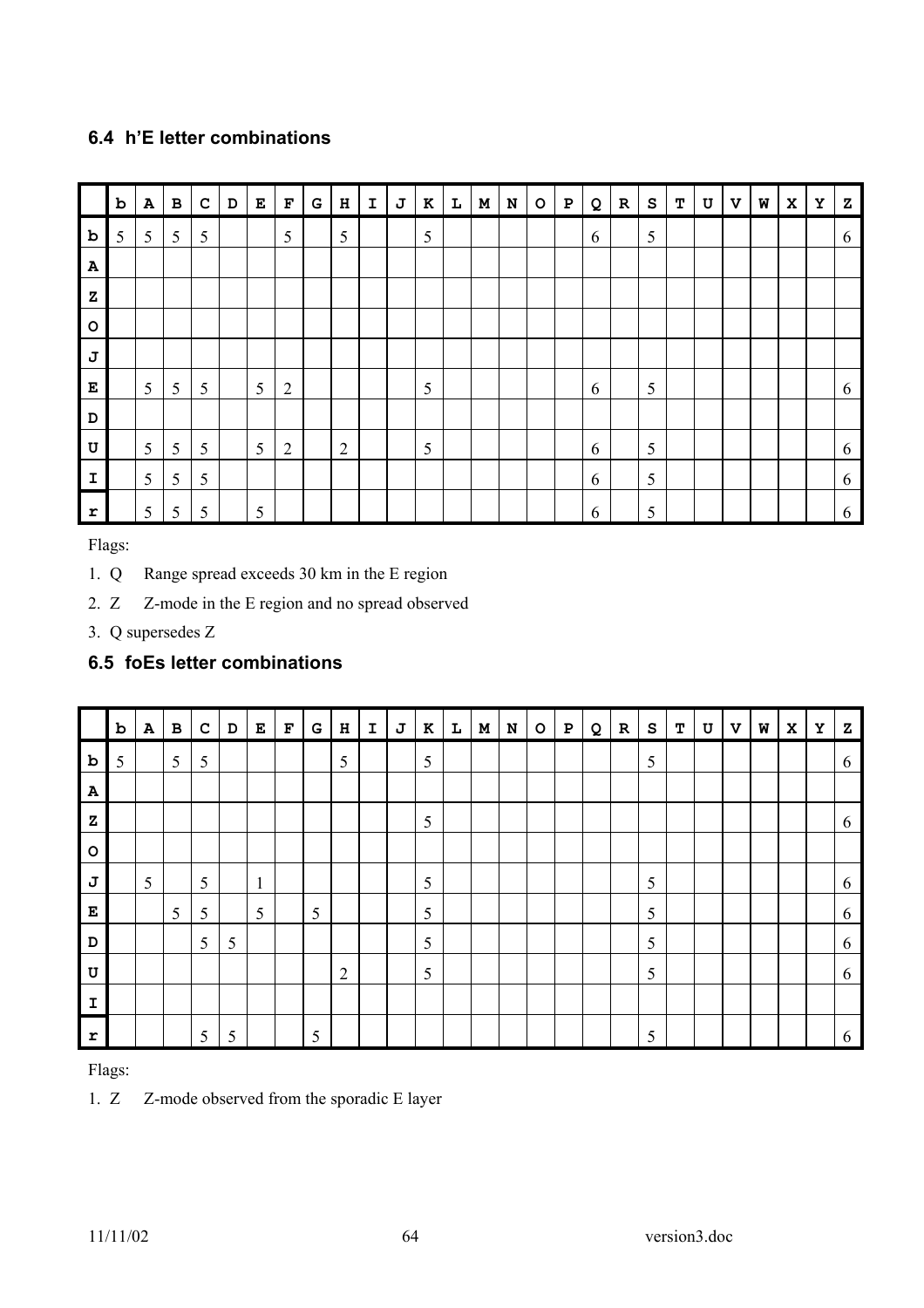## **6.4 h'E letter combinations**

|              | b | $\mathbf{A}$ | $\, {\bf B}$ | $\mathbf C$ | $\, {\bf D}$ | ${\bf E}$ | $\mathbf F$    | G | $\, {\bf H}$   | $\mathbf I$ | J | $\bf K$ | L | $\mathbf M$ | ${\bf N}$ | $\mathsf{o}$ | $\, {\bf P}$ | Q | ${\bf R}$ | S | т | U | V | W | $\mathbf x$ | Y | ${\bf z}$ |
|--------------|---|--------------|--------------|-------------|--------------|-----------|----------------|---|----------------|-------------|---|---------|---|-------------|-----------|--------------|--------------|---|-----------|---|---|---|---|---|-------------|---|-----------|
| b            | 5 | 5            | 5            | 5           |              |           | 5              |   | 5              |             |   | 5       |   |             |           |              |              | 6 |           | 5 |   |   |   |   |             |   | 6         |
| $\mathbf{A}$ |   |              |              |             |              |           |                |   |                |             |   |         |   |             |           |              |              |   |           |   |   |   |   |   |             |   |           |
| $\mathbf{z}$ |   |              |              |             |              |           |                |   |                |             |   |         |   |             |           |              |              |   |           |   |   |   |   |   |             |   |           |
| $\circ$      |   |              |              |             |              |           |                |   |                |             |   |         |   |             |           |              |              |   |           |   |   |   |   |   |             |   |           |
| J            |   |              |              |             |              |           |                |   |                |             |   |         |   |             |           |              |              |   |           |   |   |   |   |   |             |   |           |
| E            |   | 5            | 5            | 5           |              | 5         | $\overline{2}$ |   |                |             |   | 5       |   |             |           |              |              | 6 |           | 5 |   |   |   |   |             |   | 6         |
| D            |   |              |              |             |              |           |                |   |                |             |   |         |   |             |           |              |              |   |           |   |   |   |   |   |             |   |           |
| $\mathbf U$  |   | 5            | 5            | 5           |              | 5         | $\overline{2}$ |   | $\overline{2}$ |             |   | 5       |   |             |           |              |              | 6 |           | 5 |   |   |   |   |             |   | 6         |
| I            |   | 5            | 5            | 5           |              |           |                |   |                |             |   |         |   |             |           |              |              | 6 |           | 5 |   |   |   |   |             |   | 6         |
| $\mathbf r$  |   | 5            | 5            | 5           |              | 5         |                |   |                |             |   |         |   |             |           |              |              | 6 |           | 5 |   |   |   |   |             |   | 6         |

Flags:

- 1. Q Range spread exceeds 30 km in the E region
- 2. Z Z-mode in the E region and no spread observed
- 3. Q supersedes Z

## **6.5 foEs letter combinations**

|              | $\mathbf b$ | $\, {\bf A}$ | $\, {\bf B} \,$ | $\mathbf C$ | $\mathbf D$ | E            | $\mathbf{F}% _{0}$ | G | $\, {\bf H}$   | I | J | $\bf K$    | $\mathbf L$ | $\mathbf M$ | ${\bf N}$ | $\circ$ | $\mathbf P$ | Q | ${\bf R}$ | ${\tt s}$ | т | $\ensuremath{\mathbf{U}}$ | $\mathbf v$ | W | $\mathbf{x}$ | Υ | z |
|--------------|-------------|--------------|-----------------|-------------|-------------|--------------|--------------------|---|----------------|---|---|------------|-------------|-------------|-----------|---------|-------------|---|-----------|-----------|---|---------------------------|-------------|---|--------------|---|---|
| $\mathbf b$  | 5           |              | 5               | 5           |             |              |                    |   | 5              |   |   | 5          |             |             |           |         |             |   |           | 5         |   |                           |             |   |              |   | 6 |
| $\mathbf{A}$ |             |              |                 |             |             |              |                    |   |                |   |   |            |             |             |           |         |             |   |           |           |   |                           |             |   |              |   |   |
| $\mathbf{z}$ |             |              |                 |             |             |              |                    |   |                |   |   | 5          |             |             |           |         |             |   |           |           |   |                           |             |   |              |   | 6 |
| $\circ$      |             |              |                 |             |             |              |                    |   |                |   |   |            |             |             |           |         |             |   |           |           |   |                           |             |   |              |   |   |
| J            |             | 5            |                 | 5           |             | $\mathbf{1}$ |                    |   |                |   |   | $\sqrt{5}$ |             |             |           |         |             |   |           | 5         |   |                           |             |   |              |   | 6 |
| E            |             |              | 5               | 5           |             | 5            |                    | 5 |                |   |   | 5          |             |             |           |         |             |   |           | 5         |   |                           |             |   |              |   | 6 |
| D            |             |              |                 | 5           | 5           |              |                    |   |                |   |   | 5          |             |             |           |         |             |   |           | 5         |   |                           |             |   |              |   | 6 |
| U            |             |              |                 |             |             |              |                    |   | $\overline{2}$ |   |   | 5          |             |             |           |         |             |   |           | 5         |   |                           |             |   |              |   | 6 |
| $\mathbf I$  |             |              |                 |             |             |              |                    |   |                |   |   |            |             |             |           |         |             |   |           |           |   |                           |             |   |              |   |   |
| $\mathbf{r}$ |             |              |                 | 5           | 5           |              |                    | 5 |                |   |   |            |             |             |           |         |             |   |           | 5         |   |                           |             |   |              |   | 6 |

Flags:

## 1. Z Z-mode observed from the sporadic E layer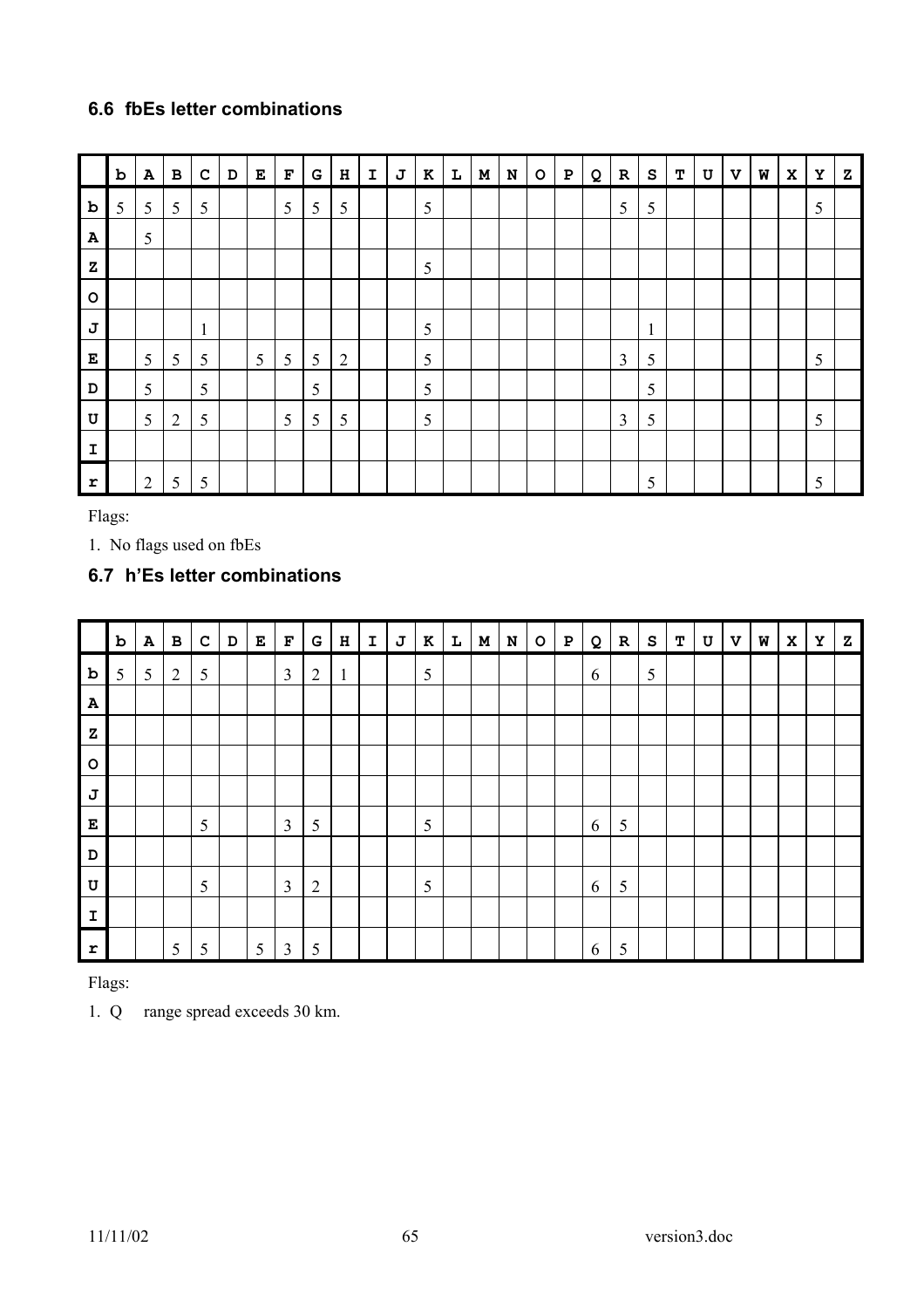## **6.6 fbEs letter combinations**

|              | $\, {\bf b}$ | ${\bf A}$      | $\, {\bf B} \,$ | $\mathbf C$  | $\, {\bf D}$ | E | $\mathbf F$ | G | $\, {\bf H}$   | $\mathbf I$ | $\bf J$ | $\bf K$ | L | $\mathbf M$ | ${\bf N}$ | $\circ$ | $\mathbf P$ | Q | $\mathbf R$    | ${\tt s}$      | т | $\mathbf U$ | $\mathbf{v}$ | W | $\mathbf x$ | Y | z |
|--------------|--------------|----------------|-----------------|--------------|--------------|---|-------------|---|----------------|-------------|---------|---------|---|-------------|-----------|---------|-------------|---|----------------|----------------|---|-------------|--------------|---|-------------|---|---|
| $\mathbf b$  | 5            | 5              | 5               | 5            |              |   | 5           | 5 | 5              |             |         | 5       |   |             |           |         |             |   | 5              | $\mathfrak{S}$ |   |             |              |   |             | 5 |   |
| $\mathbf A$  |              | 5              |                 |              |              |   |             |   |                |             |         |         |   |             |           |         |             |   |                |                |   |             |              |   |             |   |   |
| $\mathbf z$  |              |                |                 |              |              |   |             |   |                |             |         | 5       |   |             |           |         |             |   |                |                |   |             |              |   |             |   |   |
| $\circ$      |              |                |                 |              |              |   |             |   |                |             |         |         |   |             |           |         |             |   |                |                |   |             |              |   |             |   |   |
| J            |              |                |                 | $\mathbf{1}$ |              |   |             |   |                |             |         | 5       |   |             |           |         |             |   |                | $\mathbf{1}$   |   |             |              |   |             |   |   |
| E            |              | 5              | 5               | 5            |              | 5 | 5           | 5 | $\overline{2}$ |             |         | 5       |   |             |           |         |             |   | $\overline{3}$ | 5              |   |             |              |   |             | 5 |   |
| D            |              | 5              |                 | 5            |              |   |             | 5 |                |             |         | 5       |   |             |           |         |             |   |                | 5              |   |             |              |   |             |   |   |
| U            |              | 5              | $\overline{2}$  | 5            |              |   | 5           | 5 | 5              |             |         | 5       |   |             |           |         |             |   | $\overline{3}$ | 5              |   |             |              |   |             | 5 |   |
| $\mathbf{I}$ |              |                |                 |              |              |   |             |   |                |             |         |         |   |             |           |         |             |   |                |                |   |             |              |   |             |   |   |
| r            |              | $\overline{2}$ | 5               | 5            |              |   |             |   |                |             |         |         |   |             |           |         |             |   |                | 5              |   |             |              |   |             | 5 |   |

Flags:

1. No flags used on fbEs

## **6.7 h'Es letter combinations**

|              | $\mathbf b$ | $\mathbf{A}$ | $\, {\bf B} \,$ | ${\bf c}$ | D | $\mathbf{E}$ | $\mathbf F$    | G              | H            | $\mathbf I$ | $\mathbf J$ | $\kappa$ | L | $\mathbf M$ | ${\bf N}$ | $\circ$ | $\, {\bf P}$ | Q | $\mathbf R$ | ${\bf s}$ | т | U | $\mathbf v$ | W | $\mathbf x$ | Υ | ${\bf z}$ |
|--------------|-------------|--------------|-----------------|-----------|---|--------------|----------------|----------------|--------------|-------------|-------------|----------|---|-------------|-----------|---------|--------------|---|-------------|-----------|---|---|-------------|---|-------------|---|-----------|
| $\mathbf b$  | 5           | 5            | $\overline{2}$  | 5         |   |              | 3              | $\overline{2}$ | $\mathbf{1}$ |             |             | 5        |   |             |           |         |              | 6 |             | 5         |   |   |             |   |             |   |           |
| $\mathbf{A}$ |             |              |                 |           |   |              |                |                |              |             |             |          |   |             |           |         |              |   |             |           |   |   |             |   |             |   |           |
| $\mathbf{z}$ |             |              |                 |           |   |              |                |                |              |             |             |          |   |             |           |         |              |   |             |           |   |   |             |   |             |   |           |
| $\circ$      |             |              |                 |           |   |              |                |                |              |             |             |          |   |             |           |         |              |   |             |           |   |   |             |   |             |   |           |
| J            |             |              |                 |           |   |              |                |                |              |             |             |          |   |             |           |         |              |   |             |           |   |   |             |   |             |   |           |
| Е            |             |              |                 | 5         |   |              | $\overline{3}$ | 5              |              |             |             | 5        |   |             |           |         |              | 6 | 5           |           |   |   |             |   |             |   |           |
| D            |             |              |                 |           |   |              |                |                |              |             |             |          |   |             |           |         |              |   |             |           |   |   |             |   |             |   |           |
| $\mathbf U$  |             |              |                 | 5         |   |              | 3              | $\overline{2}$ |              |             |             | 5        |   |             |           |         |              | 6 | 5           |           |   |   |             |   |             |   |           |
| I            |             |              |                 |           |   |              |                |                |              |             |             |          |   |             |           |         |              |   |             |           |   |   |             |   |             |   |           |
| r            |             |              | 5               | 5         |   | 5            | $\mathfrak{Z}$ | 5              |              |             |             |          |   |             |           |         |              | 6 | 5           |           |   |   |             |   |             |   |           |

Flags:

1. Q range spread exceeds 30 km.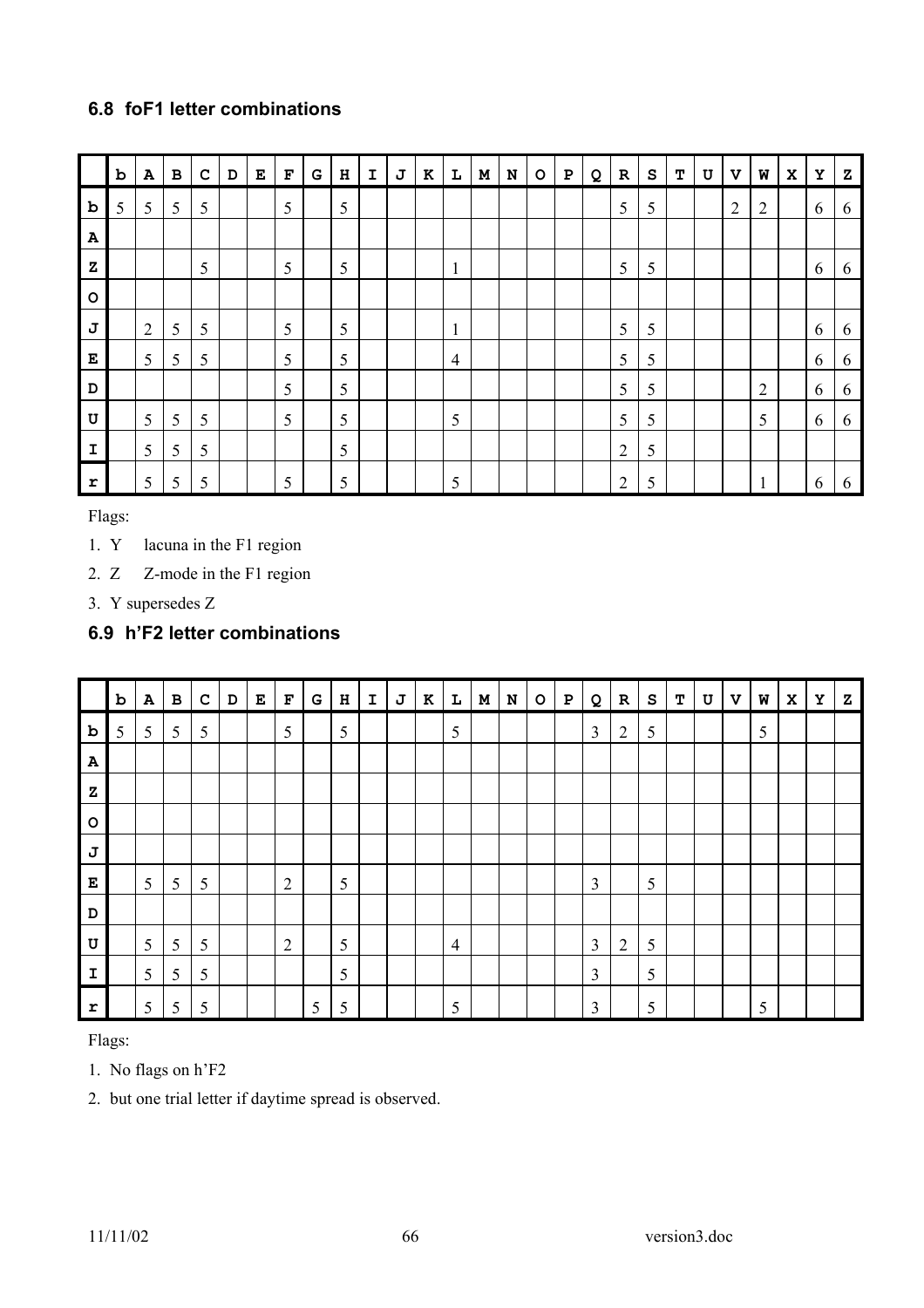## **6.8 foF1 letter combinations**

|             | $\mathbf b$ | $\, {\bf A}$   | $\, {\bf B}$ | $\mathbf C$ | D | E | $\mathbf F$ | ${\mathbf G}$ | $\, {\bf H}$ | $\mathbf I$ | J | $\bf K$ | $\mathbf L$    | M | ${\bf N}$ | $\mathsf{o}\,$ | ${\bf P}$ | Q | ${\bf R}$      | ${\tt s}$ | т | $\mathbf U$ | $\mathbf v$    | W              | $\mathbf x$ | Υ | Ζ |
|-------------|-------------|----------------|--------------|-------------|---|---|-------------|---------------|--------------|-------------|---|---------|----------------|---|-----------|----------------|-----------|---|----------------|-----------|---|-------------|----------------|----------------|-------------|---|---|
| $\mathbf b$ | 5           | 5              | 5            | 5           |   |   | 5           |               | 5            |             |   |         |                |   |           |                |           |   | 5              | 5         |   |             | $\overline{2}$ | $\overline{2}$ |             | 6 | 6 |
| A           |             |                |              |             |   |   |             |               |              |             |   |         |                |   |           |                |           |   |                |           |   |             |                |                |             |   |   |
| z           |             |                |              | 5           |   |   | 5           |               | 5            |             |   |         | $\mathbf{1}$   |   |           |                |           |   | 5              | 5         |   |             |                |                |             | 6 | 6 |
| $\circ$     |             |                |              |             |   |   |             |               |              |             |   |         |                |   |           |                |           |   |                |           |   |             |                |                |             |   |   |
| J           |             | $\overline{2}$ | 5            | 5           |   |   | 5           |               | 5            |             |   |         | $\mathbf{1}$   |   |           |                |           |   | 5              | 5         |   |             |                |                |             | 6 | 6 |
| Е           |             | 5              | 5            | 5           |   |   | 5           |               | 5            |             |   |         | $\overline{4}$ |   |           |                |           |   | 5              | 5         |   |             |                |                |             | 6 | 6 |
| D           |             |                |              |             |   |   | 5           |               | 5            |             |   |         |                |   |           |                |           |   | 5              | 5         |   |             |                | $\overline{2}$ |             | 6 | 6 |
| U           |             | 5              | 5            | 5           |   |   | 5           |               | 5            |             |   |         | 5              |   |           |                |           |   | 5              | 5         |   |             |                | 5              |             | 6 | 6 |
| $\mathbf I$ |             | 5              | 5            | 5           |   |   |             |               | 5            |             |   |         |                |   |           |                |           |   | $\overline{2}$ | 5         |   |             |                |                |             |   |   |
| r           |             | 5              | 5            | 5           |   |   | 5           |               | 5            |             |   |         | 5              |   |           |                |           |   | $\overline{2}$ | 5         |   |             |                | 1              |             | 6 | 6 |

Flags:

- 1. Y lacuna in the F1 region
- 2. Z Z-mode in the F1 region
- 3. Y supersedes Z

## **6.9 h'F2 letter combinations**

|              | $\mathbf b$ | ${\bf A}$ | $\, {\bf B}$ | $\mathbf C$ | D | Е | $\mathbf F$    | G | H | $\mathbf I$ | J | K | L              | $\mathbf M$ | ${\bf N}$ | $\circ$ | ${\bf P}$ | Q              | $\mathbf{R}$   | ${\tt S}$ | $\mathbf T$ | U | $\boldsymbol{\mathrm{v}}$ | W | $\mathbf x$ | Y | z |
|--------------|-------------|-----------|--------------|-------------|---|---|----------------|---|---|-------------|---|---|----------------|-------------|-----------|---------|-----------|----------------|----------------|-----------|-------------|---|---------------------------|---|-------------|---|---|
| $\mathbf b$  | 5           | 5         | 5            | 5           |   |   | 5              |   | 5 |             |   |   | 5              |             |           |         |           | $\overline{3}$ | $\overline{2}$ | 5         |             |   |                           | 5 |             |   |   |
| $\mathbf{A}$ |             |           |              |             |   |   |                |   |   |             |   |   |                |             |           |         |           |                |                |           |             |   |                           |   |             |   |   |
| $\mathbf z$  |             |           |              |             |   |   |                |   |   |             |   |   |                |             |           |         |           |                |                |           |             |   |                           |   |             |   |   |
| $\circ$      |             |           |              |             |   |   |                |   |   |             |   |   |                |             |           |         |           |                |                |           |             |   |                           |   |             |   |   |
| J            |             |           |              |             |   |   |                |   |   |             |   |   |                |             |           |         |           |                |                |           |             |   |                           |   |             |   |   |
| Е            |             | 5         | 5            | 5           |   |   | $\overline{2}$ |   | 5 |             |   |   |                |             |           |         |           | $\overline{3}$ |                | 5         |             |   |                           |   |             |   |   |
| D            |             |           |              |             |   |   |                |   |   |             |   |   |                |             |           |         |           |                |                |           |             |   |                           |   |             |   |   |
| $\mathbf U$  |             | 5         | 5            | 5           |   |   | $\overline{2}$ |   | 5 |             |   |   | $\overline{4}$ |             |           |         |           | $\overline{3}$ | $\overline{2}$ | 5         |             |   |                           |   |             |   |   |
| $\mathbf{I}$ |             | 5         | 5            | 5           |   |   |                |   | 5 |             |   |   |                |             |           |         |           | 3              |                | 5         |             |   |                           |   |             |   |   |
| r            |             | 5         | 5            | 5           |   |   |                | 5 | 5 |             |   |   | 5              |             |           |         |           | 3              |                | 5         |             |   |                           | 5 |             |   |   |

Flags:

- 1. No flags on h'F2
- 2. but one trial letter if daytime spread is observed.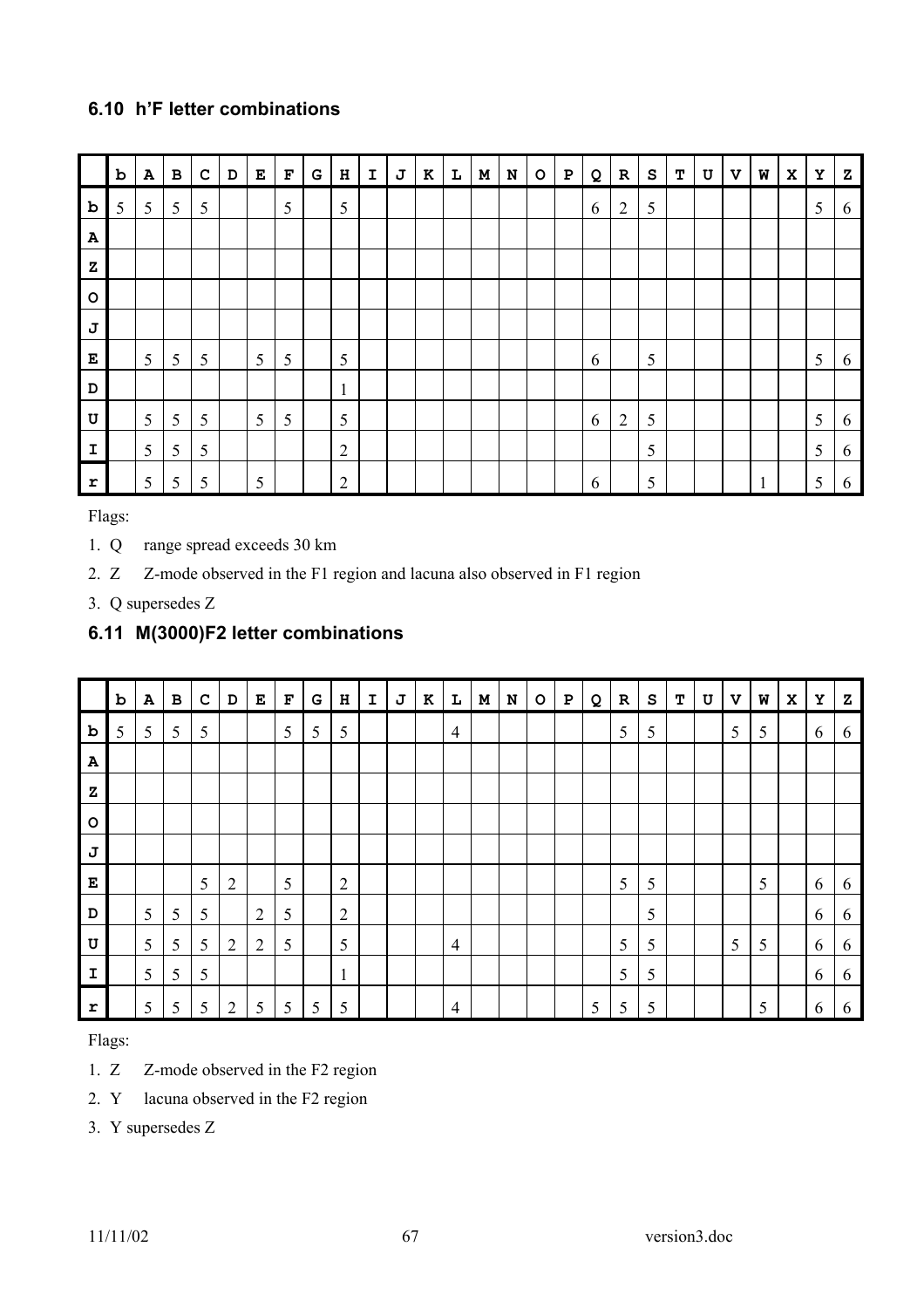## **6.10 h'F letter combinations**

|              | $\, {\bf b}$ | ${\bf A}$ | $\, {\bf B}$ | $\mathbf C$ | $\mathbf D$ | ${\bf E}$ | $\mathbf{F}% _{0}$ | G | $\, {\bf H}$            | $\mathbf I$ | J | $\bf K$ | L | $\mathbf M$ | ${\bf N}$ | $\circ$ | $\, {\bf P}$ | Q | ${\bf R}$      | ${\bf s}$ | т | $\mathbf U$ | $\boldsymbol{\mathrm{v}}$ | W            | $\mathbf x$ | Υ | ${\bf z}$ |
|--------------|--------------|-----------|--------------|-------------|-------------|-----------|--------------------|---|-------------------------|-------------|---|---------|---|-------------|-----------|---------|--------------|---|----------------|-----------|---|-------------|---------------------------|--------------|-------------|---|-----------|
| b            | 5            | 5         | 5            | 5           |             |           | 5                  |   | 5                       |             |   |         |   |             |           |         |              | 6 | $\overline{2}$ | 5         |   |             |                           |              |             | 5 | 6         |
| $\mathbf{A}$ |              |           |              |             |             |           |                    |   |                         |             |   |         |   |             |           |         |              |   |                |           |   |             |                           |              |             |   |           |
| ${\bf z}$    |              |           |              |             |             |           |                    |   |                         |             |   |         |   |             |           |         |              |   |                |           |   |             |                           |              |             |   |           |
| $\circ$      |              |           |              |             |             |           |                    |   |                         |             |   |         |   |             |           |         |              |   |                |           |   |             |                           |              |             |   |           |
| J            |              |           |              |             |             |           |                    |   |                         |             |   |         |   |             |           |         |              |   |                |           |   |             |                           |              |             |   |           |
| Е            |              | 5         | 5            | 5           |             | 5         | 5                  |   | 5                       |             |   |         |   |             |           |         |              | 6 |                | 5         |   |             |                           |              |             | 5 | 6         |
| D            |              |           |              |             |             |           |                    |   | $\mathbf{1}$<br>$\perp$ |             |   |         |   |             |           |         |              |   |                |           |   |             |                           |              |             |   |           |
| U            |              | 5         | 5            | 5           |             | 5         | 5                  |   | 5                       |             |   |         |   |             |           |         |              | 6 | $\overline{2}$ | 5         |   |             |                           |              |             | 5 | 6         |
| I            |              | 5         | 5            | 5           |             |           |                    |   | $\overline{2}$          |             |   |         |   |             |           |         |              |   |                | 5         |   |             |                           |              |             | 5 | 6         |
| r            |              | 5         | 5            | 5           |             | 5         |                    |   | $\overline{2}$          |             |   |         |   |             |           |         |              | 6 |                | 5         |   |             |                           | $\mathbf{1}$ |             | 5 | 6         |

Flags:

- 1. Q range spread exceeds 30 km
- 2. Z Z-mode observed in the F1 region and lacuna also observed in F1 region
- 3. Q supersedes Z

## **6.11 M(3000)F2 letter combinations**

|              | $\mathbf b$ | $\, {\bf A}$ | $\, {\bf B} \,$ | $\mathbf C$ | $\mathbf D$    | E              | $\mathbf{F}% _{0}$ | G | н              | I | J | $\bf K$ | L              | M | ${\bf N}$ | $\circ$ | $\, {\bf P}$ | Q | ${\bf R}$ | ${\tt S}$ | т | $\ensuremath{\mathbf{U}}$ | $\mathbf v$ | W | $\mathbf{x}$ | Y | z |
|--------------|-------------|--------------|-----------------|-------------|----------------|----------------|--------------------|---|----------------|---|---|---------|----------------|---|-----------|---------|--------------|---|-----------|-----------|---|---------------------------|-------------|---|--------------|---|---|
| $\mathbf b$  | 5           | 5            | 5               | 5           |                |                | 5                  | 5 | 5              |   |   |         | $\overline{4}$ |   |           |         |              |   | 5         | 5         |   |                           | 5           | 5 |              | 6 | 6 |
| A            |             |              |                 |             |                |                |                    |   |                |   |   |         |                |   |           |         |              |   |           |           |   |                           |             |   |              |   |   |
| $\mathbf{z}$ |             |              |                 |             |                |                |                    |   |                |   |   |         |                |   |           |         |              |   |           |           |   |                           |             |   |              |   |   |
| $\circ$      |             |              |                 |             |                |                |                    |   |                |   |   |         |                |   |           |         |              |   |           |           |   |                           |             |   |              |   |   |
| J            |             |              |                 |             |                |                |                    |   |                |   |   |         |                |   |           |         |              |   |           |           |   |                           |             |   |              |   |   |
| E            |             |              |                 | 5           | $\overline{2}$ |                | 5                  |   | $\overline{2}$ |   |   |         |                |   |           |         |              |   | 5         | 5         |   |                           |             | 5 |              | 6 | 6 |
| D            |             | 5            | 5               | 5           |                | $\overline{2}$ | 5                  |   | $\overline{2}$ |   |   |         |                |   |           |         |              |   |           | 5         |   |                           |             |   |              | 6 | 6 |
| U            |             | 5            | 5               | 5           | $\overline{2}$ | $\overline{2}$ | 5                  |   | 5              |   |   |         | $\overline{4}$ |   |           |         |              |   | 5         | 5         |   |                           | 5           | 5 |              | 6 | 6 |
| $\mathbf I$  |             | 5            | 5               | 5           |                |                |                    |   | $\mathbf{1}$   |   |   |         |                |   |           |         |              |   | 5         | 5         |   |                           |             |   |              | 6 | 6 |
| $\mathbf{r}$ |             | 5            | 5               | 5           | $\overline{2}$ | 5              | 5                  | 5 | 5              |   |   |         | $\overline{4}$ |   |           |         |              | 5 | 5         | 5         |   |                           |             | 5 |              | 6 | 6 |

Flags:

- 1. Z Z-mode observed in the F2 region
- 2. Y lacuna observed in the F2 region
- 3. Y supersedes Z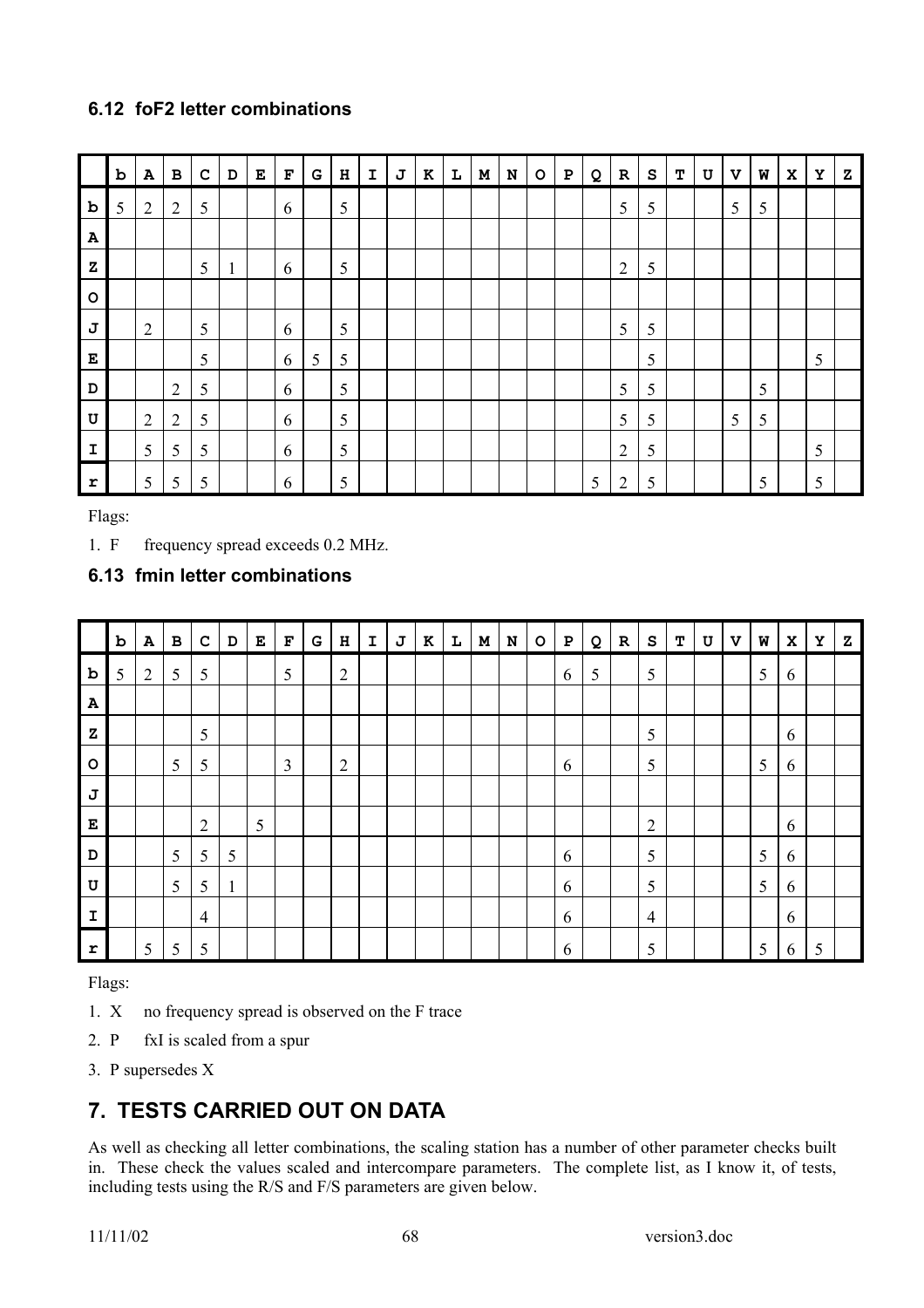## **6.12 foF2 letter combinations**

|              | $\mathbf b$ | $\, {\bf A}$   | $\, {\bf B}$   | $\mathbf C$ | D            | ${\bf E}$ | $\mathbf F$ | ${\mathbf G}$ | $\, {\bf H}$ | $\mathbf I$ | J | $\bf K$ | $\mathbf L$ | $\mathbf M$ | ${\bf N}$ | $\mathsf{o}$ | ${\bf P}$ | Q | $\mathbf R$    | ${\bf s}$ | т | U | $\mathbf v$ | W | $\mathbf x$ | Y | z |
|--------------|-------------|----------------|----------------|-------------|--------------|-----------|-------------|---------------|--------------|-------------|---|---------|-------------|-------------|-----------|--------------|-----------|---|----------------|-----------|---|---|-------------|---|-------------|---|---|
| $\mathbf b$  | 5           | $\overline{2}$ | $\overline{2}$ | 5           |              |           | 6           |               | 5            |             |   |         |             |             |           |              |           |   | 5              | 5         |   |   | 5           | 5 |             |   |   |
| $\mathbf{A}$ |             |                |                |             |              |           |             |               |              |             |   |         |             |             |           |              |           |   |                |           |   |   |             |   |             |   |   |
| $\mathbf{z}$ |             |                |                | 5           | $\mathbf{1}$ |           | 6           |               | 5            |             |   |         |             |             |           |              |           |   | $\overline{2}$ | 5         |   |   |             |   |             |   |   |
| $\circ$      |             |                |                |             |              |           |             |               |              |             |   |         |             |             |           |              |           |   |                |           |   |   |             |   |             |   |   |
| J            |             | $\overline{2}$ |                | 5           |              |           | 6           |               | 5            |             |   |         |             |             |           |              |           |   | 5              | 5         |   |   |             |   |             |   |   |
| E            |             |                |                | 5           |              |           | 6           | 5             | 5            |             |   |         |             |             |           |              |           |   |                | 5         |   |   |             |   |             | 5 |   |
| D            |             |                | $\overline{2}$ | 5           |              |           | 6           |               | 5            |             |   |         |             |             |           |              |           |   | 5              | 5         |   |   |             | 5 |             |   |   |
| U            |             | $\overline{2}$ | $\overline{2}$ | 5           |              |           | 6           |               | 5            |             |   |         |             |             |           |              |           |   | 5              | 5         |   |   | 5           | 5 |             |   |   |
| $\mathbf I$  |             | 5              | 5              | 5           |              |           | 6           |               | 5            |             |   |         |             |             |           |              |           |   | $\overline{2}$ | 5         |   |   |             |   |             | 5 |   |
| r            |             | 5              | 5              | 5           |              |           | 6           |               | 5            |             |   |         |             |             |           |              |           | 5 | $\overline{2}$ | 5         |   |   |             | 5 |             | 5 |   |

Flags:

1. F frequency spread exceeds 0.2 MHz.

## **6.13 fmin letter combinations**

|              | $\mathbf b$ | $\, {\bf A}$   | $\, {\bf B}$ | $\mathbf C$    | D            | ${\bf E}$ | $\mathbf F$    | ${\mathbf G}$ | $\, {\bf H}$   | $\mathbf I$ | J | $\bf K$ | L | $\mathbf M$ | ${\bf N}$ | $\circ$ | ${\bf P}$ | Q | ${\bf R}$ | ${\bf s}$      | т | $\ensuremath{\mathbf{U}}$ | $\mathbf v$ | W | $\mathbf x$ | $\mathbf Y$ | z |
|--------------|-------------|----------------|--------------|----------------|--------------|-----------|----------------|---------------|----------------|-------------|---|---------|---|-------------|-----------|---------|-----------|---|-----------|----------------|---|---------------------------|-------------|---|-------------|-------------|---|
| $\mathbf b$  | 5           | $\overline{2}$ | 5            | 5              |              |           | 5              |               | 2              |             |   |         |   |             |           |         | 6         | 5 |           | 5              |   |                           |             | 5 | 6           |             |   |
| $\mathbf{A}$ |             |                |              |                |              |           |                |               |                |             |   |         |   |             |           |         |           |   |           |                |   |                           |             |   |             |             |   |
| $\mathbf{z}$ |             |                |              | 5              |              |           |                |               |                |             |   |         |   |             |           |         |           |   |           | 5              |   |                           |             |   | 6           |             |   |
| $\circ$      |             |                | 5            | 5              |              |           | $\overline{3}$ |               | $\overline{2}$ |             |   |         |   |             |           |         | 6         |   |           | 5              |   |                           |             | 5 | 6           |             |   |
| J            |             |                |              |                |              |           |                |               |                |             |   |         |   |             |           |         |           |   |           |                |   |                           |             |   |             |             |   |
| E            |             |                |              | $\overline{2}$ |              | 5         |                |               |                |             |   |         |   |             |           |         |           |   |           | $\overline{2}$ |   |                           |             |   | 6           |             |   |
| D            |             |                | 5            | 5              | 5            |           |                |               |                |             |   |         |   |             |           |         | 6         |   |           | 5              |   |                           |             | 5 | 6           |             |   |
| U            |             |                | 5            | 5              | $\mathbf{1}$ |           |                |               |                |             |   |         |   |             |           |         | 6         |   |           | 5              |   |                           |             | 5 | 6           |             |   |
| $\mathbf I$  |             |                |              | $\overline{4}$ |              |           |                |               |                |             |   |         |   |             |           |         | 6         |   |           | $\overline{4}$ |   |                           |             |   | 6           |             |   |
| $\mathbf{r}$ |             | 5              | 5            | 5              |              |           |                |               |                |             |   |         |   |             |           |         | 6         |   |           | 5              |   |                           |             | 5 | 6           | 5           |   |

Flags:

- 1. X no frequency spread is observed on the F trace
- 2. P fxI is scaled from a spur
- 3. P supersedes X

# **7. TESTS CARRIED OUT ON DATA**

As well as checking all letter combinations, the scaling station has a number of other parameter checks built in. These check the values scaled and intercompare parameters. The complete list, as I know it, of tests, including tests using the R/S and F/S parameters are given below.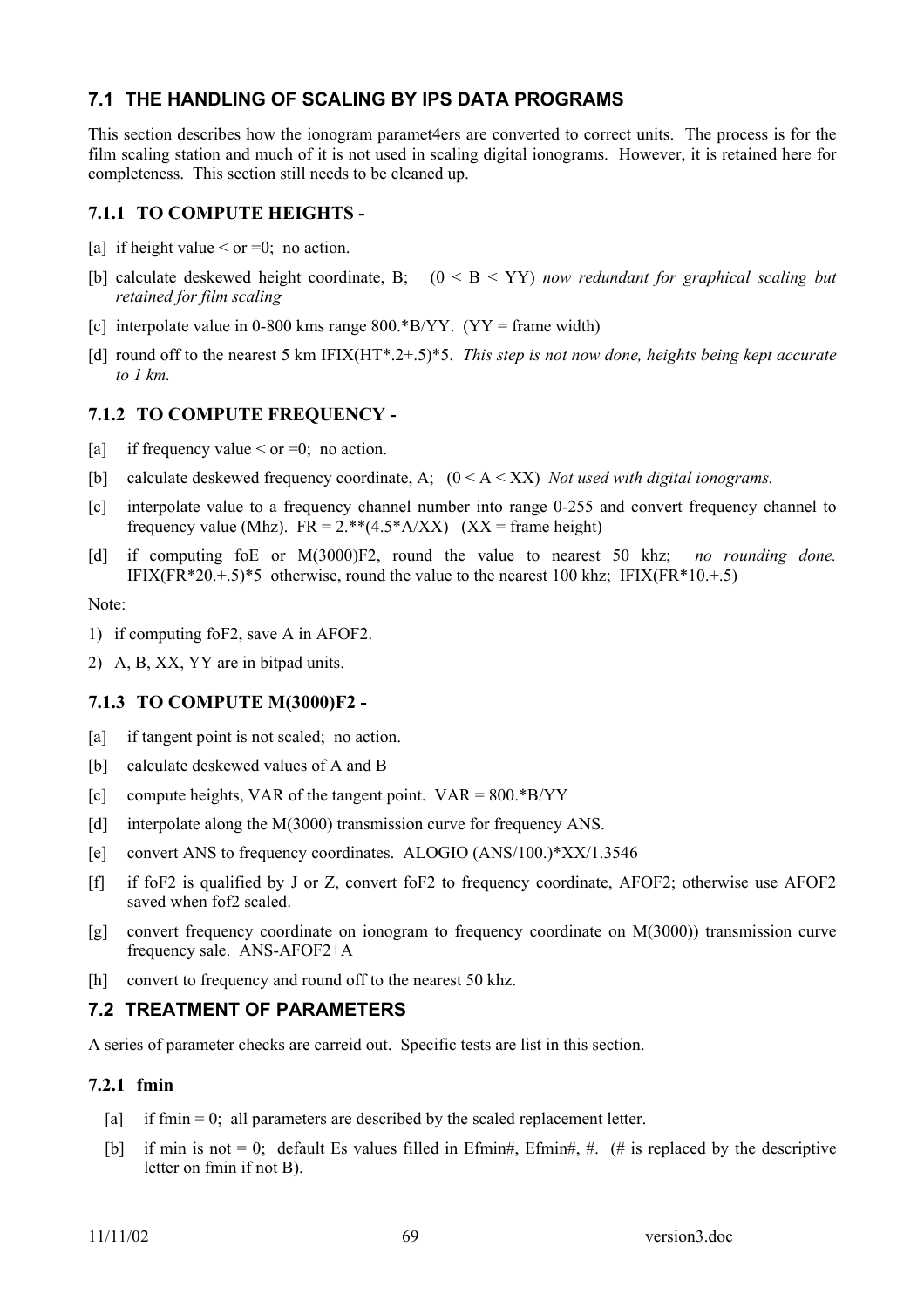### **7.1 THE HANDLING OF SCALING BY IPS DATA PROGRAMS**

This section describes how the ionogram paramet4ers are converted to correct units. The process is for the film scaling station and much of it is not used in scaling digital ionograms. However, it is retained here for completeness. This section still needs to be cleaned up.

#### **7.1.1 TO COMPUTE HEIGHTS -**

- [a] if height value  $\leq$  or  $=0$ ; no action.
- [b] calculate deskewed height coordinate, B; (0 < B < YY) *now redundant for graphical scaling but retained for film scaling*
- [c] interpolate value in 0-800 kms range  $800.*B/YY$ . (YY = frame width)
- [d] round off to the nearest 5 km IFIX(HT\*.2+.5)\*5. *This step is not now done, heights being kept accurate to 1 km.*

### **7.1.2 TO COMPUTE FREQUENCY -**

- [a] if frequency value  $\leq$  or  $=0$ ; no action.
- [b] calculate deskewed frequency coordinate, A; (0 < A < XX) *Not used with digital ionograms.*
- [c] interpolate value to a frequency channel number into range 0-255 and convert frequency channel to frequency value (Mhz).  $FR = 2.**(4.5*A/XX)$  (XX = frame height)
- [d] if computing foE or M(3000)F2, round the value to nearest 50 khz; *no rounding done.* IFIX(FR\*20.+.5)\*5 otherwise, round the value to the nearest 100 khz; IFIX(FR\*10.+.5)

Note:

- 1) if computing foF2, save A in AFOF2.
- 2) A, B, XX, YY are in bitpad units.

### **7.1.3 TO COMPUTE M(3000)F2 -**

- [a] if tangent point is not scaled; no action.
- [b] calculate deskewed values of A and B
- [c] compute heights, VAR of the tangent point.  $VAR = 800.*B/YY$
- [d] interpolate along the M(3000) transmission curve for frequency ANS.
- [e] convert ANS to frequency coordinates. ALOGIO (ANS/100.)\*XX/1.3546
- [f] if foF2 is qualified by J or Z, convert foF2 to frequency coordinate, AFOF2; otherwise use AFOF2 saved when fof2 scaled.
- [g] convert frequency coordinate on ionogram to frequency coordinate on M(3000)) transmission curve frequency sale. ANS-AFOF2+A
- [h] convert to frequency and round off to the nearest 50 khz.

### **7.2 TREATMENT OF PARAMETERS**

A series of parameter checks are carreid out. Specific tests are list in this section.

#### **7.2.1 fmin**

- [a] if fmin  $= 0$ ; all parameters are described by the scaled replacement letter.
- [b] if min is not  $= 0$ ; default Es values filled in Efmin#, Efmin#, #. (# is replaced by the descriptive letter on fmin if not B).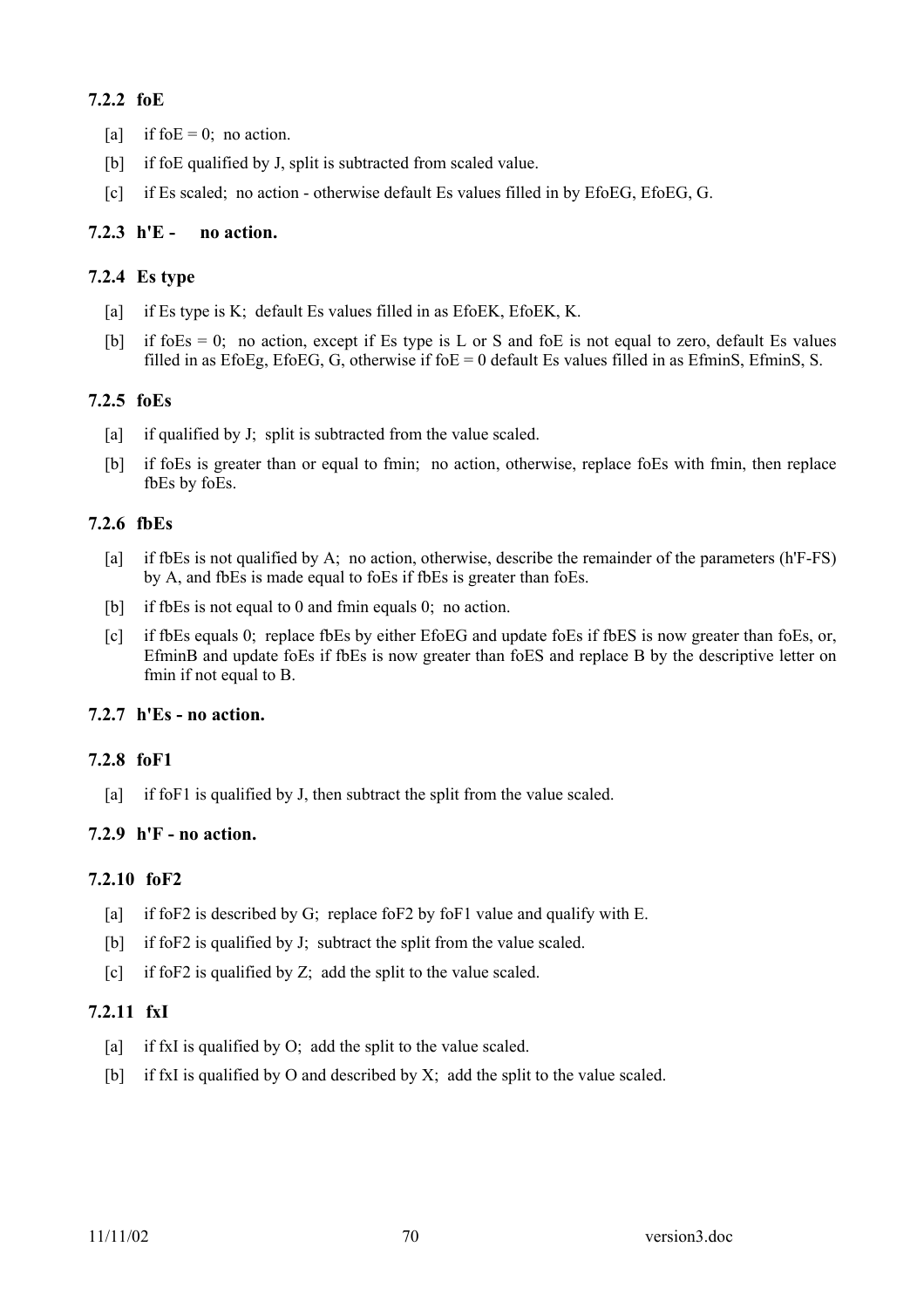#### **7.2.2 foE**

- [a] if fo $E = 0$ ; no action.
- [b] if foE qualified by J, split is subtracted from scaled value.
- [c] if Es scaled; no action otherwise default Es values filled in by EfoEG, EfoEG, G.

### **7.2.3 h'E - no action.**

### **7.2.4 Es type**

- [a] if Es type is K; default Es values filled in as EfoEK, EfoEK, K.
- [b] if foEs = 0; no action, except if Es type is L or S and foE is not equal to zero, default Es values filled in as EfoEg, EfoEG, G, otherwise if  $f_0 = 0$  default Es values filled in as EfminS, EfminS, S.

### **7.2.5 foEs**

- [a] if qualified by J; split is subtracted from the value scaled.
- [b] if foEs is greater than or equal to fmin; no action, otherwise, replace foEs with fmin, then replace fbEs by foEs.

### **7.2.6 fbEs**

- [a] if fbEs is not qualified by A; no action, otherwise, describe the remainder of the parameters (h'F-FS) by A, and fbEs is made equal to foEs if fbEs is greater than foEs.
- [b] if fbEs is not equal to 0 and fmin equals 0; no action.
- [c] if fbEs equals 0; replace fbEs by either EfoEG and update foEs if fbES is now greater than foEs, or, EfminB and update foEs if fbEs is now greater than foES and replace B by the descriptive letter on fmin if not equal to B.

#### **7.2.7 h'Es - no action.**

#### **7.2.8 foF1**

[a] if foF1 is qualified by J, then subtract the split from the value scaled.

### **7.2.9 h'F - no action.**

#### **7.2.10 foF2**

- [a] if foF2 is described by G; replace foF2 by foF1 value and qualify with E.
- [b] if foF2 is qualified by J; subtract the split from the value scaled.
- [c] if foF2 is qualified by Z; add the split to the value scaled.

### **7.2.11 fxI**

- [a] if fxI is qualified by O; add the split to the value scaled.
- [b] if fxI is qualified by O and described by X; add the split to the value scaled.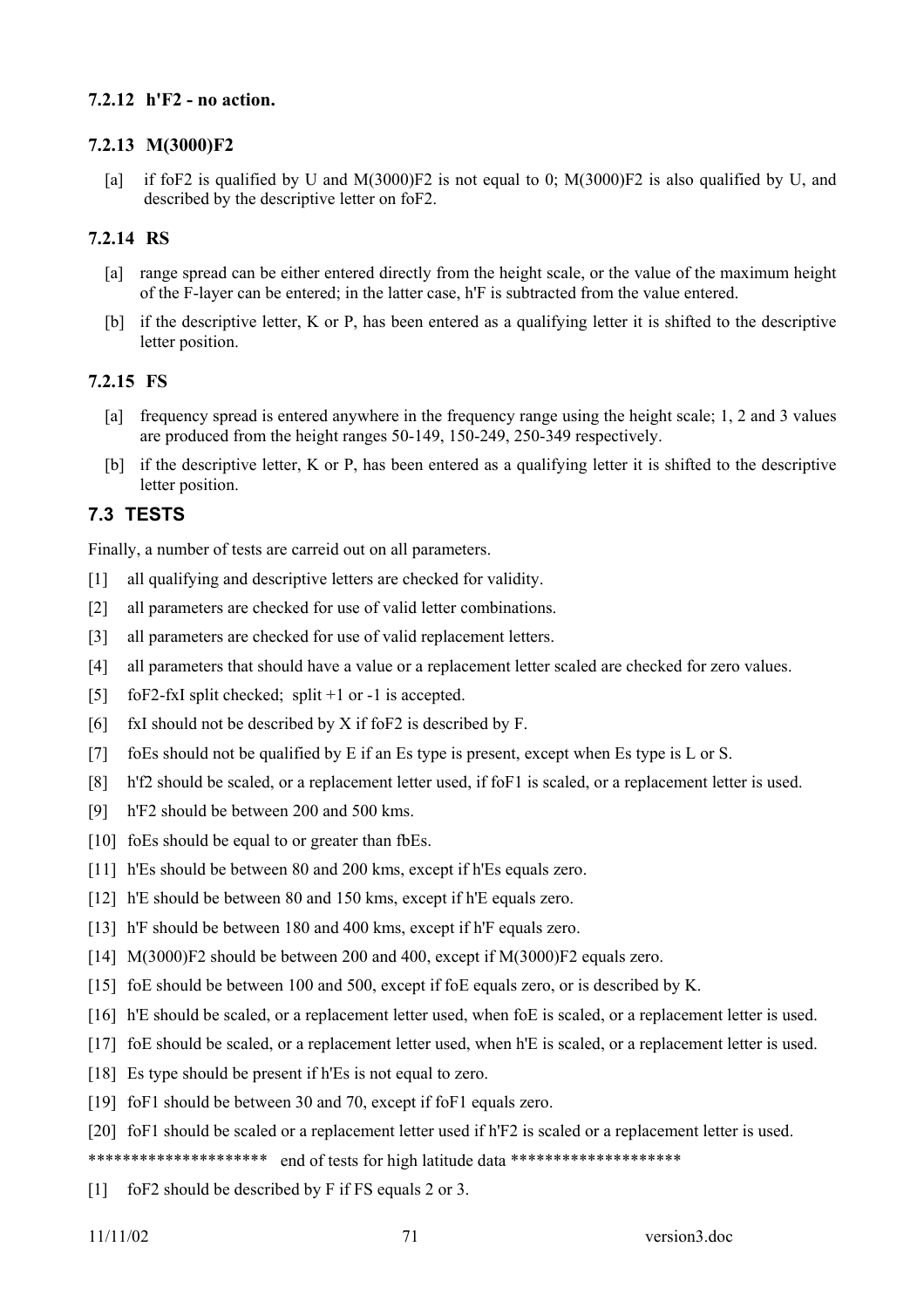### **7.2.12 h'F2 - no action.**

### **7.2.13 M(3000)F2**

[a] if foF2 is qualified by U and M(3000)F2 is not equal to 0; M(3000)F2 is also qualified by U, and described by the descriptive letter on foF2.

### **7.2.14 RS**

- [a] range spread can be either entered directly from the height scale, or the value of the maximum height of the F-layer can be entered; in the latter case, h'F is subtracted from the value entered.
- [b] if the descriptive letter, K or P, has been entered as a qualifying letter it is shifted to the descriptive letter position.

#### **7.2.15 FS**

- [a] frequency spread is entered anywhere in the frequency range using the height scale; 1, 2 and 3 values are produced from the height ranges 50-149, 150-249, 250-349 respectively.
- [b] if the descriptive letter, K or P, has been entered as a qualifying letter it is shifted to the descriptive letter position.

### **7.3 TESTS**

Finally, a number of tests are carreid out on all parameters.

- [1] all qualifying and descriptive letters are checked for validity.
- [2] all parameters are checked for use of valid letter combinations.
- [3] all parameters are checked for use of valid replacement letters.
- [4] all parameters that should have a value or a replacement letter scaled are checked for zero values.
- [5] foF2-fxI split checked; split +1 or -1 is accepted.
- [6] fxI should not be described by X if foF2 is described by F.
- [7] foEs should not be qualified by E if an Es type is present, except when Es type is L or S.
- [8] h'f2 should be scaled, or a replacement letter used, if foF1 is scaled, or a replacement letter is used.
- [9] h'F2 should be between 200 and 500 kms.
- [10] foEs should be equal to or greater than fbEs.
- [11] h'Es should be between 80 and 200 kms, except if h'Es equals zero.
- [12] h'E should be between 80 and 150 kms, except if h'E equals zero.
- [13] h'F should be between 180 and 400 kms, except if h'F equals zero.
- [14] M(3000)F2 should be between 200 and 400, except if M(3000)F2 equals zero.
- [15] foE should be between 100 and 500, except if foE equals zero, or is described by K.
- [16] h'E should be scaled, or a replacement letter used, when foE is scaled, or a replacement letter is used.
- [17] foE should be scaled, or a replacement letter used, when h'E is scaled, or a replacement letter is used.
- [18] Es type should be present if h'Es is not equal to zero.
- [19] foF1 should be between 30 and 70, except if foF1 equals zero.
- [20] foF1 should be scaled or a replacement letter used if h'F2 is scaled or a replacement letter is used.

\*\*\*\*\*\*\*\*\*\*\*\*\*\*\*\*\*\*\*\*\* end of tests for high latitude data \*\*\*\*\*\*\*\*\*\*\*\*\*\*\*\*\*\*\*\*

[1] foF2 should be described by F if FS equals 2 or 3.